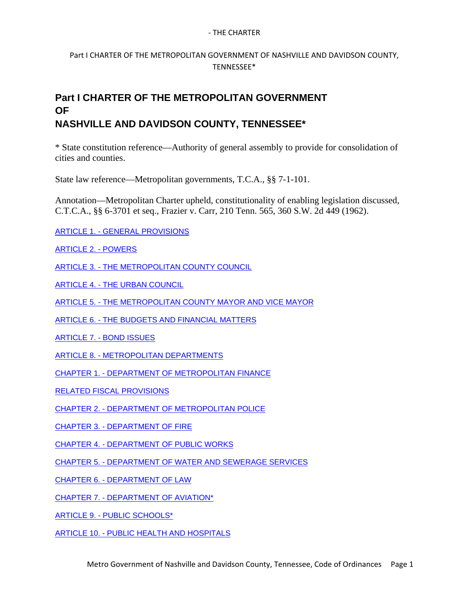# Part I CHARTER OF THE METROPOLITAN GOVERNMENT OF NASHVILLE AND DAVIDSON COUNTY, TENNESSEE\*

# **Part I CHARTER OF THE METROPOLITAN GOVERNMENT OF NASHVILLE AND DAVIDSON COUNTY, TENNESSEE\***

\* State constitution reference—Authority of general assembly to provide for consolidation of cities and counties.

State law reference—Metropolitan governments, T.C.A., §§ 7-1-101.

Annotation—Metropolitan Charter upheld, constitutionality of enabling legislation discussed, C.T.C.A., §§ 6-3701 et seq., Frazier v. Carr, 210 Tenn. 565, 360 S.W. 2d 449 (1962).

ARTICLE 1. - GENERAL PROVISIONS

ARTICLE 2. - POWERS

ARTICLE 3. - THE METROPOLITAN COUNTY COUNCIL

ARTICLE 4. - THE URBAN COUNCIL

ARTICLE 5. - THE METROPOLITAN COUNTY MAYOR AND VICE MAYOR

ARTICLE 6. - THE BUDGETS AND FINANCIAL MATTERS

ARTICLE 7. - BOND ISSUES

ARTICLE 8. - METROPOLITAN DEPARTMENTS

CHAPTER 1. - DEPARTMENT OF METROPOLITAN FINANCE

RELATED FISCAL PROVISIONS

CHAPTER 2. - DEPARTMENT OF METROPOLITAN POLICE

CHAPTER 3. - DEPARTMENT OF FIRE

CHAPTER 4. - DEPARTMENT OF PUBLIC WORKS

CHAPTER 5. - DEPARTMENT OF WATER AND SEWERAGE SERVICES

CHAPTER 6. - DEPARTMENT OF LAW

CHAPTER 7. - DEPARTMENT OF AVIATION\*

ARTICLE 9. - PUBLIC SCHOOLS\*

ARTICLE 10. - PUBLIC HEALTH AND HOSPITALS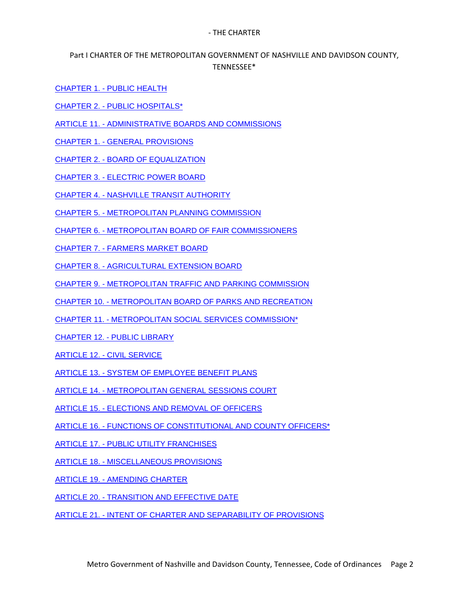# Part I CHARTER OF THE METROPOLITAN GOVERNMENT OF NASHVILLE AND DAVIDSON COUNTY, TENNESSEE\*

- CHAPTER 1. PUBLIC HEALTH
- CHAPTER 2. PUBLIC HOSPITALS\*
- ARTICLE 11. ADMINISTRATIVE BOARDS AND COMMISSIONS
- CHAPTER 1. GENERAL PROVISIONS
- CHAPTER 2. BOARD OF EQUALIZATION
- CHAPTER 3. ELECTRIC POWER BOARD
- CHAPTER 4. NASHVILLE TRANSIT AUTHORITY
- CHAPTER 5. METROPOLITAN PLANNING COMMISSION
- CHAPTER 6. METROPOLITAN BOARD OF FAIR COMMISSIONERS
- CHAPTER 7. FARMERS MARKET BOARD
- CHAPTER 8. AGRICULTURAL EXTENSION BOARD
- CHAPTER 9. METROPOLITAN TRAFFIC AND PARKING COMMISSION
- CHAPTER 10. METROPOLITAN BOARD OF PARKS AND RECREATION
- CHAPTER 11. METROPOLITAN SOCIAL SERVICES COMMISSION\*
- CHAPTER 12. PUBLIC LIBRARY
- ARTICLE 12. CIVIL SERVICE
- ARTICLE 13. SYSTEM OF EMPLOYEE BENEFIT PLANS
- ARTICLE 14. METROPOLITAN GENERAL SESSIONS COURT
- ARTICLE 15. ELECTIONS AND REMOVAL OF OFFICERS
- ARTICLE 16. FUNCTIONS OF CONSTITUTIONAL AND COUNTY OFFICERS\*
- ARTICLE 17. PUBLIC UTILITY FRANCHISES
- ARTICLE 18. MISCELLANEOUS PROVISIONS
- ARTICLE 19. AMENDING CHARTER
- ARTICLE 20. TRANSITION AND EFFECTIVE DATE
- ARTICLE 21. INTENT OF CHARTER AND SEPARABILITY OF PROVISIONS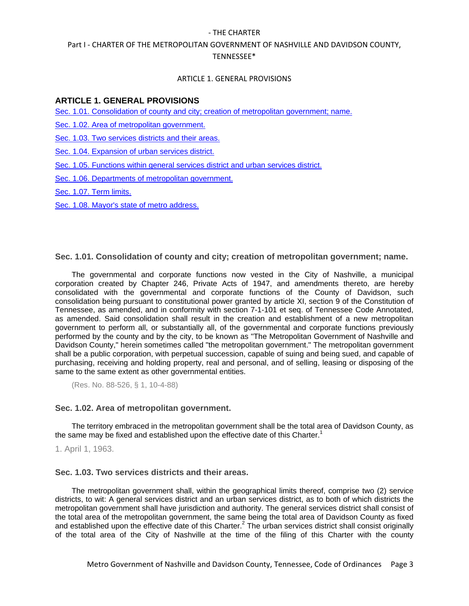## Part I - CHARTER OF THE METROPOLITAN GOVERNMENT OF NASHVILLE AND DAVIDSON COUNTY, TENNESSEE\*

### ARTICLE 1. GENERAL PROVISIONS

## **ARTICLE 1. GENERAL PROVISIONS**

Sec. 1.01. Consolidation of county and city; creation of metropolitan government; name.

Sec. 1.02. Area of metropolitan government.

Sec. 1.03. Two services districts and their areas.

Sec. 1.04. Expansion of urban services district.

Sec. 1.05. Functions within general services district and urban services district.

Sec. 1.06. Departments of metropolitan government.

Sec. 1.07. Term limits.

Sec. 1.08. Mayor's state of metro address.

**Sec. 1.01. Consolidation of county and city; creation of metropolitan government; name.** 

The governmental and corporate functions now vested in the City of Nashville, a municipal corporation created by Chapter 246, Private Acts of 1947, and amendments thereto, are hereby consolidated with the governmental and corporate functions of the County of Davidson, such consolidation being pursuant to constitutional power granted by article XI, section 9 of the Constitution of Tennessee, as amended, and in conformity with section 7-1-101 et seq. of Tennessee Code Annotated, as amended. Said consolidation shall result in the creation and establishment of a new metropolitan government to perform all, or substantially all, of the governmental and corporate functions previously performed by the county and by the city, to be known as "The Metropolitan Government of Nashville and Davidson County," herein sometimes called "the metropolitan government." The metropolitan government shall be a public corporation, with perpetual succession, capable of suing and being sued, and capable of purchasing, receiving and holding property, real and personal, and of selling, leasing or disposing of the same to the same extent as other governmental entities.

(Res. No. 88-526, § 1, 10-4-88)

### **Sec. 1.02. Area of metropolitan government.**

The territory embraced in the metropolitan government shall be the total area of Davidson County, as the same may be fixed and established upon the effective date of this Charter.<sup>1</sup>

1. April 1, 1963.

## **Sec. 1.03. Two services districts and their areas.**

The metropolitan government shall, within the geographical limits thereof, comprise two (2) service districts, to wit: A general services district and an urban services district, as to both of which districts the metropolitan government shall have jurisdiction and authority. The general services district shall consist of the total area of the metropolitan government, the same being the total area of Davidson County as fixed and established upon the effective date of this Charter.<sup>2</sup> The urban services district shall consist originally of the total area of the City of Nashville at the time of the filing of this Charter with the county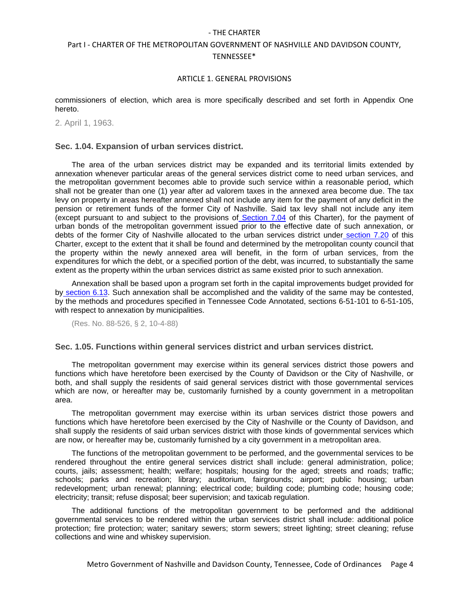### Part I ‐ CHARTER OF THE METROPOLITAN GOVERNMENT OF NASHVILLE AND DAVIDSON COUNTY, TENNESSEE\*

#### ARTICLE 1. GENERAL PROVISIONS

commissioners of election, which area is more specifically described and set forth in Appendix One hereto.

2. April 1, 1963.

### **Sec. 1.04. Expansion of urban services district.**

The area of the urban services district may be expanded and its territorial limits extended by annexation whenever particular areas of the general services district come to need urban services, and the metropolitan government becomes able to provide such service within a reasonable period, which shall not be greater than one (1) year after ad valorem taxes in the annexed area become due. The tax levy on property in areas hereafter annexed shall not include any item for the payment of any deficit in the pension or retirement funds of the former City of Nashville. Said tax levy shall not include any item (except pursuant to and subject to the provisions of Section 7.04 of this Charter), for the payment of urban bonds of the metropolitan government issued prior to the effective date of such annexation, or debts of the former City of Nashville allocated to the urban services district under section 7.20 of this Charter, except to the extent that it shall be found and determined by the metropolitan county council that the property within the newly annexed area will benefit, in the form of urban services, from the expenditures for which the debt, or a specified portion of the debt, was incurred, to substantially the same extent as the property within the urban services district as same existed prior to such annexation.

Annexation shall be based upon a program set forth in the capital improvements budget provided for by section 6.13. Such annexation shall be accomplished and the validity of the same may be contested, by the methods and procedures specified in Tennessee Code Annotated, sections 6-51-101 to 6-51-105, with respect to annexation by municipalities.

(Res. No. 88-526, § 2, 10-4-88)

### **Sec. 1.05. Functions within general services district and urban services district.**

The metropolitan government may exercise within its general services district those powers and functions which have heretofore been exercised by the County of Davidson or the City of Nashville, or both, and shall supply the residents of said general services district with those governmental services which are now, or hereafter may be, customarily furnished by a county government in a metropolitan area.

The metropolitan government may exercise within its urban services district those powers and functions which have heretofore been exercised by the City of Nashville or the County of Davidson, and shall supply the residents of said urban services district with those kinds of governmental services which are now, or hereafter may be, customarily furnished by a city government in a metropolitan area.

The functions of the metropolitan government to be performed, and the governmental services to be rendered throughout the entire general services district shall include: general administration, police; courts, jails; assessment; health; welfare; hospitals; housing for the aged; streets and roads; traffic; schools; parks and recreation; library; auditorium, fairgrounds; airport; public housing; urban redevelopment; urban renewal; planning; electrical code; building code; plumbing code; housing code; electricity; transit; refuse disposal; beer supervision; and taxicab regulation.

The additional functions of the metropolitan government to be performed and the additional governmental services to be rendered within the urban services district shall include: additional police protection; fire protection; water; sanitary sewers; storm sewers; street lighting; street cleaning; refuse collections and wine and whiskey supervision.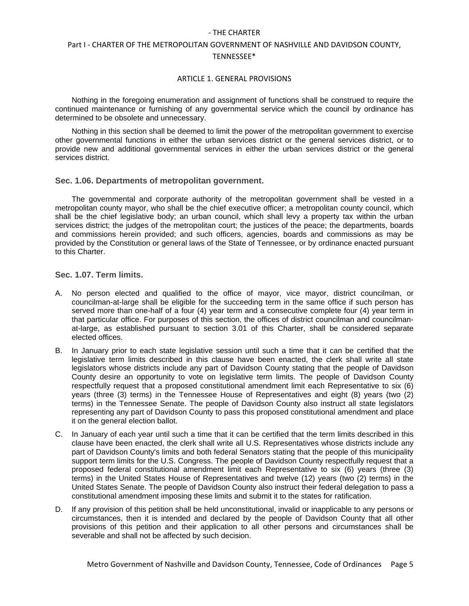## Part I - CHARTER OF THE METROPOLITAN GOVERNMENT OF NASHVILLE AND DAVIDSON COUNTY, TENNESSEE\*

#### ARTICLE 1. GENERAL PROVISIONS

Nothing in the foregoing enumeration and assignment of functions shall be construed to require the continued maintenance or furnishing of any governmental service which the council by ordinance has determined to be obsolete and unnecessary.

Nothing in this section shall be deemed to limit the power of the metropolitan government to exercise other governmental functions in either the urban services district or the general services district, or to provide new and additional governmental services in either the urban services district or the general services district.

### **Sec. 1.06. Departments of metropolitan government.**

The governmental and corporate authority of the metropolitan government shall be vested in a metropolitan county mayor, who shall be the chief executive officer; a metropolitan county council, which shall be the chief legislative body; an urban council, which shall levy a property tax within the urban services district; the judges of the metropolitan court; the justices of the peace; the departments, boards and commissions herein provided; and such officers, agencies, boards and commissions as may be provided by the Constitution or general laws of the State of Tennessee, or by ordinance enacted pursuant to this Charter.

### **Sec. 1.07. Term limits.**

- A. No person elected and qualified to the office of mayor, vice mayor, district councilman, or councilman-at-large shall be eligible for the succeeding term in the same office if such person has served more than one-half of a four (4) year term and a consecutive complete four (4) year term in that particular office. For purposes of this section, the offices of district councilman and councilmanat-large, as established pursuant to section 3.01 of this Charter, shall be considered separate elected offices.
- B. In January prior to each state legislative session until such a time that it can be certified that the legislative term limits described in this clause have been enacted, the clerk shall write all state legislators whose districts include any part of Davidson County stating that the people of Davidson County desire an opportunity to vote on legislative term limits. The people of Davidson County respectfully request that a proposed constitutional amendment limit each Representative to six (6) years (three (3) terms) in the Tennessee House of Representatives and eight (8) years (two (2) terms) in the Tennessee Senate. The people of Davidson County also instruct all state legislators representing any part of Davidson County to pass this proposed constitutional amendment and place it on the general election ballot.
- C. In January of each year until such a time that it can be certified that the term limits described in this clause have been enacted, the clerk shall write all U.S. Representatives whose districts include any part of Davidson County's limits and both federal Senators stating that the people of this municipality support term limits for the U.S. Congress. The people of Davidson County respectfully request that a proposed federal constitutional amendment limit each Representative to six (6) years (three (3) terms) in the United States House of Representatives and twelve (12) years (two (2) terms) in the United States Senate. The people of Davidson County also instruct their federal delegation to pass a constitutional amendment imposing these limits and submit it to the states for ratification.
- D. If any provision of this petition shall be held unconstitutional, invalid or inapplicable to any persons or circumstances, then it is intended and declared by the people of Davidson County that all other provisions of this petition and their application to all other persons and circumstances shall be severable and shall not be affected by such decision.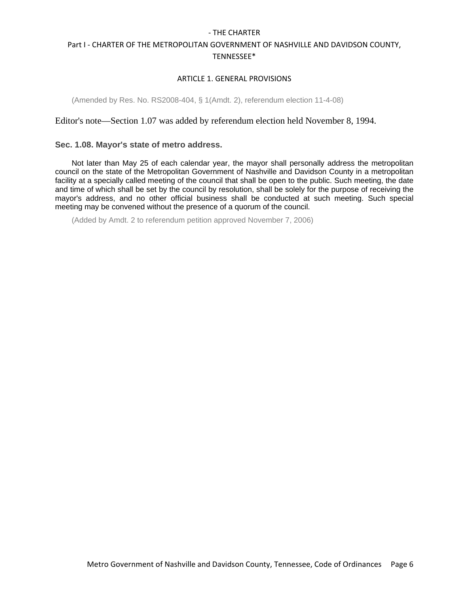# Part I - CHARTER OF THE METROPOLITAN GOVERNMENT OF NASHVILLE AND DAVIDSON COUNTY, TENNESSEE\*

### ARTICLE 1. GENERAL PROVISIONS

(Amended by Res. No. RS2008-404, § 1(Amdt. 2), referendum election 11-4-08)

### Editor's note—Section 1.07 was added by referendum election held November 8, 1994.

### **Sec. 1.08. Mayor's state of metro address.**

Not later than May 25 of each calendar year, the mayor shall personally address the metropolitan council on the state of the Metropolitan Government of Nashville and Davidson County in a metropolitan facility at a specially called meeting of the council that shall be open to the public. Such meeting, the date and time of which shall be set by the council by resolution, shall be solely for the purpose of receiving the mayor's address, and no other official business shall be conducted at such meeting. Such special meeting may be convened without the presence of a quorum of the council.

(Added by Amdt. 2 to referendum petition approved November 7, 2006)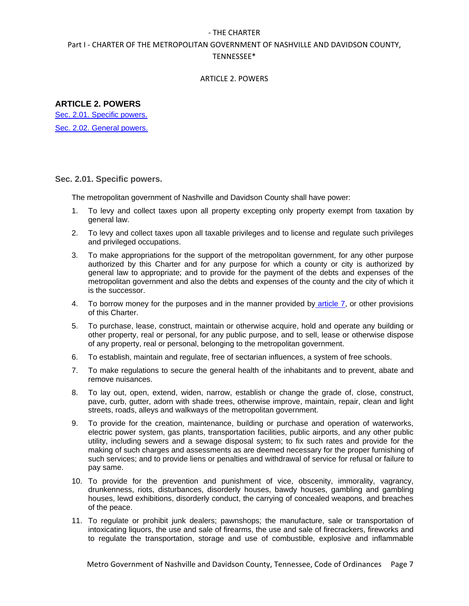# Part I - CHARTER OF THE METROPOLITAN GOVERNMENT OF NASHVILLE AND DAVIDSON COUNTY. TENNESSEE\*

## ARTICLE 2. POWERS

## **ARTICLE 2. POWERS**

Sec. 2.01. Specific powers. Sec. 2.02. General powers.

## **Sec. 2.01. Specific powers.**

The metropolitan government of Nashville and Davidson County shall have power:

- 1. To levy and collect taxes upon all property excepting only property exempt from taxation by general law.
- 2. To levy and collect taxes upon all taxable privileges and to license and regulate such privileges and privileged occupations.
- 3. To make appropriations for the support of the metropolitan government, for any other purpose authorized by this Charter and for any purpose for which a county or city is authorized by general law to appropriate; and to provide for the payment of the debts and expenses of the metropolitan government and also the debts and expenses of the county and the city of which it is the successor.
- 4. To borrow money for the purposes and in the manner provided by article 7, or other provisions of this Charter.
- 5. To purchase, lease, construct, maintain or otherwise acquire, hold and operate any building or other property, real or personal, for any public purpose, and to sell, lease or otherwise dispose of any property, real or personal, belonging to the metropolitan government.
- 6. To establish, maintain and regulate, free of sectarian influences, a system of free schools.
- 7. To make regulations to secure the general health of the inhabitants and to prevent, abate and remove nuisances.
- 8. To lay out, open, extend, widen, narrow, establish or change the grade of, close, construct, pave, curb, gutter, adorn with shade trees, otherwise improve, maintain, repair, clean and light streets, roads, alleys and walkways of the metropolitan government.
- 9. To provide for the creation, maintenance, building or purchase and operation of waterworks, electric power system, gas plants, transportation facilities, public airports, and any other public utility, including sewers and a sewage disposal system; to fix such rates and provide for the making of such charges and assessments as are deemed necessary for the proper furnishing of such services; and to provide liens or penalties and withdrawal of service for refusal or failure to pay same.
- 10. To provide for the prevention and punishment of vice, obscenity, immorality, vagrancy, drunkenness, riots, disturbances, disorderly houses, bawdy houses, gambling and gambling houses, lewd exhibitions, disorderly conduct, the carrying of concealed weapons, and breaches of the peace.
- 11. To regulate or prohibit junk dealers; pawnshops; the manufacture, sale or transportation of intoxicating liquors, the use and sale of firearms, the use and sale of firecrackers, fireworks and to regulate the transportation, storage and use of combustible, explosive and inflammable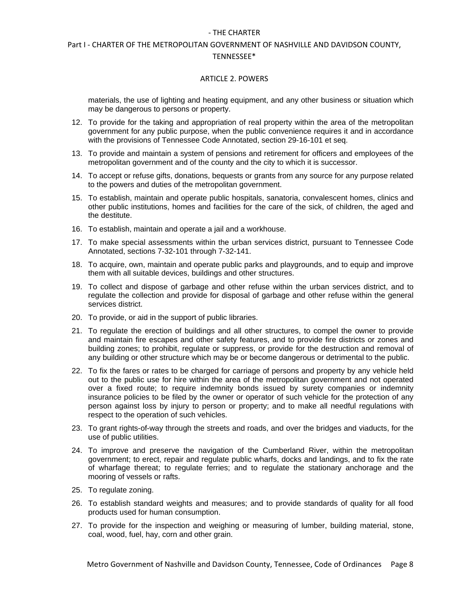## Part I ‐ CHARTER OF THE METROPOLITAN GOVERNMENT OF NASHVILLE AND DAVIDSON COUNTY, TENNESSEE\*

### ARTICLE 2. POWERS

materials, the use of lighting and heating equipment, and any other business or situation which may be dangerous to persons or property.

- 12. To provide for the taking and appropriation of real property within the area of the metropolitan government for any public purpose, when the public convenience requires it and in accordance with the provisions of Tennessee Code Annotated, section 29-16-101 et seq.
- 13. To provide and maintain a system of pensions and retirement for officers and employees of the metropolitan government and of the county and the city to which it is successor.
- 14. To accept or refuse gifts, donations, bequests or grants from any source for any purpose related to the powers and duties of the metropolitan government.
- 15. To establish, maintain and operate public hospitals, sanatoria, convalescent homes, clinics and other public institutions, homes and facilities for the care of the sick, of children, the aged and the destitute.
- 16. To establish, maintain and operate a jail and a workhouse.
- 17. To make special assessments within the urban services district, pursuant to Tennessee Code Annotated, sections 7-32-101 through 7-32-141.
- 18. To acquire, own, maintain and operate public parks and playgrounds, and to equip and improve them with all suitable devices, buildings and other structures.
- 19. To collect and dispose of garbage and other refuse within the urban services district, and to regulate the collection and provide for disposal of garbage and other refuse within the general services district.
- 20. To provide, or aid in the support of public libraries.
- 21. To regulate the erection of buildings and all other structures, to compel the owner to provide and maintain fire escapes and other safety features, and to provide fire districts or zones and building zones; to prohibit, regulate or suppress, or provide for the destruction and removal of any building or other structure which may be or become dangerous or detrimental to the public.
- 22. To fix the fares or rates to be charged for carriage of persons and property by any vehicle held out to the public use for hire within the area of the metropolitan government and not operated over a fixed route; to require indemnity bonds issued by surety companies or indemnity insurance policies to be filed by the owner or operator of such vehicle for the protection of any person against loss by injury to person or property; and to make all needful regulations with respect to the operation of such vehicles.
- 23. To grant rights-of-way through the streets and roads, and over the bridges and viaducts, for the use of public utilities.
- 24. To improve and preserve the navigation of the Cumberland River, within the metropolitan government; to erect, repair and regulate public wharfs, docks and landings, and to fix the rate of wharfage thereat; to regulate ferries; and to regulate the stationary anchorage and the mooring of vessels or rafts.
- 25. To regulate zoning.
- 26. To establish standard weights and measures; and to provide standards of quality for all food products used for human consumption.
- 27. To provide for the inspection and weighing or measuring of lumber, building material, stone, coal, wood, fuel, hay, corn and other grain.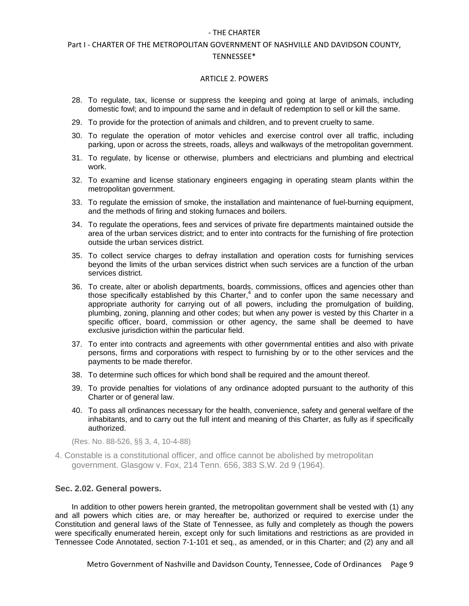## Part I ‐ CHARTER OF THE METROPOLITAN GOVERNMENT OF NASHVILLE AND DAVIDSON COUNTY, TENNESSEE\*

#### ARTICLE 2. POWERS

- 28. To regulate, tax, license or suppress the keeping and going at large of animals, including domestic fowl; and to impound the same and in default of redemption to sell or kill the same.
- 29. To provide for the protection of animals and children, and to prevent cruelty to same.
- 30. To regulate the operation of motor vehicles and exercise control over all traffic, including parking, upon or across the streets, roads, alleys and walkways of the metropolitan government.
- 31. To regulate, by license or otherwise, plumbers and electricians and plumbing and electrical work.
- 32. To examine and license stationary engineers engaging in operating steam plants within the metropolitan government.
- 33. To regulate the emission of smoke, the installation and maintenance of fuel-burning equipment, and the methods of firing and stoking furnaces and boilers.
- 34. To regulate the operations, fees and services of private fire departments maintained outside the area of the urban services district; and to enter into contracts for the furnishing of fire protection outside the urban services district.
- 35. To collect service charges to defray installation and operation costs for furnishing services beyond the limits of the urban services district when such services are a function of the urban services district.
- 36. To create, alter or abolish departments, boards, commissions, offices and agencies other than those specifically established by this Charter, $4$  and to confer upon the same necessary and appropriate authority for carrying out of all powers, including the promulgation of building, plumbing, zoning, planning and other codes; but when any power is vested by this Charter in a specific officer, board, commission or other agency, the same shall be deemed to have exclusive jurisdiction within the particular field.
- 37. To enter into contracts and agreements with other governmental entities and also with private persons, firms and corporations with respect to furnishing by or to the other services and the payments to be made therefor.
- 38. To determine such offices for which bond shall be required and the amount thereof.
- 39. To provide penalties for violations of any ordinance adopted pursuant to the authority of this Charter or of general law.
- 40. To pass all ordinances necessary for the health, convenience, safety and general welfare of the inhabitants, and to carry out the full intent and meaning of this Charter, as fully as if specifically authorized.

(Res. No. 88-526, §§ 3, 4, 10-4-88)

4. Constable is a constitutional officer, and office cannot be abolished by metropolitan government. Glasgow v. Fox, 214 Tenn. 656, 383 S.W. 2d 9 (1964).

#### **Sec. 2.02. General powers.**

In addition to other powers herein granted, the metropolitan government shall be vested with (1) any and all powers which cities are, or may hereafter be, authorized or required to exercise under the Constitution and general laws of the State of Tennessee, as fully and completely as though the powers were specifically enumerated herein, except only for such limitations and restrictions as are provided in Tennessee Code Annotated, section 7-1-101 et seq., as amended, or in this Charter; and (2) any and all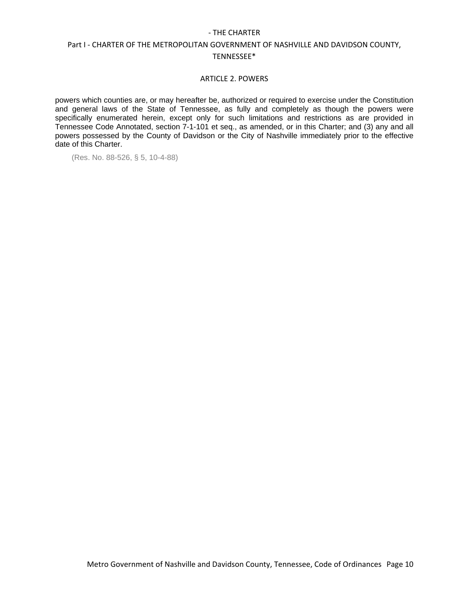## Part I - CHARTER OF THE METROPOLITAN GOVERNMENT OF NASHVILLE AND DAVIDSON COUNTY, TENNESSEE\*

#### ARTICLE 2. POWERS

powers which counties are, or may hereafter be, authorized or required to exercise under the Constitution and general laws of the State of Tennessee, as fully and completely as though the powers were specifically enumerated herein, except only for such limitations and restrictions as are provided in Tennessee Code Annotated, section 7-1-101 et seq., as amended, or in this Charter; and (3) any and all powers possessed by the County of Davidson or the City of Nashville immediately prior to the effective date of this Charter.

(Res. No. 88-526, § 5, 10-4-88)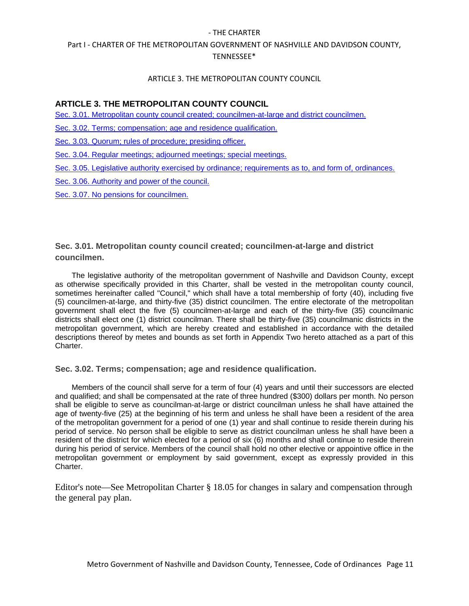## ‐ THE CHARTER Part I - CHARTER OF THE METROPOLITAN GOVERNMENT OF NASHVILLE AND DAVIDSON COUNTY. TENNESSEE\*

### ARTICLE 3. THE METROPOLITAN COUNTY COUNCIL

## **ARTICLE 3. THE METROPOLITAN COUNTY COUNCIL**

Sec. 3.01. Metropolitan county council created; councilmen-at-large and district councilmen.

Sec. 3.02. Terms; compensation; age and residence qualification.

Sec. 3.03. Quorum; rules of procedure; presiding officer.

Sec. 3.04. Regular meetings; adjourned meetings; special meetings.

Sec. 3.05. Legislative authority exercised by ordinance; requirements as to, and form of, ordinances.

Sec. 3.06. Authority and power of the council.

Sec. 3.07. No pensions for councilmen.

## **Sec. 3.01. Metropolitan county council created; councilmen-at-large and district councilmen.**

The legislative authority of the metropolitan government of Nashville and Davidson County, except as otherwise specifically provided in this Charter, shall be vested in the metropolitan county council, sometimes hereinafter called "Council," which shall have a total membership of forty (40), including five (5) councilmen-at-large, and thirty-five (35) district councilmen. The entire electorate of the metropolitan government shall elect the five (5) councilmen-at-large and each of the thirty-five (35) councilmanic districts shall elect one (1) district councilman. There shall be thirty-five (35) councilmanic districts in the metropolitan government, which are hereby created and established in accordance with the detailed descriptions thereof by metes and bounds as set forth in Appendix Two hereto attached as a part of this Charter.

**Sec. 3.02. Terms; compensation; age and residence qualification.** 

Members of the council shall serve for a term of four (4) years and until their successors are elected and qualified; and shall be compensated at the rate of three hundred (\$300) dollars per month. No person shall be eligible to serve as councilman-at-large or district councilman unless he shall have attained the age of twenty-five (25) at the beginning of his term and unless he shall have been a resident of the area of the metropolitan government for a period of one (1) year and shall continue to reside therein during his period of service. No person shall be eligible to serve as district councilman unless he shall have been a resident of the district for which elected for a period of six (6) months and shall continue to reside therein during his period of service. Members of the council shall hold no other elective or appointive office in the metropolitan government or employment by said government, except as expressly provided in this Charter.

Editor's note—See Metropolitan Charter § 18.05 for changes in salary and compensation through the general pay plan.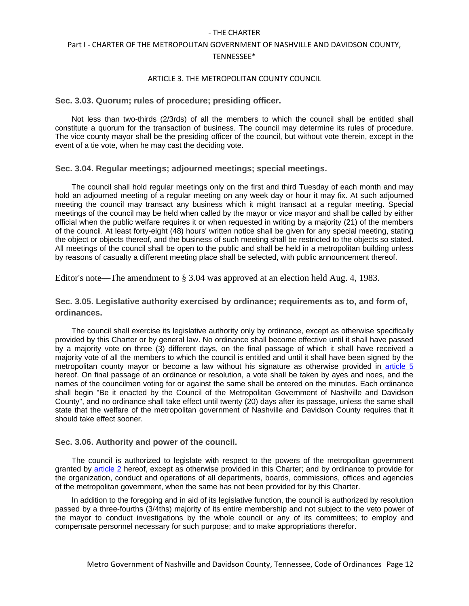## Part I - CHARTER OF THE METROPOLITAN GOVERNMENT OF NASHVILLE AND DAVIDSON COUNTY. TENNESSEE\*

#### ARTICLE 3. THE METROPOLITAN COUNTY COUNCIL

### **Sec. 3.03. Quorum; rules of procedure; presiding officer.**

Not less than two-thirds (2/3rds) of all the members to which the council shall be entitled shall constitute a quorum for the transaction of business. The council may determine its rules of procedure. The vice county mayor shall be the presiding officer of the council, but without vote therein, except in the event of a tie vote, when he may cast the deciding vote.

### **Sec. 3.04. Regular meetings; adjourned meetings; special meetings.**

The council shall hold regular meetings only on the first and third Tuesday of each month and may hold an adjourned meeting of a regular meeting on any week day or hour it may fix. At such adjourned meeting the council may transact any business which it might transact at a regular meeting. Special meetings of the council may be held when called by the mayor or vice mayor and shall be called by either official when the public welfare requires it or when requested in writing by a majority (21) of the members of the council. At least forty-eight (48) hours' written notice shall be given for any special meeting, stating the object or objects thereof, and the business of such meeting shall be restricted to the objects so stated. All meetings of the council shall be open to the public and shall be held in a metropolitan building unless by reasons of casualty a different meeting place shall be selected, with public announcement thereof.

Editor's note—The amendment to § 3.04 was approved at an election held Aug. 4, 1983.

**Sec. 3.05. Legislative authority exercised by ordinance; requirements as to, and form of, ordinances.** 

The council shall exercise its legislative authority only by ordinance, except as otherwise specifically provided by this Charter or by general law. No ordinance shall become effective until it shall have passed by a majority vote on three (3) different days, on the final passage of which it shall have received a majority vote of all the members to which the council is entitled and until it shall have been signed by the metropolitan county mayor or become a law without his signature as otherwise provided in article 5 hereof. On final passage of an ordinance or resolution, a vote shall be taken by ayes and noes, and the names of the councilmen voting for or against the same shall be entered on the minutes. Each ordinance shall begin "Be it enacted by the Council of the Metropolitan Government of Nashville and Davidson County", and no ordinance shall take effect until twenty (20) days after its passage, unless the same shall state that the welfare of the metropolitan government of Nashville and Davidson County requires that it should take effect sooner.

### **Sec. 3.06. Authority and power of the council.**

The council is authorized to legislate with respect to the powers of the metropolitan government granted by article 2 hereof, except as otherwise provided in this Charter; and by ordinance to provide for the organization, conduct and operations of all departments, boards, commissions, offices and agencies of the metropolitan government, when the same has not been provided for by this Charter.

In addition to the foregoing and in aid of its legislative function, the council is authorized by resolution passed by a three-fourths (3/4ths) majority of its entire membership and not subject to the veto power of the mayor to conduct investigations by the whole council or any of its committees; to employ and compensate personnel necessary for such purpose; and to make appropriations therefor.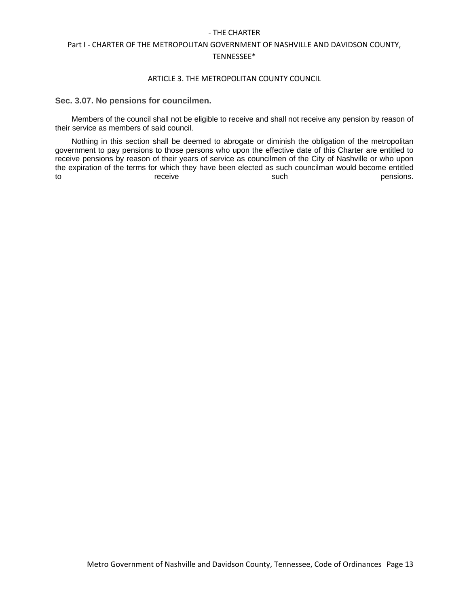# Part I - CHARTER OF THE METROPOLITAN GOVERNMENT OF NASHVILLE AND DAVIDSON COUNTY, TENNESSEE\*

### ARTICLE 3. THE METROPOLITAN COUNTY COUNCIL

### **Sec. 3.07. No pensions for councilmen.**

Members of the council shall not be eligible to receive and shall not receive any pension by reason of their service as members of said council.

Nothing in this section shall be deemed to abrogate or diminish the obligation of the metropolitan government to pay pensions to those persons who upon the effective date of this Charter are entitled to receive pensions by reason of their years of service as councilmen of the City of Nashville or who upon the expiration of the terms for which they have been elected as such councilman would become entitled<br>to such pensions. to the receive to the such such pensions.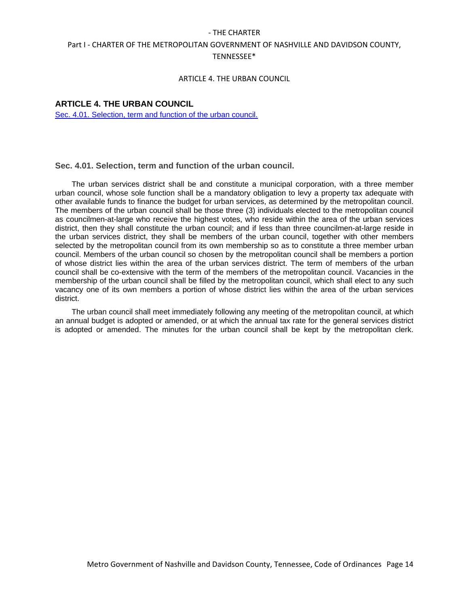## Part I - CHARTER OF THE METROPOLITAN GOVERNMENT OF NASHVILLE AND DAVIDSON COUNTY, TENNESSEE\*

### ARTICLE 4. THE URBAN COUNCIL

### **ARTICLE 4. THE URBAN COUNCIL**

Sec. 4.01. Selection, term and function of the urban council.

**Sec. 4.01. Selection, term and function of the urban council.** 

The urban services district shall be and constitute a municipal corporation, with a three member urban council, whose sole function shall be a mandatory obligation to levy a property tax adequate with other available funds to finance the budget for urban services, as determined by the metropolitan council. The members of the urban council shall be those three (3) individuals elected to the metropolitan council as councilmen-at-large who receive the highest votes, who reside within the area of the urban services district, then they shall constitute the urban council; and if less than three councilmen-at-large reside in the urban services district, they shall be members of the urban council, together with other members selected by the metropolitan council from its own membership so as to constitute a three member urban council. Members of the urban council so chosen by the metropolitan council shall be members a portion of whose district lies within the area of the urban services district. The term of members of the urban council shall be co-extensive with the term of the members of the metropolitan council. Vacancies in the membership of the urban council shall be filled by the metropolitan council, which shall elect to any such vacancy one of its own members a portion of whose district lies within the area of the urban services district.

The urban council shall meet immediately following any meeting of the metropolitan council, at which an annual budget is adopted or amended, or at which the annual tax rate for the general services district is adopted or amended. The minutes for the urban council shall be kept by the metropolitan clerk.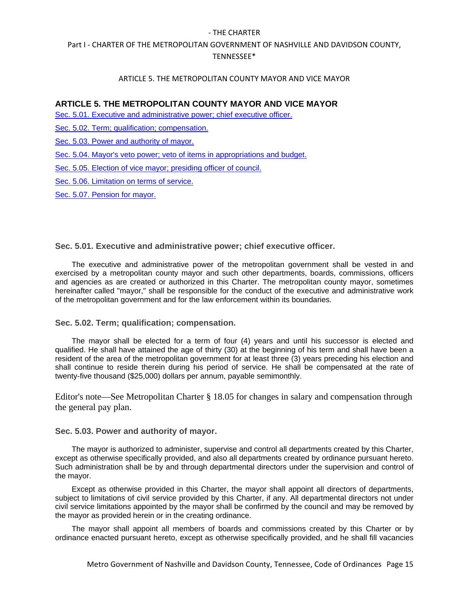# Part I - CHARTER OF THE METROPOLITAN GOVERNMENT OF NASHVILLE AND DAVIDSON COUNTY. TENNESSEE\*

### ARTICLE 5. THE METROPOLITAN COUNTY MAYOR AND VICE MAYOR

### **ARTICLE 5. THE METROPOLITAN COUNTY MAYOR AND VICE MAYOR**

Sec. 5.01. Executive and administrative power; chief executive officer.

Sec. 5.02. Term; qualification; compensation.

Sec. 5.03. Power and authority of mayor.

Sec. 5.04. Mayor's veto power; veto of items in appropriations and budget.

Sec. 5.05. Election of vice mayor; presiding officer of council.

Sec. 5.06. Limitation on terms of service.

Sec. 5.07. Pension for mayor.

### **Sec. 5.01. Executive and administrative power; chief executive officer.**

The executive and administrative power of the metropolitan government shall be vested in and exercised by a metropolitan county mayor and such other departments, boards, commissions, officers and agencies as are created or authorized in this Charter. The metropolitan county mayor, sometimes hereinafter called "mayor," shall be responsible for the conduct of the executive and administrative work of the metropolitan government and for the law enforcement within its boundaries.

### **Sec. 5.02. Term; qualification; compensation.**

The mayor shall be elected for a term of four (4) years and until his successor is elected and qualified. He shall have attained the age of thirty (30) at the beginning of his term and shall have been a resident of the area of the metropolitan government for at least three (3) years preceding his election and shall continue to reside therein during his period of service. He shall be compensated at the rate of twenty-five thousand (\$25,000) dollars per annum, payable semimonthly.

Editor's note—See Metropolitan Charter § 18.05 for changes in salary and compensation through the general pay plan.

### **Sec. 5.03. Power and authority of mayor.**

The mayor is authorized to administer, supervise and control all departments created by this Charter, except as otherwise specifically provided, and also all departments created by ordinance pursuant hereto. Such administration shall be by and through departmental directors under the supervision and control of the mayor.

Except as otherwise provided in this Charter, the mayor shall appoint all directors of departments, subject to limitations of civil service provided by this Charter, if any. All departmental directors not under civil service limitations appointed by the mayor shall be confirmed by the council and may be removed by the mayor as provided herein or in the creating ordinance.

The mayor shall appoint all members of boards and commissions created by this Charter or by ordinance enacted pursuant hereto, except as otherwise specifically provided, and he shall fill vacancies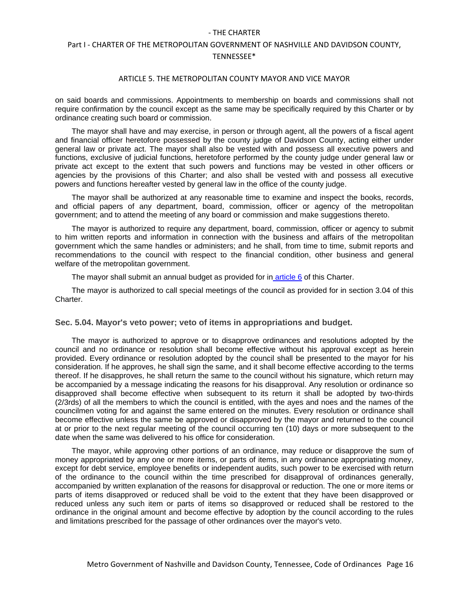## Part I - CHARTER OF THE METROPOLITAN GOVERNMENT OF NASHVILLE AND DAVIDSON COUNTY. TENNESSEE\*

#### ARTICLE 5. THE METROPOLITAN COUNTY MAYOR AND VICE MAYOR

on said boards and commissions. Appointments to membership on boards and commissions shall not require confirmation by the council except as the same may be specifically required by this Charter or by ordinance creating such board or commission.

The mayor shall have and may exercise, in person or through agent, all the powers of a fiscal agent and financial officer heretofore possessed by the county judge of Davidson County, acting either under general law or private act. The mayor shall also be vested with and possess all executive powers and functions, exclusive of judicial functions, heretofore performed by the county judge under general law or private act except to the extent that such powers and functions may be vested in other officers or agencies by the provisions of this Charter; and also shall be vested with and possess all executive powers and functions hereafter vested by general law in the office of the county judge.

The mayor shall be authorized at any reasonable time to examine and inspect the books, records, and official papers of any department, board, commission, officer or agency of the metropolitan government; and to attend the meeting of any board or commission and make suggestions thereto.

The mayor is authorized to require any department, board, commission, officer or agency to submit to him written reports and information in connection with the business and affairs of the metropolitan government which the same handles or administers; and he shall, from time to time, submit reports and recommendations to the council with respect to the financial condition, other business and general welfare of the metropolitan government.

The mayor shall submit an annual budget as provided for in article 6 of this Charter.

The mayor is authorized to call special meetings of the council as provided for in section 3.04 of this Charter.

### **Sec. 5.04. Mayor's veto power; veto of items in appropriations and budget.**

The mayor is authorized to approve or to disapprove ordinances and resolutions adopted by the council and no ordinance or resolution shall become effective without his approval except as herein provided. Every ordinance or resolution adopted by the council shall be presented to the mayor for his consideration. If he approves, he shall sign the same, and it shall become effective according to the terms thereof. If he disapproves, he shall return the same to the council without his signature, which return may be accompanied by a message indicating the reasons for his disapproval. Any resolution or ordinance so disapproved shall become effective when subsequent to its return it shall be adopted by two-thirds (2/3rds) of all the members to which the council is entitled, with the ayes and noes and the names of the councilmen voting for and against the same entered on the minutes. Every resolution or ordinance shall become effective unless the same be approved or disapproved by the mayor and returned to the council at or prior to the next regular meeting of the council occurring ten (10) days or more subsequent to the date when the same was delivered to his office for consideration.

The mayor, while approving other portions of an ordinance, may reduce or disapprove the sum of money appropriated by any one or more items, or parts of items, in any ordinance appropriating money, except for debt service, employee benefits or independent audits, such power to be exercised with return of the ordinance to the council within the time prescribed for disapproval of ordinances generally, accompanied by written explanation of the reasons for disapproval or reduction. The one or more items or parts of items disapproved or reduced shall be void to the extent that they have been disapproved or reduced unless any such item or parts of items so disapproved or reduced shall be restored to the ordinance in the original amount and become effective by adoption by the council according to the rules and limitations prescribed for the passage of other ordinances over the mayor's veto.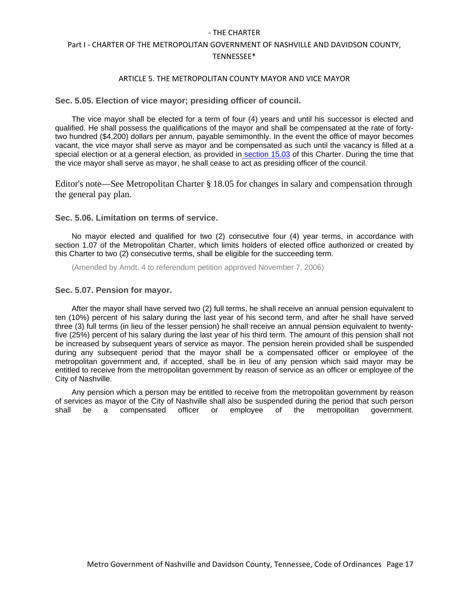## Part I - CHARTER OF THE METROPOLITAN GOVERNMENT OF NASHVILLE AND DAVIDSON COUNTY. TENNESSEE\*

### ARTICLE 5. THE METROPOLITAN COUNTY MAYOR AND VICE MAYOR

### **Sec. 5.05. Election of vice mayor; presiding officer of council.**

The vice mayor shall be elected for a term of four (4) years and until his successor is elected and qualified. He shall possess the qualifications of the mayor and shall be compensated at the rate of fortytwo hundred (\$4,200) dollars per annum, payable semimonthly. In the event the office of mayor becomes vacant, the vice mayor shall serve as mayor and be compensated as such until the vacancy is filled at a special election or at a general election, as provided in section 15.03 of this Charter. During the time that the vice mayor shall serve as mayor, he shall cease to act as presiding officer of the council.

Editor's note—See Metropolitan Charter § 18.05 for changes in salary and compensation through the general pay plan.

### **Sec. 5.06. Limitation on terms of service.**

No mayor elected and qualified for two (2) consecutive four (4) year terms, in accordance with section 1.07 of the Metropolitan Charter, which limits holders of elected office authorized or created by this Charter to two (2) consecutive terms, shall be eligible for the succeeding term.

(Amended by Amdt. 4 to referendum petition approved November 7, 2006)

### **Sec. 5.07. Pension for mayor.**

After the mayor shall have served two (2) full terms, he shall receive an annual pension equivalent to ten (10%) percent of his salary during the last year of his second term, and after he shall have served three (3) full terms (in lieu of the lesser pension) he shall receive an annual pension equivalent to twentyfive (25%) percent of his salary during the last year of his third term. The amount of this pension shall not be increased by subsequent years of service as mayor. The pension herein provided shall be suspended during any subsequent period that the mayor shall be a compensated officer or employee of the metropolitan government and, if accepted, shall be in lieu of any pension which said mayor may be entitled to receive from the metropolitan government by reason of service as an officer or employee of the City of Nashville.

Any pension which a person may be entitled to receive from the metropolitan government by reason of services as mayor of the City of Nashville shall also be suspended during the period that such person shall be a compensated officer or employee of the metropolitan government.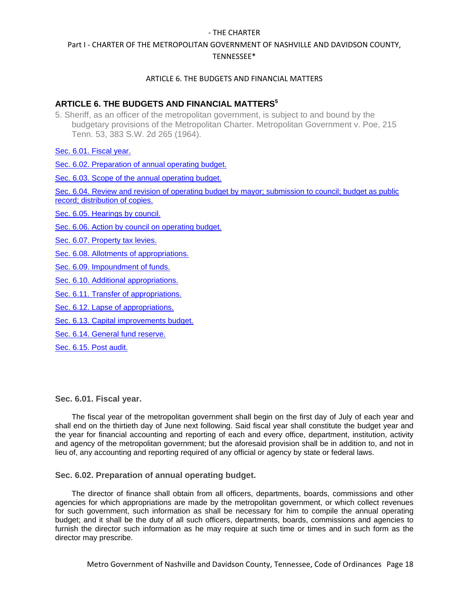## Part I - CHARTER OF THE METROPOLITAN GOVERNMENT OF NASHVILLE AND DAVIDSON COUNTY. TENNESSEE\*

## ARTICLE 6. THE BUDGETS AND FINANCIAL MATTERS

## **ARTICLE 6. THE BUDGETS AND FINANCIAL MATTERS<sup>5</sup>**

5. Sheriff, as an officer of the metropolitan government, is subject to and bound by the budgetary provisions of the Metropolitan Charter. Metropolitan Government v. Poe, 215 Tenn. 53, 383 S.W. 2d 265 (1964).

Sec. 6.01. Fiscal year.

Sec. 6.02. Preparation of annual operating budget.

Sec. 6.03. Scope of the annual operating budget.

Sec. 6.04. Review and revision of operating budget by mayor; submission to council; budget as public record; distribution of copies.

Sec. 6.05. Hearings by council.

Sec. 6.06. Action by council on operating budget.

Sec. 6.07. Property tax levies.

Sec. 6.08. Allotments of appropriations.

Sec. 6.09. Impoundment of funds.

Sec. 6.10. Additional appropriations.

Sec. 6.11. Transfer of appropriations.

Sec. 6.12. Lapse of appropriations.

Sec. 6.13. Capital improvements budget.

Sec. 6.14. General fund reserve.

Sec. 6.15. Post audit.

### **Sec. 6.01. Fiscal year.**

The fiscal year of the metropolitan government shall begin on the first day of July of each year and shall end on the thirtieth day of June next following. Said fiscal year shall constitute the budget year and the year for financial accounting and reporting of each and every office, department, institution, activity and agency of the metropolitan government; but the aforesaid provision shall be in addition to, and not in lieu of, any accounting and reporting required of any official or agency by state or federal laws.

### **Sec. 6.02. Preparation of annual operating budget.**

The director of finance shall obtain from all officers, departments, boards, commissions and other agencies for which appropriations are made by the metropolitan government, or which collect revenues for such government, such information as shall be necessary for him to compile the annual operating budget; and it shall be the duty of all such officers, departments, boards, commissions and agencies to furnish the director such information as he may require at such time or times and in such form as the director may prescribe.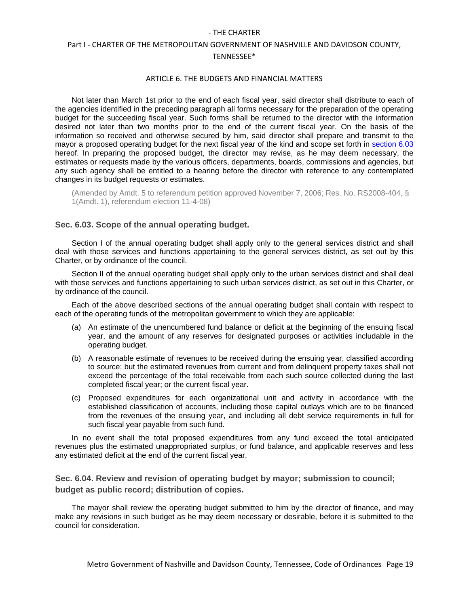### Part I - CHARTER OF THE METROPOLITAN GOVERNMENT OF NASHVILLE AND DAVIDSON COUNTY. TENNESSEE\*

#### ARTICLE 6. THE BUDGETS AND FINANCIAL MATTERS

Not later than March 1st prior to the end of each fiscal year, said director shall distribute to each of the agencies identified in the preceding paragraph all forms necessary for the preparation of the operating budget for the succeeding fiscal year. Such forms shall be returned to the director with the information desired not later than two months prior to the end of the current fiscal year. On the basis of the information so received and otherwise secured by him, said director shall prepare and transmit to the mayor a proposed operating budget for the next fiscal year of the kind and scope set forth in section 6.03 hereof. In preparing the proposed budget, the director may revise, as he may deem necessary, the estimates or requests made by the various officers, departments, boards, commissions and agencies, but any such agency shall be entitled to a hearing before the director with reference to any contemplated changes in its budget requests or estimates.

(Amended by Amdt. 5 to referendum petition approved November 7, 2006; Res. No. RS2008-404, § 1(Amdt. 1), referendum election 11-4-08)

### **Sec. 6.03. Scope of the annual operating budget.**

Section I of the annual operating budget shall apply only to the general services district and shall deal with those services and functions appertaining to the general services district, as set out by this Charter, or by ordinance of the council.

Section II of the annual operating budget shall apply only to the urban services district and shall deal with those services and functions appertaining to such urban services district, as set out in this Charter, or by ordinance of the council.

Each of the above described sections of the annual operating budget shall contain with respect to each of the operating funds of the metropolitan government to which they are applicable:

- (a) An estimate of the unencumbered fund balance or deficit at the beginning of the ensuing fiscal year, and the amount of any reserves for designated purposes or activities includable in the operating budget.
- (b) A reasonable estimate of revenues to be received during the ensuing year, classified according to source; but the estimated revenues from current and from delinquent property taxes shall not exceed the percentage of the total receivable from each such source collected during the last completed fiscal year; or the current fiscal year.
- (c) Proposed expenditures for each organizational unit and activity in accordance with the established classification of accounts, including those capital outlays which are to be financed from the revenues of the ensuing year, and including all debt service requirements in full for such fiscal year payable from such fund.

In no event shall the total proposed expenditures from any fund exceed the total anticipated revenues plus the estimated unappropriated surplus, or fund balance, and applicable reserves and less any estimated deficit at the end of the current fiscal year.

## **Sec. 6.04. Review and revision of operating budget by mayor; submission to council; budget as public record; distribution of copies.**

The mayor shall review the operating budget submitted to him by the director of finance, and may make any revisions in such budget as he may deem necessary or desirable, before it is submitted to the council for consideration.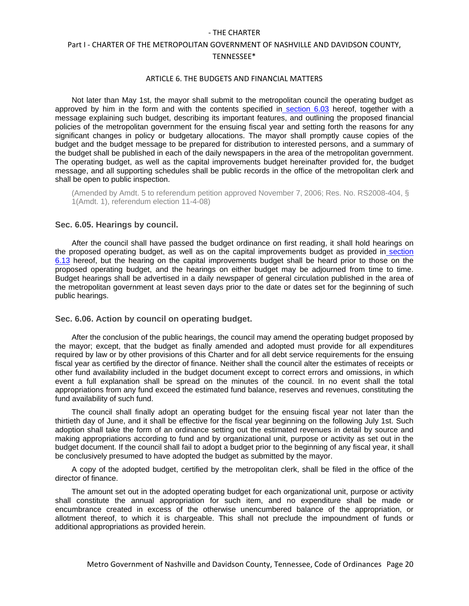### Part I - CHARTER OF THE METROPOLITAN GOVERNMENT OF NASHVILLE AND DAVIDSON COUNTY. TENNESSEE\*

#### ARTICLE 6. THE BUDGETS AND FINANCIAL MATTERS

Not later than May 1st, the mayor shall submit to the metropolitan council the operating budget as approved by him in the form and with the contents specified in section 6.03 hereof, together with a message explaining such budget, describing its important features, and outlining the proposed financial policies of the metropolitan government for the ensuing fiscal year and setting forth the reasons for any significant changes in policy or budgetary allocations. The mayor shall promptly cause copies of the budget and the budget message to be prepared for distribution to interested persons, and a summary of the budget shall be published in each of the daily newspapers in the area of the metropolitan government. The operating budget, as well as the capital improvements budget hereinafter provided for, the budget message, and all supporting schedules shall be public records in the office of the metropolitan clerk and shall be open to public inspection.

(Amended by Amdt. 5 to referendum petition approved November 7, 2006; Res. No. RS2008-404, § 1(Amdt. 1), referendum election 11-4-08)

### **Sec. 6.05. Hearings by council.**

After the council shall have passed the budget ordinance on first reading, it shall hold hearings on the proposed operating budget, as well as on the capital improvements budget as provided in section 6.13 hereof, but the hearing on the capital improvements budget shall be heard prior to those on the proposed operating budget, and the hearings on either budget may be adjourned from time to time. Budget hearings shall be advertised in a daily newspaper of general circulation published in the area of the metropolitan government at least seven days prior to the date or dates set for the beginning of such public hearings.

#### **Sec. 6.06. Action by council on operating budget.**

After the conclusion of the public hearings, the council may amend the operating budget proposed by the mayor; except, that the budget as finally amended and adopted must provide for all expenditures required by law or by other provisions of this Charter and for all debt service requirements for the ensuing fiscal year as certified by the director of finance. Neither shall the council alter the estimates of receipts or other fund availability included in the budget document except to correct errors and omissions, in which event a full explanation shall be spread on the minutes of the council. In no event shall the total appropriations from any fund exceed the estimated fund balance, reserves and revenues, constituting the fund availability of such fund.

The council shall finally adopt an operating budget for the ensuing fiscal year not later than the thirtieth day of June, and it shall be effective for the fiscal year beginning on the following July 1st. Such adoption shall take the form of an ordinance setting out the estimated revenues in detail by source and making appropriations according to fund and by organizational unit, purpose or activity as set out in the budget document. If the council shall fail to adopt a budget prior to the beginning of any fiscal year, it shall be conclusively presumed to have adopted the budget as submitted by the mayor.

A copy of the adopted budget, certified by the metropolitan clerk, shall be filed in the office of the director of finance.

The amount set out in the adopted operating budget for each organizational unit, purpose or activity shall constitute the annual appropriation for such item, and no expenditure shall be made or encumbrance created in excess of the otherwise unencumbered balance of the appropriation, or allotment thereof, to which it is chargeable. This shall not preclude the impoundment of funds or additional appropriations as provided herein.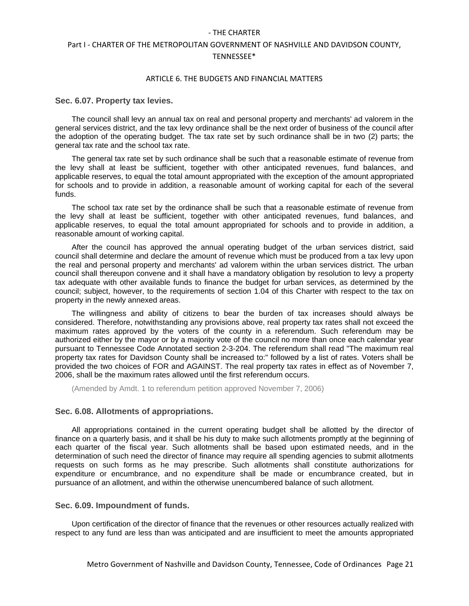## Part I - CHARTER OF THE METROPOLITAN GOVERNMENT OF NASHVILLE AND DAVIDSON COUNTY. TENNESSEE\*

#### ARTICLE 6. THE BUDGETS AND FINANCIAL MATTERS

### **Sec. 6.07. Property tax levies.**

The council shall levy an annual tax on real and personal property and merchants' ad valorem in the general services district, and the tax levy ordinance shall be the next order of business of the council after the adoption of the operating budget. The tax rate set by such ordinance shall be in two (2) parts; the general tax rate and the school tax rate.

The general tax rate set by such ordinance shall be such that a reasonable estimate of revenue from the levy shall at least be sufficient, together with other anticipated revenues, fund balances, and applicable reserves, to equal the total amount appropriated with the exception of the amount appropriated for schools and to provide in addition, a reasonable amount of working capital for each of the several funds.

The school tax rate set by the ordinance shall be such that a reasonable estimate of revenue from the levy shall at least be sufficient, together with other anticipated revenues, fund balances, and applicable reserves, to equal the total amount appropriated for schools and to provide in addition, a reasonable amount of working capital.

After the council has approved the annual operating budget of the urban services district, said council shall determine and declare the amount of revenue which must be produced from a tax levy upon the real and personal property and merchants' ad valorem within the urban services district. The urban council shall thereupon convene and it shall have a mandatory obligation by resolution to levy a property tax adequate with other available funds to finance the budget for urban services, as determined by the council; subject, however, to the requirements of section 1.04 of this Charter with respect to the tax on property in the newly annexed areas.

The willingness and ability of citizens to bear the burden of tax increases should always be considered. Therefore, notwithstanding any provisions above, real property tax rates shall not exceed the maximum rates approved by the voters of the county in a referendum. Such referendum may be authorized either by the mayor or by a majority vote of the council no more than once each calendar year pursuant to Tennessee Code Annotated section 2-3-204. The referendum shall read "The maximum real property tax rates for Davidson County shall be increased to:" followed by a list of rates. Voters shall be provided the two choices of FOR and AGAINST. The real property tax rates in effect as of November 7, 2006, shall be the maximum rates allowed until the first referendum occurs.

(Amended by Amdt. 1 to referendum petition approved November 7, 2006)

#### **Sec. 6.08. Allotments of appropriations.**

All appropriations contained in the current operating budget shall be allotted by the director of finance on a quarterly basis, and it shall be his duty to make such allotments promptly at the beginning of each quarter of the fiscal year. Such allotments shall be based upon estimated needs, and in the determination of such need the director of finance may require all spending agencies to submit allotments requests on such forms as he may prescribe. Such allotments shall constitute authorizations for expenditure or encumbrance, and no expenditure shall be made or encumbrance created, but in pursuance of an allotment, and within the otherwise unencumbered balance of such allotment.

### **Sec. 6.09. Impoundment of funds.**

Upon certification of the director of finance that the revenues or other resources actually realized with respect to any fund are less than was anticipated and are insufficient to meet the amounts appropriated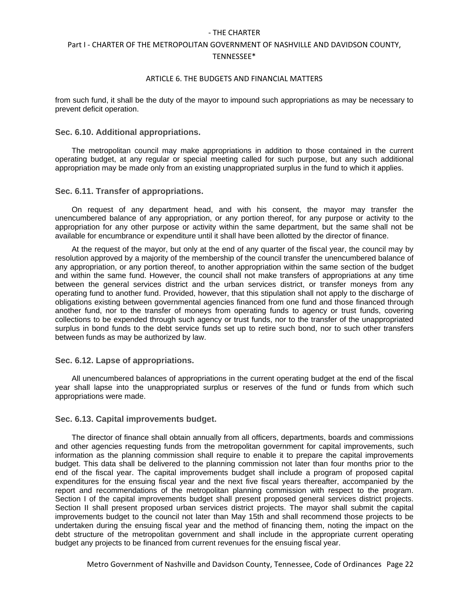## Part I - CHARTER OF THE METROPOLITAN GOVERNMENT OF NASHVILLE AND DAVIDSON COUNTY. TENNESSEE\*

#### ARTICLE 6. THE BUDGETS AND FINANCIAL MATTERS

from such fund, it shall be the duty of the mayor to impound such appropriations as may be necessary to prevent deficit operation.

### **Sec. 6.10. Additional appropriations.**

The metropolitan council may make appropriations in addition to those contained in the current operating budget, at any regular or special meeting called for such purpose, but any such additional appropriation may be made only from an existing unappropriated surplus in the fund to which it applies.

### **Sec. 6.11. Transfer of appropriations.**

On request of any department head, and with his consent, the mayor may transfer the unencumbered balance of any appropriation, or any portion thereof, for any purpose or activity to the appropriation for any other purpose or activity within the same department, but the same shall not be available for encumbrance or expenditure until it shall have been allotted by the director of finance.

At the request of the mayor, but only at the end of any quarter of the fiscal year, the council may by resolution approved by a majority of the membership of the council transfer the unencumbered balance of any appropriation, or any portion thereof, to another appropriation within the same section of the budget and within the same fund. However, the council shall not make transfers of appropriations at any time between the general services district and the urban services district, or transfer moneys from any operating fund to another fund. Provided, however, that this stipulation shall not apply to the discharge of obligations existing between governmental agencies financed from one fund and those financed through another fund, nor to the transfer of moneys from operating funds to agency or trust funds, covering collections to be expended through such agency or trust funds, nor to the transfer of the unappropriated surplus in bond funds to the debt service funds set up to retire such bond, nor to such other transfers between funds as may be authorized by law.

### **Sec. 6.12. Lapse of appropriations.**

All unencumbered balances of appropriations in the current operating budget at the end of the fiscal year shall lapse into the unappropriated surplus or reserves of the fund or funds from which such appropriations were made.

### **Sec. 6.13. Capital improvements budget.**

The director of finance shall obtain annually from all officers, departments, boards and commissions and other agencies requesting funds from the metropolitan government for capital improvements, such information as the planning commission shall require to enable it to prepare the capital improvements budget. This data shall be delivered to the planning commission not later than four months prior to the end of the fiscal year. The capital improvements budget shall include a program of proposed capital expenditures for the ensuing fiscal year and the next five fiscal years thereafter, accompanied by the report and recommendations of the metropolitan planning commission with respect to the program. Section I of the capital improvements budget shall present proposed general services district projects. Section II shall present proposed urban services district projects. The mayor shall submit the capital improvements budget to the council not later than May 15th and shall recommend those projects to be undertaken during the ensuing fiscal year and the method of financing them, noting the impact on the debt structure of the metropolitan government and shall include in the appropriate current operating budget any projects to be financed from current revenues for the ensuing fiscal year.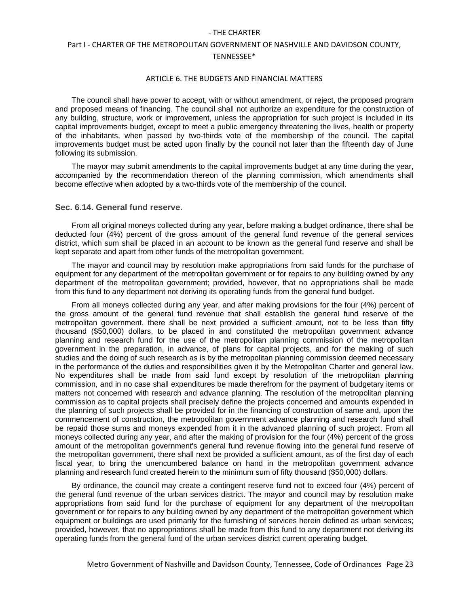## Part I - CHARTER OF THE METROPOLITAN GOVERNMENT OF NASHVILLE AND DAVIDSON COUNTY. TENNESSEE\*

#### ARTICLE 6. THE BUDGETS AND FINANCIAL MATTERS

The council shall have power to accept, with or without amendment, or reject, the proposed program and proposed means of financing. The council shall not authorize an expenditure for the construction of any building, structure, work or improvement, unless the appropriation for such project is included in its capital improvements budget, except to meet a public emergency threatening the lives, health or property of the inhabitants, when passed by two-thirds vote of the membership of the council. The capital improvements budget must be acted upon finally by the council not later than the fifteenth day of June following its submission.

The mayor may submit amendments to the capital improvements budget at any time during the year, accompanied by the recommendation thereon of the planning commission, which amendments shall become effective when adopted by a two-thirds vote of the membership of the council.

### **Sec. 6.14. General fund reserve.**

From all original moneys collected during any year, before making a budget ordinance, there shall be deducted four (4%) percent of the gross amount of the general fund revenue of the general services district, which sum shall be placed in an account to be known as the general fund reserve and shall be kept separate and apart from other funds of the metropolitan government.

The mayor and council may by resolution make appropriations from said funds for the purchase of equipment for any department of the metropolitan government or for repairs to any building owned by any department of the metropolitan government; provided, however, that no appropriations shall be made from this fund to any department not deriving its operating funds from the general fund budget.

From all moneys collected during any year, and after making provisions for the four (4%) percent of the gross amount of the general fund revenue that shall establish the general fund reserve of the metropolitan government, there shall be next provided a sufficient amount, not to be less than fifty thousand (\$50,000) dollars, to be placed in and constituted the metropolitan government advance planning and research fund for the use of the metropolitan planning commission of the metropolitan government in the preparation, in advance, of plans for capital projects, and for the making of such studies and the doing of such research as is by the metropolitan planning commission deemed necessary in the performance of the duties and responsibilities given it by the Metropolitan Charter and general law. No expenditures shall be made from said fund except by resolution of the metropolitan planning commission, and in no case shall expenditures be made therefrom for the payment of budgetary items or matters not concerned with research and advance planning. The resolution of the metropolitan planning commission as to capital projects shall precisely define the projects concerned and amounts expended in the planning of such projects shall be provided for in the financing of construction of same and, upon the commencement of construction, the metropolitan government advance planning and research fund shall be repaid those sums and moneys expended from it in the advanced planning of such project. From all moneys collected during any year, and after the making of provision for the four (4%) percent of the gross amount of the metropolitan government's general fund revenue flowing into the general fund reserve of the metropolitan government, there shall next be provided a sufficient amount, as of the first day of each fiscal year, to bring the unencumbered balance on hand in the metropolitan government advance planning and research fund created herein to the minimum sum of fifty thousand (\$50,000) dollars.

By ordinance, the council may create a contingent reserve fund not to exceed four (4%) percent of the general fund revenue of the urban services district. The mayor and council may by resolution make appropriations from said fund for the purchase of equipment for any department of the metropolitan government or for repairs to any building owned by any department of the metropolitan government which equipment or buildings are used primarily for the furnishing of services herein defined as urban services; provided, however, that no appropriations shall be made from this fund to any department not deriving its operating funds from the general fund of the urban services district current operating budget.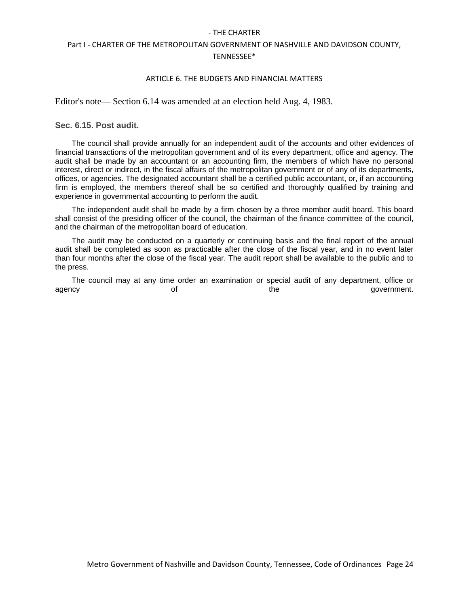## Part I - CHARTER OF THE METROPOLITAN GOVERNMENT OF NASHVILLE AND DAVIDSON COUNTY, TENNESSEE\*

### ARTICLE 6. THE BUDGETS AND FINANCIAL MATTERS

Editor's note— Section 6.14 was amended at an election held Aug. 4, 1983.

### **Sec. 6.15. Post audit.**

The council shall provide annually for an independent audit of the accounts and other evidences of financial transactions of the metropolitan government and of its every department, office and agency. The audit shall be made by an accountant or an accounting firm, the members of which have no personal interest, direct or indirect, in the fiscal affairs of the metropolitan government or of any of its departments, offices, or agencies. The designated accountant shall be a certified public accountant, or, if an accounting firm is employed, the members thereof shall be so certified and thoroughly qualified by training and experience in governmental accounting to perform the audit.

The independent audit shall be made by a firm chosen by a three member audit board. This board shall consist of the presiding officer of the council, the chairman of the finance committee of the council, and the chairman of the metropolitan board of education.

The audit may be conducted on a quarterly or continuing basis and the final report of the annual audit shall be completed as soon as practicable after the close of the fiscal year, and in no event later than four months after the close of the fiscal year. The audit report shall be available to the public and to the press.

The council may at any time order an examination or special audit of any department, office or agency and of the the government.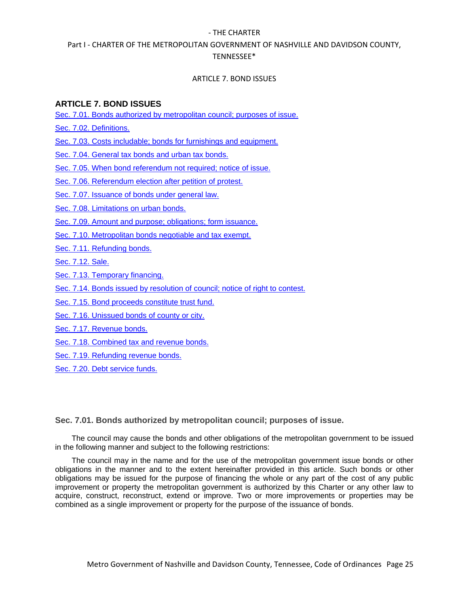## Part I ‐ CHARTER OF THE METROPOLITAN GOVERNMENT OF NASHVILLE AND DAVIDSON COUNTY, TENNESSEE\*

### ARTICLE 7. BOND ISSUES

### **ARTICLE 7. BOND ISSUES**

Sec. 7.01. Bonds authorized by metropolitan council; purposes of issue.

Sec. 7.02. Definitions.

Sec. 7.03. Costs includable; bonds for furnishings and equipment.

Sec. 7.04. General tax bonds and urban tax bonds.

Sec. 7.05. When bond referendum not required; notice of issue.

Sec. 7.06. Referendum election after petition of protest.

Sec. 7.07. Issuance of bonds under general law.

Sec. 7.08. Limitations on urban bonds.

Sec. 7.09. Amount and purpose; obligations; form issuance.

Sec. 7.10. Metropolitan bonds negotiable and tax exempt.

Sec. 7.11. Refunding bonds.

Sec. 7.12. Sale.

Sec. 7.13. Temporary financing.

Sec. 7.14. Bonds issued by resolution of council; notice of right to contest.

Sec. 7.15. Bond proceeds constitute trust fund.

Sec. 7.16. Unissued bonds of county or city.

Sec. 7.17. Revenue bonds.

Sec. 7.18. Combined tax and revenue bonds.

Sec. 7.19. Refunding revenue bonds.

Sec. 7.20. Debt service funds.

**Sec. 7.01. Bonds authorized by metropolitan council; purposes of issue.** 

The council may cause the bonds and other obligations of the metropolitan government to be issued in the following manner and subject to the following restrictions:

The council may in the name and for the use of the metropolitan government issue bonds or other obligations in the manner and to the extent hereinafter provided in this article. Such bonds or other obligations may be issued for the purpose of financing the whole or any part of the cost of any public improvement or property the metropolitan government is authorized by this Charter or any other law to acquire, construct, reconstruct, extend or improve. Two or more improvements or properties may be combined as a single improvement or property for the purpose of the issuance of bonds.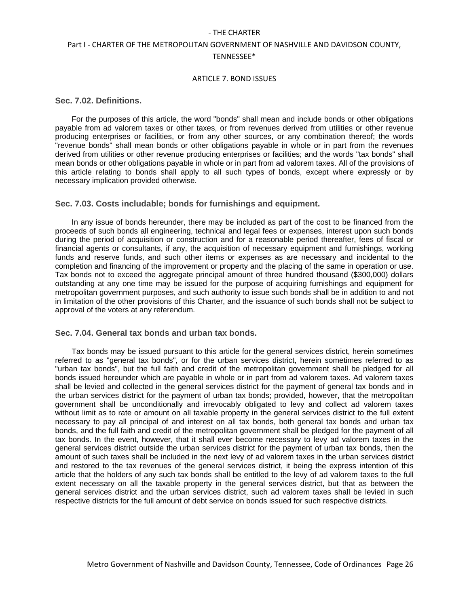## Part I - CHARTER OF THE METROPOLITAN GOVERNMENT OF NASHVILLE AND DAVIDSON COUNTY, TENNESSEE\*

#### ARTICLE 7. BOND ISSUES

### **Sec. 7.02. Definitions.**

For the purposes of this article, the word "bonds" shall mean and include bonds or other obligations payable from ad valorem taxes or other taxes, or from revenues derived from utilities or other revenue producing enterprises or facilities, or from any other sources, or any combination thereof; the words "revenue bonds" shall mean bonds or other obligations payable in whole or in part from the revenues derived from utilities or other revenue producing enterprises or facilities; and the words "tax bonds" shall mean bonds or other obligations payable in whole or in part from ad valorem taxes. All of the provisions of this article relating to bonds shall apply to all such types of bonds, except where expressly or by necessary implication provided otherwise.

### **Sec. 7.03. Costs includable; bonds for furnishings and equipment.**

In any issue of bonds hereunder, there may be included as part of the cost to be financed from the proceeds of such bonds all engineering, technical and legal fees or expenses, interest upon such bonds during the period of acquisition or construction and for a reasonable period thereafter, fees of fiscal or financial agents or consultants, if any, the acquisition of necessary equipment and furnishings, working funds and reserve funds, and such other items or expenses as are necessary and incidental to the completion and financing of the improvement or property and the placing of the same in operation or use. Tax bonds not to exceed the aggregate principal amount of three hundred thousand (\$300,000) dollars outstanding at any one time may be issued for the purpose of acquiring furnishings and equipment for metropolitan government purposes, and such authority to issue such bonds shall be in addition to and not in limitation of the other provisions of this Charter, and the issuance of such bonds shall not be subject to approval of the voters at any referendum.

### **Sec. 7.04. General tax bonds and urban tax bonds.**

Tax bonds may be issued pursuant to this article for the general services district, herein sometimes referred to as "general tax bonds", or for the urban services district, herein sometimes referred to as "urban tax bonds", but the full faith and credit of the metropolitan government shall be pledged for all bonds issued hereunder which are payable in whole or in part from ad valorem taxes. Ad valorem taxes shall be levied and collected in the general services district for the payment of general tax bonds and in the urban services district for the payment of urban tax bonds; provided, however, that the metropolitan government shall be unconditionally and irrevocably obligated to levy and collect ad valorem taxes without limit as to rate or amount on all taxable property in the general services district to the full extent necessary to pay all principal of and interest on all tax bonds, both general tax bonds and urban tax bonds, and the full faith and credit of the metropolitan government shall be pledged for the payment of all tax bonds. In the event, however, that it shall ever become necessary to levy ad valorem taxes in the general services district outside the urban services district for the payment of urban tax bonds, then the amount of such taxes shall be included in the next levy of ad valorem taxes in the urban services district and restored to the tax revenues of the general services district, it being the express intention of this article that the holders of any such tax bonds shall be entitled to the levy of ad valorem taxes to the full extent necessary on all the taxable property in the general services district, but that as between the general services district and the urban services district, such ad valorem taxes shall be levied in such respective districts for the full amount of debt service on bonds issued for such respective districts.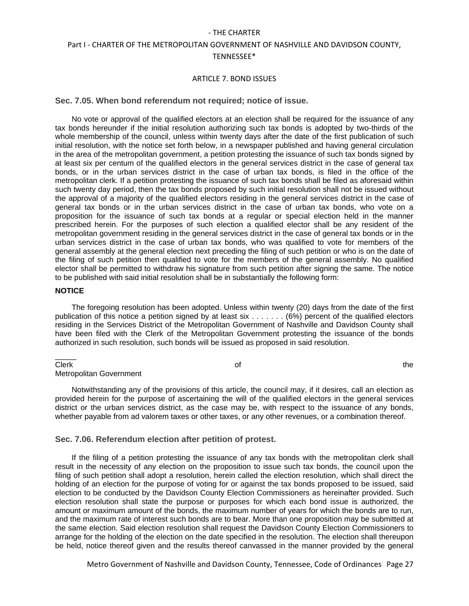## Part I - CHARTER OF THE METROPOLITAN GOVERNMENT OF NASHVILLE AND DAVIDSON COUNTY, TENNESSEE\*

#### ARTICLE 7. BOND ISSUES

### **Sec. 7.05. When bond referendum not required; notice of issue.**

No vote or approval of the qualified electors at an election shall be required for the issuance of any tax bonds hereunder if the initial resolution authorizing such tax bonds is adopted by two-thirds of the whole membership of the council, unless within twenty days after the date of the first publication of such initial resolution, with the notice set forth below, in a newspaper published and having general circulation in the area of the metropolitan government, a petition protesting the issuance of such tax bonds signed by at least six per centum of the qualified electors in the general services district in the case of general tax bonds, or in the urban services district in the case of urban tax bonds, is filed in the office of the metropolitan clerk. If a petition protesting the issuance of such tax bonds shall be filed as aforesaid within such twenty day period, then the tax bonds proposed by such initial resolution shall not be issued without the approval of a majority of the qualified electors residing in the general services district in the case of general tax bonds or in the urban services district in the case of urban tax bonds, who vote on a proposition for the issuance of such tax bonds at a regular or special election held in the manner prescribed herein. For the purposes of such election a qualified elector shall be any resident of the metropolitan government residing in the general services district in the case of general tax bonds or in the urban services district in the case of urban tax bonds, who was qualified to vote for members of the general assembly at the general election next preceding the filing of such petition or who is on the date of the filing of such petition then qualified to vote for the members of the general assembly. No qualified elector shall be permitted to withdraw his signature from such petition after signing the same. The notice to be published with said initial resolution shall be in substantially the following form:

#### **NOTICE**

The foregoing resolution has been adopted. Unless within twenty (20) days from the date of the first publication of this notice a petition signed by at least six . . . . . . . (6%) percent of the qualified electors residing in the Services District of the Metropolitan Government of Nashville and Davidson County shall have been filed with the Clerk of the Metropolitan Government protesting the issuance of the bonds authorized in such resolution, such bonds will be issued as proposed in said resolution.

#### $\overline{\phantom{a}}$ Clerk of the

#### Metropolitan Government

Notwithstanding any of the provisions of this article, the council may, if it desires, call an election as provided herein for the purpose of ascertaining the will of the qualified electors in the general services district or the urban services district, as the case may be, with respect to the issuance of any bonds, whether payable from ad valorem taxes or other taxes, or any other revenues, or a combination thereof.

### **Sec. 7.06. Referendum election after petition of protest.**

If the filing of a petition protesting the issuance of any tax bonds with the metropolitan clerk shall result in the necessity of any election on the proposition to issue such tax bonds, the council upon the filing of such petition shall adopt a resolution, herein called the election resolution, which shall direct the holding of an election for the purpose of voting for or against the tax bonds proposed to be issued, said election to be conducted by the Davidson County Election Commissioners as hereinafter provided. Such election resolution shall state the purpose or purposes for which each bond issue is authorized, the amount or maximum amount of the bonds, the maximum number of years for which the bonds are to run, and the maximum rate of interest such bonds are to bear. More than one proposition may be submitted at the same election. Said election resolution shall request the Davidson County Election Commissioners to arrange for the holding of the election on the date specified in the resolution. The election shall thereupon be held, notice thereof given and the results thereof canvassed in the manner provided by the general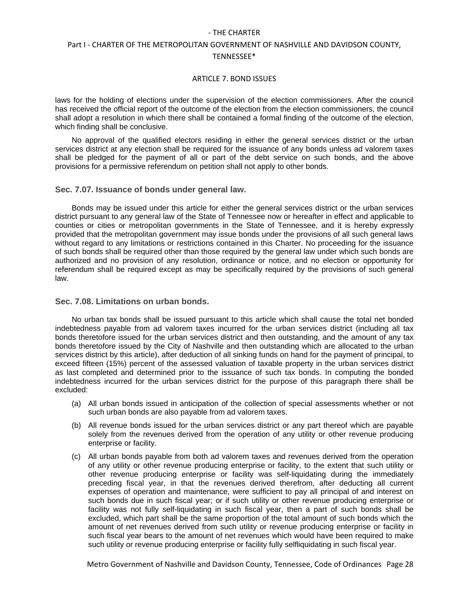## Part I ‐ CHARTER OF THE METROPOLITAN GOVERNMENT OF NASHVILLE AND DAVIDSON COUNTY, TENNESSEE\*

#### ARTICLE 7. BOND ISSUES

laws for the holding of elections under the supervision of the election commissioners. After the council has received the official report of the outcome of the election from the election commissioners, the council shall adopt a resolution in which there shall be contained a formal finding of the outcome of the election, which finding shall be conclusive.

No approval of the qualified electors residing in either the general services district or the urban services district at any election shall be required for the issuance of any bonds unless ad valorem taxes shall be pledged for the payment of all or part of the debt service on such bonds, and the above provisions for a permissive referendum on petition shall not apply to other bonds.

### **Sec. 7.07. Issuance of bonds under general law.**

Bonds may be issued under this article for either the general services district or the urban services district pursuant to any general law of the State of Tennessee now or hereafter in effect and applicable to counties or cities or metropolitan governments in the State of Tennessee, and it is hereby expressly provided that the metropolitan government may issue bonds under the provisions of all such general laws without regard to any limitations or restrictions contained in this Charter. No proceeding for the issuance of such bonds shall be required other than those required by the general law under which such bonds are authorized and no provision of any resolution, ordinance or notice, and no election or opportunity for referendum shall be required except as may be specifically required by the provisions of such general law.

### **Sec. 7.08. Limitations on urban bonds.**

No urban tax bonds shall be issued pursuant to this article which shall cause the total net bonded indebtedness payable from ad valorem taxes incurred for the urban services district (including all tax bonds theretofore issued for the urban services district and then outstanding, and the amount of any tax bonds theretofore issued by the City of Nashville and then outstanding which are allocated to the urban services district by this article), after deduction of all sinking funds on hand for the payment of principal, to exceed fifteen (15%) percent of the assessed valuation of taxable property in the urban services district as last completed and determined prior to the issuance of such tax bonds. In computing the bonded indebtedness incurred for the urban services district for the purpose of this paragraph there shall be excluded:

- (a) All urban bonds issued in anticipation of the collection of special assessments whether or not such urban bonds are also payable from ad valorem taxes.
- (b) All revenue bonds issued for the urban services district or any part thereof which are payable solely from the revenues derived from the operation of any utility or other revenue producing enterprise or facility.
- (c) All urban bonds payable from both ad valorem taxes and revenues derived from the operation of any utility or other revenue producing enterprise or facility, to the extent that such utility or other revenue producing enterprise or facility was self-liquidating during the immediately preceding fiscal year, in that the revenues derived therefrom, after deducting all current expenses of operation and maintenance, were sufficient to pay all principal of and interest on such bonds due in such fiscal year; or if such utility or other revenue producing enterprise or facility was not fully self-liquidating in such fiscal year, then a part of such bonds shall be excluded, which part shall be the same proportion of the total amount of such bonds which the amount of net revenues derived from such utility or revenue producing enterprise or facility in such fiscal year bears to the amount of net revenues which would have been required to make such utility or revenue producing enterprise or facility fully selfliquidating in such fiscal year.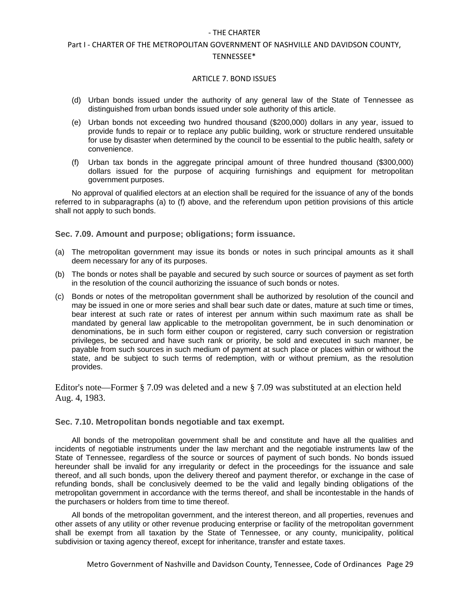## Part I ‐ CHARTER OF THE METROPOLITAN GOVERNMENT OF NASHVILLE AND DAVIDSON COUNTY, TENNESSEE\*

### ARTICLE 7. BOND ISSUES

- (d) Urban bonds issued under the authority of any general law of the State of Tennessee as distinguished from urban bonds issued under sole authority of this article.
- (e) Urban bonds not exceeding two hundred thousand (\$200,000) dollars in any year, issued to provide funds to repair or to replace any public building, work or structure rendered unsuitable for use by disaster when determined by the council to be essential to the public health, safety or convenience.
- (f) Urban tax bonds in the aggregate principal amount of three hundred thousand (\$300,000) dollars issued for the purpose of acquiring furnishings and equipment for metropolitan government purposes.

No approval of qualified electors at an election shall be required for the issuance of any of the bonds referred to in subparagraphs (a) to (f) above, and the referendum upon petition provisions of this article shall not apply to such bonds.

### **Sec. 7.09. Amount and purpose; obligations; form issuance.**

- (a) The metropolitan government may issue its bonds or notes in such principal amounts as it shall deem necessary for any of its purposes.
- (b) The bonds or notes shall be payable and secured by such source or sources of payment as set forth in the resolution of the council authorizing the issuance of such bonds or notes.
- (c) Bonds or notes of the metropolitan government shall be authorized by resolution of the council and may be issued in one or more series and shall bear such date or dates, mature at such time or times, bear interest at such rate or rates of interest per annum within such maximum rate as shall be mandated by general law applicable to the metropolitan government, be in such denomination or denominations, be in such form either coupon or registered, carry such conversion or registration privileges, be secured and have such rank or priority, be sold and executed in such manner, be payable from such sources in such medium of payment at such place or places within or without the state, and be subject to such terms of redemption, with or without premium, as the resolution provides.

Editor's note—Former § 7.09 was deleted and a new § 7.09 was substituted at an election held Aug. 4, 1983.

### **Sec. 7.10. Metropolitan bonds negotiable and tax exempt.**

All bonds of the metropolitan government shall be and constitute and have all the qualities and incidents of negotiable instruments under the law merchant and the negotiable instruments law of the State of Tennessee, regardless of the source or sources of payment of such bonds. No bonds issued hereunder shall be invalid for any irregularity or defect in the proceedings for the issuance and sale thereof, and all such bonds, upon the delivery thereof and payment therefor, or exchange in the case of refunding bonds, shall be conclusively deemed to be the valid and legally binding obligations of the metropolitan government in accordance with the terms thereof, and shall be incontestable in the hands of the purchasers or holders from time to time thereof.

All bonds of the metropolitan government, and the interest thereon, and all properties, revenues and other assets of any utility or other revenue producing enterprise or facility of the metropolitan government shall be exempt from all taxation by the State of Tennessee, or any county, municipality, political subdivision or taxing agency thereof, except for inheritance, transfer and estate taxes.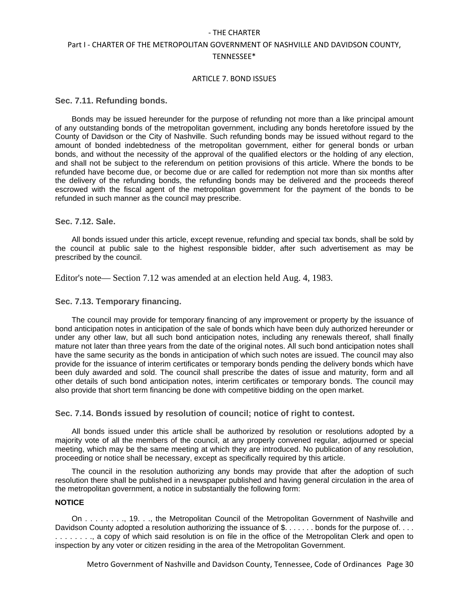## Part I - CHARTER OF THE METROPOLITAN GOVERNMENT OF NASHVILLE AND DAVIDSON COUNTY. TENNESSEE\*

#### ARTICLE 7. BOND ISSUES

### **Sec. 7.11. Refunding bonds.**

Bonds may be issued hereunder for the purpose of refunding not more than a like principal amount of any outstanding bonds of the metropolitan government, including any bonds heretofore issued by the County of Davidson or the City of Nashville. Such refunding bonds may be issued without regard to the amount of bonded indebtedness of the metropolitan government, either for general bonds or urban bonds, and without the necessity of the approval of the qualified electors or the holding of any election, and shall not be subject to the referendum on petition provisions of this article. Where the bonds to be refunded have become due, or become due or are called for redemption not more than six months after the delivery of the refunding bonds, the refunding bonds may be delivered and the proceeds thereof escrowed with the fiscal agent of the metropolitan government for the payment of the bonds to be refunded in such manner as the council may prescribe.

### **Sec. 7.12. Sale.**

All bonds issued under this article, except revenue, refunding and special tax bonds, shall be sold by the council at public sale to the highest responsible bidder, after such advertisement as may be prescribed by the council.

Editor's note— Section 7.12 was amended at an election held Aug. 4, 1983.

### **Sec. 7.13. Temporary financing.**

The council may provide for temporary financing of any improvement or property by the issuance of bond anticipation notes in anticipation of the sale of bonds which have been duly authorized hereunder or under any other law, but all such bond anticipation notes, including any renewals thereof, shall finally mature not later than three years from the date of the original notes. All such bond anticipation notes shall have the same security as the bonds in anticipation of which such notes are issued. The council may also provide for the issuance of interim certificates or temporary bonds pending the delivery bonds which have been duly awarded and sold. The council shall prescribe the dates of issue and maturity, form and all other details of such bond anticipation notes, interim certificates or temporary bonds. The council may also provide that short term financing be done with competitive bidding on the open market.

### **Sec. 7.14. Bonds issued by resolution of council; notice of right to contest.**

All bonds issued under this article shall be authorized by resolution or resolutions adopted by a majority vote of all the members of the council, at any properly convened regular, adjourned or special meeting, which may be the same meeting at which they are introduced. No publication of any resolution, proceeding or notice shall be necessary, except as specifically required by this article.

The council in the resolution authorizing any bonds may provide that after the adoption of such resolution there shall be published in a newspaper published and having general circulation in the area of the metropolitan government, a notice in substantially the following form:

### **NOTICE**

On . . . . . . . ., 19. . ., the Metropolitan Council of the Metropolitan Government of Nashville and Davidson County adopted a resolution authorizing the issuance of \$. . . . . . . bonds for the purpose of. . . . . . . . . . . ., a copy of which said resolution is on file in the office of the Metropolitan Clerk and open to inspection by any voter or citizen residing in the area of the Metropolitan Government.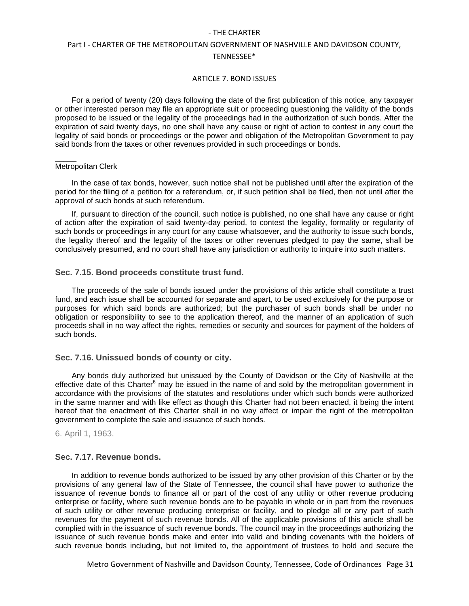## Part I ‐ CHARTER OF THE METROPOLITAN GOVERNMENT OF NASHVILLE AND DAVIDSON COUNTY, TENNESSEE\*

#### ARTICLE 7. BOND ISSUES

For a period of twenty (20) days following the date of the first publication of this notice, any taxpayer or other interested person may file an appropriate suit or proceeding questioning the validity of the bonds proposed to be issued or the legality of the proceedings had in the authorization of such bonds. After the expiration of said twenty days, no one shall have any cause or right of action to contest in any court the legality of said bonds or proceedings or the power and obligation of the Metropolitan Government to pay said bonds from the taxes or other revenues provided in such proceedings or bonds.

#### Metropolitan Clerk

 $\overline{\phantom{a}}$ 

In the case of tax bonds, however, such notice shall not be published until after the expiration of the period for the filing of a petition for a referendum, or, if such petition shall be filed, then not until after the approval of such bonds at such referendum.

If, pursuant to direction of the council, such notice is published, no one shall have any cause or right of action after the expiration of said twenty-day period, to contest the legality, formality or regularity of such bonds or proceedings in any court for any cause whatsoever, and the authority to issue such bonds, the legality thereof and the legality of the taxes or other revenues pledged to pay the same, shall be conclusively presumed, and no court shall have any jurisdiction or authority to inquire into such matters.

### **Sec. 7.15. Bond proceeds constitute trust fund.**

The proceeds of the sale of bonds issued under the provisions of this article shall constitute a trust fund, and each issue shall be accounted for separate and apart, to be used exclusively for the purpose or purposes for which said bonds are authorized; but the purchaser of such bonds shall be under no obligation or responsibility to see to the application thereof, and the manner of an application of such proceeds shall in no way affect the rights, remedies or security and sources for payment of the holders of such bonds.

### **Sec. 7.16. Unissued bonds of county or city.**

Any bonds duly authorized but unissued by the County of Davidson or the City of Nashville at the effective date of this Charter<sup>6</sup> may be issued in the name of and sold by the metropolitan government in accordance with the provisions of the statutes and resolutions under which such bonds were authorized in the same manner and with like effect as though this Charter had not been enacted, it being the intent hereof that the enactment of this Charter shall in no way affect or impair the right of the metropolitan government to complete the sale and issuance of such bonds.

6. April 1, 1963.

### **Sec. 7.17. Revenue bonds.**

In addition to revenue bonds authorized to be issued by any other provision of this Charter or by the provisions of any general law of the State of Tennessee, the council shall have power to authorize the issuance of revenue bonds to finance all or part of the cost of any utility or other revenue producing enterprise or facility, where such revenue bonds are to be payable in whole or in part from the revenues of such utility or other revenue producing enterprise or facility, and to pledge all or any part of such revenues for the payment of such revenue bonds. All of the applicable provisions of this article shall be complied with in the issuance of such revenue bonds. The council may in the proceedings authorizing the issuance of such revenue bonds make and enter into valid and binding covenants with the holders of such revenue bonds including, but not limited to, the appointment of trustees to hold and secure the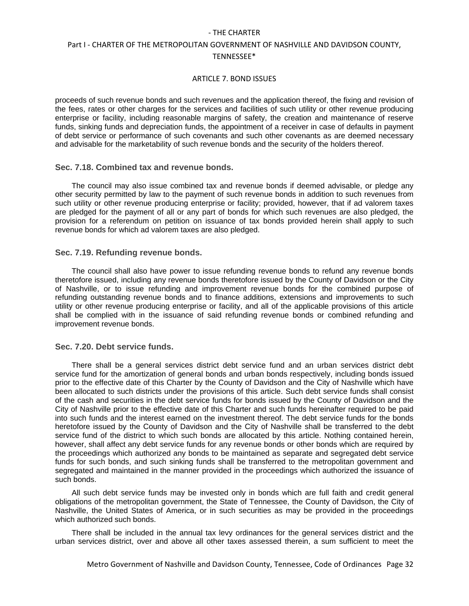## Part I - CHARTER OF THE METROPOLITAN GOVERNMENT OF NASHVILLE AND DAVIDSON COUNTY, TENNESSEE\*

#### ARTICLE 7. BOND ISSUES

proceeds of such revenue bonds and such revenues and the application thereof, the fixing and revision of the fees, rates or other charges for the services and facilities of such utility or other revenue producing enterprise or facility, including reasonable margins of safety, the creation and maintenance of reserve funds, sinking funds and depreciation funds, the appointment of a receiver in case of defaults in payment of debt service or performance of such covenants and such other covenants as are deemed necessary and advisable for the marketability of such revenue bonds and the security of the holders thereof.

### **Sec. 7.18. Combined tax and revenue bonds.**

The council may also issue combined tax and revenue bonds if deemed advisable, or pledge any other security permitted by law to the payment of such revenue bonds in addition to such revenues from such utility or other revenue producing enterprise or facility; provided, however, that if ad valorem taxes are pledged for the payment of all or any part of bonds for which such revenues are also pledged, the provision for a referendum on petition on issuance of tax bonds provided herein shall apply to such revenue bonds for which ad valorem taxes are also pledged.

### **Sec. 7.19. Refunding revenue bonds.**

The council shall also have power to issue refunding revenue bonds to refund any revenue bonds theretofore issued, including any revenue bonds theretofore issued by the County of Davidson or the City of Nashville, or to issue refunding and improvement revenue bonds for the combined purpose of refunding outstanding revenue bonds and to finance additions, extensions and improvements to such utility or other revenue producing enterprise or facility, and all of the applicable provisions of this article shall be complied with in the issuance of said refunding revenue bonds or combined refunding and improvement revenue bonds.

### **Sec. 7.20. Debt service funds.**

There shall be a general services district debt service fund and an urban services district debt service fund for the amortization of general bonds and urban bonds respectively, including bonds issued prior to the effective date of this Charter by the County of Davidson and the City of Nashville which have been allocated to such districts under the provisions of this article. Such debt service funds shall consist of the cash and securities in the debt service funds for bonds issued by the County of Davidson and the City of Nashville prior to the effective date of this Charter and such funds hereinafter required to be paid into such funds and the interest earned on the investment thereof. The debt service funds for the bonds heretofore issued by the County of Davidson and the City of Nashville shall be transferred to the debt service fund of the district to which such bonds are allocated by this article. Nothing contained herein, however, shall affect any debt service funds for any revenue bonds or other bonds which are required by the proceedings which authorized any bonds to be maintained as separate and segregated debt service funds for such bonds, and such sinking funds shall be transferred to the metropolitan government and segregated and maintained in the manner provided in the proceedings which authorized the issuance of such bonds.

All such debt service funds may be invested only in bonds which are full faith and credit general obligations of the metropolitan government, the State of Tennessee, the County of Davidson, the City of Nashville, the United States of America, or in such securities as may be provided in the proceedings which authorized such bonds.

There shall be included in the annual tax levy ordinances for the general services district and the urban services district, over and above all other taxes assessed therein, a sum sufficient to meet the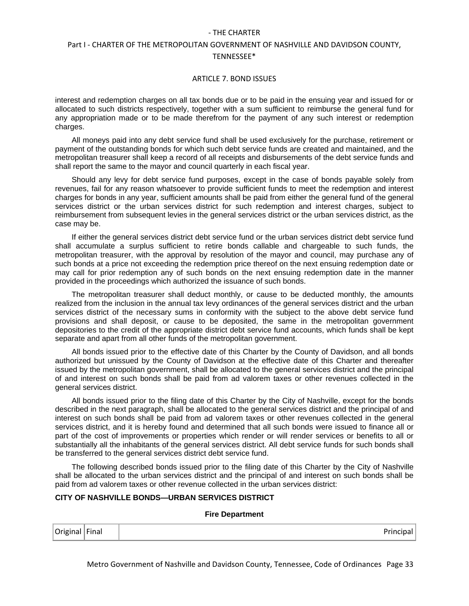## Part I - CHARTER OF THE METROPOLITAN GOVERNMENT OF NASHVILLE AND DAVIDSON COUNTY. TENNESSEE\*

#### ARTICLE 7. BOND ISSUES

interest and redemption charges on all tax bonds due or to be paid in the ensuing year and issued for or allocated to such districts respectively, together with a sum sufficient to reimburse the general fund for any appropriation made or to be made therefrom for the payment of any such interest or redemption charges.

All moneys paid into any debt service fund shall be used exclusively for the purchase, retirement or payment of the outstanding bonds for which such debt service funds are created and maintained, and the metropolitan treasurer shall keep a record of all receipts and disbursements of the debt service funds and shall report the same to the mayor and council quarterly in each fiscal year.

Should any levy for debt service fund purposes, except in the case of bonds payable solely from revenues, fail for any reason whatsoever to provide sufficient funds to meet the redemption and interest charges for bonds in any year, sufficient amounts shall be paid from either the general fund of the general services district or the urban services district for such redemption and interest charges, subject to reimbursement from subsequent levies in the general services district or the urban services district, as the case may be.

If either the general services district debt service fund or the urban services district debt service fund shall accumulate a surplus sufficient to retire bonds callable and chargeable to such funds, the metropolitan treasurer, with the approval by resolution of the mayor and council, may purchase any of such bonds at a price not exceeding the redemption price thereof on the next ensuing redemption date or may call for prior redemption any of such bonds on the next ensuing redemption date in the manner provided in the proceedings which authorized the issuance of such bonds.

The metropolitan treasurer shall deduct monthly, or cause to be deducted monthly, the amounts realized from the inclusion in the annual tax levy ordinances of the general services district and the urban services district of the necessary sums in conformity with the subject to the above debt service fund provisions and shall deposit, or cause to be deposited, the same in the metropolitan government depositories to the credit of the appropriate district debt service fund accounts, which funds shall be kept separate and apart from all other funds of the metropolitan government.

All bonds issued prior to the effective date of this Charter by the County of Davidson, and all bonds authorized but unissued by the County of Davidson at the effective date of this Charter and thereafter issued by the metropolitan government, shall be allocated to the general services district and the principal of and interest on such bonds shall be paid from ad valorem taxes or other revenues collected in the general services district.

All bonds issued prior to the filing date of this Charter by the City of Nashville, except for the bonds described in the next paragraph, shall be allocated to the general services district and the principal of and interest on such bonds shall be paid from ad valorem taxes or other revenues collected in the general services district, and it is hereby found and determined that all such bonds were issued to finance all or part of the cost of improvements or properties which render or will render services or benefits to all or substantially all the inhabitants of the general services district. All debt service funds for such bonds shall be transferred to the general services district debt service fund.

The following described bonds issued prior to the filing date of this Charter by the City of Nashville shall be allocated to the urban services district and the principal of and interest on such bonds shall be paid from ad valorem taxes or other revenue collected in the urban services district:

### **CITY OF NASHVILLE BONDS—URBAN SERVICES DISTRICT**

#### **Fire Department**

| Original Final | Principal |  |
|----------------|-----------|--|
|----------------|-----------|--|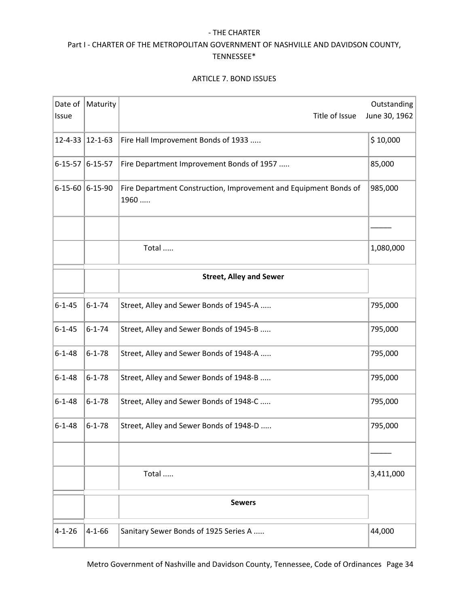# Part I - CHARTER OF THE METROPOLITAN GOVERNMENT OF NASHVILLE AND DAVIDSON COUNTY, TENNESSEE\*

### ARTICLE 7. BOND ISSUES

| Date of<br>Issue | Maturity              | Title of Issue                                                           | Outstanding<br>June 30, 1962 |  |  |
|------------------|-----------------------|--------------------------------------------------------------------------|------------------------------|--|--|
|                  |                       |                                                                          |                              |  |  |
|                  | $12 - 4 - 33$ 12-1-63 | Fire Hall Improvement Bonds of 1933                                      | \$10,000                     |  |  |
| $6 - 15 - 57$    | $6 - 15 - 57$         | Fire Department Improvement Bonds of 1957                                | 85,000                       |  |  |
| $6 - 15 - 60$    | $6 - 15 - 90$         | Fire Department Construction, Improvement and Equipment Bonds of<br>1960 | 985,000                      |  |  |
|                  |                       |                                                                          |                              |  |  |
|                  |                       | Total                                                                    | 1,080,000                    |  |  |
|                  |                       | <b>Street, Alley and Sewer</b>                                           |                              |  |  |
| $6 - 1 - 45$     | $6 - 1 - 74$          | Street, Alley and Sewer Bonds of 1945-A                                  | 795,000                      |  |  |
| $6 - 1 - 45$     | $6 - 1 - 74$          | Street, Alley and Sewer Bonds of 1945-B                                  | 795,000                      |  |  |
| $6 - 1 - 48$     | $6 - 1 - 78$          | Street, Alley and Sewer Bonds of 1948-A                                  | 795,000                      |  |  |
| $6 - 1 - 48$     | $6 - 1 - 78$          | Street, Alley and Sewer Bonds of 1948-B                                  | 795,000                      |  |  |
| $6 - 1 - 48$     | $6 - 1 - 78$          | Street, Alley and Sewer Bonds of 1948-C                                  | 795,000                      |  |  |
| $6 - 1 - 48$     | $6 - 1 - 78$          | Street, Alley and Sewer Bonds of 1948-D                                  | 795,000                      |  |  |
|                  |                       |                                                                          |                              |  |  |
|                  |                       | Total                                                                    | 3,411,000                    |  |  |
|                  | <b>Sewers</b>         |                                                                          |                              |  |  |
| $4 - 1 - 26$     | $4 - 1 - 66$          | Sanitary Sewer Bonds of 1925 Series A                                    | 44,000                       |  |  |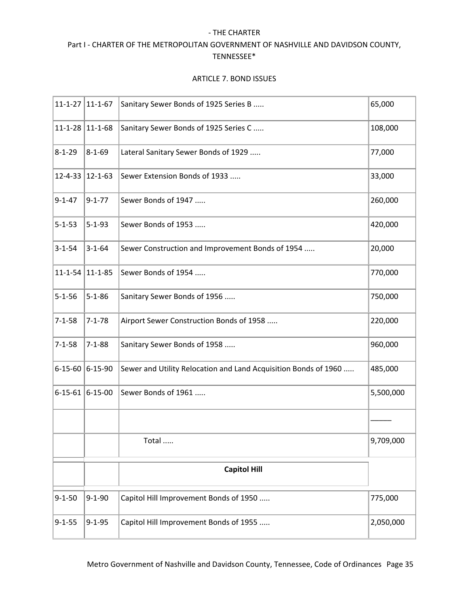# Part I - CHARTER OF THE METROPOLITAN GOVERNMENT OF NASHVILLE AND DAVIDSON COUNTY, TENNESSEE\*

### ARTICLE 7. BOND ISSUES

| $11 - 1 - 27$ | $11 - 1 - 67$             | Sanitary Sewer Bonds of 1925 Series B                           | 65,000    |
|---------------|---------------------------|-----------------------------------------------------------------|-----------|
|               | $11 - 1 - 28$ 11 - 1 - 68 | Sanitary Sewer Bonds of 1925 Series C                           | 108,000   |
| $8 - 1 - 29$  | $8 - 1 - 69$              | Lateral Sanitary Sewer Bonds of 1929                            | 77,000    |
|               | 12-4-33 12-1-63           | Sewer Extension Bonds of 1933                                   | 33,000    |
| $9 - 1 - 47$  | $9 - 1 - 77$              | Sewer Bonds of 1947                                             | 260,000   |
| $5 - 1 - 53$  | $5 - 1 - 93$              | Sewer Bonds of 1953                                             | 420,000   |
| $3 - 1 - 54$  | $3 - 1 - 64$              | Sewer Construction and Improvement Bonds of 1954                | 20,000    |
| $11 - 1 - 54$ | $11 - 1 - 85$             | Sewer Bonds of 1954                                             | 770,000   |
| $5 - 1 - 56$  | $5 - 1 - 86$              | Sanitary Sewer Bonds of 1956                                    | 750,000   |
| $7 - 1 - 58$  | $7 - 1 - 78$              | Airport Sewer Construction Bonds of 1958                        | 220,000   |
| $7 - 1 - 58$  | $7 - 1 - 88$              | Sanitary Sewer Bonds of 1958                                    | 960,000   |
| $6 - 15 - 60$ | $6 - 15 - 90$             | Sewer and Utility Relocation and Land Acquisition Bonds of 1960 | 485,000   |
| $6 - 15 - 61$ | $6 - 15 - 00$             | Sewer Bonds of 1961                                             | 5,500,000 |
|               |                           |                                                                 |           |
|               |                           | Total                                                           | 9,709,000 |
|               |                           | <b>Capitol Hill</b>                                             |           |
| $9 - 1 - 50$  | $9 - 1 - 90$              | Capitol Hill Improvement Bonds of 1950                          | 775,000   |
| $9 - 1 - 55$  | $9 - 1 - 95$              | Capitol Hill Improvement Bonds of 1955                          | 2,050,000 |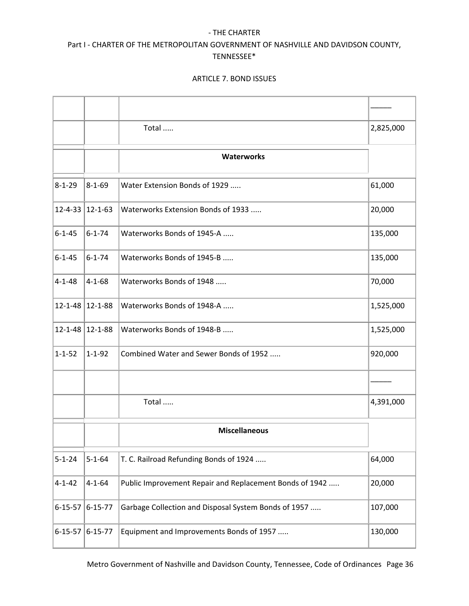# Part I - CHARTER OF THE METROPOLITAN GOVERNMENT OF NASHVILLE AND DAVIDSON COUNTY, TENNESSEE\*

## ARTICLE 7. BOND ISSUES

|               |                       | Total                                                   | 2,825,000 |  |  |
|---------------|-----------------------|---------------------------------------------------------|-----------|--|--|
|               |                       | Waterworks                                              |           |  |  |
| $8 - 1 - 29$  | $8 - 1 - 69$          | Water Extension Bonds of 1929                           | 61,000    |  |  |
| $12 - 4 - 33$ | $12 - 1 - 63$         | Waterworks Extension Bonds of 1933                      | 20,000    |  |  |
| $6 - 1 - 45$  | $6 - 1 - 74$          | Waterworks Bonds of 1945-A                              | 135,000   |  |  |
| $6 - 1 - 45$  | $6 - 1 - 74$          | Waterworks Bonds of 1945-B                              | 135,000   |  |  |
| $4 - 1 - 48$  | $4 - 1 - 68$          | Waterworks Bonds of 1948                                | 70,000    |  |  |
|               | $12 - 1 - 48$ 12-1-88 | Waterworks Bonds of 1948-A                              | 1,525,000 |  |  |
|               | $12 - 1 - 48$ 12-1-88 | Waterworks Bonds of 1948-B                              | 1,525,000 |  |  |
| $1 - 1 - 52$  | $1 - 1 - 92$          | Combined Water and Sewer Bonds of 1952                  | 920,000   |  |  |
|               |                       |                                                         |           |  |  |
|               |                       | Total                                                   | 4,391,000 |  |  |
|               | <b>Miscellaneous</b>  |                                                         |           |  |  |
| $5 - 1 - 24$  | $5 - 1 - 64$          | T. C. Railroad Refunding Bonds of 1924                  | 64,000    |  |  |
| $4 - 1 - 42$  | $4 - 1 - 64$          | Public Improvement Repair and Replacement Bonds of 1942 | 20,000    |  |  |
| $6 - 15 - 57$ | $6 - 15 - 77$         | Garbage Collection and Disposal System Bonds of 1957    | 107,000   |  |  |
| $6 - 15 - 57$ | $6 - 15 - 77$         | Equipment and Improvements Bonds of 1957                | 130,000   |  |  |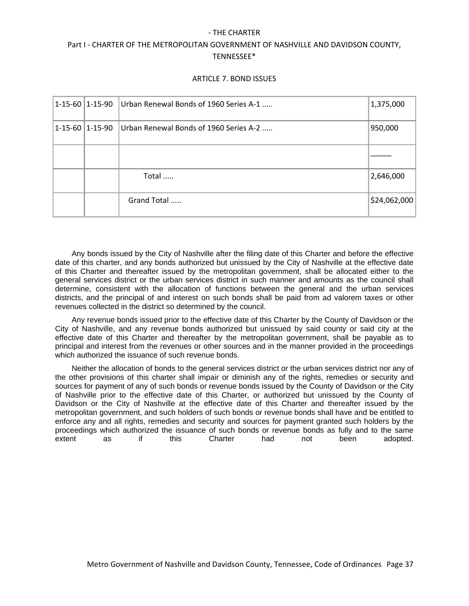# ‐ THE CHARTER Part I ‐ CHARTER OF THE METROPOLITAN GOVERNMENT OF NASHVILLE AND DAVIDSON COUNTY, TENNESSEE\*

### ARTICLE 7. BOND ISSUES

| $1-15-60$   1-15-90 | Urban Renewal Bonds of 1960 Series A-1 | 1,375,000    |
|---------------------|----------------------------------------|--------------|
| $1-15-60$   1-15-90 | Urban Renewal Bonds of 1960 Series A-2 | 950,000      |
|                     |                                        |              |
|                     | Total                                  | 2,646,000    |
|                     | Grand Total                            | \$24,062,000 |

Any bonds issued by the City of Nashville after the filing date of this Charter and before the effective date of this charter, and any bonds authorized but unissued by the City of Nashville at the effective date of this Charter and thereafter issued by the metropolitan government, shall be allocated either to the general services district or the urban services district in such manner and amounts as the council shall determine, consistent with the allocation of functions between the general and the urban services districts, and the principal of and interest on such bonds shall be paid from ad valorem taxes or other revenues collected in the district so determined by the council.

Any revenue bonds issued prior to the effective date of this Charter by the County of Davidson or the City of Nashville, and any revenue bonds authorized but unissued by said county or said city at the effective date of this Charter and thereafter by the metropolitan government, shall be payable as to principal and interest from the revenues or other sources and in the manner provided in the proceedings which authorized the issuance of such revenue bonds.

Neither the allocation of bonds to the general services district or the urban services district nor any of the other provisions of this charter shall impair or diminish any of the rights, remedies or security and sources for payment of any of such bonds or revenue bonds issued by the County of Davidson or the City of Nashville prior to the effective date of this Charter, or authorized but unissued by the County of Davidson or the City of Nashville at the effective date of this Charter and thereafter issued by the metropolitan government, and such holders of such bonds or revenue bonds shall have and be entitled to enforce any and all rights, remedies and security and sources for payment granted such holders by the proceedings which authorized the issuance of such bonds or revenue bonds as fully and to the same extent as if this Charter had not been adopted.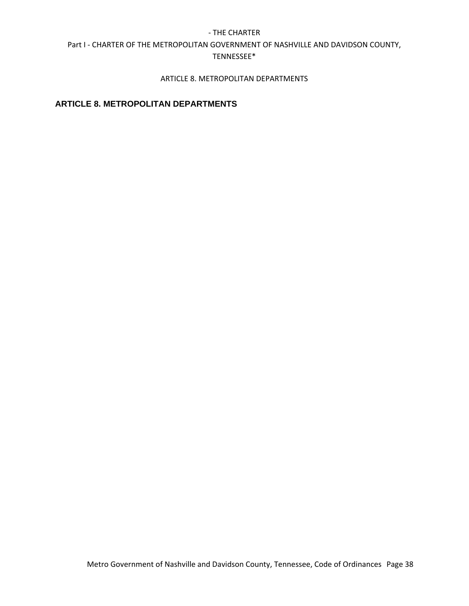# Part I - CHARTER OF THE METROPOLITAN GOVERNMENT OF NASHVILLE AND DAVIDSON COUNTY, TENNESSEE\*

## ARTICLE 8. METROPOLITAN DEPARTMENTS

## **ARTICLE 8. METROPOLITAN DEPARTMENTS**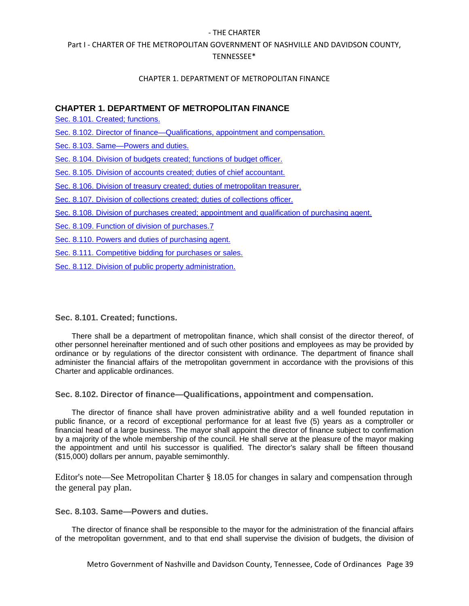# Part I ‐ CHARTER OF THE METROPOLITAN GOVERNMENT OF NASHVILLE AND DAVIDSON COUNTY, TENNESSEE\*

## CHAPTER 1. DEPARTMENT OF METROPOLITAN FINANCE

## **CHAPTER 1. DEPARTMENT OF METROPOLITAN FINANCE**

Sec. 8.101. Created; functions.

Sec. 8.102. Director of finance—Qualifications, appointment and compensation.

Sec. 8.103. Same—Powers and duties.

Sec. 8.104. Division of budgets created; functions of budget officer.

Sec. 8.105. Division of accounts created; duties of chief accountant.

Sec. 8.106. Division of treasury created; duties of metropolitan treasurer.

Sec. 8.107. Division of collections created; duties of collections officer.

Sec. 8.108. Division of purchases created; appointment and qualification of purchasing agent.

Sec. 8.109. Function of division of purchases.7

Sec. 8.110. Powers and duties of purchasing agent.

Sec. 8.111. Competitive bidding for purchases or sales.

Sec. 8.112. Division of public property administration.

## **Sec. 8.101. Created; functions.**

There shall be a department of metropolitan finance, which shall consist of the director thereof, of other personnel hereinafter mentioned and of such other positions and employees as may be provided by ordinance or by regulations of the director consistent with ordinance. The department of finance shall administer the financial affairs of the metropolitan government in accordance with the provisions of this Charter and applicable ordinances.

**Sec. 8.102. Director of finance—Qualifications, appointment and compensation.** 

The director of finance shall have proven administrative ability and a well founded reputation in public finance, or a record of exceptional performance for at least five (5) years as a comptroller or financial head of a large business. The mayor shall appoint the director of finance subject to confirmation by a majority of the whole membership of the council. He shall serve at the pleasure of the mayor making the appointment and until his successor is qualified. The director's salary shall be fifteen thousand (\$15,000) dollars per annum, payable semimonthly.

Editor's note—See Metropolitan Charter § 18.05 for changes in salary and compensation through the general pay plan.

### **Sec. 8.103. Same—Powers and duties.**

The director of finance shall be responsible to the mayor for the administration of the financial affairs of the metropolitan government, and to that end shall supervise the division of budgets, the division of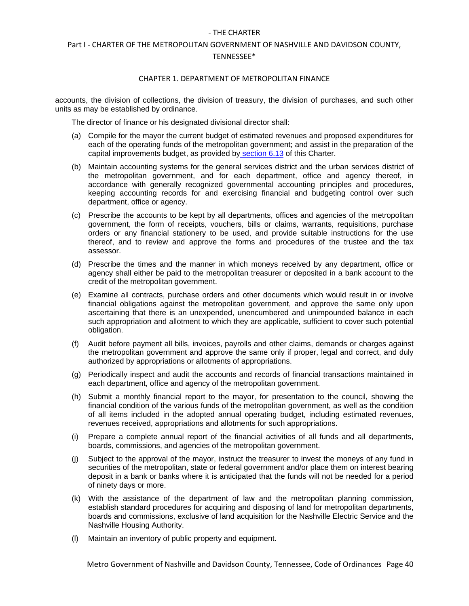## Part I ‐ CHARTER OF THE METROPOLITAN GOVERNMENT OF NASHVILLE AND DAVIDSON COUNTY, TENNESSEE\*

#### CHAPTER 1. DEPARTMENT OF METROPOLITAN FINANCE

accounts, the division of collections, the division of treasury, the division of purchases, and such other units as may be established by ordinance.

The director of finance or his designated divisional director shall:

- (a) Compile for the mayor the current budget of estimated revenues and proposed expenditures for each of the operating funds of the metropolitan government; and assist in the preparation of the capital improvements budget, as provided by section 6.13 of this Charter.
- (b) Maintain accounting systems for the general services district and the urban services district of the metropolitan government, and for each department, office and agency thereof, in accordance with generally recognized governmental accounting principles and procedures, keeping accounting records for and exercising financial and budgeting control over such department, office or agency.
- (c) Prescribe the accounts to be kept by all departments, offices and agencies of the metropolitan government, the form of receipts, vouchers, bills or claims, warrants, requisitions, purchase orders or any financial stationery to be used, and provide suitable instructions for the use thereof, and to review and approve the forms and procedures of the trustee and the tax assessor.
- (d) Prescribe the times and the manner in which moneys received by any department, office or agency shall either be paid to the metropolitan treasurer or deposited in a bank account to the credit of the metropolitan government.
- (e) Examine all contracts, purchase orders and other documents which would result in or involve financial obligations against the metropolitan government, and approve the same only upon ascertaining that there is an unexpended, unencumbered and unimpounded balance in each such appropriation and allotment to which they are applicable, sufficient to cover such potential obligation.
- (f) Audit before payment all bills, invoices, payrolls and other claims, demands or charges against the metropolitan government and approve the same only if proper, legal and correct, and duly authorized by appropriations or allotments of appropriations.
- (g) Periodically inspect and audit the accounts and records of financial transactions maintained in each department, office and agency of the metropolitan government.
- (h) Submit a monthly financial report to the mayor, for presentation to the council, showing the financial condition of the various funds of the metropolitan government, as well as the condition of all items included in the adopted annual operating budget, including estimated revenues, revenues received, appropriations and allotments for such appropriations.
- (i) Prepare a complete annual report of the financial activities of all funds and all departments, boards, commissions, and agencies of the metropolitan government.
- (j) Subject to the approval of the mayor, instruct the treasurer to invest the moneys of any fund in securities of the metropolitan, state or federal government and/or place them on interest bearing deposit in a bank or banks where it is anticipated that the funds will not be needed for a period of ninety days or more.
- (k) With the assistance of the department of law and the metropolitan planning commission, establish standard procedures for acquiring and disposing of land for metropolitan departments, boards and commissions, exclusive of land acquisition for the Nashville Electric Service and the Nashville Housing Authority.
- (l) Maintain an inventory of public property and equipment.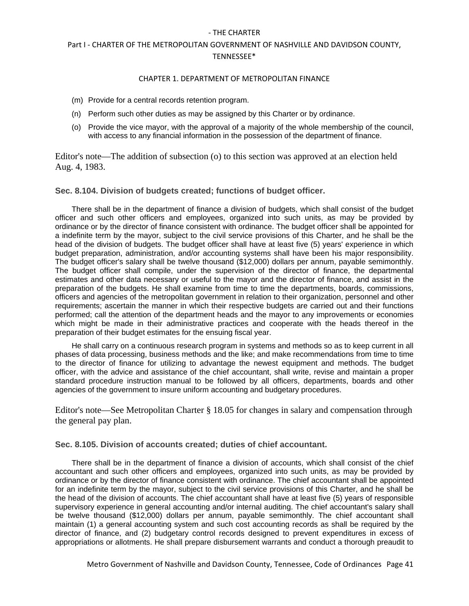# Part I - CHARTER OF THE METROPOLITAN GOVERNMENT OF NASHVILLE AND DAVIDSON COUNTY. TENNESSEE\*

#### CHAPTER 1. DEPARTMENT OF METROPOLITAN FINANCE

- (m) Provide for a central records retention program.
- (n) Perform such other duties as may be assigned by this Charter or by ordinance.
- (o) Provide the vice mayor, with the approval of a majority of the whole membership of the council, with access to any financial information in the possession of the department of finance.

Editor's note—The addition of subsection (o) to this section was approved at an election held Aug. 4, 1983.

## **Sec. 8.104. Division of budgets created; functions of budget officer.**

There shall be in the department of finance a division of budgets, which shall consist of the budget officer and such other officers and employees, organized into such units, as may be provided by ordinance or by the director of finance consistent with ordinance. The budget officer shall be appointed for a indefinite term by the mayor, subject to the civil service provisions of this Charter, and he shall be the head of the division of budgets. The budget officer shall have at least five (5) years' experience in which budget preparation, administration, and/or accounting systems shall have been his major responsibility. The budget officer's salary shall be twelve thousand (\$12,000) dollars per annum, payable semimonthly. The budget officer shall compile, under the supervision of the director of finance, the departmental estimates and other data necessary or useful to the mayor and the director of finance, and assist in the preparation of the budgets. He shall examine from time to time the departments, boards, commissions, officers and agencies of the metropolitan government in relation to their organization, personnel and other requirements; ascertain the manner in which their respective budgets are carried out and their functions performed; call the attention of the department heads and the mayor to any improvements or economies which might be made in their administrative practices and cooperate with the heads thereof in the preparation of their budget estimates for the ensuing fiscal year.

He shall carry on a continuous research program in systems and methods so as to keep current in all phases of data processing, business methods and the like; and make recommendations from time to time to the director of finance for utilizing to advantage the newest equipment and methods. The budget officer, with the advice and assistance of the chief accountant, shall write, revise and maintain a proper standard procedure instruction manual to be followed by all officers, departments, boards and other agencies of the government to insure uniform accounting and budgetary procedures.

Editor's note—See Metropolitan Charter § 18.05 for changes in salary and compensation through the general pay plan.

**Sec. 8.105. Division of accounts created; duties of chief accountant.** 

There shall be in the department of finance a division of accounts, which shall consist of the chief accountant and such other officers and employees, organized into such units, as may be provided by ordinance or by the director of finance consistent with ordinance. The chief accountant shall be appointed for an indefinite term by the mayor, subject to the civil service provisions of this Charter, and he shall be the head of the division of accounts. The chief accountant shall have at least five (5) years of responsible supervisory experience in general accounting and/or internal auditing. The chief accountant's salary shall be twelve thousand (\$12,000) dollars per annum, payable semimonthly. The chief accountant shall maintain (1) a general accounting system and such cost accounting records as shall be required by the director of finance, and (2) budgetary control records designed to prevent expenditures in excess of appropriations or allotments. He shall prepare disbursement warrants and conduct a thorough preaudit to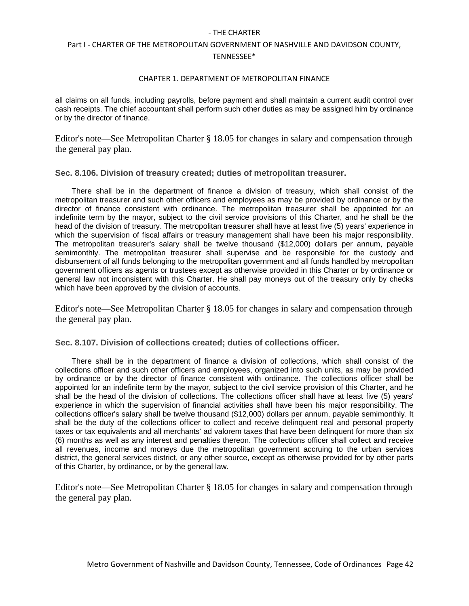# Part I - CHARTER OF THE METROPOLITAN GOVERNMENT OF NASHVILLE AND DAVIDSON COUNTY. TENNESSEE\*

#### CHAPTER 1. DEPARTMENT OF METROPOLITAN FINANCE

all claims on all funds, including payrolls, before payment and shall maintain a current audit control over cash receipts. The chief accountant shall perform such other duties as may be assigned him by ordinance or by the director of finance.

Editor's note—See Metropolitan Charter § 18.05 for changes in salary and compensation through the general pay plan.

**Sec. 8.106. Division of treasury created; duties of metropolitan treasurer.** 

There shall be in the department of finance a division of treasury, which shall consist of the metropolitan treasurer and such other officers and employees as may be provided by ordinance or by the director of finance consistent with ordinance. The metropolitan treasurer shall be appointed for an indefinite term by the mayor, subject to the civil service provisions of this Charter, and he shall be the head of the division of treasury. The metropolitan treasurer shall have at least five (5) years' experience in which the supervision of fiscal affairs or treasury management shall have been his major responsibility. The metropolitan treasurer's salary shall be twelve thousand (\$12,000) dollars per annum, payable semimonthly. The metropolitan treasurer shall supervise and be responsible for the custody and disbursement of all funds belonging to the metropolitan government and all funds handled by metropolitan government officers as agents or trustees except as otherwise provided in this Charter or by ordinance or general law not inconsistent with this Charter. He shall pay moneys out of the treasury only by checks which have been approved by the division of accounts.

Editor's note—See Metropolitan Charter § 18.05 for changes in salary and compensation through the general pay plan.

**Sec. 8.107. Division of collections created; duties of collections officer.** 

There shall be in the department of finance a division of collections, which shall consist of the collections officer and such other officers and employees, organized into such units, as may be provided by ordinance or by the director of finance consistent with ordinance. The collections officer shall be appointed for an indefinite term by the mayor, subject to the civil service provision of this Charter, and he shall be the head of the division of collections. The collections officer shall have at least five (5) years' experience in which the supervision of financial activities shall have been his major responsibility. The collections officer's salary shall be twelve thousand (\$12,000) dollars per annum, payable semimonthly. It shall be the duty of the collections officer to collect and receive delinquent real and personal property taxes or tax equivalents and all merchants' ad valorem taxes that have been delinquent for more than six (6) months as well as any interest and penalties thereon. The collections officer shall collect and receive all revenues, income and moneys due the metropolitan government accruing to the urban services district, the general services district, or any other source, except as otherwise provided for by other parts of this Charter, by ordinance, or by the general law.

Editor's note—See Metropolitan Charter § 18.05 for changes in salary and compensation through the general pay plan.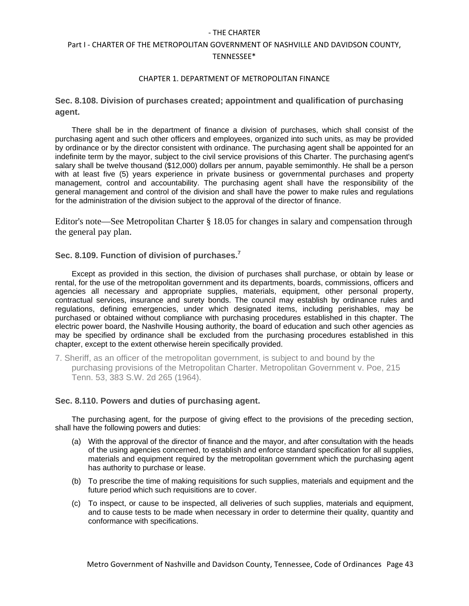# Part I - CHARTER OF THE METROPOLITAN GOVERNMENT OF NASHVILLE AND DAVIDSON COUNTY. TENNESSEE\*

#### CHAPTER 1. DEPARTMENT OF METROPOLITAN FINANCE

## **Sec. 8.108. Division of purchases created; appointment and qualification of purchasing agent.**

There shall be in the department of finance a division of purchases, which shall consist of the purchasing agent and such other officers and employees, organized into such units, as may be provided by ordinance or by the director consistent with ordinance. The purchasing agent shall be appointed for an indefinite term by the mayor, subject to the civil service provisions of this Charter. The purchasing agent's salary shall be twelve thousand (\$12,000) dollars per annum, payable semimonthly. He shall be a person with at least five (5) years experience in private business or governmental purchases and property management, control and accountability. The purchasing agent shall have the responsibility of the general management and control of the division and shall have the power to make rules and regulations for the administration of the division subject to the approval of the director of finance.

Editor's note—See Metropolitan Charter § 18.05 for changes in salary and compensation through the general pay plan.

Sec. 8.109. Function of division of purchases.<sup>7</sup>

Except as provided in this section, the division of purchases shall purchase, or obtain by lease or rental, for the use of the metropolitan government and its departments, boards, commissions, officers and agencies all necessary and appropriate supplies, materials, equipment, other personal property, contractual services, insurance and surety bonds. The council may establish by ordinance rules and regulations, defining emergencies, under which designated items, including perishables, may be purchased or obtained without compliance with purchasing procedures established in this chapter. The electric power board, the Nashville Housing authority, the board of education and such other agencies as may be specified by ordinance shall be excluded from the purchasing procedures established in this chapter, except to the extent otherwise herein specifically provided.

7. Sheriff, as an officer of the metropolitan government, is subject to and bound by the purchasing provisions of the Metropolitan Charter. Metropolitan Government v. Poe, 215 Tenn. 53, 383 S.W. 2d 265 (1964).

## **Sec. 8.110. Powers and duties of purchasing agent.**

The purchasing agent, for the purpose of giving effect to the provisions of the preceding section, shall have the following powers and duties:

- (a) With the approval of the director of finance and the mayor, and after consultation with the heads of the using agencies concerned, to establish and enforce standard specification for all supplies, materials and equipment required by the metropolitan government which the purchasing agent has authority to purchase or lease.
- (b) To prescribe the time of making requisitions for such supplies, materials and equipment and the future period which such requisitions are to cover.
- (c) To inspect, or cause to be inspected, all deliveries of such supplies, materials and equipment, and to cause tests to be made when necessary in order to determine their quality, quantity and conformance with specifications.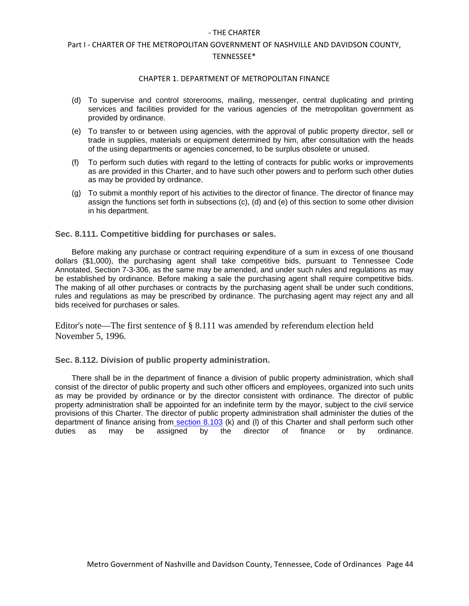## Part I - CHARTER OF THE METROPOLITAN GOVERNMENT OF NASHVILLE AND DAVIDSON COUNTY. TENNESSEE\*

#### CHAPTER 1. DEPARTMENT OF METROPOLITAN FINANCE

- (d) To supervise and control storerooms, mailing, messenger, central duplicating and printing services and facilities provided for the various agencies of the metropolitan government as provided by ordinance.
- (e) To transfer to or between using agencies, with the approval of public property director, sell or trade in supplies, materials or equipment determined by him, after consultation with the heads of the using departments or agencies concerned, to be surplus obsolete or unused.
- (f) To perform such duties with regard to the letting of contracts for public works or improvements as are provided in this Charter, and to have such other powers and to perform such other duties as may be provided by ordinance.
- (g) To submit a monthly report of his activities to the director of finance. The director of finance may assign the functions set forth in subsections (c), (d) and (e) of this section to some other division in his department.

## **Sec. 8.111. Competitive bidding for purchases or sales.**

Before making any purchase or contract requiring expenditure of a sum in excess of one thousand dollars (\$1,000), the purchasing agent shall take competitive bids, pursuant to Tennessee Code Annotated, Section 7-3-306, as the same may be amended, and under such rules and regulations as may be established by ordinance. Before making a sale the purchasing agent shall require competitive bids. The making of all other purchases or contracts by the purchasing agent shall be under such conditions, rules and regulations as may be prescribed by ordinance. The purchasing agent may reject any and all bids received for purchases or sales.

Editor's note—The first sentence of § 8.111 was amended by referendum election held November 5, 1996.

### **Sec. 8.112. Division of public property administration.**

There shall be in the department of finance a division of public property administration, which shall consist of the director of public property and such other officers and employees, organized into such units as may be provided by ordinance or by the director consistent with ordinance. The director of public property administration shall be appointed for an indefinite term by the mayor, subject to the civil service provisions of this Charter. The director of public property administration shall administer the duties of the department of finance arising from section 8.103 (k) and (l) of this Charter and shall perform such other duties as may be assigned by the director of finance or by ordinance.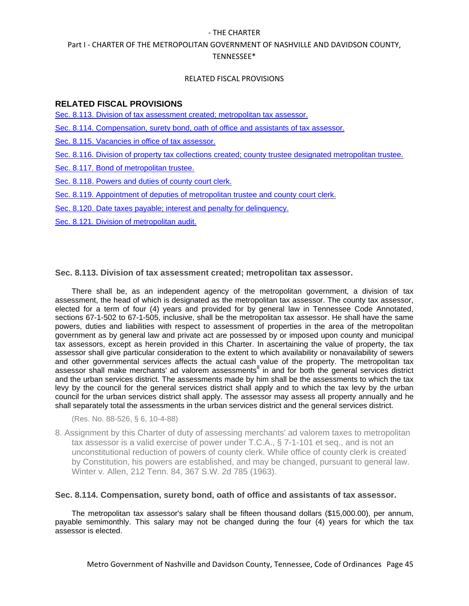# Part I - CHARTER OF THE METROPOLITAN GOVERNMENT OF NASHVILLE AND DAVIDSON COUNTY. TENNESSEE\*

#### RELATED FISCAL PROVISIONS

## **RELATED FISCAL PROVISIONS**

Sec. 8.113. Division of tax assessment created; metropolitan tax assessor.

Sec. 8.114. Compensation, surety bond, oath of office and assistants of tax assessor.

Sec. 8.115. Vacancies in office of tax assessor.

Sec. 8.116. Division of property tax collections created; county trustee designated metropolitan trustee.

Sec. 8.117. Bond of metropolitan trustee.

Sec. 8.118. Powers and duties of county court clerk.

Sec. 8.119. Appointment of deputies of metropolitan trustee and county court clerk.

Sec. 8.120. Date taxes payable; interest and penalty for delinquency.

Sec. 8.121. Division of metropolitan audit.

### **Sec. 8.113. Division of tax assessment created; metropolitan tax assessor.**

There shall be, as an independent agency of the metropolitan government, a division of tax assessment, the head of which is designated as the metropolitan tax assessor. The county tax assessor, elected for a term of four (4) years and provided for by general law in Tennessee Code Annotated, sections 67-1-502 to 67-1-505, inclusive, shall be the metropolitan tax assessor. He shall have the same powers, duties and liabilities with respect to assessment of properties in the area of the metropolitan government as by general law and private act are possessed by or imposed upon county and municipal tax assessors, except as herein provided in this Charter. In ascertaining the value of property, the tax assessor shall give particular consideration to the extent to which availability or nonavailability of sewers and other governmental services affects the actual cash value of the property. The metropolitan tax assessor shall make merchants' ad valorem assessments $8$  in and for both the general services district and the urban services district. The assessments made by him shall be the assessments to which the tax levy by the council for the general services district shall apply and to which the tax levy by the urban council for the urban services district shall apply. The assessor may assess all property annually and he shall separately total the assessments in the urban services district and the general services district.

(Res. No. 88-526, § 6, 10-4-88)

8. Assignment by this Charter of duty of assessing merchants' ad valorem taxes to metropolitan tax assessor is a valid exercise of power under T.C.A., § 7-1-101 et seq., and is not an unconstitutional reduction of powers of county clerk. While office of county clerk is created by Constitution, his powers are established, and may be changed, pursuant to general law. Winter v. Allen, 212 Tenn. 84, 367 S.W. 2d 785 (1963).

### **Sec. 8.114. Compensation, surety bond, oath of office and assistants of tax assessor.**

The metropolitan tax assessor's salary shall be fifteen thousand dollars (\$15,000.00), per annum, payable semimonthly. This salary may not be changed during the four (4) years for which the tax assessor is elected.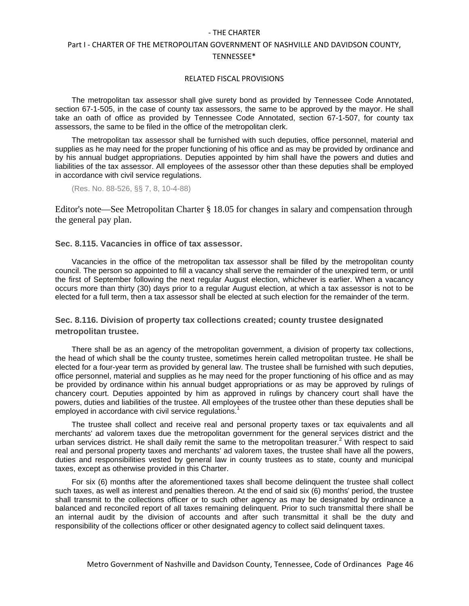# Part I - CHARTER OF THE METROPOLITAN GOVERNMENT OF NASHVILLE AND DAVIDSON COUNTY. TENNESSEE\*

#### RELATED FISCAL PROVISIONS

The metropolitan tax assessor shall give surety bond as provided by Tennessee Code Annotated, section 67-1-505, in the case of county tax assessors, the same to be approved by the mayor. He shall take an oath of office as provided by Tennessee Code Annotated, section 67-1-507, for county tax assessors, the same to be filed in the office of the metropolitan clerk.

The metropolitan tax assessor shall be furnished with such deputies, office personnel, material and supplies as he may need for the proper functioning of his office and as may be provided by ordinance and by his annual budget appropriations. Deputies appointed by him shall have the powers and duties and liabilities of the tax assessor. All employees of the assessor other than these deputies shall be employed in accordance with civil service regulations.

(Res. No. 88-526, §§ 7, 8, 10-4-88)

Editor's note—See Metropolitan Charter § 18.05 for changes in salary and compensation through the general pay plan.

**Sec. 8.115. Vacancies in office of tax assessor.** 

Vacancies in the office of the metropolitan tax assessor shall be filled by the metropolitan county council. The person so appointed to fill a vacancy shall serve the remainder of the unexpired term, or until the first of September following the next regular August election, whichever is earlier. When a vacancy occurs more than thirty (30) days prior to a regular August election, at which a tax assessor is not to be elected for a full term, then a tax assessor shall be elected at such election for the remainder of the term.

## **Sec. 8.116. Division of property tax collections created; county trustee designated metropolitan trustee.**

There shall be as an agency of the metropolitan government, a division of property tax collections, the head of which shall be the county trustee, sometimes herein called metropolitan trustee. He shall be elected for a four-year term as provided by general law. The trustee shall be furnished with such deputies, office personnel, material and supplies as he may need for the proper functioning of his office and as may be provided by ordinance within his annual budget appropriations or as may be approved by rulings of chancery court. Deputies appointed by him as approved in rulings by chancery court shall have the powers, duties and liabilities of the trustee. All employees of the trustee other than these deputies shall be employed in accordance with civil service regulations.

The trustee shall collect and receive real and personal property taxes or tax equivalents and all merchants' ad valorem taxes due the metropolitan government for the general services district and the urban services district. He shall daily remit the same to the metropolitan treasurer.<sup>2</sup> With respect to said real and personal property taxes and merchants' ad valorem taxes, the trustee shall have all the powers, duties and responsibilities vested by general law in county trustees as to state, county and municipal taxes, except as otherwise provided in this Charter.

For six (6) months after the aforementioned taxes shall become delinquent the trustee shall collect such taxes, as well as interest and penalties thereon. At the end of said six (6) months' period, the trustee shall transmit to the collections officer or to such other agency as may be designated by ordinance a balanced and reconciled report of all taxes remaining delinquent. Prior to such transmittal there shall be an internal audit by the division of accounts and after such transmittal it shall be the duty and responsibility of the collections officer or other designated agency to collect said delinquent taxes.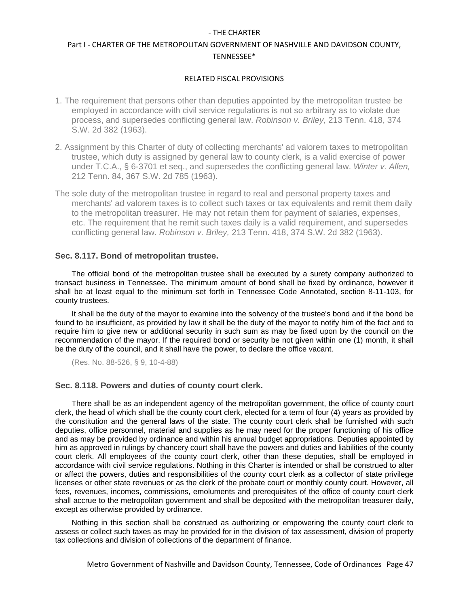# Part I - CHARTER OF THE METROPOLITAN GOVERNMENT OF NASHVILLE AND DAVIDSON COUNTY, TENNESSEE\*

### RELATED FISCAL PROVISIONS

- 1. The requirement that persons other than deputies appointed by the metropolitan trustee be employed in accordance with civil service regulations is not so arbitrary as to violate due process, and supersedes conflicting general law. *Robinson v. Briley,* 213 Tenn. 418, 374 S.W. 2d 382 (1963).
- 2. Assignment by this Charter of duty of collecting merchants' ad valorem taxes to metropolitan trustee, which duty is assigned by general law to county clerk, is a valid exercise of power under T.C.A., § 6-3701 et seq., and supersedes the conflicting general law. *Winter v. Allen,* 212 Tenn. 84, 367 S.W. 2d 785 (1963).
- The sole duty of the metropolitan trustee in regard to real and personal property taxes and merchants' ad valorem taxes is to collect such taxes or tax equivalents and remit them daily to the metropolitan treasurer. He may not retain them for payment of salaries, expenses, etc. The requirement that he remit such taxes daily is a valid requirement, and supersedes conflicting general law. *Robinson v. Briley,* 213 Tenn. 418, 374 S.W. 2d 382 (1963).

## **Sec. 8.117. Bond of metropolitan trustee.**

The official bond of the metropolitan trustee shall be executed by a surety company authorized to transact business in Tennessee. The minimum amount of bond shall be fixed by ordinance, however it shall be at least equal to the minimum set forth in Tennessee Code Annotated, section 8-11-103, for county trustees.

It shall be the duty of the mayor to examine into the solvency of the trustee's bond and if the bond be found to be insufficient, as provided by law it shall be the duty of the mayor to notify him of the fact and to require him to give new or additional security in such sum as may be fixed upon by the council on the recommendation of the mayor. If the required bond or security be not given within one (1) month, it shall be the duty of the council, and it shall have the power, to declare the office vacant.

(Res. No. 88-526, § 9, 10-4-88)

## **Sec. 8.118. Powers and duties of county court clerk.**

There shall be as an independent agency of the metropolitan government, the office of county court clerk, the head of which shall be the county court clerk, elected for a term of four (4) years as provided by the constitution and the general laws of the state. The county court clerk shall be furnished with such deputies, office personnel, material and supplies as he may need for the proper functioning of his office and as may be provided by ordinance and within his annual budget appropriations. Deputies appointed by him as approved in rulings by chancery court shall have the powers and duties and liabilities of the county court clerk. All employees of the county court clerk, other than these deputies, shall be employed in accordance with civil service regulations. Nothing in this Charter is intended or shall be construed to alter or affect the powers, duties and responsibilities of the county court clerk as a collector of state privilege licenses or other state revenues or as the clerk of the probate court or monthly county court. However, all fees, revenues, incomes, commissions, emoluments and prerequisites of the office of county court clerk shall accrue to the metropolitan government and shall be deposited with the metropolitan treasurer daily, except as otherwise provided by ordinance.

Nothing in this section shall be construed as authorizing or empowering the county court clerk to assess or collect such taxes as may be provided for in the division of tax assessment, division of property tax collections and division of collections of the department of finance.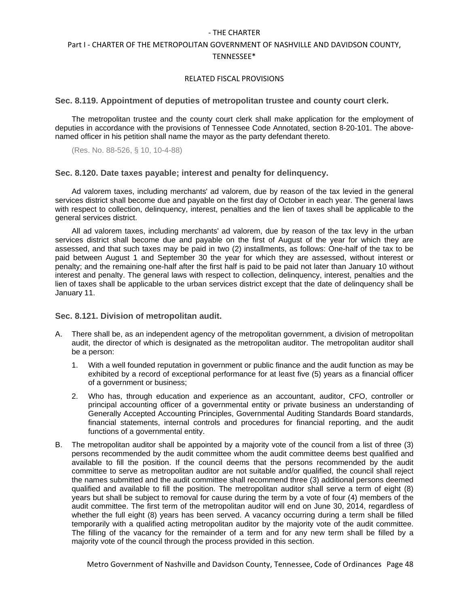## Part I - CHARTER OF THE METROPOLITAN GOVERNMENT OF NASHVILLE AND DAVIDSON COUNTY. TENNESSEE\*

### RELATED FISCAL PROVISIONS

### **Sec. 8.119. Appointment of deputies of metropolitan trustee and county court clerk.**

The metropolitan trustee and the county court clerk shall make application for the employment of deputies in accordance with the provisions of Tennessee Code Annotated, section 8-20-101. The abovenamed officer in his petition shall name the mayor as the party defendant thereto.

(Res. No. 88-526, § 10, 10-4-88)

## **Sec. 8.120. Date taxes payable; interest and penalty for delinquency.**

Ad valorem taxes, including merchants' ad valorem, due by reason of the tax levied in the general services district shall become due and payable on the first day of October in each year. The general laws with respect to collection, delinquency, interest, penalties and the lien of taxes shall be applicable to the general services district.

All ad valorem taxes, including merchants' ad valorem, due by reason of the tax levy in the urban services district shall become due and payable on the first of August of the year for which they are assessed, and that such taxes may be paid in two (2) installments, as follows: One-half of the tax to be paid between August 1 and September 30 the year for which they are assessed, without interest or penalty; and the remaining one-half after the first half is paid to be paid not later than January 10 without interest and penalty. The general laws with respect to collection, delinquency, interest, penalties and the lien of taxes shall be applicable to the urban services district except that the date of delinquency shall be January 11.

### **Sec. 8.121. Division of metropolitan audit.**

- A. There shall be, as an independent agency of the metropolitan government, a division of metropolitan audit, the director of which is designated as the metropolitan auditor. The metropolitan auditor shall be a person:
	- 1. With a well founded reputation in government or public finance and the audit function as may be exhibited by a record of exceptional performance for at least five (5) years as a financial officer of a government or business;
	- 2. Who has, through education and experience as an accountant, auditor, CFO, controller or principal accounting officer of a governmental entity or private business an understanding of Generally Accepted Accounting Principles, Governmental Auditing Standards Board standards, financial statements, internal controls and procedures for financial reporting, and the audit functions of a governmental entity.
- B. The metropolitan auditor shall be appointed by a majority vote of the council from a list of three (3) persons recommended by the audit committee whom the audit committee deems best qualified and available to fill the position. If the council deems that the persons recommended by the audit committee to serve as metropolitan auditor are not suitable and/or qualified, the council shall reject the names submitted and the audit committee shall recommend three (3) additional persons deemed qualified and available to fill the position. The metropolitan auditor shall serve a term of eight (8) years but shall be subject to removal for cause during the term by a vote of four (4) members of the audit committee. The first term of the metropolitan auditor will end on June 30, 2014, regardless of whether the full eight (8) years has been served. A vacancy occurring during a term shall be filled temporarily with a qualified acting metropolitan auditor by the majority vote of the audit committee. The filling of the vacancy for the remainder of a term and for any new term shall be filled by a majority vote of the council through the process provided in this section.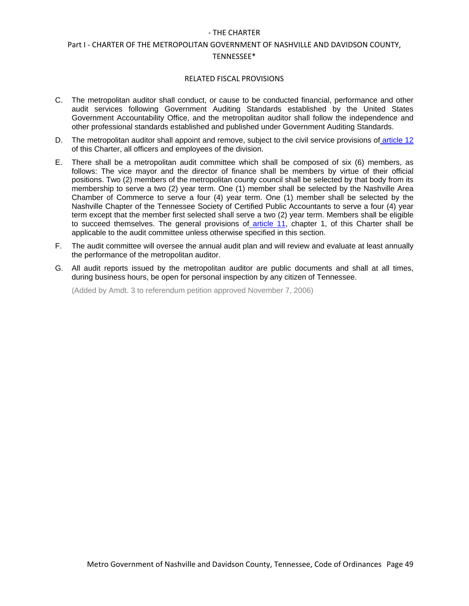## Part I - CHARTER OF THE METROPOLITAN GOVERNMENT OF NASHVILLE AND DAVIDSON COUNTY. TENNESSEE\*

#### RELATED FISCAL PROVISIONS

- C. The metropolitan auditor shall conduct, or cause to be conducted financial, performance and other audit services following Government Auditing Standards established by the United States Government Accountability Office, and the metropolitan auditor shall follow the independence and other professional standards established and published under Government Auditing Standards.
- D. The metropolitan auditor shall appoint and remove, subject to the civil service provisions of article 12 of this Charter, all officers and employees of the division.
- E. There shall be a metropolitan audit committee which shall be composed of six (6) members, as follows: The vice mayor and the director of finance shall be members by virtue of their official positions. Two (2) members of the metropolitan county council shall be selected by that body from its membership to serve a two (2) year term. One (1) member shall be selected by the Nashville Area Chamber of Commerce to serve a four (4) year term. One (1) member shall be selected by the Nashville Chapter of the Tennessee Society of Certified Public Accountants to serve a four (4) year term except that the member first selected shall serve a two (2) year term. Members shall be eligible to succeed themselves. The general provisions of article 11, chapter 1, of this Charter shall be applicable to the audit committee unless otherwise specified in this section.
- F. The audit committee will oversee the annual audit plan and will review and evaluate at least annually the performance of the metropolitan auditor.
- G. All audit reports issued by the metropolitan auditor are public documents and shall at all times, during business hours, be open for personal inspection by any citizen of Tennessee.

(Added by Amdt. 3 to referendum petition approved November 7, 2006)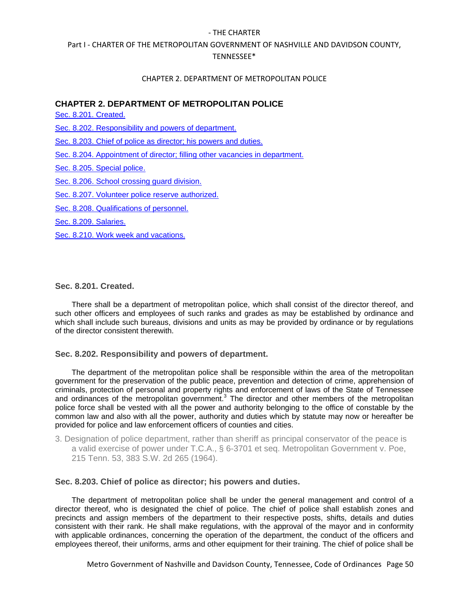## Part I ‐ CHARTER OF THE METROPOLITAN GOVERNMENT OF NASHVILLE AND DAVIDSON COUNTY, TENNESSEE\*

### CHAPTER 2. DEPARTMENT OF METROPOLITAN POLICE

## **CHAPTER 2. DEPARTMENT OF METROPOLITAN POLICE**

Sec. 8.201. Created.

Sec. 8.202. Responsibility and powers of department.

Sec. 8.203. Chief of police as director; his powers and duties.

Sec. 8.204. Appointment of director; filling other vacancies in department.

Sec. 8.205. Special police.

Sec. 8.206. School crossing guard division.

Sec. 8.207. Volunteer police reserve authorized.

Sec. 8.208. Qualifications of personnel.

Sec. 8.209. Salaries.

Sec. 8.210. Work week and vacations.

## **Sec. 8.201. Created.**

There shall be a department of metropolitan police, which shall consist of the director thereof, and such other officers and employees of such ranks and grades as may be established by ordinance and which shall include such bureaus, divisions and units as may be provided by ordinance or by regulations of the director consistent therewith.

## **Sec. 8.202. Responsibility and powers of department.**

The department of the metropolitan police shall be responsible within the area of the metropolitan government for the preservation of the public peace, prevention and detection of crime, apprehension of criminals, protection of personal and property rights and enforcement of laws of the State of Tennessee and ordinances of the metropolitan government.<sup>3</sup> The director and other members of the metropolitan police force shall be vested with all the power and authority belonging to the office of constable by the common law and also with all the power, authority and duties which by statute may now or hereafter be provided for police and law enforcement officers of counties and cities.

3. Designation of police department, rather than sheriff as principal conservator of the peace is a valid exercise of power under T.C.A., § 6-3701 et seq. Metropolitan Government v. Poe, 215 Tenn. 53, 383 S.W. 2d 265 (1964).

### **Sec. 8.203. Chief of police as director; his powers and duties.**

The department of metropolitan police shall be under the general management and control of a director thereof, who is designated the chief of police. The chief of police shall establish zones and precincts and assign members of the department to their respective posts, shifts, details and duties consistent with their rank. He shall make regulations, with the approval of the mayor and in conformity with applicable ordinances, concerning the operation of the department, the conduct of the officers and employees thereof, their uniforms, arms and other equipment for their training. The chief of police shall be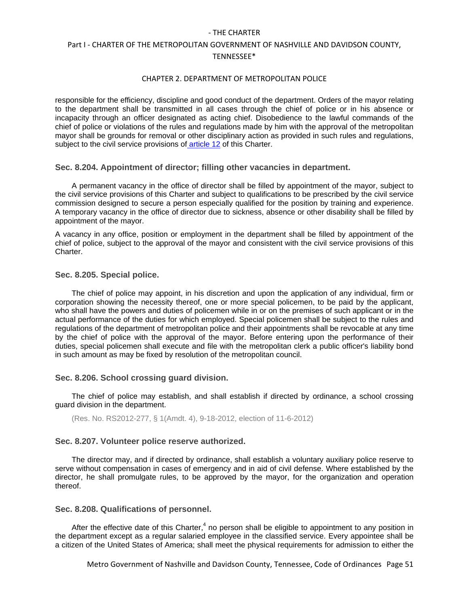## Part I ‐ CHARTER OF THE METROPOLITAN GOVERNMENT OF NASHVILLE AND DAVIDSON COUNTY, TENNESSEE\*

#### CHAPTER 2. DEPARTMENT OF METROPOLITAN POLICE

responsible for the efficiency, discipline and good conduct of the department. Orders of the mayor relating to the department shall be transmitted in all cases through the chief of police or in his absence or incapacity through an officer designated as acting chief. Disobedience to the lawful commands of the chief of police or violations of the rules and regulations made by him with the approval of the metropolitan mayor shall be grounds for removal or other disciplinary action as provided in such rules and regulations, subject to the civil service provisions of article 12 of this Charter.

### **Sec. 8.204. Appointment of director; filling other vacancies in department.**

A permanent vacancy in the office of director shall be filled by appointment of the mayor, subject to the civil service provisions of this Charter and subject to qualifications to be prescribed by the civil service commission designed to secure a person especially qualified for the position by training and experience. A temporary vacancy in the office of director due to sickness, absence or other disability shall be filled by appointment of the mayor.

A vacancy in any office, position or employment in the department shall be filled by appointment of the chief of police, subject to the approval of the mayor and consistent with the civil service provisions of this Charter.

#### **Sec. 8.205. Special police.**

The chief of police may appoint, in his discretion and upon the application of any individual, firm or corporation showing the necessity thereof, one or more special policemen, to be paid by the applicant, who shall have the powers and duties of policemen while in or on the premises of such applicant or in the actual performance of the duties for which employed. Special policemen shall be subject to the rules and regulations of the department of metropolitan police and their appointments shall be revocable at any time by the chief of police with the approval of the mayor. Before entering upon the performance of their duties, special policemen shall execute and file with the metropolitan clerk a public officer's liability bond in such amount as may be fixed by resolution of the metropolitan council.

#### **Sec. 8.206. School crossing guard division.**

The chief of police may establish, and shall establish if directed by ordinance, a school crossing guard division in the department.

(Res. No. RS2012-277, § 1(Amdt. 4), 9-18-2012, election of 11-6-2012)

### **Sec. 8.207. Volunteer police reserve authorized.**

The director may, and if directed by ordinance, shall establish a voluntary auxiliary police reserve to serve without compensation in cases of emergency and in aid of civil defense. Where established by the director, he shall promulgate rules, to be approved by the mayor, for the organization and operation thereof.

#### **Sec. 8.208. Qualifications of personnel.**

After the effective date of this Charter,<sup>4</sup> no person shall be eligible to appointment to any position in the department except as a regular salaried employee in the classified service. Every appointee shall be a citizen of the United States of America; shall meet the physical requirements for admission to either the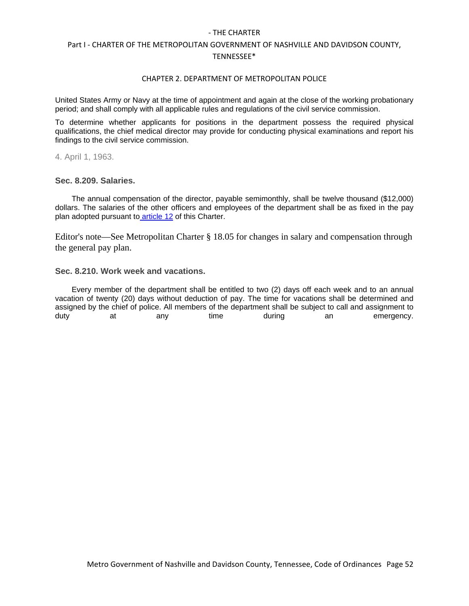## Part I - CHARTER OF THE METROPOLITAN GOVERNMENT OF NASHVILLE AND DAVIDSON COUNTY, TENNESSEE\*

#### CHAPTER 2. DEPARTMENT OF METROPOLITAN POLICE

United States Army or Navy at the time of appointment and again at the close of the working probationary period; and shall comply with all applicable rules and regulations of the civil service commission.

To determine whether applicants for positions in the department possess the required physical qualifications, the chief medical director may provide for conducting physical examinations and report his findings to the civil service commission.

4. April 1, 1963.

### **Sec. 8.209. Salaries.**

The annual compensation of the director, payable semimonthly, shall be twelve thousand (\$12,000) dollars. The salaries of the other officers and employees of the department shall be as fixed in the pay plan adopted pursuant to article 12 of this Charter.

Editor's note—See Metropolitan Charter § 18.05 for changes in salary and compensation through the general pay plan.

#### **Sec. 8.210. Work week and vacations.**

Every member of the department shall be entitled to two (2) days off each week and to an annual vacation of twenty (20) days without deduction of pay. The time for vacations shall be determined and assigned by the chief of police. All members of the department shall be subject to call and assignment to duty at any time during an emergency.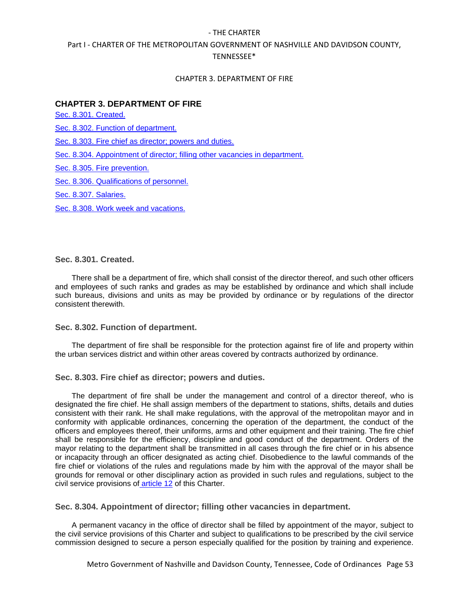## Part I ‐ CHARTER OF THE METROPOLITAN GOVERNMENT OF NASHVILLE AND DAVIDSON COUNTY, TENNESSEE\*

### CHAPTER 3. DEPARTMENT OF FIRE

## **CHAPTER 3. DEPARTMENT OF FIRE**

Sec. 8.301. Created.

Sec. 8.302. Function of department.

Sec. 8.303. Fire chief as director; powers and duties.

Sec. 8.304. Appointment of director; filling other vacancies in department.

Sec. 8.305. Fire prevention.

Sec. 8.306. Qualifications of personnel.

Sec. 8.307. Salaries.

Sec. 8.308. Work week and vacations.

**Sec. 8.301. Created.** 

There shall be a department of fire, which shall consist of the director thereof, and such other officers and employees of such ranks and grades as may be established by ordinance and which shall include such bureaus, divisions and units as may be provided by ordinance or by regulations of the director consistent therewith.

### **Sec. 8.302. Function of department.**

The department of fire shall be responsible for the protection against fire of life and property within the urban services district and within other areas covered by contracts authorized by ordinance.

**Sec. 8.303. Fire chief as director; powers and duties.** 

The department of fire shall be under the management and control of a director thereof, who is designated the fire chief. He shall assign members of the department to stations, shifts, details and duties consistent with their rank. He shall make regulations, with the approval of the metropolitan mayor and in conformity with applicable ordinances, concerning the operation of the department, the conduct of the officers and employees thereof, their uniforms, arms and other equipment and their training. The fire chief shall be responsible for the efficiency, discipline and good conduct of the department. Orders of the mayor relating to the department shall be transmitted in all cases through the fire chief or in his absence or incapacity through an officer designated as acting chief. Disobedience to the lawful commands of the fire chief or violations of the rules and regulations made by him with the approval of the mayor shall be grounds for removal or other disciplinary action as provided in such rules and regulations, subject to the civil service provisions of article 12 of this Charter.

**Sec. 8.304. Appointment of director; filling other vacancies in department.** 

A permanent vacancy in the office of director shall be filled by appointment of the mayor, subject to the civil service provisions of this Charter and subject to qualifications to be prescribed by the civil service commission designed to secure a person especially qualified for the position by training and experience.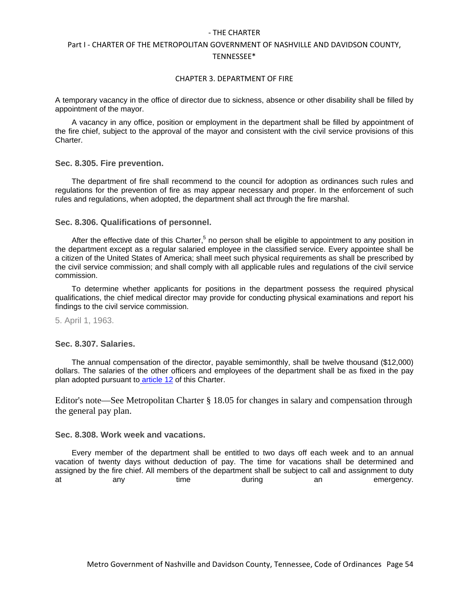## Part I - CHARTER OF THE METROPOLITAN GOVERNMENT OF NASHVILLE AND DAVIDSON COUNTY, TENNESSEE\*

#### CHAPTER 3. DEPARTMENT OF FIRE

A temporary vacancy in the office of director due to sickness, absence or other disability shall be filled by appointment of the mayor.

A vacancy in any office, position or employment in the department shall be filled by appointment of the fire chief, subject to the approval of the mayor and consistent with the civil service provisions of this Charter.

#### **Sec. 8.305. Fire prevention.**

The department of fire shall recommend to the council for adoption as ordinances such rules and regulations for the prevention of fire as may appear necessary and proper. In the enforcement of such rules and regulations, when adopted, the department shall act through the fire marshal.

#### **Sec. 8.306. Qualifications of personnel.**

After the effective date of this Charter,<sup>5</sup> no person shall be eligible to appointment to any position in the department except as a regular salaried employee in the classified service. Every appointee shall be a citizen of the United States of America; shall meet such physical requirements as shall be prescribed by the civil service commission; and shall comply with all applicable rules and regulations of the civil service commission.

To determine whether applicants for positions in the department possess the required physical qualifications, the chief medical director may provide for conducting physical examinations and report his findings to the civil service commission.

5. April 1, 1963.

### **Sec. 8.307. Salaries.**

The annual compensation of the director, payable semimonthly, shall be twelve thousand (\$12,000) dollars. The salaries of the other officers and employees of the department shall be as fixed in the pay plan adopted pursuant to article 12 of this Charter.

Editor's note—See Metropolitan Charter § 18.05 for changes in salary and compensation through the general pay plan.

#### **Sec. 8.308. Work week and vacations.**

Every member of the department shall be entitled to two days off each week and to an annual vacation of twenty days without deduction of pay. The time for vacations shall be determined and assigned by the fire chief. All members of the department shall be subject to call and assignment to duty at any time during an emergency.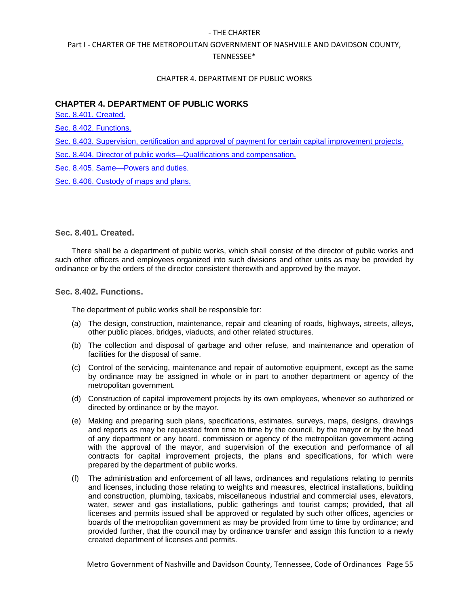# Part I ‐ CHARTER OF THE METROPOLITAN GOVERNMENT OF NASHVILLE AND DAVIDSON COUNTY, TENNESSEE\*

### CHAPTER 4. DEPARTMENT OF PUBLIC WORKS

## **CHAPTER 4. DEPARTMENT OF PUBLIC WORKS**

Sec. 8.401. Created.

Sec. 8.402. Functions.

Sec. 8.403. Supervision, certification and approval of payment for certain capital improvement projects.

Sec. 8.404. Director of public works—Qualifications and compensation.

Sec. 8.405. Same—Powers and duties.

Sec. 8.406. Custody of maps and plans.

**Sec. 8.401. Created.** 

There shall be a department of public works, which shall consist of the director of public works and such other officers and employees organized into such divisions and other units as may be provided by ordinance or by the orders of the director consistent therewith and approved by the mayor.

### **Sec. 8.402. Functions.**

The department of public works shall be responsible for:

- (a) The design, construction, maintenance, repair and cleaning of roads, highways, streets, alleys, other public places, bridges, viaducts, and other related structures.
- (b) The collection and disposal of garbage and other refuse, and maintenance and operation of facilities for the disposal of same.
- (c) Control of the servicing, maintenance and repair of automotive equipment, except as the same by ordinance may be assigned in whole or in part to another department or agency of the metropolitan government.
- (d) Construction of capital improvement projects by its own employees, whenever so authorized or directed by ordinance or by the mayor.
- (e) Making and preparing such plans, specifications, estimates, surveys, maps, designs, drawings and reports as may be requested from time to time by the council, by the mayor or by the head of any department or any board, commission or agency of the metropolitan government acting with the approval of the mayor, and supervision of the execution and performance of all contracts for capital improvement projects, the plans and specifications, for which were prepared by the department of public works.
- (f) The administration and enforcement of all laws, ordinances and regulations relating to permits and licenses, including those relating to weights and measures, electrical installations, building and construction, plumbing, taxicabs, miscellaneous industrial and commercial uses, elevators, water, sewer and gas installations, public gatherings and tourist camps; provided, that all licenses and permits issued shall be approved or regulated by such other offices, agencies or boards of the metropolitan government as may be provided from time to time by ordinance; and provided further, that the council may by ordinance transfer and assign this function to a newly created department of licenses and permits.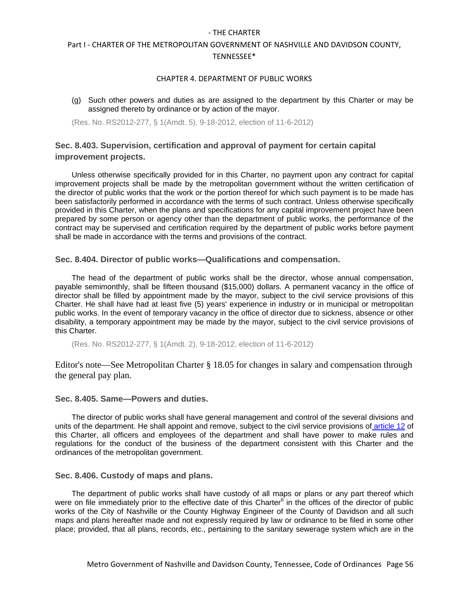## Part I - CHARTER OF THE METROPOLITAN GOVERNMENT OF NASHVILLE AND DAVIDSON COUNTY. TENNESSEE\*

#### CHAPTER 4. DEPARTMENT OF PUBLIC WORKS

(g) Such other powers and duties as are assigned to the department by this Charter or may be assigned thereto by ordinance or by action of the mayor.

(Res. No. RS2012-277, § 1(Amdt. 5), 9-18-2012, election of 11-6-2012)

## **Sec. 8.403. Supervision, certification and approval of payment for certain capital improvement projects.**

Unless otherwise specifically provided for in this Charter, no payment upon any contract for capital improvement projects shall be made by the metropolitan government without the written certification of the director of public works that the work or the portion thereof for which such payment is to be made has been satisfactorily performed in accordance with the terms of such contract. Unless otherwise specifically provided in this Charter, when the plans and specifications for any capital improvement project have been prepared by some person or agency other than the department of public works, the performance of the contract may be supervised and certification required by the department of public works before payment shall be made in accordance with the terms and provisions of the contract.

**Sec. 8.404. Director of public works—Qualifications and compensation.** 

The head of the department of public works shall be the director, whose annual compensation, payable semimonthly, shall be fifteen thousand (\$15,000) dollars. A permanent vacancy in the office of director shall be filled by appointment made by the mayor, subject to the civil service provisions of this Charter. He shall have had at least five (5) years' experience in industry or in municipal or metropolitan public works. In the event of temporary vacancy in the office of director due to sickness, absence or other disability, a temporary appointment may be made by the mayor, subject to the civil service provisions of this Charter.

(Res. No. RS2012-277, § 1(Amdt. 2), 9-18-2012, election of 11-6-2012)

Editor's note—See Metropolitan Charter § 18.05 for changes in salary and compensation through the general pay plan.

## **Sec. 8.405. Same—Powers and duties.**

The director of public works shall have general management and control of the several divisions and units of the department. He shall appoint and remove, subject to the civil service provisions of article 12 of this Charter, all officers and employees of the department and shall have power to make rules and regulations for the conduct of the business of the department consistent with this Charter and the ordinances of the metropolitan government.

## **Sec. 8.406. Custody of maps and plans.**

The department of public works shall have custody of all maps or plans or any part thereof which were on file immediately prior to the effective date of this Charter<sup>6</sup> in the offices of the director of public works of the City of Nashville or the County Highway Engineer of the County of Davidson and all such maps and plans hereafter made and not expressly required by law or ordinance to be filed in some other place; provided, that all plans, records, etc., pertaining to the sanitary sewerage system which are in the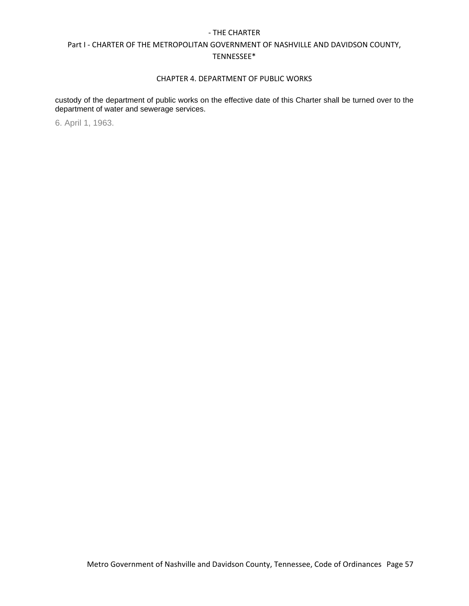# Part I - CHARTER OF THE METROPOLITAN GOVERNMENT OF NASHVILLE AND DAVIDSON COUNTY, TENNESSEE\*

#### CHAPTER 4. DEPARTMENT OF PUBLIC WORKS

custody of the department of public works on the effective date of this Charter shall be turned over to the department of water and sewerage services.

6. April 1, 1963.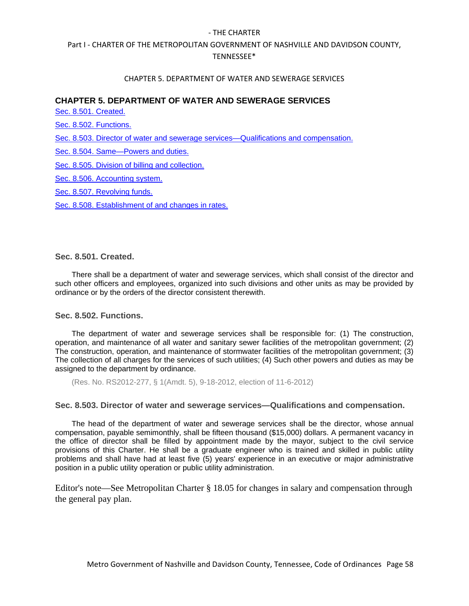# Part I - CHARTER OF THE METROPOLITAN GOVERNMENT OF NASHVILLE AND DAVIDSON COUNTY. TENNESSEE\*

### CHAPTER 5. DEPARTMENT OF WATER AND SEWERAGE SERVICES

## **CHAPTER 5. DEPARTMENT OF WATER AND SEWERAGE SERVICES**

Sec. 8.501. Created.

Sec. 8.502. Functions.

Sec. 8.503. Director of water and sewerage services—Qualifications and compensation.

Sec. 8.504. Same—Powers and duties.

Sec. 8.505. Division of billing and collection.

Sec. 8.506. Accounting system.

Sec. 8.507. Revolving funds.

Sec. 8.508. Establishment of and changes in rates.

**Sec. 8.501. Created.** 

There shall be a department of water and sewerage services, which shall consist of the director and such other officers and employees, organized into such divisions and other units as may be provided by ordinance or by the orders of the director consistent therewith.

**Sec. 8.502. Functions.** 

The department of water and sewerage services shall be responsible for: (1) The construction, operation, and maintenance of all water and sanitary sewer facilities of the metropolitan government; (2) The construction, operation, and maintenance of stormwater facilities of the metropolitan government; (3) The collection of all charges for the services of such utilities; (4) Such other powers and duties as may be assigned to the department by ordinance.

(Res. No. RS2012-277, § 1(Amdt. 5), 9-18-2012, election of 11-6-2012)

### **Sec. 8.503. Director of water and sewerage services—Qualifications and compensation.**

The head of the department of water and sewerage services shall be the director, whose annual compensation, payable semimonthly, shall be fifteen thousand (\$15,000) dollars. A permanent vacancy in the office of director shall be filled by appointment made by the mayor, subject to the civil service provisions of this Charter. He shall be a graduate engineer who is trained and skilled in public utility problems and shall have had at least five (5) years' experience in an executive or major administrative position in a public utility operation or public utility administration.

Editor's note—See Metropolitan Charter § 18.05 for changes in salary and compensation through the general pay plan.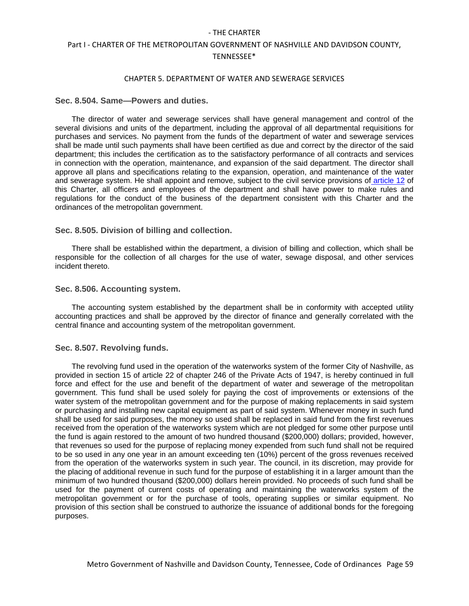## Part I - CHARTER OF THE METROPOLITAN GOVERNMENT OF NASHVILLE AND DAVIDSON COUNTY. TENNESSEE\*

#### CHAPTER 5. DEPARTMENT OF WATER AND SEWERAGE SERVICES

#### **Sec. 8.504. Same—Powers and duties.**

The director of water and sewerage services shall have general management and control of the several divisions and units of the department, including the approval of all departmental requisitions for purchases and services. No payment from the funds of the department of water and sewerage services shall be made until such payments shall have been certified as due and correct by the director of the said department; this includes the certification as to the satisfactory performance of all contracts and services in connection with the operation, maintenance, and expansion of the said department. The director shall approve all plans and specifications relating to the expansion, operation, and maintenance of the water and sewerage system. He shall appoint and remove, subject to the civil service provisions of article 12 of this Charter, all officers and employees of the department and shall have power to make rules and regulations for the conduct of the business of the department consistent with this Charter and the ordinances of the metropolitan government.

#### **Sec. 8.505. Division of billing and collection.**

There shall be established within the department, a division of billing and collection, which shall be responsible for the collection of all charges for the use of water, sewage disposal, and other services incident thereto.

#### **Sec. 8.506. Accounting system.**

The accounting system established by the department shall be in conformity with accepted utility accounting practices and shall be approved by the director of finance and generally correlated with the central finance and accounting system of the metropolitan government.

#### **Sec. 8.507. Revolving funds.**

The revolving fund used in the operation of the waterworks system of the former City of Nashville, as provided in section 15 of article 22 of chapter 246 of the Private Acts of 1947, is hereby continued in full force and effect for the use and benefit of the department of water and sewerage of the metropolitan government. This fund shall be used solely for paying the cost of improvements or extensions of the water system of the metropolitan government and for the purpose of making replacements in said system or purchasing and installing new capital equipment as part of said system. Whenever money in such fund shall be used for said purposes, the money so used shall be replaced in said fund from the first revenues received from the operation of the waterworks system which are not pledged for some other purpose until the fund is again restored to the amount of two hundred thousand (\$200,000) dollars; provided, however, that revenues so used for the purpose of replacing money expended from such fund shall not be required to be so used in any one year in an amount exceeding ten (10%) percent of the gross revenues received from the operation of the waterworks system in such year. The council, in its discretion, may provide for the placing of additional revenue in such fund for the purpose of establishing it in a larger amount than the minimum of two hundred thousand (\$200,000) dollars herein provided. No proceeds of such fund shall be used for the payment of current costs of operating and maintaining the waterworks system of the metropolitan government or for the purchase of tools, operating supplies or similar equipment. No provision of this section shall be construed to authorize the issuance of additional bonds for the foregoing purposes.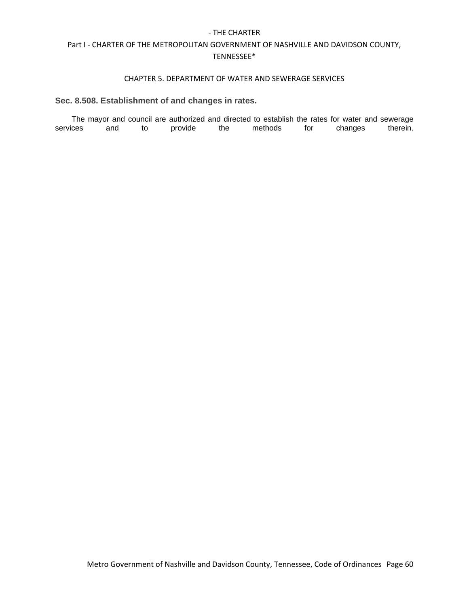# Part I - CHARTER OF THE METROPOLITAN GOVERNMENT OF NASHVILLE AND DAVIDSON COUNTY, TENNESSEE\*

#### CHAPTER 5. DEPARTMENT OF WATER AND SEWERAGE SERVICES

## **Sec. 8.508. Establishment of and changes in rates.**

The mayor and council are authorized and directed to establish the rates for water and sewerage services and to provide the methods for changes therein.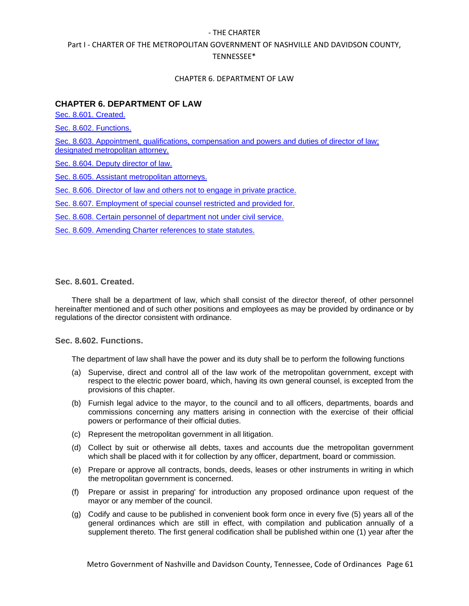# Part I ‐ CHARTER OF THE METROPOLITAN GOVERNMENT OF NASHVILLE AND DAVIDSON COUNTY, TENNESSEE\*

## CHAPTER 6. DEPARTMENT OF LAW

## **CHAPTER 6. DEPARTMENT OF LAW**

Sec. 8.601. Created.

Sec. 8.602. Functions.

Sec. 8.603. Appointment, qualifications, compensation and powers and duties of director of law; designated metropolitan attorney.

Sec. 8.604. Deputy director of law.

Sec. 8.605. Assistant metropolitan attorneys.

Sec. 8.606. Director of law and others not to engage in private practice.

Sec. 8.607. Employment of special counsel restricted and provided for.

Sec. 8.608. Certain personnel of department not under civil service.

Sec. 8.609. Amending Charter references to state statutes.

**Sec. 8.601. Created.** 

There shall be a department of law, which shall consist of the director thereof, of other personnel hereinafter mentioned and of such other positions and employees as may be provided by ordinance or by regulations of the director consistent with ordinance.

**Sec. 8.602. Functions.** 

The department of law shall have the power and its duty shall be to perform the following functions

- (a) Supervise, direct and control all of the law work of the metropolitan government, except with respect to the electric power board, which, having its own general counsel, is excepted from the provisions of this chapter.
- (b) Furnish legal advice to the mayor, to the council and to all officers, departments, boards and commissions concerning any matters arising in connection with the exercise of their official powers or performance of their official duties.
- (c) Represent the metropolitan government in all litigation.
- (d) Collect by suit or otherwise all debts, taxes and accounts due the metropolitan government which shall be placed with it for collection by any officer, department, board or commission.
- (e) Prepare or approve all contracts, bonds, deeds, leases or other instruments in writing in which the metropolitan government is concerned.
- (f) Prepare or assist in preparing' for introduction any proposed ordinance upon request of the mayor or any member of the council.
- (g) Codify and cause to be published in convenient book form once in every five (5) years all of the general ordinances which are still in effect, with compilation and publication annually of a supplement thereto. The first general codification shall be published within one (1) year after the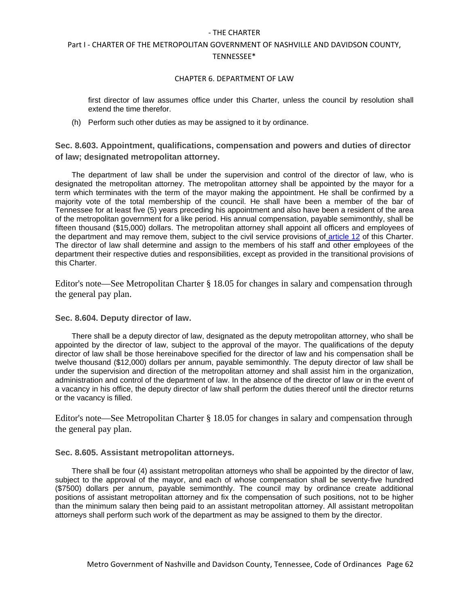## Part I - CHARTER OF THE METROPOLITAN GOVERNMENT OF NASHVILLE AND DAVIDSON COUNTY, TENNESSEE\*

#### CHAPTER 6. DEPARTMENT OF LAW

first director of law assumes office under this Charter, unless the council by resolution shall extend the time therefor.

(h) Perform such other duties as may be assigned to it by ordinance.

**Sec. 8.603. Appointment, qualifications, compensation and powers and duties of director of law; designated metropolitan attorney.** 

The department of law shall be under the supervision and control of the director of law, who is designated the metropolitan attorney. The metropolitan attorney shall be appointed by the mayor for a term which terminates with the term of the mayor making the appointment. He shall be confirmed by a majority vote of the total membership of the council. He shall have been a member of the bar of Tennessee for at least five (5) years preceding his appointment and also have been a resident of the area of the metropolitan government for a like period. His annual compensation, payable semimonthly, shall be fifteen thousand (\$15,000) dollars. The metropolitan attorney shall appoint all officers and employees of the department and may remove them, subject to the civil service provisions of article 12 of this Charter. The director of law shall determine and assign to the members of his staff and other employees of the department their respective duties and responsibilities, except as provided in the transitional provisions of this Charter.

Editor's note—See Metropolitan Charter § 18.05 for changes in salary and compensation through the general pay plan.

### **Sec. 8.604. Deputy director of law.**

There shall be a deputy director of law, designated as the deputy metropolitan attorney, who shall be appointed by the director of law, subject to the approval of the mayor. The qualifications of the deputy director of law shall be those hereinabove specified for the director of law and his compensation shall be twelve thousand (\$12,000) dollars per annum, payable semimonthly. The deputy director of law shall be under the supervision and direction of the metropolitan attorney and shall assist him in the organization, administration and control of the department of law. In the absence of the director of law or in the event of a vacancy in his office, the deputy director of law shall perform the duties thereof until the director returns or the vacancy is filled.

Editor's note—See Metropolitan Charter § 18.05 for changes in salary and compensation through the general pay plan.

### **Sec. 8.605. Assistant metropolitan attorneys.**

There shall be four (4) assistant metropolitan attorneys who shall be appointed by the director of law, subject to the approval of the mayor, and each of whose compensation shall be seventy-five hundred (\$7500) dollars per annum, payable semimonthly. The council may by ordinance create additional positions of assistant metropolitan attorney and fix the compensation of such positions, not to be higher than the minimum salary then being paid to an assistant metropolitan attorney. All assistant metropolitan attorneys shall perform such work of the department as may be assigned to them by the director.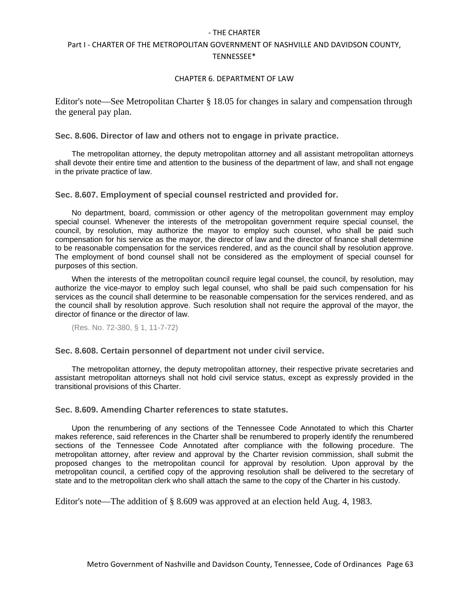## Part I - CHARTER OF THE METROPOLITAN GOVERNMENT OF NASHVILLE AND DAVIDSON COUNTY. TENNESSEE\*

#### CHAPTER 6. DEPARTMENT OF LAW

Editor's note—See Metropolitan Charter § 18.05 for changes in salary and compensation through the general pay plan.

### **Sec. 8.606. Director of law and others not to engage in private practice.**

The metropolitan attorney, the deputy metropolitan attorney and all assistant metropolitan attorneys shall devote their entire time and attention to the business of the department of law, and shall not engage in the private practice of law.

## **Sec. 8.607. Employment of special counsel restricted and provided for.**

No department, board, commission or other agency of the metropolitan government may employ special counsel. Whenever the interests of the metropolitan government require special counsel, the council, by resolution, may authorize the mayor to employ such counsel, who shall be paid such compensation for his service as the mayor, the director of law and the director of finance shall determine to be reasonable compensation for the services rendered, and as the council shall by resolution approve. The employment of bond counsel shall not be considered as the employment of special counsel for purposes of this section.

When the interests of the metropolitan council require legal counsel, the council, by resolution, may authorize the vice-mayor to employ such legal counsel, who shall be paid such compensation for his services as the council shall determine to be reasonable compensation for the services rendered, and as the council shall by resolution approve. Such resolution shall not require the approval of the mayor, the director of finance or the director of law.

(Res. No. 72-380, § 1, 11-7-72)

### **Sec. 8.608. Certain personnel of department not under civil service.**

The metropolitan attorney, the deputy metropolitan attorney, their respective private secretaries and assistant metropolitan attorneys shall not hold civil service status, except as expressly provided in the transitional provisions of this Charter.

## **Sec. 8.609. Amending Charter references to state statutes.**

Upon the renumbering of any sections of the Tennessee Code Annotated to which this Charter makes reference, said references in the Charter shall be renumbered to properly identify the renumbered sections of the Tennessee Code Annotated after compliance with the following procedure. The metropolitan attorney, after review and approval by the Charter revision commission, shall submit the proposed changes to the metropolitan council for approval by resolution. Upon approval by the metropolitan council, a certified copy of the approving resolution shall be delivered to the secretary of state and to the metropolitan clerk who shall attach the same to the copy of the Charter in his custody.

Editor's note—The addition of § 8.609 was approved at an election held Aug. 4, 1983.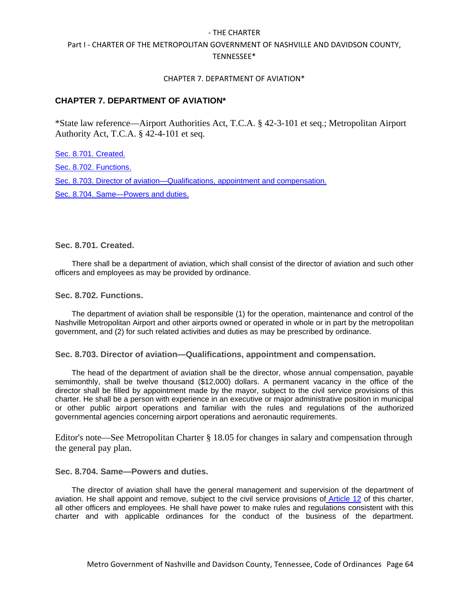# Part I - CHARTER OF THE METROPOLITAN GOVERNMENT OF NASHVILLE AND DAVIDSON COUNTY, TENNESSEE\*

#### CHAPTER 7. DEPARTMENT OF AVIATION\*

## **CHAPTER 7. DEPARTMENT OF AVIATION\***

\*State law reference—Airport Authorities Act, T.C.A. § 42-3-101 et seq.; Metropolitan Airport Authority Act, T.C.A. § 42-4-101 et seq.

Sec. 8.701. Created. Sec. 8.702. Functions. Sec. 8.703. Director of aviation—Qualifications, appointment and compensation. Sec. 8.704. Same—Powers and duties.

**Sec. 8.701. Created.** 

There shall be a department of aviation, which shall consist of the director of aviation and such other officers and employees as may be provided by ordinance.

### **Sec. 8.702. Functions.**

The department of aviation shall be responsible (1) for the operation, maintenance and control of the Nashville Metropolitan Airport and other airports owned or operated in whole or in part by the metropolitan government, and (2) for such related activities and duties as may be prescribed by ordinance.

#### **Sec. 8.703. Director of aviation—Qualifications, appointment and compensation.**

The head of the department of aviation shall be the director, whose annual compensation, payable semimonthly, shall be twelve thousand (\$12,000) dollars. A permanent vacancy in the office of the director shall be filled by appointment made by the mayor, subject to the civil service provisions of this charter. He shall be a person with experience in an executive or major administrative position in municipal or other public airport operations and familiar with the rules and regulations of the authorized governmental agencies concerning airport operations and aeronautic requirements.

Editor's note—See Metropolitan Charter § 18.05 for changes in salary and compensation through the general pay plan.

## **Sec. 8.704. Same—Powers and duties.**

The director of aviation shall have the general management and supervision of the department of aviation. He shall appoint and remove, subject to the civil service provisions of Article 12 of this charter, all other officers and employees. He shall have power to make rules and regulations consistent with this charter and with applicable ordinances for the conduct of the business of the department.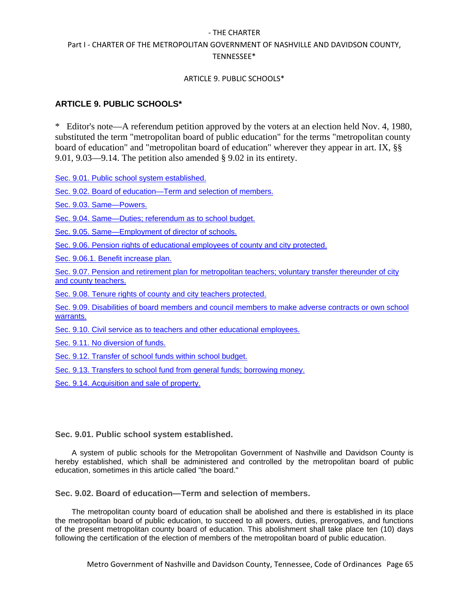# Part I ‐ CHARTER OF THE METROPOLITAN GOVERNMENT OF NASHVILLE AND DAVIDSON COUNTY, TENNESSEE\*

## ARTICLE 9. PUBLIC SCHOOLS\*

## **ARTICLE 9. PUBLIC SCHOOLS\***

\* Editor's note—A referendum petition approved by the voters at an election held Nov. 4, 1980, substituted the term "metropolitan board of public education" for the terms "metropolitan county board of education" and "metropolitan board of education" wherever they appear in art. IX, §§ 9.01, 9.03—9.14. The petition also amended § 9.02 in its entirety.

Sec. 9.01. Public school system established.

Sec. 9.02. Board of education—Term and selection of members.

Sec. 9.03. Same—Powers.

Sec. 9.04. Same—Duties; referendum as to school budget.

Sec. 9.05. Same—Employment of director of schools.

Sec. 9.06. Pension rights of educational employees of county and city protected.

Sec. 9.06.1. Benefit increase plan.

Sec. 9.07. Pension and retirement plan for metropolitan teachers; voluntary transfer thereunder of city and county teachers.

Sec. 9.08. Tenure rights of county and city teachers protected.

Sec. 9.09. Disabilities of board members and council members to make adverse contracts or own school warrants.

Sec. 9.10. Civil service as to teachers and other educational employees.

Sec. 9.11. No diversion of funds.

Sec. 9.12. Transfer of school funds within school budget.

Sec. 9.13. Transfers to school fund from general funds; borrowing money.

Sec. 9.14. Acquisition and sale of property.

## **Sec. 9.01. Public school system established.**

A system of public schools for the Metropolitan Government of Nashville and Davidson County is hereby established, which shall be administered and controlled by the metropolitan board of public education, sometimes in this article called "the board."

**Sec. 9.02. Board of education—Term and selection of members.** 

The metropolitan county board of education shall be abolished and there is established in its place the metropolitan board of public education, to succeed to all powers, duties, prerogatives, and functions of the present metropolitan county board of education. This abolishment shall take place ten (10) days following the certification of the election of members of the metropolitan board of public education.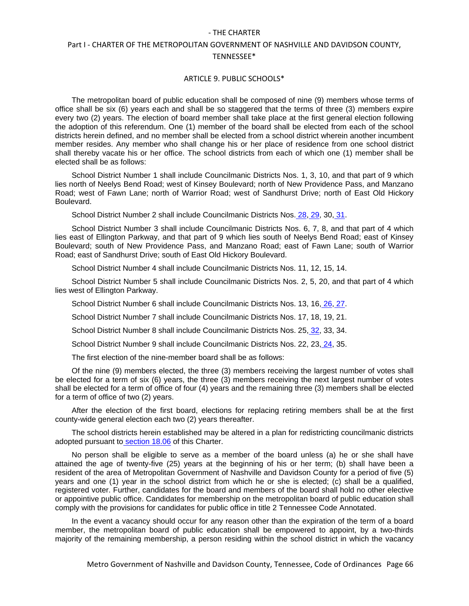## Part I ‐ CHARTER OF THE METROPOLITAN GOVERNMENT OF NASHVILLE AND DAVIDSON COUNTY, TENNESSEE\*

#### ARTICLE 9. PUBLIC SCHOOLS\*

The metropolitan board of public education shall be composed of nine (9) members whose terms of office shall be six (6) years each and shall be so staggered that the terms of three (3) members expire every two (2) years. The election of board member shall take place at the first general election following the adoption of this referendum. One (1) member of the board shall be elected from each of the school districts herein defined, and no member shall be elected from a school district wherein another incumbent member resides. Any member who shall change his or her place of residence from one school district shall thereby vacate his or her office. The school districts from each of which one (1) member shall be elected shall be as follows:

School District Number 1 shall include Councilmanic Districts Nos. 1, 3, 10, and that part of 9 which lies north of Neelys Bend Road; west of Kinsey Boulevard; north of New Providence Pass, and Manzano Road; west of Fawn Lane; north of Warrior Road; west of Sandhurst Drive; north of East Old Hickory Boulevard.

School District Number 2 shall include Councilmanic Districts Nos. 28, 29, 30, 31.

School District Number 3 shall include Councilmanic Districts Nos. 6, 7, 8, and that part of 4 which lies east of Ellington Parkway, and that part of 9 which lies south of Neelys Bend Road; east of Kinsey Boulevard; south of New Providence Pass, and Manzano Road; east of Fawn Lane; south of Warrior Road; east of Sandhurst Drive; south of East Old Hickory Boulevard.

School District Number 4 shall include Councilmanic Districts Nos. 11, 12, 15, 14.

School District Number 5 shall include Councilmanic Districts Nos. 2, 5, 20, and that part of 4 which lies west of Ellington Parkway.

School District Number 6 shall include Councilmanic Districts Nos. 13, 16, 26, 27.

School District Number 7 shall include Councilmanic Districts Nos. 17, 18, 19, 21.

School District Number 8 shall include Councilmanic Districts Nos. 25, 32, 33, 34.

School District Number 9 shall include Councilmanic Districts Nos. 22, 23, 24, 35.

The first election of the nine-member board shall be as follows:

Of the nine (9) members elected, the three (3) members receiving the largest number of votes shall be elected for a term of six (6) years, the three (3) members receiving the next largest number of votes shall be elected for a term of office of four (4) years and the remaining three (3) members shall be elected for a term of office of two (2) years.

After the election of the first board, elections for replacing retiring members shall be at the first county-wide general election each two (2) years thereafter.

The school districts herein established may be altered in a plan for redistricting councilmanic districts adopted pursuant to section 18.06 of this Charter.

No person shall be eligible to serve as a member of the board unless (a) he or she shall have attained the age of twenty-five (25) years at the beginning of his or her term; (b) shall have been a resident of the area of Metropolitan Government of Nashville and Davidson County for a period of five (5) years and one (1) year in the school district from which he or she is elected; (c) shall be a qualified, registered voter. Further, candidates for the board and members of the board shall hold no other elective or appointive public office. Candidates for membership on the metropolitan board of public education shall comply with the provisions for candidates for public office in title 2 Tennessee Code Annotated.

In the event a vacancy should occur for any reason other than the expiration of the term of a board member, the metropolitan board of public education shall be empowered to appoint, by a two-thirds majority of the remaining membership, a person residing within the school district in which the vacancy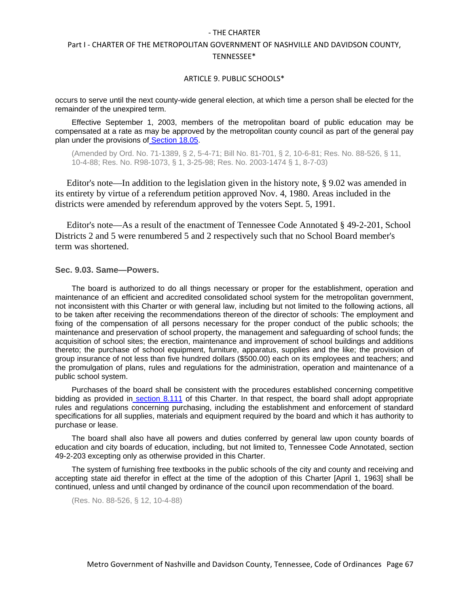## Part I - CHARTER OF THE METROPOLITAN GOVERNMENT OF NASHVILLE AND DAVIDSON COUNTY. TENNESSEE\*

#### ARTICLE 9. PUBLIC SCHOOLS\*

occurs to serve until the next county-wide general election, at which time a person shall be elected for the remainder of the unexpired term.

Effective September 1, 2003, members of the metropolitan board of public education may be compensated at a rate as may be approved by the metropolitan county council as part of the general pay plan under the provisions of Section 18.05.

(Amended by Ord. No. 71-1389, § 2, 5-4-71; Bill No. 81-701, § 2, 10-6-81; Res. No. 88-526, § 11, 10-4-88; Res. No. R98-1073, § 1, 3-25-98; Res. No. 2003-1474 § 1, 8-7-03)

 Editor's note—In addition to the legislation given in the history note, § 9.02 was amended in its entirety by virtue of a referendum petition approved Nov. 4, 1980. Areas included in the districts were amended by referendum approved by the voters Sept. 5, 1991.

 Editor's note—As a result of the enactment of Tennessee Code Annotated § 49-2-201, School Districts 2 and 5 were renumbered 5 and 2 respectively such that no School Board member's term was shortened.

## **Sec. 9.03. Same—Powers.**

The board is authorized to do all things necessary or proper for the establishment, operation and maintenance of an efficient and accredited consolidated school system for the metropolitan government, not inconsistent with this Charter or with general law, including but not limited to the following actions, all to be taken after receiving the recommendations thereon of the director of schools: The employment and fixing of the compensation of all persons necessary for the proper conduct of the public schools; the maintenance and preservation of school property, the management and safeguarding of school funds; the acquisition of school sites; the erection, maintenance and improvement of school buildings and additions thereto; the purchase of school equipment, furniture, apparatus, supplies and the like; the provision of group insurance of not less than five hundred dollars (\$500.00) each on its employees and teachers; and the promulgation of plans, rules and regulations for the administration, operation and maintenance of a public school system.

Purchases of the board shall be consistent with the procedures established concerning competitive bidding as provided in section 8.111 of this Charter. In that respect, the board shall adopt appropriate rules and regulations concerning purchasing, including the establishment and enforcement of standard specifications for all supplies, materials and equipment required by the board and which it has authority to purchase or lease.

The board shall also have all powers and duties conferred by general law upon county boards of education and city boards of education, including, but not limited to, Tennessee Code Annotated, section 49-2-203 excepting only as otherwise provided in this Charter.

The system of furnishing free textbooks in the public schools of the city and county and receiving and accepting state aid therefor in effect at the time of the adoption of this Charter [April 1, 1963] shall be continued, unless and until changed by ordinance of the council upon recommendation of the board.

(Res. No. 88-526, § 12, 10-4-88)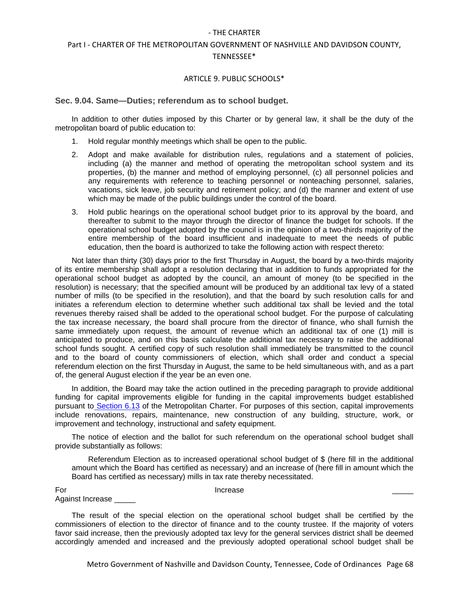## Part I - CHARTER OF THE METROPOLITAN GOVERNMENT OF NASHVILLE AND DAVIDSON COUNTY. TENNESSEE\*

#### ARTICLE 9. PUBLIC SCHOOLS\*

#### **Sec. 9.04. Same—Duties; referendum as to school budget.**

In addition to other duties imposed by this Charter or by general law, it shall be the duty of the metropolitan board of public education to:

- 1. Hold regular monthly meetings which shall be open to the public.
- 2. Adopt and make available for distribution rules, regulations and a statement of policies, including (a) the manner and method of operating the metropolitan school system and its properties, (b) the manner and method of employing personnel, (c) all personnel policies and any requirements with reference to teaching personnel or nonteaching personnel, salaries, vacations, sick leave, job security and retirement policy; and (d) the manner and extent of use which may be made of the public buildings under the control of the board.
- 3. Hold public hearings on the operational school budget prior to its approval by the board, and thereafter to submit to the mayor through the director of finance the budget for schools. If the operational school budget adopted by the council is in the opinion of a two-thirds majority of the entire membership of the board insufficient and inadequate to meet the needs of public education, then the board is authorized to take the following action with respect thereto:

Not later than thirty (30) days prior to the first Thursday in August, the board by a two-thirds majority of its entire membership shall adopt a resolution declaring that in addition to funds appropriated for the operational school budget as adopted by the council, an amount of money (to be specified in the resolution) is necessary; that the specified amount will be produced by an additional tax levy of a stated number of mills (to be specified in the resolution), and that the board by such resolution calls for and initiates a referendum election to determine whether such additional tax shall be levied and the total revenues thereby raised shall be added to the operational school budget. For the purpose of calculating the tax increase necessary, the board shall procure from the director of finance, who shall furnish the same immediately upon request, the amount of revenue which an additional tax of one (1) mill is anticipated to produce, and on this basis calculate the additional tax necessary to raise the additional school funds sought. A certified copy of such resolution shall immediately be transmitted to the council and to the board of county commissioners of election, which shall order and conduct a special referendum election on the first Thursday in August, the same to be held simultaneous with, and as a part of, the general August election if the year be an even one.

In addition, the Board may take the action outlined in the preceding paragraph to provide additional funding for capital improvements eligible for funding in the capital improvements budget established pursuant to Section 6.13 of the Metropolitan Charter. For purposes of this section, capital improvements include renovations, repairs, maintenance, new construction of any building, structure, work, or improvement and technology, instructional and safety equipment.

The notice of election and the ballot for such referendum on the operational school budget shall provide substantially as follows:

Referendum Election as to increased operational school budget of \$ (here fill in the additional amount which the Board has certified as necessary) and an increase of (here fill in amount which the Board has certified as necessary) mills in tax rate thereby necessitated.

Against Increase \_\_\_\_\_

For the contract of the contract of the contract of the contract of the contract of the contract of the contract of the contract of the contract of the contract of the contract of the contract of the contract of the contra

The result of the special election on the operational school budget shall be certified by the commissioners of election to the director of finance and to the county trustee. If the majority of voters favor said increase, then the previously adopted tax levy for the general services district shall be deemed accordingly amended and increased and the previously adopted operational school budget shall be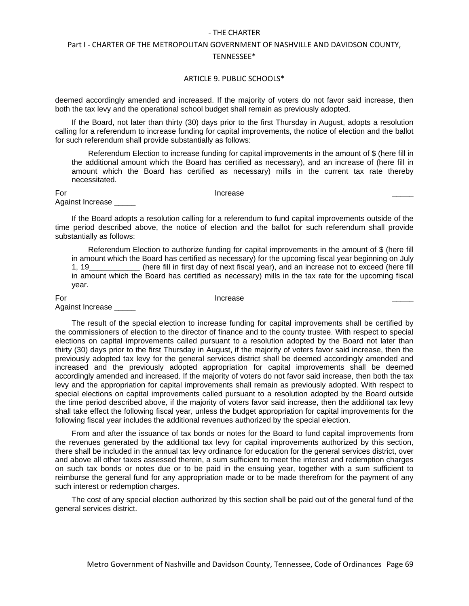## Part I ‐ CHARTER OF THE METROPOLITAN GOVERNMENT OF NASHVILLE AND DAVIDSON COUNTY, TENNESSEE\*

#### ARTICLE 9. PUBLIC SCHOOLS\*

deemed accordingly amended and increased. If the majority of voters do not favor said increase, then both the tax levy and the operational school budget shall remain as previously adopted.

If the Board, not later than thirty (30) days prior to the first Thursday in August, adopts a resolution calling for a referendum to increase funding for capital improvements, the notice of election and the ballot for such referendum shall provide substantially as follows:

Referendum Election to increase funding for capital improvements in the amount of \$ (here fill in the additional amount which the Board has certified as necessary), and an increase of (here fill in amount which the Board has certified as necessary) mills in the current tax rate thereby necessitated.

For the contract of the contract of the contract of the contract of the contract of the contract of the contract of the contract of the contract of the contract of the contract of the contract of the contract of the contra

Against Increase

If the Board adopts a resolution calling for a referendum to fund capital improvements outside of the time period described above, the notice of election and the ballot for such referendum shall provide substantially as follows:

Referendum Election to authorize funding for capital improvements in the amount of \$ (here fill in amount which the Board has certified as necessary) for the upcoming fiscal year beginning on July 1, 19\_\_\_\_\_\_\_\_\_\_\_\_ (here fill in first day of next fiscal year), and an increase not to exceed (here fill in amount which the Board has certified as necessary) mills in the tax rate for the upcoming fiscal year.

For the contract of the contract of the contract of the contract of the contract of the contract of the contract of the contract of the contract of the contract of the contract of the contract of the contract of the contra Against Increase \_\_\_\_\_

The result of the special election to increase funding for capital improvements shall be certified by the commissioners of election to the director of finance and to the county trustee. With respect to special elections on capital improvements called pursuant to a resolution adopted by the Board not later than thirty (30) days prior to the first Thursday in August, if the majority of voters favor said increase, then the previously adopted tax levy for the general services district shall be deemed accordingly amended and increased and the previously adopted appropriation for capital improvements shall be deemed accordingly amended and increased. If the majority of voters do not favor said increase, then both the tax levy and the appropriation for capital improvements shall remain as previously adopted. With respect to special elections on capital improvements called pursuant to a resolution adopted by the Board outside the time period described above, if the majority of voters favor said increase, then the additional tax levy shall take effect the following fiscal year, unless the budget appropriation for capital improvements for the following fiscal year includes the additional revenues authorized by the special election.

From and after the issuance of tax bonds or notes for the Board to fund capital improvements from the revenues generated by the additional tax levy for capital improvements authorized by this section, there shall be included in the annual tax levy ordinance for education for the general services district, over and above all other taxes assessed therein, a sum sufficient to meet the interest and redemption charges on such tax bonds or notes due or to be paid in the ensuing year, together with a sum sufficient to reimburse the general fund for any appropriation made or to be made therefrom for the payment of any such interest or redemption charges.

The cost of any special election authorized by this section shall be paid out of the general fund of the general services district.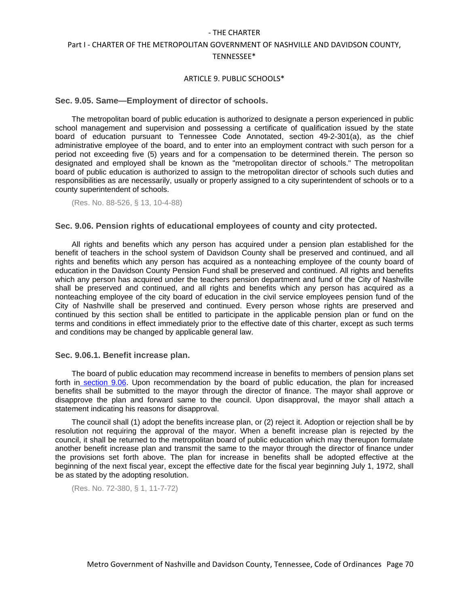## Part I - CHARTER OF THE METROPOLITAN GOVERNMENT OF NASHVILLE AND DAVIDSON COUNTY. TENNESSEE\*

#### ARTICLE 9. PUBLIC SCHOOLS\*

### **Sec. 9.05. Same—Employment of director of schools.**

The metropolitan board of public education is authorized to designate a person experienced in public school management and supervision and possessing a certificate of qualification issued by the state board of education pursuant to Tennessee Code Annotated, section 49-2-301(a), as the chief administrative employee of the board, and to enter into an employment contract with such person for a period not exceeding five (5) years and for a compensation to be determined therein. The person so designated and employed shall be known as the "metropolitan director of schools." The metropolitan board of public education is authorized to assign to the metropolitan director of schools such duties and responsibilities as are necessarily, usually or properly assigned to a city superintendent of schools or to a county superintendent of schools.

(Res. No. 88-526, § 13, 10-4-88)

#### **Sec. 9.06. Pension rights of educational employees of county and city protected.**

All rights and benefits which any person has acquired under a pension plan established for the benefit of teachers in the school system of Davidson County shall be preserved and continued, and all rights and benefits which any person has acquired as a nonteaching employee of the county board of education in the Davidson County Pension Fund shall be preserved and continued. All rights and benefits which any person has acquired under the teachers pension department and fund of the City of Nashville shall be preserved and continued, and all rights and benefits which any person has acquired as a nonteaching employee of the city board of education in the civil service employees pension fund of the City of Nashville shall be preserved and continued. Every person whose rights are preserved and continued by this section shall be entitled to participate in the applicable pension plan or fund on the terms and conditions in effect immediately prior to the effective date of this charter, except as such terms and conditions may be changed by applicable general law.

### **Sec. 9.06.1. Benefit increase plan.**

The board of public education may recommend increase in benefits to members of pension plans set forth in section 9.06. Upon recommendation by the board of public education, the plan for increased benefits shall be submitted to the mayor through the director of finance. The mayor shall approve or disapprove the plan and forward same to the council. Upon disapproval, the mayor shall attach a statement indicating his reasons for disapproval.

The council shall (1) adopt the benefits increase plan, or (2) reject it. Adoption or rejection shall be by resolution not requiring the approval of the mayor. When a benefit increase plan is rejected by the council, it shall be returned to the metropolitan board of public education which may thereupon formulate another benefit increase plan and transmit the same to the mayor through the director of finance under the provisions set forth above. The plan for increase in benefits shall be adopted effective at the beginning of the next fiscal year, except the effective date for the fiscal year beginning July 1, 1972, shall be as stated by the adopting resolution.

(Res. No. 72-380, § 1, 11-7-72)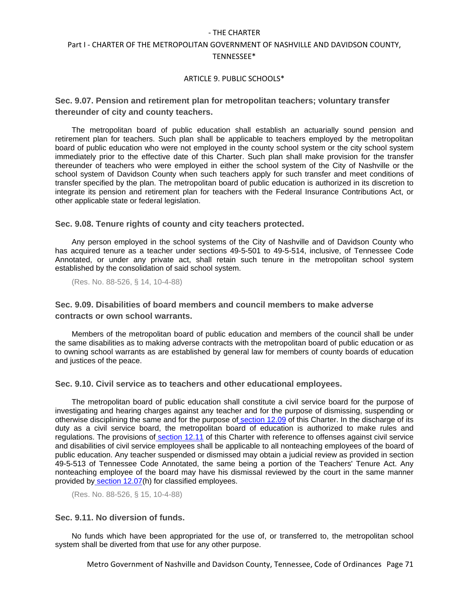## Part I - CHARTER OF THE METROPOLITAN GOVERNMENT OF NASHVILLE AND DAVIDSON COUNTY. TENNESSEE\*

#### ARTICLE 9. PUBLIC SCHOOLS\*

## **Sec. 9.07. Pension and retirement plan for metropolitan teachers; voluntary transfer thereunder of city and county teachers.**

The metropolitan board of public education shall establish an actuarially sound pension and retirement plan for teachers. Such plan shall be applicable to teachers employed by the metropolitan board of public education who were not employed in the county school system or the city school system immediately prior to the effective date of this Charter. Such plan shall make provision for the transfer thereunder of teachers who were employed in either the school system of the City of Nashville or the school system of Davidson County when such teachers apply for such transfer and meet conditions of transfer specified by the plan. The metropolitan board of public education is authorized in its discretion to integrate its pension and retirement plan for teachers with the Federal Insurance Contributions Act, or other applicable state or federal legislation.

#### **Sec. 9.08. Tenure rights of county and city teachers protected.**

Any person employed in the school systems of the City of Nashville and of Davidson County who has acquired tenure as a teacher under sections 49-5-501 to 49-5-514, inclusive, of Tennessee Code Annotated, or under any private act, shall retain such tenure in the metropolitan school system established by the consolidation of said school system.

(Res. No. 88-526, § 14, 10-4-88)

## **Sec. 9.09. Disabilities of board members and council members to make adverse contracts or own school warrants.**

Members of the metropolitan board of public education and members of the council shall be under the same disabilities as to making adverse contracts with the metropolitan board of public education or as to owning school warrants as are established by general law for members of county boards of education and justices of the peace.

### **Sec. 9.10. Civil service as to teachers and other educational employees.**

The metropolitan board of public education shall constitute a civil service board for the purpose of investigating and hearing charges against any teacher and for the purpose of dismissing, suspending or otherwise disciplining the same and for the purpose of section 12.09 of this Charter. In the discharge of its duty as a civil service board, the metropolitan board of education is authorized to make rules and regulations. The provisions of section 12.11 of this Charter with reference to offenses against civil service and disabilities of civil service employees shall be applicable to all nonteaching employees of the board of public education. Any teacher suspended or dismissed may obtain a judicial review as provided in section 49-5-513 of Tennessee Code Annotated, the same being a portion of the Teachers' Tenure Act. Any nonteaching employee of the board may have his dismissal reviewed by the court in the same manner provided by section 12.07(h) for classified employees.

(Res. No. 88-526, § 15, 10-4-88)

## **Sec. 9.11. No diversion of funds.**

No funds which have been appropriated for the use of, or transferred to, the metropolitan school system shall be diverted from that use for any other purpose.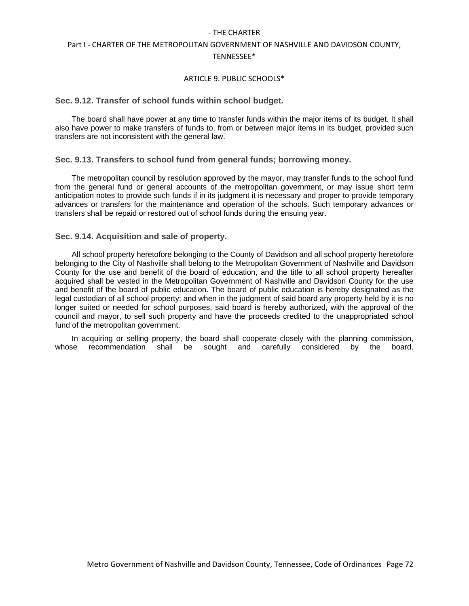# Part I - CHARTER OF THE METROPOLITAN GOVERNMENT OF NASHVILLE AND DAVIDSON COUNTY. TENNESSEE\*

#### ARTICLE 9. PUBLIC SCHOOLS\*

### **Sec. 9.12. Transfer of school funds within school budget.**

The board shall have power at any time to transfer funds within the major items of its budget. It shall also have power to make transfers of funds to, from or between major items in its budget, provided such transfers are not inconsistent with the general law.

### **Sec. 9.13. Transfers to school fund from general funds; borrowing money.**

The metropolitan council by resolution approved by the mayor, may transfer funds to the school fund from the general fund or general accounts of the metropolitan government, or may issue short term anticipation notes to provide such funds if in its judgment it is necessary and proper to provide temporary advances or transfers for the maintenance and operation of the schools. Such temporary advances or transfers shall be repaid or restored out of school funds during the ensuing year.

### **Sec. 9.14. Acquisition and sale of property.**

All school property heretofore belonging to the County of Davidson and all school property heretofore belonging to the City of Nashville shall belong to the Metropolitan Government of Nashville and Davidson County for the use and benefit of the board of education, and the title to all school property hereafter acquired shall be vested in the Metropolitan Government of Nashville and Davidson County for the use and benefit of the board of public education. The board of public education is hereby designated as the legal custodian of all school property; and when in the judgment of said board any property held by it is no longer suited or needed for school purposes, said board is hereby authorized, with the approval of the council and mayor, to sell such property and have the proceeds credited to the unappropriated school fund of the metropolitan government.

In acquiring or selling property, the board shall cooperate closely with the planning commission, whose recommendation shall be sought and carefully considered by the board.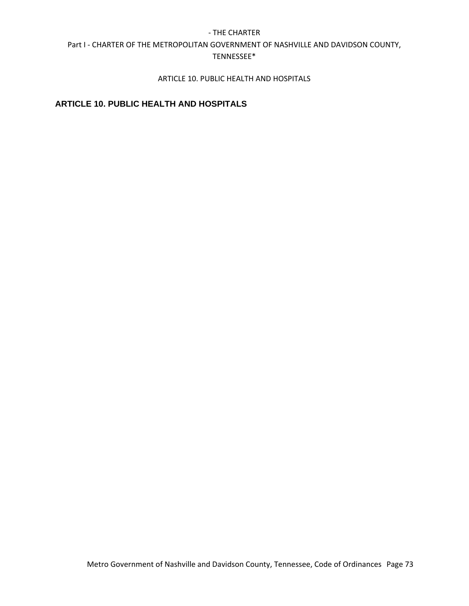# Part I - CHARTER OF THE METROPOLITAN GOVERNMENT OF NASHVILLE AND DAVIDSON COUNTY, TENNESSEE\*

# ARTICLE 10. PUBLIC HEALTH AND HOSPITALS

# **ARTICLE 10. PUBLIC HEALTH AND HOSPITALS**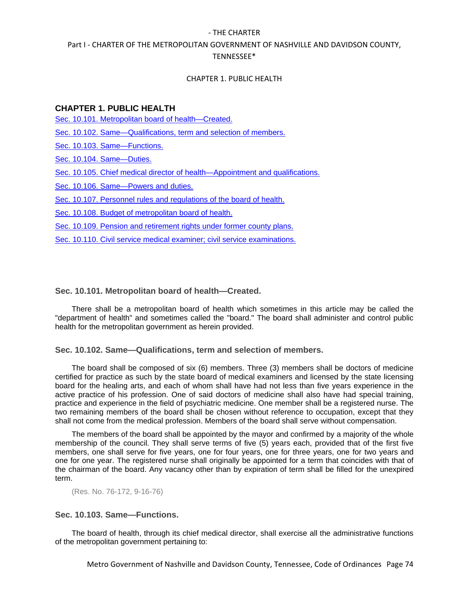# Part I ‐ CHARTER OF THE METROPOLITAN GOVERNMENT OF NASHVILLE AND DAVIDSON COUNTY, TENNESSEE\*

#### CHAPTER 1. PUBLIC HEALTH

### **CHAPTER 1. PUBLIC HEALTH**

Sec. 10.101. Metropolitan board of health—Created.

Sec. 10.102. Same-Qualifications, term and selection of members.

Sec. 10.103. Same—Functions.

Sec. 10.104. Same—Duties.

Sec. 10.105. Chief medical director of health—Appointment and qualifications.

Sec. 10.106. Same—Powers and duties.

Sec. 10.107. Personnel rules and regulations of the board of health.

Sec. 10.108. Budget of metropolitan board of health.

Sec. 10.109. Pension and retirement rights under former county plans.

Sec. 10.110. Civil service medical examiner; civil service examinations.

### **Sec. 10.101. Metropolitan board of health—Created.**

There shall be a metropolitan board of health which sometimes in this article may be called the "department of health" and sometimes called the "board." The board shall administer and control public health for the metropolitan government as herein provided.

### **Sec. 10.102. Same—Qualifications, term and selection of members.**

The board shall be composed of six (6) members. Three (3) members shall be doctors of medicine certified for practice as such by the state board of medical examiners and licensed by the state licensing board for the healing arts, and each of whom shall have had not less than five years experience in the active practice of his profession. One of said doctors of medicine shall also have had special training, practice and experience in the field of psychiatric medicine. One member shall be a registered nurse. The two remaining members of the board shall be chosen without reference to occupation, except that they shall not come from the medical profession. Members of the board shall serve without compensation.

The members of the board shall be appointed by the mayor and confirmed by a majority of the whole membership of the council. They shall serve terms of five (5) years each, provided that of the first five members, one shall serve for five years, one for four years, one for three years, one for two years and one for one year. The registered nurse shall originally be appointed for a term that coincides with that of the chairman of the board. Any vacancy other than by expiration of term shall be filled for the unexpired term.

(Res. No. 76-172, 9-16-76)

# **Sec. 10.103. Same—Functions.**

The board of health, through its chief medical director, shall exercise all the administrative functions of the metropolitan government pertaining to: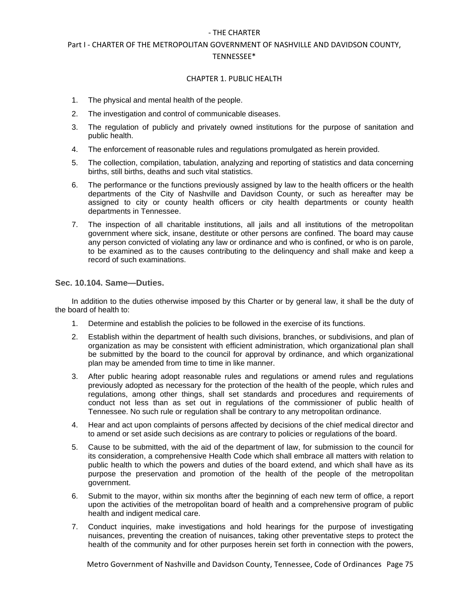# Part I ‐ CHARTER OF THE METROPOLITAN GOVERNMENT OF NASHVILLE AND DAVIDSON COUNTY, TENNESSEE\*

### CHAPTER 1. PUBLIC HEALTH

- 1. The physical and mental health of the people.
- 2. The investigation and control of communicable diseases.
- 3. The regulation of publicly and privately owned institutions for the purpose of sanitation and public health.
- 4. The enforcement of reasonable rules and regulations promulgated as herein provided.
- 5. The collection, compilation, tabulation, analyzing and reporting of statistics and data concerning births, still births, deaths and such vital statistics.
- 6. The performance or the functions previously assigned by law to the health officers or the health departments of the City of Nashville and Davidson County, or such as hereafter may be assigned to city or county health officers or city health departments or county health departments in Tennessee.
- 7. The inspection of all charitable institutions, all jails and all institutions of the metropolitan government where sick, insane, destitute or other persons are confined. The board may cause any person convicted of violating any law or ordinance and who is confined, or who is on parole, to be examined as to the causes contributing to the delinquency and shall make and keep a record of such examinations.

# **Sec. 10.104. Same—Duties.**

In addition to the duties otherwise imposed by this Charter or by general law, it shall be the duty of the board of health to:

- 1. Determine and establish the policies to be followed in the exercise of its functions.
- 2. Establish within the department of health such divisions, branches, or subdivisions, and plan of organization as may be consistent with efficient administration, which organizational plan shall be submitted by the board to the council for approval by ordinance, and which organizational plan may be amended from time to time in like manner.
- 3. After public hearing adopt reasonable rules and regulations or amend rules and regulations previously adopted as necessary for the protection of the health of the people, which rules and regulations, among other things, shall set standards and procedures and requirements of conduct not less than as set out in regulations of the commissioner of public health of Tennessee. No such rule or regulation shall be contrary to any metropolitan ordinance.
- 4. Hear and act upon complaints of persons affected by decisions of the chief medical director and to amend or set aside such decisions as are contrary to policies or regulations of the board.
- 5. Cause to be submitted, with the aid of the department of law, for submission to the council for its consideration, a comprehensive Health Code which shall embrace all matters with relation to public health to which the powers and duties of the board extend, and which shall have as its purpose the preservation and promotion of the health of the people of the metropolitan government.
- 6. Submit to the mayor, within six months after the beginning of each new term of office, a report upon the activities of the metropolitan board of health and a comprehensive program of public health and indigent medical care.
- 7. Conduct inquiries, make investigations and hold hearings for the purpose of investigating nuisances, preventing the creation of nuisances, taking other preventative steps to protect the health of the community and for other purposes herein set forth in connection with the powers,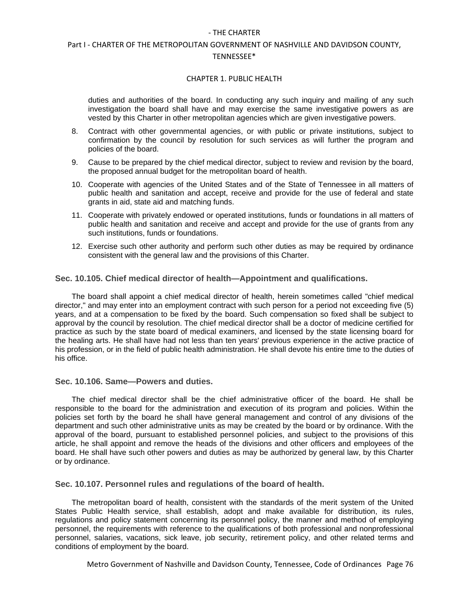# Part I - CHARTER OF THE METROPOLITAN GOVERNMENT OF NASHVILLE AND DAVIDSON COUNTY. TENNESSEE\*

#### CHAPTER 1. PUBLIC HEALTH

duties and authorities of the board. In conducting any such inquiry and mailing of any such investigation the board shall have and may exercise the same investigative powers as are vested by this Charter in other metropolitan agencies which are given investigative powers.

- 8. Contract with other governmental agencies, or with public or private institutions, subject to confirmation by the council by resolution for such services as will further the program and policies of the board.
- 9. Cause to be prepared by the chief medical director, subject to review and revision by the board, the proposed annual budget for the metropolitan board of health.
- 10. Cooperate with agencies of the United States and of the State of Tennessee in all matters of public health and sanitation and accept, receive and provide for the use of federal and state grants in aid, state aid and matching funds.
- 11. Cooperate with privately endowed or operated institutions, funds or foundations in all matters of public health and sanitation and receive and accept and provide for the use of grants from any such institutions, funds or foundations.
- 12. Exercise such other authority and perform such other duties as may be required by ordinance consistent with the general law and the provisions of this Charter.

# **Sec. 10.105. Chief medical director of health—Appointment and qualifications.**

The board shall appoint a chief medical director of health, herein sometimes called "chief medical director," and may enter into an employment contract with such person for a period not exceeding five (5) years, and at a compensation to be fixed by the board. Such compensation so fixed shall be subject to approval by the council by resolution. The chief medical director shall be a doctor of medicine certified for practice as such by the state board of medical examiners, and licensed by the state licensing board for the healing arts. He shall have had not less than ten years' previous experience in the active practice of his profession, or in the field of public health administration. He shall devote his entire time to the duties of his office.

### **Sec. 10.106. Same—Powers and duties.**

The chief medical director shall be the chief administrative officer of the board. He shall be responsible to the board for the administration and execution of its program and policies. Within the policies set forth by the board he shall have general management and control of any divisions of the department and such other administrative units as may be created by the board or by ordinance. With the approval of the board, pursuant to established personnel policies, and subject to the provisions of this article, he shall appoint and remove the heads of the divisions and other officers and employees of the board. He shall have such other powers and duties as may be authorized by general law, by this Charter or by ordinance.

**Sec. 10.107. Personnel rules and regulations of the board of health.** 

The metropolitan board of health, consistent with the standards of the merit system of the United States Public Health service, shall establish, adopt and make available for distribution, its rules, regulations and policy statement concerning its personnel policy, the manner and method of employing personnel, the requirements with reference to the qualifications of both professional and nonprofessional personnel, salaries, vacations, sick leave, job security, retirement policy, and other related terms and conditions of employment by the board.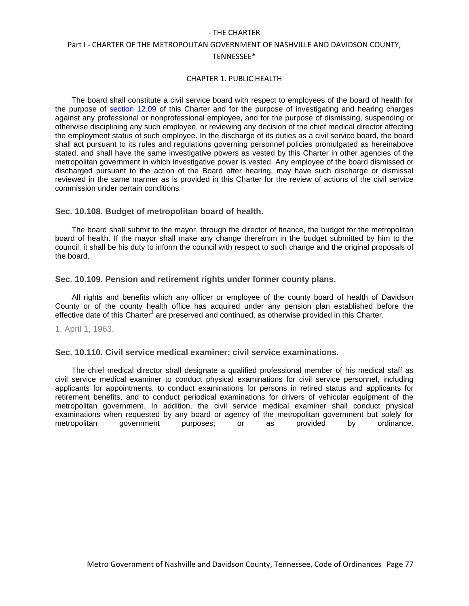# Part I - CHARTER OF THE METROPOLITAN GOVERNMENT OF NASHVILLE AND DAVIDSON COUNTY. TENNESSEE\*

#### CHAPTER 1. PUBLIC HEALTH

The board shall constitute a civil service board with respect to employees of the board of health for the purpose of section 12.09 of this Charter and for the purpose of investigating and hearing charges against any professional or nonprofessional employee, and for the purpose of dismissing, suspending or otherwise disciplining any such employee, or reviewing any decision of the chief medical director affecting the employment status of such employee. In the discharge of its duties as a civil service board, the board shall act pursuant to its rules and regulations governing personnel policies promulgated as hereinabove stated, and shall have the same investigative powers as vested by this Charter in other agencies of the metropolitan government in which investigative power is vested. Any employee of the board dismissed or discharged pursuant to the action of the Board after hearing, may have such discharge or dismissal reviewed in the same manner as is provided in this Charter for the review of actions of the civil service commission under certain conditions.

### **Sec. 10.108. Budget of metropolitan board of health.**

The board shall submit to the mayor, through the director of finance, the budget for the metropolitan board of health. If the mayor shall make any change therefrom in the budget submitted by him to the council, it shall be his duty to inform the council with respect to such change and the original proposals of the board.

#### **Sec. 10.109. Pension and retirement rights under former county plans.**

All rights and benefits which any officer or employee of the county board of health of Davidson County or of the county health office has acquired under any pension plan established before the effective date of this Charter<sup>1</sup> are preserved and continued, as otherwise provided in this Charter.

#### 1. April 1, 1963.

### **Sec. 10.110. Civil service medical examiner; civil service examinations.**

The chief medical director shall designate a qualified professional member of his medical staff as civil service medical examiner to conduct physical examinations for civil service personnel, including applicants for appointments, to conduct examinations for persons in retired status and applicants for retirement benefits, and to conduct periodical examinations for drivers of vehicular equipment of the metropolitan government. In addition, the civil service medical examiner shall conduct physical examinations when requested by any board or agency of the metropolitan government but solely for metropolitan government purposes; or as provided by ordinance.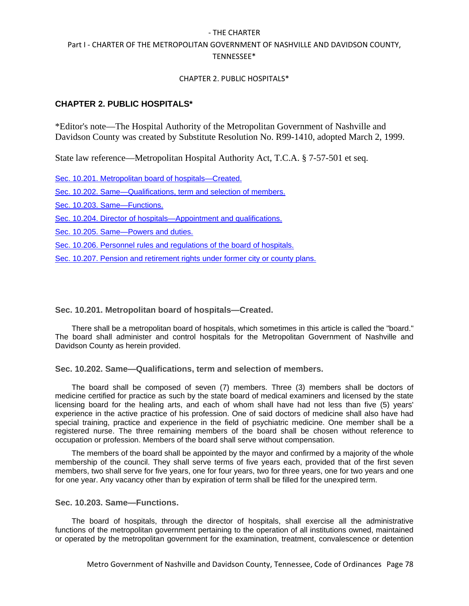# ‐ THE CHARTER Part I ‐ CHARTER OF THE METROPOLITAN GOVERNMENT OF NASHVILLE AND DAVIDSON COUNTY, TENNESSEE\*

#### CHAPTER 2. PUBLIC HOSPITALS\*

# **CHAPTER 2. PUBLIC HOSPITALS\***

\*Editor's note—The Hospital Authority of the Metropolitan Government of Nashville and Davidson County was created by Substitute Resolution No. R99-1410, adopted March 2, 1999.

State law reference—Metropolitan Hospital Authority Act, T.C.A. § 7-57-501 et seq.

Sec. 10.201. Metropolitan board of hospitals—Created.

Sec. 10.202. Same—Qualifications, term and selection of members.

Sec. 10.203. Same—Functions.

Sec. 10.204. Director of hospitals—Appointment and qualifications.

Sec. 10.205. Same—Powers and duties.

Sec. 10.206. Personnel rules and regulations of the board of hospitals.

Sec. 10.207. Pension and retirement rights under former city or county plans.

### **Sec. 10.201. Metropolitan board of hospitals—Created.**

There shall be a metropolitan board of hospitals, which sometimes in this article is called the "board." The board shall administer and control hospitals for the Metropolitan Government of Nashville and Davidson County as herein provided.

**Sec. 10.202. Same—Qualifications, term and selection of members.** 

The board shall be composed of seven (7) members. Three (3) members shall be doctors of medicine certified for practice as such by the state board of medical examiners and licensed by the state licensing board for the healing arts, and each of whom shall have had not less than five (5) years' experience in the active practice of his profession. One of said doctors of medicine shall also have had special training, practice and experience in the field of psychiatric medicine. One member shall be a registered nurse. The three remaining members of the board shall be chosen without reference to occupation or profession. Members of the board shall serve without compensation.

The members of the board shall be appointed by the mayor and confirmed by a majority of the whole membership of the council. They shall serve terms of five years each, provided that of the first seven members, two shall serve for five years, one for four years, two for three years, one for two years and one for one year. Any vacancy other than by expiration of term shall be filled for the unexpired term.

#### **Sec. 10.203. Same—Functions.**

The board of hospitals, through the director of hospitals, shall exercise all the administrative functions of the metropolitan government pertaining to the operation of all institutions owned, maintained or operated by the metropolitan government for the examination, treatment, convalescence or detention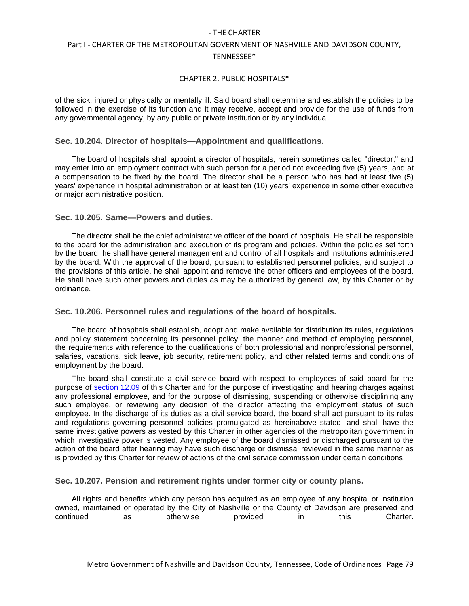# Part I - CHARTER OF THE METROPOLITAN GOVERNMENT OF NASHVILLE AND DAVIDSON COUNTY. TENNESSEE\*

#### CHAPTER 2. PUBLIC HOSPITALS\*

of the sick, injured or physically or mentally ill. Said board shall determine and establish the policies to be followed in the exercise of its function and it may receive, accept and provide for the use of funds from any governmental agency, by any public or private institution or by any individual.

### **Sec. 10.204. Director of hospitals—Appointment and qualifications.**

The board of hospitals shall appoint a director of hospitals, herein sometimes called "director," and may enter into an employment contract with such person for a period not exceeding five (5) years, and at a compensation to be fixed by the board. The director shall be a person who has had at least five (5) years' experience in hospital administration or at least ten (10) years' experience in some other executive or major administrative position.

#### **Sec. 10.205. Same—Powers and duties.**

The director shall be the chief administrative officer of the board of hospitals. He shall be responsible to the board for the administration and execution of its program and policies. Within the policies set forth by the board, he shall have general management and control of all hospitals and institutions administered by the board. With the approval of the board, pursuant to established personnel policies, and subject to the provisions of this article, he shall appoint and remove the other officers and employees of the board. He shall have such other powers and duties as may be authorized by general law, by this Charter or by ordinance.

### **Sec. 10.206. Personnel rules and regulations of the board of hospitals.**

The board of hospitals shall establish, adopt and make available for distribution its rules, regulations and policy statement concerning its personnel policy, the manner and method of employing personnel, the requirements with reference to the qualifications of both professional and nonprofessional personnel, salaries, vacations, sick leave, job security, retirement policy, and other related terms and conditions of employment by the board.

The board shall constitute a civil service board with respect to employees of said board for the purpose of section 12.09 of this Charter and for the purpose of investigating and hearing charges against any professional employee, and for the purpose of dismissing, suspending or otherwise disciplining any such employee, or reviewing any decision of the director affecting the employment status of such employee. In the discharge of its duties as a civil service board, the board shall act pursuant to its rules and regulations governing personnel policies promulgated as hereinabove stated, and shall have the same investigative powers as vested by this Charter in other agencies of the metropolitan government in which investigative power is vested. Any employee of the board dismissed or discharged pursuant to the action of the board after hearing may have such discharge or dismissal reviewed in the same manner as is provided by this Charter for review of actions of the civil service commission under certain conditions.

**Sec. 10.207. Pension and retirement rights under former city or county plans.** 

All rights and benefits which any person has acquired as an employee of any hospital or institution owned, maintained or operated by the City of Nashville or the County of Davidson are preserved and<br>continued as botherwise provided in this Charter. continued as otherwise provided in this Charter.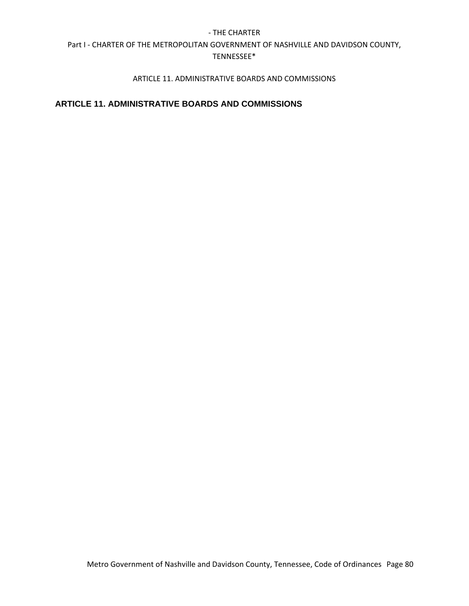# Part I - CHARTER OF THE METROPOLITAN GOVERNMENT OF NASHVILLE AND DAVIDSON COUNTY, TENNESSEE\*

# ARTICLE 11. ADMINISTRATIVE BOARDS AND COMMISSIONS

# **ARTICLE 11. ADMINISTRATIVE BOARDS AND COMMISSIONS**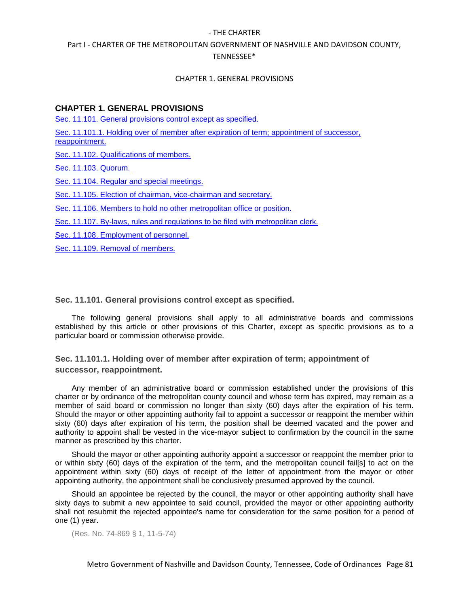# Part I ‐ CHARTER OF THE METROPOLITAN GOVERNMENT OF NASHVILLE AND DAVIDSON COUNTY, TENNESSEE\*

#### CHAPTER 1. GENERAL PROVISIONS

### **CHAPTER 1. GENERAL PROVISIONS**

Sec. 11.101. General provisions control except as specified.

Sec. 11.101.1. Holding over of member after expiration of term; appointment of successor, reappointment.

Sec. 11.102. Qualifications of members.

Sec. 11.103. Quorum.

Sec. 11.104. Regular and special meetings.

Sec. 11.105. Election of chairman, vice-chairman and secretary.

Sec. 11.106. Members to hold no other metropolitan office or position.

Sec. 11.107. By-laws, rules and regulations to be filed with metropolitan clerk.

Sec. 11.108. Employment of personnel.

Sec. 11.109. Removal of members.

**Sec. 11.101. General provisions control except as specified.** 

The following general provisions shall apply to all administrative boards and commissions established by this article or other provisions of this Charter, except as specific provisions as to a particular board or commission otherwise provide.

# **Sec. 11.101.1. Holding over of member after expiration of term; appointment of successor, reappointment.**

Any member of an administrative board or commission established under the provisions of this charter or by ordinance of the metropolitan county council and whose term has expired, may remain as a member of said board or commission no longer than sixty (60) days after the expiration of his term. Should the mayor or other appointing authority fail to appoint a successor or reappoint the member within sixty (60) days after expiration of his term, the position shall be deemed vacated and the power and authority to appoint shall be vested in the vice-mayor subject to confirmation by the council in the same manner as prescribed by this charter.

Should the mayor or other appointing authority appoint a successor or reappoint the member prior to or within sixty (60) days of the expiration of the term, and the metropolitan council fail[s] to act on the appointment within sixty (60) days of receipt of the letter of appointment from the mayor or other appointing authority, the appointment shall be conclusively presumed approved by the council.

Should an appointee be rejected by the council, the mayor or other appointing authority shall have sixty days to submit a new appointee to said council, provided the mayor or other appointing authority shall not resubmit the rejected appointee's name for consideration for the same position for a period of one (1) year.

(Res. No. 74-869 § 1, 11-5-74)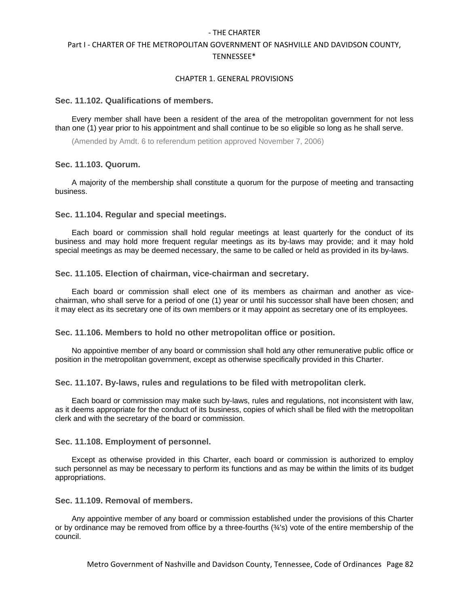# Part I - CHARTER OF THE METROPOLITAN GOVERNMENT OF NASHVILLE AND DAVIDSON COUNTY. TENNESSEE\*

#### CHAPTER 1. GENERAL PROVISIONS

# **Sec. 11.102. Qualifications of members.**

Every member shall have been a resident of the area of the metropolitan government for not less than one (1) year prior to his appointment and shall continue to be so eligible so long as he shall serve.

(Amended by Amdt. 6 to referendum petition approved November 7, 2006)

**Sec. 11.103. Quorum.** 

A majority of the membership shall constitute a quorum for the purpose of meeting and transacting business.

**Sec. 11.104. Regular and special meetings.** 

Each board or commission shall hold regular meetings at least quarterly for the conduct of its business and may hold more frequent regular meetings as its by-laws may provide; and it may hold special meetings as may be deemed necessary, the same to be called or held as provided in its by-laws.

**Sec. 11.105. Election of chairman, vice-chairman and secretary.** 

Each board or commission shall elect one of its members as chairman and another as vicechairman, who shall serve for a period of one (1) year or until his successor shall have been chosen; and it may elect as its secretary one of its own members or it may appoint as secretary one of its employees.

**Sec. 11.106. Members to hold no other metropolitan office or position.** 

No appointive member of any board or commission shall hold any other remunerative public office or position in the metropolitan government, except as otherwise specifically provided in this Charter.

**Sec. 11.107. By-laws, rules and regulations to be filed with metropolitan clerk.** 

Each board or commission may make such by-laws, rules and regulations, not inconsistent with law, as it deems appropriate for the conduct of its business, copies of which shall be filed with the metropolitan clerk and with the secretary of the board or commission.

**Sec. 11.108. Employment of personnel.** 

Except as otherwise provided in this Charter, each board or commission is authorized to employ such personnel as may be necessary to perform its functions and as may be within the limits of its budget appropriations.

**Sec. 11.109. Removal of members.** 

Any appointive member of any board or commission established under the provisions of this Charter or by ordinance may be removed from office by a three-fourths  $(\frac{3}{4})$  vote of the entire membership of the council.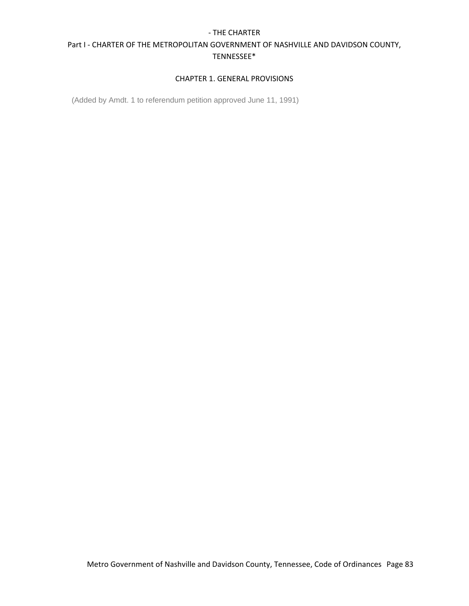# Part I - CHARTER OF THE METROPOLITAN GOVERNMENT OF NASHVILLE AND DAVIDSON COUNTY, TENNESSEE\*

### CHAPTER 1. GENERAL PROVISIONS

(Added by Amdt. 1 to referendum petition approved June 11, 1991)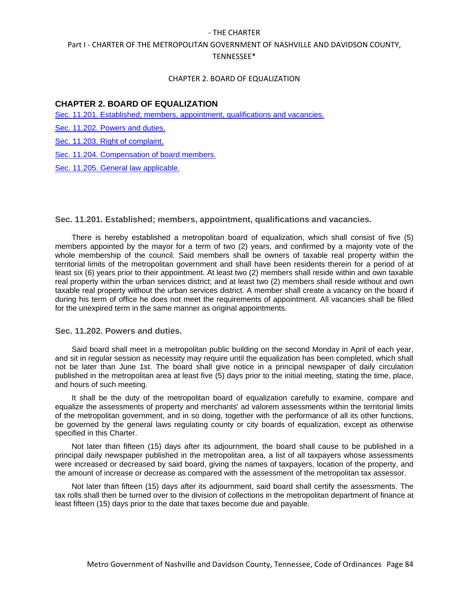# Part I - CHARTER OF THE METROPOLITAN GOVERNMENT OF NASHVILLE AND DAVIDSON COUNTY. TENNESSEE\*

#### CHAPTER 2. BOARD OF EQUALIZATION

# **CHAPTER 2. BOARD OF EQUALIZATION**

Sec. 11.201. Established; members, appointment, qualifications and vacancies.

Sec. 11.202. Powers and duties.

Sec. 11.203. Right of complaint.

Sec. 11.204. Compensation of board members.

Sec. 11.205. General law applicable.

### **Sec. 11.201. Established; members, appointment, qualifications and vacancies.**

There is hereby established a metropolitan board of equalization, which shall consist of five (5) members appointed by the mayor for a term of two (2) years, and confirmed by a majority vote of the whole membership of the council. Said members shall be owners of taxable real property within the territorial limits of the metropolitan government and shall have been residents therein for a period of at least six (6) years prior to their appointment. At least two (2) members shall reside within and own taxable real property within the urban services district; and at least two (2) members shall reside without and own taxable real property without the urban services district. A member shall create a vacancy on the board if during his term of office he does not meet the requirements of appointment. All vacancies shall be filled for the unexpired term in the same manner as original appointments.

### **Sec. 11.202. Powers and duties.**

Said board shall meet in a metropolitan public building on the second Monday in April of each year, and sit in regular session as necessity may require until the equalization has been completed, which shall not be later than June 1st. The board shall give notice in a principal newspaper of daily circulation published in the metropolitan area at least five (5) days prior to the initial meeting, stating the time, place, and hours of such meeting.

It shall be the duty of the metropolitan board of equalization carefully to examine, compare and equalize the assessments of property and merchants' ad valorem assessments within the territorial limits of the metropolitan government, and in so doing, together with the performance of all its other functions, be governed by the general laws regulating county or city boards of equalization, except as otherwise specified in this Charter.

Not later than fifteen (15) days after its adjournment, the board shall cause to be published in a principal daily newspaper published in the metropolitan area, a list of all taxpayers whose assessments were increased or decreased by said board, giving the names of taxpayers, location of the property, and the amount of increase or decrease as compared with the assessment of the metropolitan tax assessor.

Not later than fifteen (15) days after its adjournment, said board shall certify the assessments. The tax rolls shall then be turned over to the division of collections in the metropolitan department of finance at least fifteen (15) days prior to the date that taxes become due and payable.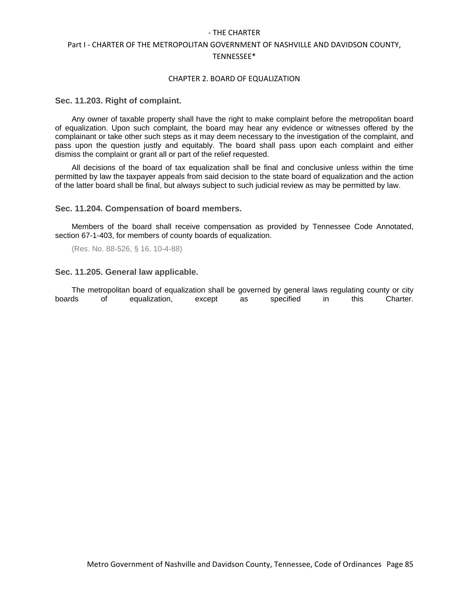# Part I - CHARTER OF THE METROPOLITAN GOVERNMENT OF NASHVILLE AND DAVIDSON COUNTY, TENNESSEE\*

#### CHAPTER 2. BOARD OF EQUALIZATION

#### **Sec. 11.203. Right of complaint.**

Any owner of taxable property shall have the right to make complaint before the metropolitan board of equalization. Upon such complaint, the board may hear any evidence or witnesses offered by the complainant or take other such steps as it may deem necessary to the investigation of the complaint, and pass upon the question justly and equitably. The board shall pass upon each complaint and either dismiss the complaint or grant all or part of the relief requested.

All decisions of the board of tax equalization shall be final and conclusive unless within the time permitted by law the taxpayer appeals from said decision to the state board of equalization and the action of the latter board shall be final, but always subject to such judicial review as may be permitted by law.

#### **Sec. 11.204. Compensation of board members.**

Members of the board shall receive compensation as provided by Tennessee Code Annotated, section 67-1-403, for members of county boards of equalization.

(Res. No. 88-526, § 16, 10-4-88)

#### **Sec. 11.205. General law applicable.**

The metropolitan board of equalization shall be governed by general laws regulating county or city boards of equalization, except as specified in this Charter.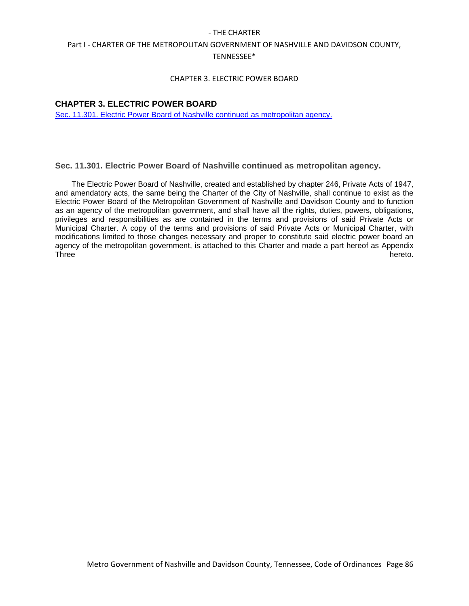# Part I - CHARTER OF THE METROPOLITAN GOVERNMENT OF NASHVILLE AND DAVIDSON COUNTY, TENNESSEE\*

#### CHAPTER 3. ELECTRIC POWER BOARD

# **CHAPTER 3. ELECTRIC POWER BOARD**

Sec. 11.301. Electric Power Board of Nashville continued as metropolitan agency.

# **Sec. 11.301. Electric Power Board of Nashville continued as metropolitan agency.**

The Electric Power Board of Nashville, created and established by chapter 246, Private Acts of 1947, and amendatory acts, the same being the Charter of the City of Nashville, shall continue to exist as the Electric Power Board of the Metropolitan Government of Nashville and Davidson County and to function as an agency of the metropolitan government, and shall have all the rights, duties, powers, obligations, privileges and responsibilities as are contained in the terms and provisions of said Private Acts or Municipal Charter. A copy of the terms and provisions of said Private Acts or Municipal Charter, with modifications limited to those changes necessary and proper to constitute said electric power board an agency of the metropolitan government, is attached to this Charter and made a part hereof as Appendix  $\blacksquare$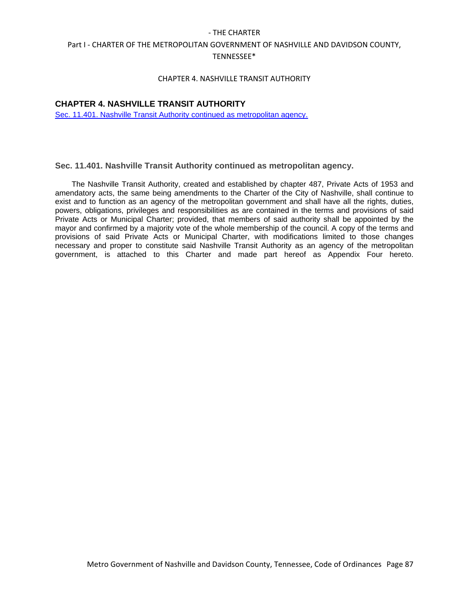# Part I - CHARTER OF THE METROPOLITAN GOVERNMENT OF NASHVILLE AND DAVIDSON COUNTY,

# TENNESSEE\*

#### CHAPTER 4. NASHVILLE TRANSIT AUTHORITY

# **CHAPTER 4. NASHVILLE TRANSIT AUTHORITY**

Sec. 11.401. Nashville Transit Authority continued as metropolitan agency.

# **Sec. 11.401. Nashville Transit Authority continued as metropolitan agency.**

The Nashville Transit Authority, created and established by chapter 487, Private Acts of 1953 and amendatory acts, the same being amendments to the Charter of the City of Nashville, shall continue to exist and to function as an agency of the metropolitan government and shall have all the rights, duties, powers, obligations, privileges and responsibilities as are contained in the terms and provisions of said Private Acts or Municipal Charter; provided, that members of said authority shall be appointed by the mayor and confirmed by a majority vote of the whole membership of the council. A copy of the terms and provisions of said Private Acts or Municipal Charter, with modifications limited to those changes necessary and proper to constitute said Nashville Transit Authority as an agency of the metropolitan government, is attached to this Charter and made part hereof as Appendix Four hereto.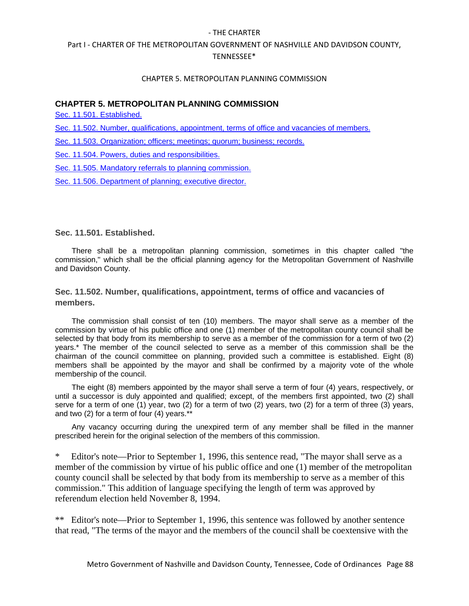# Part I - CHARTER OF THE METROPOLITAN GOVERNMENT OF NASHVILLE AND DAVIDSON COUNTY. TENNESSEE\*

### CHAPTER 5. METROPOLITAN PLANNING COMMISSION

# **CHAPTER 5. METROPOLITAN PLANNING COMMISSION**

Sec. 11.501. Established.

Sec. 11.502. Number, qualifications, appointment, terms of office and vacancies of members.

Sec. 11.503. Organization; officers; meetings; quorum; business; records.

Sec. 11.504. Powers, duties and responsibilities.

Sec. 11.505. Mandatory referrals to planning commission.

Sec. 11.506. Department of planning; executive director.

# **Sec. 11.501. Established.**

There shall be a metropolitan planning commission, sometimes in this chapter called "the commission," which shall be the official planning agency for the Metropolitan Government of Nashville and Davidson County.

**Sec. 11.502. Number, qualifications, appointment, terms of office and vacancies of members.** 

The commission shall consist of ten (10) members. The mayor shall serve as a member of the commission by virtue of his public office and one (1) member of the metropolitan county council shall be selected by that body from its membership to serve as a member of the commission for a term of two (2) years.\* The member of the council selected to serve as a member of this commission shall be the chairman of the council committee on planning, provided such a committee is established. Eight (8) members shall be appointed by the mayor and shall be confirmed by a majority vote of the whole membership of the council.

The eight (8) members appointed by the mayor shall serve a term of four (4) years, respectively, or until a successor is duly appointed and qualified; except, of the members first appointed, two (2) shall serve for a term of one (1) year, two (2) for a term of two (2) years, two (2) for a term of three (3) years, and two (2) for a term of four (4) years.\*\*

Any vacancy occurring during the unexpired term of any member shall be filled in the manner prescribed herein for the original selection of the members of this commission.

\* Editor's note—Prior to September 1, 1996, this sentence read, "The mayor shall serve as a member of the commission by virtue of his public office and one (1) member of the metropolitan county council shall be selected by that body from its membership to serve as a member of this commission." This addition of language specifying the length of term was approved by referendum election held November 8, 1994.

\*\* Editor's note—Prior to September 1, 1996, this sentence was followed by another sentence that read, "The terms of the mayor and the members of the council shall be coextensive with the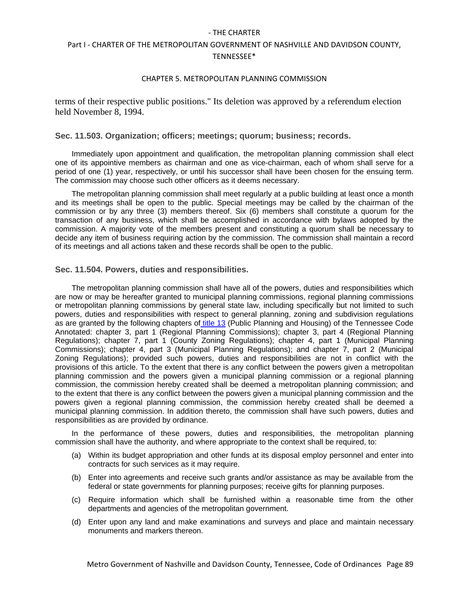# Part I - CHARTER OF THE METROPOLITAN GOVERNMENT OF NASHVILLE AND DAVIDSON COUNTY. TENNESSEE\*

#### CHAPTER 5. METROPOLITAN PLANNING COMMISSION

terms of their respective public positions." Its deletion was approved by a referendum election held November 8, 1994.

### **Sec. 11.503. Organization; officers; meetings; quorum; business; records.**

Immediately upon appointment and qualification, the metropolitan planning commission shall elect one of its appointive members as chairman and one as vice-chairman, each of whom shall serve for a period of one (1) year, respectively, or until his successor shall have been chosen for the ensuing term. The commission may choose such other officers as it deems necessary.

The metropolitan planning commission shall meet regularly at a public building at least once a month and its meetings shall be open to the public. Special meetings may be called by the chairman of the commission or by any three (3) members thereof. Six (6) members shall constitute a quorum for the transaction of any business, which shall be accomplished in accordance with bylaws adopted by the commission. A majority vote of the members present and constituting a quorum shall be necessary to decide any item of business requiring action by the commission. The commission shall maintain a record of its meetings and all actions taken and these records shall be open to the public.

### **Sec. 11.504. Powers, duties and responsibilities.**

The metropolitan planning commission shall have all of the powers, duties and responsibilities which are now or may be hereafter granted to municipal planning commissions, regional planning commissions or metropolitan planning commissions by general state law, including specifically but not limited to such powers, duties and responsibilities with respect to general planning, zoning and subdivision regulations as are granted by the following chapters of title 13 (Public Planning and Housing) of the Tennessee Code Annotated: chapter 3, part 1 (Regional Planning Commissions); chapter 3, part 4 (Regional Planning Regulations); chapter 7, part 1 (County Zoning Regulations); chapter 4, part 1 (Municipal Planning Commissions); chapter 4, part 3 (Municipal Planning Regulations); and chapter 7, part 2 (Municipal Zoning Regulations); provided such powers, duties and responsibilities are not in conflict with the provisions of this article. To the extent that there is any conflict between the powers given a metropolitan planning commission and the powers given a municipal planning commission or a regional planning commission, the commission hereby created shall be deemed a metropolitan planning commission; and to the extent that there is any conflict between the powers given a municipal planning commission and the powers given a regional planning commission, the commission hereby created shall be deemed a municipal planning commission. In addition thereto, the commission shall have such powers, duties and responsibilities as are provided by ordinance.

In the performance of these powers, duties and responsibilities, the metropolitan planning commission shall have the authority, and where appropriate to the context shall be required, to:

- (a) Within its budget appropriation and other funds at its disposal employ personnel and enter into contracts for such services as it may require.
- (b) Enter into agreements and receive such grants and/or assistance as may be available from the federal or state governments for planning purposes; receive gifts for planning purposes.
- (c) Require information which shall be furnished within a reasonable time from the other departments and agencies of the metropolitan government.
- (d) Enter upon any land and make examinations and surveys and place and maintain necessary monuments and markers thereon.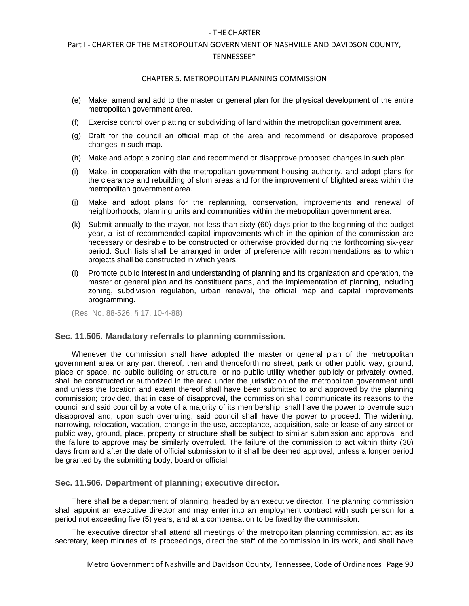# Part I ‐ CHARTER OF THE METROPOLITAN GOVERNMENT OF NASHVILLE AND DAVIDSON COUNTY, TENNESSEE\*

#### CHAPTER 5. METROPOLITAN PLANNING COMMISSION

- (e) Make, amend and add to the master or general plan for the physical development of the entire metropolitan government area.
- (f) Exercise control over platting or subdividing of land within the metropolitan government area.
- (g) Draft for the council an official map of the area and recommend or disapprove proposed changes in such map.
- (h) Make and adopt a zoning plan and recommend or disapprove proposed changes in such plan.
- (i) Make, in cooperation with the metropolitan government housing authority, and adopt plans for the clearance and rebuilding of slum areas and for the improvement of blighted areas within the metropolitan government area.
- (j) Make and adopt plans for the replanning, conservation, improvements and renewal of neighborhoods, planning units and communities within the metropolitan government area.
- (k) Submit annually to the mayor, not less than sixty (60) days prior to the beginning of the budget year, a list of recommended capital improvements which in the opinion of the commission are necessary or desirable to be constructed or otherwise provided during the forthcoming six-year period. Such lists shall be arranged in order of preference with recommendations as to which projects shall be constructed in which years.
- (l) Promote public interest in and understanding of planning and its organization and operation, the master or general plan and its constituent parts, and the implementation of planning, including zoning, subdivision regulation, urban renewal, the official map and capital improvements programming.

(Res. No. 88-526, § 17, 10-4-88)

# **Sec. 11.505. Mandatory referrals to planning commission.**

Whenever the commission shall have adopted the master or general plan of the metropolitan government area or any part thereof, then and thenceforth no street, park or other public way, ground, place or space, no public building or structure, or no public utility whether publicly or privately owned, shall be constructed or authorized in the area under the jurisdiction of the metropolitan government until and unless the location and extent thereof shall have been submitted to and approved by the planning commission; provided, that in case of disapproval, the commission shall communicate its reasons to the council and said council by a vote of a majority of its membership, shall have the power to overrule such disapproval and, upon such overruling, said council shall have the power to proceed. The widening, narrowing, relocation, vacation, change in the use, acceptance, acquisition, sale or lease of any street or public way, ground, place, property or structure shall be subject to similar submission and approval, and the failure to approve may be similarly overruled. The failure of the commission to act within thirty (30) days from and after the date of official submission to it shall be deemed approval, unless a longer period be granted by the submitting body, board or official.

**Sec. 11.506. Department of planning; executive director.** 

There shall be a department of planning, headed by an executive director. The planning commission shall appoint an executive director and may enter into an employment contract with such person for a period not exceeding five (5) years, and at a compensation to be fixed by the commission.

The executive director shall attend all meetings of the metropolitan planning commission, act as its secretary, keep minutes of its proceedings, direct the staff of the commission in its work, and shall have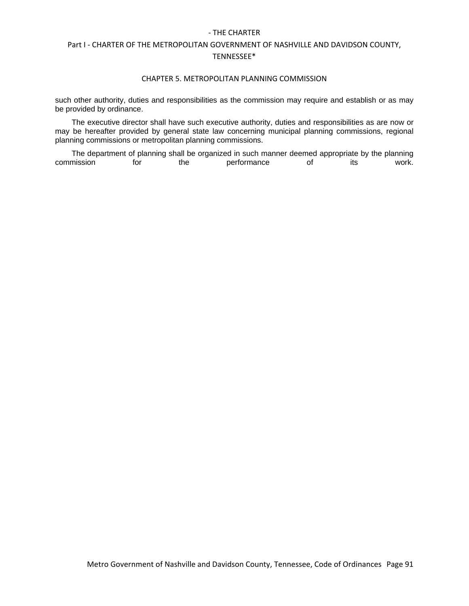# Part I - CHARTER OF THE METROPOLITAN GOVERNMENT OF NASHVILLE AND DAVIDSON COUNTY, TENNESSEE\*

#### CHAPTER 5. METROPOLITAN PLANNING COMMISSION

such other authority, duties and responsibilities as the commission may require and establish or as may be provided by ordinance.

The executive director shall have such executive authority, duties and responsibilities as are now or may be hereafter provided by general state law concerning municipal planning commissions, regional planning commissions or metropolitan planning commissions.

The department of planning shall be organized in such manner deemed appropriate by the planning commission for the performance of its work.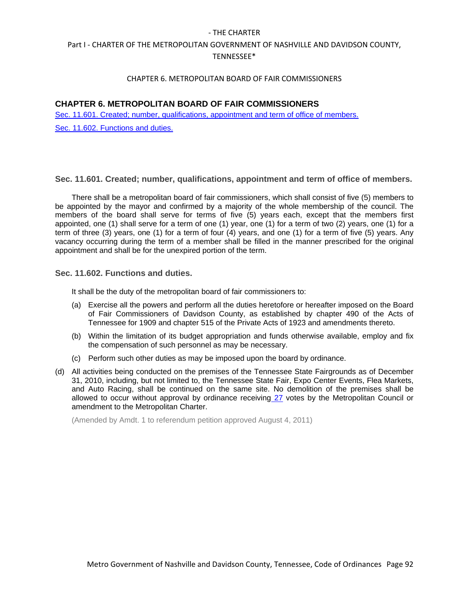# Part I ‐ CHARTER OF THE METROPOLITAN GOVERNMENT OF NASHVILLE AND DAVIDSON COUNTY, TENNESSEE\*

### CHAPTER 6. METROPOLITAN BOARD OF FAIR COMMISSIONERS

# **CHAPTER 6. METROPOLITAN BOARD OF FAIR COMMISSIONERS**

Sec. 11.601. Created; number, qualifications, appointment and term of office of members.

Sec. 11.602. Functions and duties.

**Sec. 11.601. Created; number, qualifications, appointment and term of office of members.** 

There shall be a metropolitan board of fair commissioners, which shall consist of five (5) members to be appointed by the mayor and confirmed by a majority of the whole membership of the council. The members of the board shall serve for terms of five (5) years each, except that the members first appointed, one (1) shall serve for a term of one (1) year, one (1) for a term of two (2) years, one (1) for a term of three (3) years, one (1) for a term of four (4) years, and one (1) for a term of five (5) years. Any vacancy occurring during the term of a member shall be filled in the manner prescribed for the original appointment and shall be for the unexpired portion of the term.

**Sec. 11.602. Functions and duties.** 

It shall be the duty of the metropolitan board of fair commissioners to:

- (a) Exercise all the powers and perform all the duties heretofore or hereafter imposed on the Board of Fair Commissioners of Davidson County, as established by chapter 490 of the Acts of Tennessee for 1909 and chapter 515 of the Private Acts of 1923 and amendments thereto.
- (b) Within the limitation of its budget appropriation and funds otherwise available, employ and fix the compensation of such personnel as may be necessary.
- (c) Perform such other duties as may be imposed upon the board by ordinance.
- (d) All activities being conducted on the premises of the Tennessee State Fairgrounds as of December 31, 2010, including, but not limited to, the Tennessee State Fair, Expo Center Events, Flea Markets, and Auto Racing, shall be continued on the same site. No demolition of the premises shall be allowed to occur without approval by ordinance receiving 27 votes by the Metropolitan Council or amendment to the Metropolitan Charter.

(Amended by Amdt. 1 to referendum petition approved August 4, 2011)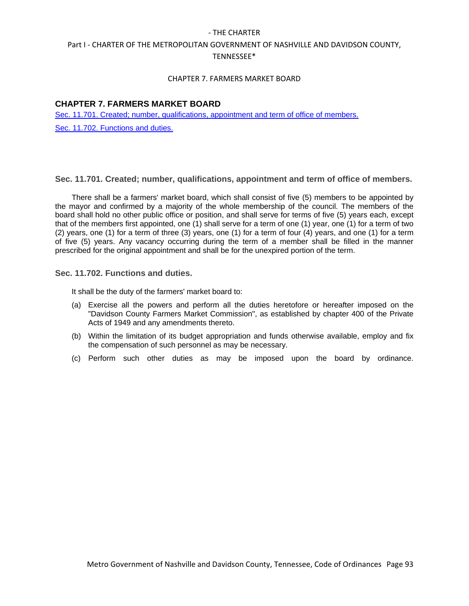# Part I - CHARTER OF THE METROPOLITAN GOVERNMENT OF NASHVILLE AND DAVIDSON COUNTY, TENNESSEE\*

# CHAPTER 7. FARMERS MARKET BOARD

# **CHAPTER 7. FARMERS MARKET BOARD**

Sec. 11.701. Created; number, qualifications, appointment and term of office of members. Sec. 11.702. Functions and duties.

**Sec. 11.701. Created; number, qualifications, appointment and term of office of members.** 

There shall be a farmers' market board, which shall consist of five (5) members to be appointed by the mayor and confirmed by a majority of the whole membership of the council. The members of the board shall hold no other public office or position, and shall serve for terms of five (5) years each, except that of the members first appointed, one (1) shall serve for a term of one (1) year, one (1) for a term of two (2) years, one (1) for a term of three (3) years, one (1) for a term of four (4) years, and one (1) for a term of five (5) years. Any vacancy occurring during the term of a member shall be filled in the manner prescribed for the original appointment and shall be for the unexpired portion of the term.

**Sec. 11.702. Functions and duties.** 

It shall be the duty of the farmers' market board to:

- (a) Exercise all the powers and perform all the duties heretofore or hereafter imposed on the "Davidson County Farmers Market Commission", as established by chapter 400 of the Private Acts of 1949 and any amendments thereto.
- (b) Within the limitation of its budget appropriation and funds otherwise available, employ and fix the compensation of such personnel as may be necessary.
- (c) Perform such other duties as may be imposed upon the board by ordinance.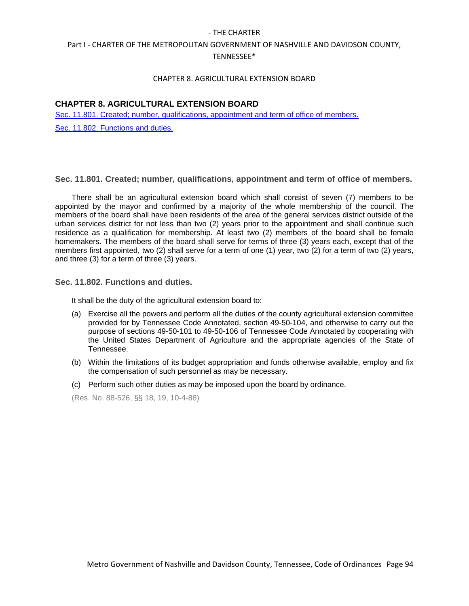# Part I ‐ CHARTER OF THE METROPOLITAN GOVERNMENT OF NASHVILLE AND DAVIDSON COUNTY, TENNESSEE\*

#### CHAPTER 8. AGRICULTURAL EXTENSION BOARD

# **CHAPTER 8. AGRICULTURAL EXTENSION BOARD**

Sec. 11.801. Created; number, qualifications, appointment and term of office of members.

Sec. 11.802. Functions and duties.

**Sec. 11.801. Created; number, qualifications, appointment and term of office of members.** 

There shall be an agricultural extension board which shall consist of seven (7) members to be appointed by the mayor and confirmed by a majority of the whole membership of the council. The members of the board shall have been residents of the area of the general services district outside of the urban services district for not less than two (2) years prior to the appointment and shall continue such residence as a qualification for membership. At least two (2) members of the board shall be female homemakers. The members of the board shall serve for terms of three (3) years each, except that of the members first appointed, two (2) shall serve for a term of one (1) year, two (2) for a term of two (2) years, and three (3) for a term of three (3) years.

**Sec. 11.802. Functions and duties.** 

It shall be the duty of the agricultural extension board to:

- (a) Exercise all the powers and perform all the duties of the county agricultural extension committee provided for by Tennessee Code Annotated, section 49-50-104, and otherwise to carry out the purpose of sections 49-50-101 to 49-50-106 of Tennessee Code Annotated by cooperating with the United States Department of Agriculture and the appropriate agencies of the State of Tennessee.
- (b) Within the limitations of its budget appropriation and funds otherwise available, employ and fix the compensation of such personnel as may be necessary.
- (c) Perform such other duties as may be imposed upon the board by ordinance.

(Res. No. 88-526, §§ 18, 19, 10-4-88)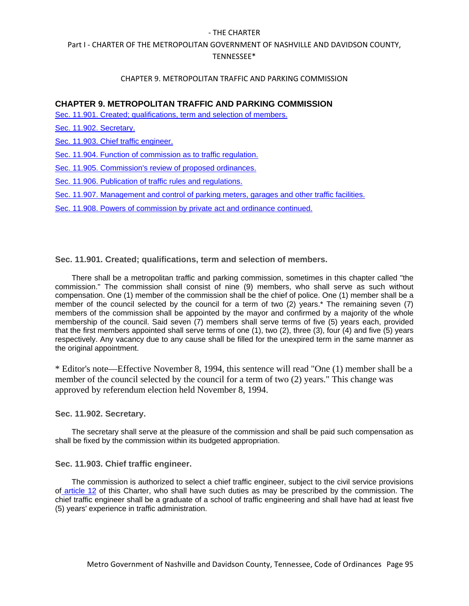# Part I ‐ CHARTER OF THE METROPOLITAN GOVERNMENT OF NASHVILLE AND DAVIDSON COUNTY, TENNESSEE\*

# CHAPTER 9. METROPOLITAN TRAFFIC AND PARKING COMMISSION

# **CHAPTER 9. METROPOLITAN TRAFFIC AND PARKING COMMISSION**

Sec. 11.901. Created; qualifications, term and selection of members.

Sec. 11.902. Secretary.

Sec. 11.903. Chief traffic engineer.

Sec. 11.904. Function of commission as to traffic regulation.

Sec. 11.905. Commission's review of proposed ordinances.

Sec. 11.906. Publication of traffic rules and regulations.

Sec. 11.907. Management and control of parking meters, garages and other traffic facilities.

Sec. 11.908. Powers of commission by private act and ordinance continued.

# **Sec. 11.901. Created; qualifications, term and selection of members.**

There shall be a metropolitan traffic and parking commission, sometimes in this chapter called "the commission." The commission shall consist of nine (9) members, who shall serve as such without compensation. One (1) member of the commission shall be the chief of police. One (1) member shall be a member of the council selected by the council for a term of two (2) years.\* The remaining seven (7) members of the commission shall be appointed by the mayor and confirmed by a majority of the whole membership of the council. Said seven (7) members shall serve terms of five (5) years each, provided that the first members appointed shall serve terms of one (1), two (2), three (3), four (4) and five (5) years respectively. Any vacancy due to any cause shall be filled for the unexpired term in the same manner as the original appointment.

\* Editor's note—Effective November 8, 1994, this sentence will read "One (1) member shall be a member of the council selected by the council for a term of two (2) years." This change was approved by referendum election held November 8, 1994.

# **Sec. 11.902. Secretary.**

The secretary shall serve at the pleasure of the commission and shall be paid such compensation as shall be fixed by the commission within its budgeted appropriation.

# **Sec. 11.903. Chief traffic engineer.**

The commission is authorized to select a chief traffic engineer, subject to the civil service provisions of article 12 of this Charter, who shall have such duties as may be prescribed by the commission. The chief traffic engineer shall be a graduate of a school of traffic engineering and shall have had at least five (5) years' experience in traffic administration.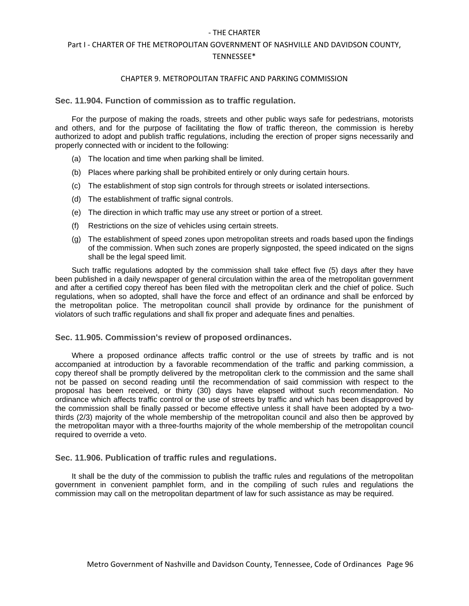# Part I ‐ CHARTER OF THE METROPOLITAN GOVERNMENT OF NASHVILLE AND DAVIDSON COUNTY, TENNESSEE\*

#### CHAPTER 9. METROPOLITAN TRAFFIC AND PARKING COMMISSION

#### **Sec. 11.904. Function of commission as to traffic regulation.**

For the purpose of making the roads, streets and other public ways safe for pedestrians, motorists and others, and for the purpose of facilitating the flow of traffic thereon, the commission is hereby authorized to adopt and publish traffic regulations, including the erection of proper signs necessarily and properly connected with or incident to the following:

- (a) The location and time when parking shall be limited.
- (b) Places where parking shall be prohibited entirely or only during certain hours.
- (c) The establishment of stop sign controls for through streets or isolated intersections.
- (d) The establishment of traffic signal controls.
- (e) The direction in which traffic may use any street or portion of a street.
- (f) Restrictions on the size of vehicles using certain streets.
- (g) The establishment of speed zones upon metropolitan streets and roads based upon the findings of the commission. When such zones are properly signposted, the speed indicated on the signs shall be the legal speed limit.

Such traffic regulations adopted by the commission shall take effect five (5) days after they have been published in a daily newspaper of general circulation within the area of the metropolitan government and after a certified copy thereof has been filed with the metropolitan clerk and the chief of police. Such regulations, when so adopted, shall have the force and effect of an ordinance and shall be enforced by the metropolitan police. The metropolitan council shall provide by ordinance for the punishment of violators of such traffic regulations and shall fix proper and adequate fines and penalties.

### **Sec. 11.905. Commission's review of proposed ordinances.**

Where a proposed ordinance affects traffic control or the use of streets by traffic and is not accompanied at introduction by a favorable recommendation of the traffic and parking commission, a copy thereof shall be promptly delivered by the metropolitan clerk to the commission and the same shall not be passed on second reading until the recommendation of said commission with respect to the proposal has been received, or thirty (30) days have elapsed without such recommendation. No ordinance which affects traffic control or the use of streets by traffic and which has been disapproved by the commission shall be finally passed or become effective unless it shall have been adopted by a twothirds (2/3) majority of the whole membership of the metropolitan council and also then be approved by the metropolitan mayor with a three-fourths majority of the whole membership of the metropolitan council required to override a veto.

**Sec. 11.906. Publication of traffic rules and regulations.** 

It shall be the duty of the commission to publish the traffic rules and regulations of the metropolitan government in convenient pamphlet form, and in the compiling of such rules and regulations the commission may call on the metropolitan department of law for such assistance as may be required.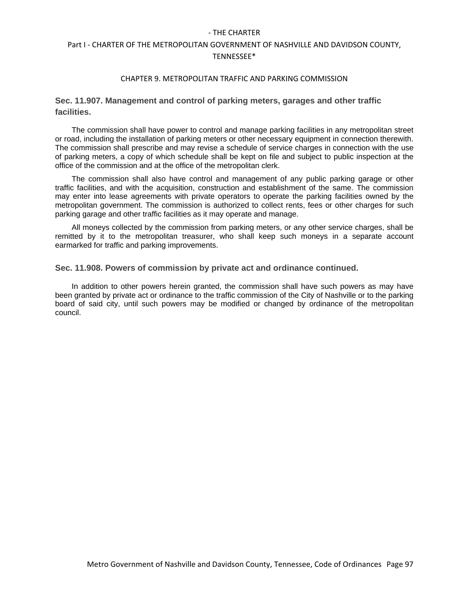# Part I - CHARTER OF THE METROPOLITAN GOVERNMENT OF NASHVILLE AND DAVIDSON COUNTY. TENNESSEE\*

#### CHAPTER 9. METROPOLITAN TRAFFIC AND PARKING COMMISSION

# **Sec. 11.907. Management and control of parking meters, garages and other traffic facilities.**

The commission shall have power to control and manage parking facilities in any metropolitan street or road, including the installation of parking meters or other necessary equipment in connection therewith. The commission shall prescribe and may revise a schedule of service charges in connection with the use of parking meters, a copy of which schedule shall be kept on file and subject to public inspection at the office of the commission and at the office of the metropolitan clerk.

The commission shall also have control and management of any public parking garage or other traffic facilities, and with the acquisition, construction and establishment of the same. The commission may enter into lease agreements with private operators to operate the parking facilities owned by the metropolitan government. The commission is authorized to collect rents, fees or other charges for such parking garage and other traffic facilities as it may operate and manage.

All moneys collected by the commission from parking meters, or any other service charges, shall be remitted by it to the metropolitan treasurer, who shall keep such moneys in a separate account earmarked for traffic and parking improvements.

**Sec. 11.908. Powers of commission by private act and ordinance continued.** 

In addition to other powers herein granted, the commission shall have such powers as may have been granted by private act or ordinance to the traffic commission of the City of Nashville or to the parking board of said city, until such powers may be modified or changed by ordinance of the metropolitan council.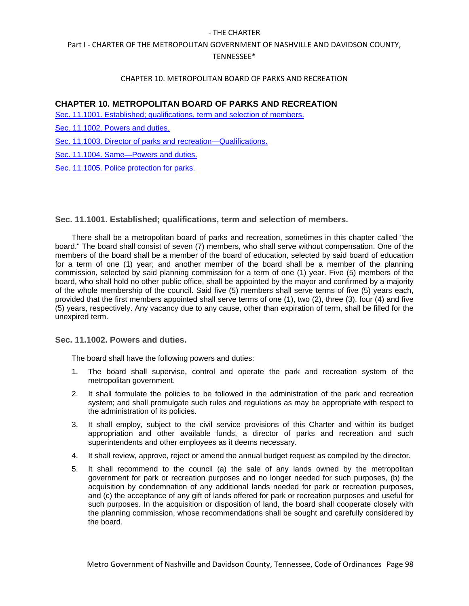# Part I - CHARTER OF THE METROPOLITAN GOVERNMENT OF NASHVILLE AND DAVIDSON COUNTY. TENNESSEE\*

### CHAPTER 10. METROPOLITAN BOARD OF PARKS AND RECREATION

# **CHAPTER 10. METROPOLITAN BOARD OF PARKS AND RECREATION**

Sec. 11.1001. Established; qualifications, term and selection of members.

Sec. 11.1002. Powers and duties.

Sec. 11.1003. Director of parks and recreation—Qualifications.

Sec. 11.1004. Same—Powers and duties.

Sec. 11.1005. Police protection for parks.

# **Sec. 11.1001. Established; qualifications, term and selection of members.**

There shall be a metropolitan board of parks and recreation, sometimes in this chapter called "the board." The board shall consist of seven (7) members, who shall serve without compensation. One of the members of the board shall be a member of the board of education, selected by said board of education for a term of one (1) year; and another member of the board shall be a member of the planning commission, selected by said planning commission for a term of one (1) year. Five (5) members of the board, who shall hold no other public office, shall be appointed by the mayor and confirmed by a majority of the whole membership of the council. Said five (5) members shall serve terms of five (5) years each, provided that the first members appointed shall serve terms of one (1), two (2), three (3), four (4) and five (5) years, respectively. Any vacancy due to any cause, other than expiration of term, shall be filled for the unexpired term.

**Sec. 11.1002. Powers and duties.** 

The board shall have the following powers and duties:

- 1. The board shall supervise, control and operate the park and recreation system of the metropolitan government.
- 2. It shall formulate the policies to be followed in the administration of the park and recreation system; and shall promulgate such rules and regulations as may be appropriate with respect to the administration of its policies.
- 3. It shall employ, subject to the civil service provisions of this Charter and within its budget appropriation and other available funds, a director of parks and recreation and such superintendents and other employees as it deems necessary.
- 4. It shall review, approve, reject or amend the annual budget request as compiled by the director.
- 5. It shall recommend to the council (a) the sale of any lands owned by the metropolitan government for park or recreation purposes and no longer needed for such purposes, (b) the acquisition by condemnation of any additional lands needed for park or recreation purposes, and (c) the acceptance of any gift of lands offered for park or recreation purposes and useful for such purposes. In the acquisition or disposition of land, the board shall cooperate closely with the planning commission, whose recommendations shall be sought and carefully considered by the board.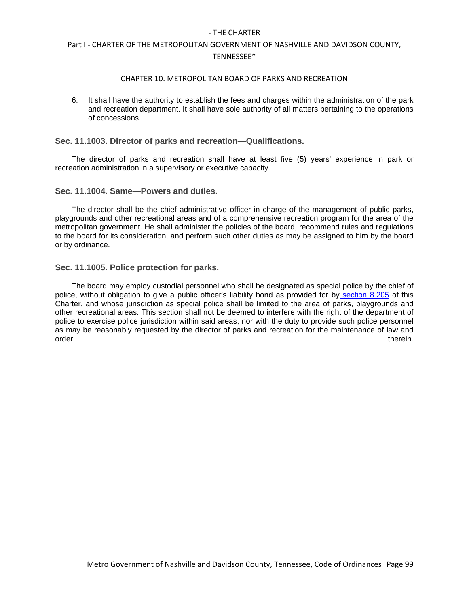# Part I ‐ CHARTER OF THE METROPOLITAN GOVERNMENT OF NASHVILLE AND DAVIDSON COUNTY, TENNESSEE\*

#### CHAPTER 10. METROPOLITAN BOARD OF PARKS AND RECREATION

6. It shall have the authority to establish the fees and charges within the administration of the park and recreation department. It shall have sole authority of all matters pertaining to the operations of concessions.

#### **Sec. 11.1003. Director of parks and recreation—Qualifications.**

The director of parks and recreation shall have at least five (5) years' experience in park or recreation administration in a supervisory or executive capacity.

### **Sec. 11.1004. Same—Powers and duties.**

The director shall be the chief administrative officer in charge of the management of public parks, playgrounds and other recreational areas and of a comprehensive recreation program for the area of the metropolitan government. He shall administer the policies of the board, recommend rules and regulations to the board for its consideration, and perform such other duties as may be assigned to him by the board or by ordinance.

### **Sec. 11.1005. Police protection for parks.**

The board may employ custodial personnel who shall be designated as special police by the chief of police, without obligation to give a public officer's liability bond as provided for by section 8.205 of this Charter, and whose jurisdiction as special police shall be limited to the area of parks, playgrounds and other recreational areas. This section shall not be deemed to interfere with the right of the department of police to exercise police jurisdiction within said areas, nor with the duty to provide such police personnel as may be reasonably requested by the director of parks and recreation for the maintenance of law and order therein. The contract of the contract of the contract of the contract of the contract of the contract of the contract of the contract of the contract of the contract of the contract of the contract of the contract of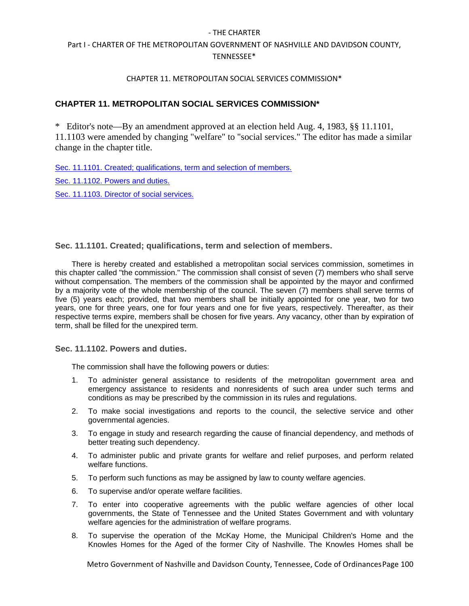# Part I ‐ CHARTER OF THE METROPOLITAN GOVERNMENT OF NASHVILLE AND DAVIDSON COUNTY, TENNESSEE\*

# CHAPTER 11. METROPOLITAN SOCIAL SERVICES COMMISSION\*

# **CHAPTER 11. METROPOLITAN SOCIAL SERVICES COMMISSION\***

\* Editor's note—By an amendment approved at an election held Aug. 4, 1983, §§ 11.1101, 11.1103 were amended by changing "welfare" to "social services." The editor has made a similar change in the chapter title.

Sec. 11.1101. Created; qualifications, term and selection of members. Sec. 11.1102. Powers and duties. Sec. 11.1103. Director of social services.

**Sec. 11.1101. Created; qualifications, term and selection of members.** 

There is hereby created and established a metropolitan social services commission, sometimes in this chapter called "the commission." The commission shall consist of seven (7) members who shall serve without compensation. The members of the commission shall be appointed by the mayor and confirmed by a majority vote of the whole membership of the council. The seven (7) members shall serve terms of five (5) years each; provided, that two members shall be initially appointed for one year, two for two years, one for three years, one for four years and one for five years, respectively. Thereafter, as their respective terms expire, members shall be chosen for five years. Any vacancy, other than by expiration of term, shall be filled for the unexpired term.

**Sec. 11.1102. Powers and duties.** 

The commission shall have the following powers or duties:

- 1. To administer general assistance to residents of the metropolitan government area and emergency assistance to residents and nonresidents of such area under such terms and conditions as may be prescribed by the commission in its rules and regulations.
- 2. To make social investigations and reports to the council, the selective service and other governmental agencies.
- 3. To engage in study and research regarding the cause of financial dependency, and methods of better treating such dependency.
- 4. To administer public and private grants for welfare and relief purposes, and perform related welfare functions.
- 5. To perform such functions as may be assigned by law to county welfare agencies.
- 6. To supervise and/or operate welfare facilities.
- 7. To enter into cooperative agreements with the public welfare agencies of other local governments, the State of Tennessee and the United States Government and with voluntary welfare agencies for the administration of welfare programs.
- 8. To supervise the operation of the McKay Home, the Municipal Children's Home and the Knowles Homes for the Aged of the former City of Nashville. The Knowles Homes shall be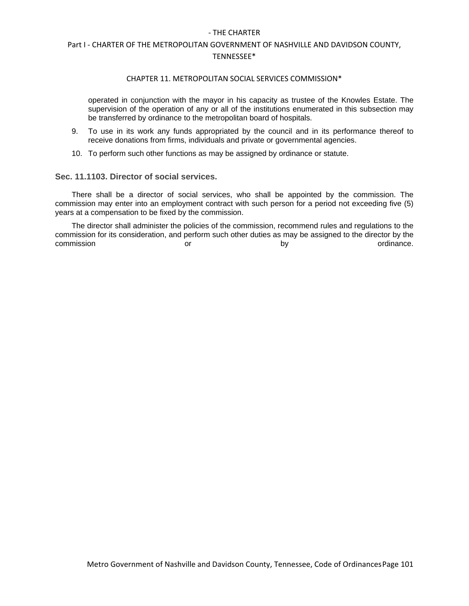# Part I - CHARTER OF THE METROPOLITAN GOVERNMENT OF NASHVILLE AND DAVIDSON COUNTY, TENNESSEE\*

#### CHAPTER 11. METROPOLITAN SOCIAL SERVICES COMMISSION\*

operated in conjunction with the mayor in his capacity as trustee of the Knowles Estate. The supervision of the operation of any or all of the institutions enumerated in this subsection may be transferred by ordinance to the metropolitan board of hospitals.

- 9. To use in its work any funds appropriated by the council and in its performance thereof to receive donations from firms, individuals and private or governmental agencies.
- 10. To perform such other functions as may be assigned by ordinance or statute.

# **Sec. 11.1103. Director of social services.**

There shall be a director of social services, who shall be appointed by the commission. The commission may enter into an employment contract with such person for a period not exceeding five (5) years at a compensation to be fixed by the commission.

The director shall administer the policies of the commission, recommend rules and regulations to the commission for its consideration, and perform such other duties as may be assigned to the director by the commission or by ordinance.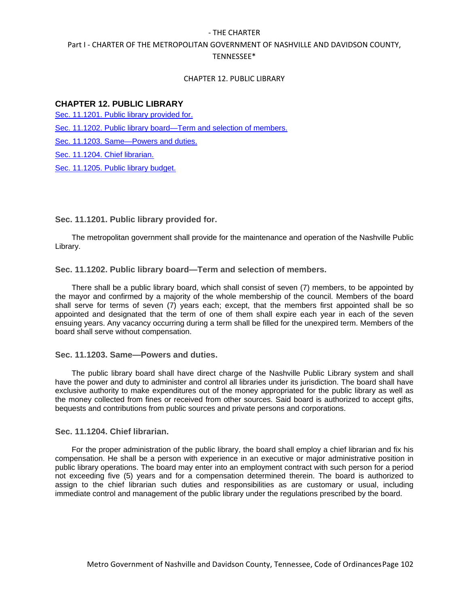# Part I - CHARTER OF THE METROPOLITAN GOVERNMENT OF NASHVILLE AND DAVIDSON COUNTY. TENNESSEE\*

### CHAPTER 12. PUBLIC LIBRARY

### **CHAPTER 12. PUBLIC LIBRARY**

Sec. 11.1201. Public library provided for.

Sec. 11.1202. Public library board—Term and selection of members.

Sec. 11.1203. Same—Powers and duties.

Sec. 11.1204. Chief librarian.

Sec. 11.1205. Public library budget.

**Sec. 11.1201. Public library provided for.** 

The metropolitan government shall provide for the maintenance and operation of the Nashville Public Library.

**Sec. 11.1202. Public library board—Term and selection of members.** 

There shall be a public library board, which shall consist of seven (7) members, to be appointed by the mayor and confirmed by a majority of the whole membership of the council. Members of the board shall serve for terms of seven (7) years each; except, that the members first appointed shall be so appointed and designated that the term of one of them shall expire each year in each of the seven ensuing years. Any vacancy occurring during a term shall be filled for the unexpired term. Members of the board shall serve without compensation.

### **Sec. 11.1203. Same—Powers and duties.**

The public library board shall have direct charge of the Nashville Public Library system and shall have the power and duty to administer and control all libraries under its jurisdiction. The board shall have exclusive authority to make expenditures out of the money appropriated for the public library as well as the money collected from fines or received from other sources. Said board is authorized to accept gifts, bequests and contributions from public sources and private persons and corporations.

**Sec. 11.1204. Chief librarian.** 

For the proper administration of the public library, the board shall employ a chief librarian and fix his compensation. He shall be a person with experience in an executive or major administrative position in public library operations. The board may enter into an employment contract with such person for a period not exceeding five (5) years and for a compensation determined therein. The board is authorized to assign to the chief librarian such duties and responsibilities as are customary or usual, including immediate control and management of the public library under the regulations prescribed by the board.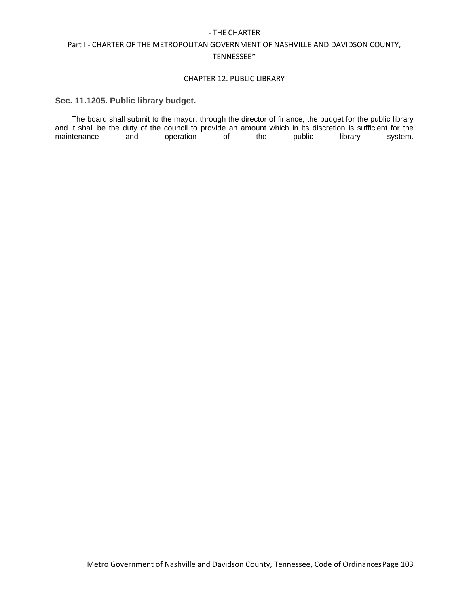# Part I - CHARTER OF THE METROPOLITAN GOVERNMENT OF NASHVILLE AND DAVIDSON COUNTY, TENNESSEE\*

#### CHAPTER 12. PUBLIC LIBRARY

# **Sec. 11.1205. Public library budget.**

The board shall submit to the mayor, through the director of finance, the budget for the public library and it shall be the duty of the council to provide an amount which in its discretion is sufficient for the maintenance and operation of the public library system. maintenance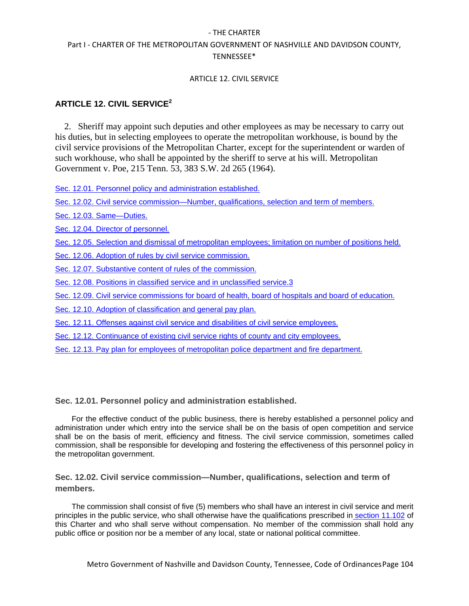# Part I ‐ CHARTER OF THE METROPOLITAN GOVERNMENT OF NASHVILLE AND DAVIDSON COUNTY, TENNESSEE\*

#### ARTICLE 12. CIVIL SERVICE

# **ARTICLE 12. CIVIL SERVICE2**

 2. Sheriff may appoint such deputies and other employees as may be necessary to carry out his duties, but in selecting employees to operate the metropolitan workhouse, is bound by the civil service provisions of the Metropolitan Charter, except for the superintendent or warden of such workhouse, who shall be appointed by the sheriff to serve at his will. Metropolitan Government v. Poe, 215 Tenn. 53, 383 S.W. 2d 265 (1964).

Sec. 12.01. Personnel policy and administration established.

Sec. 12.02. Civil service commission—Number, qualifications, selection and term of members.

Sec. 12.03. Same-Duties.

Sec. 12.04. Director of personnel.

Sec. 12.05. Selection and dismissal of metropolitan employees; limitation on number of positions held.

Sec. 12.06. Adoption of rules by civil service commission.

Sec. 12.07. Substantive content of rules of the commission.

Sec. 12.08. Positions in classified service and in unclassified service.3

Sec. 12.09. Civil service commissions for board of health, board of hospitals and board of education.

Sec. 12.10. Adoption of classification and general pay plan.

Sec. 12.11. Offenses against civil service and disabilities of civil service employees.

Sec. 12.12. Continuance of existing civil service rights of county and city employees.

Sec. 12.13. Pay plan for employees of metropolitan police department and fire department.

# **Sec. 12.01. Personnel policy and administration established.**

For the effective conduct of the public business, there is hereby established a personnel policy and administration under which entry into the service shall be on the basis of open competition and service shall be on the basis of merit, efficiency and fitness. The civil service commission, sometimes called commission, shall be responsible for developing and fostering the effectiveness of this personnel policy in the metropolitan government.

**Sec. 12.02. Civil service commission—Number, qualifications, selection and term of members.** 

The commission shall consist of five (5) members who shall have an interest in civil service and merit principles in the public service, who shall otherwise have the qualifications prescribed in section 11.102 of this Charter and who shall serve without compensation. No member of the commission shall hold any public office or position nor be a member of any local, state or national political committee.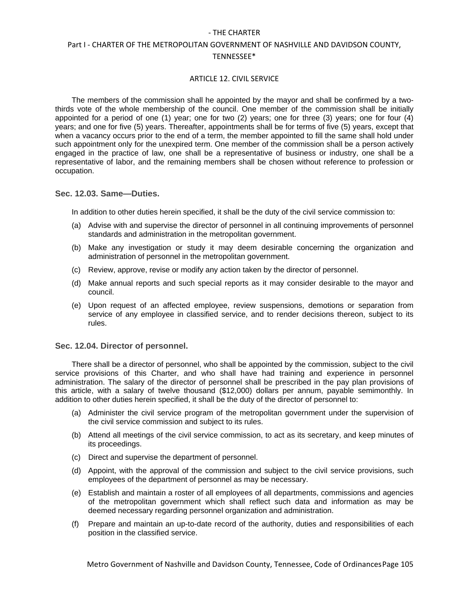# Part I ‐ CHARTER OF THE METROPOLITAN GOVERNMENT OF NASHVILLE AND DAVIDSON COUNTY, TENNESSEE\*

#### ARTICLE 12. CIVIL SERVICE

The members of the commission shall he appointed by the mayor and shall be confirmed by a twothirds vote of the whole membership of the council. One member of the commission shall be initially appointed for a period of one (1) year; one for two (2) years; one for three (3) years; one for four (4) years; and one for five (5) years. Thereafter, appointments shall be for terms of five (5) years, except that when a vacancy occurs prior to the end of a term, the member appointed to fill the same shall hold under such appointment only for the unexpired term. One member of the commission shall be a person actively engaged in the practice of law, one shall be a representative of business or industry, one shall be a representative of labor, and the remaining members shall be chosen without reference to profession or occupation.

#### **Sec. 12.03. Same—Duties.**

In addition to other duties herein specified, it shall be the duty of the civil service commission to:

- (a) Advise with and supervise the director of personnel in all continuing improvements of personnel standards and administration in the metropolitan government.
- (b) Make any investigation or study it may deem desirable concerning the organization and administration of personnel in the metropolitan government.
- (c) Review, approve, revise or modify any action taken by the director of personnel.
- (d) Make annual reports and such special reports as it may consider desirable to the mayor and council.
- (e) Upon request of an affected employee, review suspensions, demotions or separation from service of any employee in classified service, and to render decisions thereon, subject to its rules.

### **Sec. 12.04. Director of personnel.**

There shall be a director of personnel, who shall be appointed by the commission, subject to the civil service provisions of this Charter, and who shall have had training and experience in personnel administration. The salary of the director of personnel shall be prescribed in the pay plan provisions of this article, with a salary of twelve thousand (\$12,000) dollars per annum, payable semimonthly. In addition to other duties herein specified, it shall be the duty of the director of personnel to:

- (a) Administer the civil service program of the metropolitan government under the supervision of the civil service commission and subject to its rules.
- (b) Attend all meetings of the civil service commission, to act as its secretary, and keep minutes of its proceedings.
- (c) Direct and supervise the department of personnel.
- (d) Appoint, with the approval of the commission and subject to the civil service provisions, such employees of the department of personnel as may be necessary.
- (e) Establish and maintain a roster of all employees of all departments, commissions and agencies of the metropolitan government which shall reflect such data and information as may be deemed necessary regarding personnel organization and administration.
- (f) Prepare and maintain an up-to-date record of the authority, duties and responsibilities of each position in the classified service.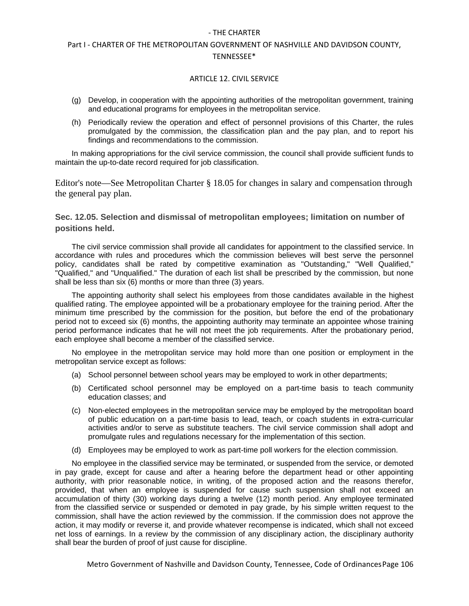# Part I ‐ CHARTER OF THE METROPOLITAN GOVERNMENT OF NASHVILLE AND DAVIDSON COUNTY, TENNESSEE\*

#### ARTICLE 12. CIVIL SERVICE

- (g) Develop, in cooperation with the appointing authorities of the metropolitan government, training and educational programs for employees in the metropolitan service.
- (h) Periodically review the operation and effect of personnel provisions of this Charter, the rules promulgated by the commission, the classification plan and the pay plan, and to report his findings and recommendations to the commission.

In making appropriations for the civil service commission, the council shall provide sufficient funds to maintain the up-to-date record required for job classification.

Editor's note—See Metropolitan Charter § 18.05 for changes in salary and compensation through the general pay plan.

**Sec. 12.05. Selection and dismissal of metropolitan employees; limitation on number of positions held.** 

The civil service commission shall provide all candidates for appointment to the classified service. In accordance with rules and procedures which the commission believes will best serve the personnel policy, candidates shall be rated by competitive examination as "Outstanding," "Well Qualified," "Qualified," and "Unqualified." The duration of each list shall be prescribed by the commission, but none shall be less than six (6) months or more than three (3) years.

The appointing authority shall select his employees from those candidates available in the highest qualified rating. The employee appointed will be a probationary employee for the training period. After the minimum time prescribed by the commission for the position, but before the end of the probationary period not to exceed six (6) months, the appointing authority may terminate an appointee whose training period performance indicates that he will not meet the job requirements. After the probationary period, each employee shall become a member of the classified service.

No employee in the metropolitan service may hold more than one position or employment in the metropolitan service except as follows:

- (a) School personnel between school years may be employed to work in other departments;
- (b) Certificated school personnel may be employed on a part-time basis to teach community education classes; and
- (c) Non-elected employees in the metropolitan service may be employed by the metropolitan board of public education on a part-time basis to lead, teach, or coach students in extra-curricular activities and/or to serve as substitute teachers. The civil service commission shall adopt and promulgate rules and regulations necessary for the implementation of this section.
- (d) Employees may be employed to work as part-time poll workers for the election commission.

No employee in the classified service may be terminated, or suspended from the service, or demoted in pay grade, except for cause and after a hearing before the department head or other appointing authority, with prior reasonable notice, in writing, of the proposed action and the reasons therefor, provided, that when an employee is suspended for cause such suspension shall not exceed an accumulation of thirty (30) working days during a twelve (12) month period. Any employee terminated from the classified service or suspended or demoted in pay grade, by his simple written request to the commission, shall have the action reviewed by the commission. If the commission does not approve the action, it may modify or reverse it, and provide whatever recompense is indicated, which shall not exceed net loss of earnings. In a review by the commission of any disciplinary action, the disciplinary authority shall bear the burden of proof of just cause for discipline.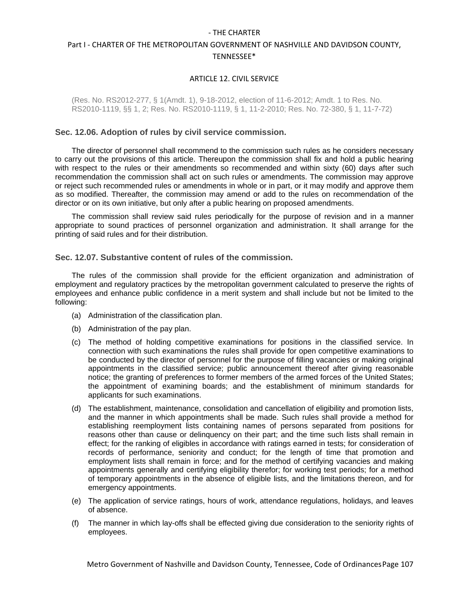# Part I - CHARTER OF THE METROPOLITAN GOVERNMENT OF NASHVILLE AND DAVIDSON COUNTY. TENNESSEE\*

### ARTICLE 12. CIVIL SERVICE

(Res. No. RS2012-277, § 1(Amdt. 1), 9-18-2012, election of 11-6-2012; Amdt. 1 to Res. No. RS2010-1119, §§ 1, 2; Res. No. RS2010-1119, § 1, 11-2-2010; Res. No. 72-380, § 1, 11-7-72)

# **Sec. 12.06. Adoption of rules by civil service commission.**

The director of personnel shall recommend to the commission such rules as he considers necessary to carry out the provisions of this article. Thereupon the commission shall fix and hold a public hearing with respect to the rules or their amendments so recommended and within sixty (60) days after such recommendation the commission shall act on such rules or amendments. The commission may approve or reject such recommended rules or amendments in whole or in part, or it may modify and approve them as so modified. Thereafter, the commission may amend or add to the rules on recommendation of the director or on its own initiative, but only after a public hearing on proposed amendments.

The commission shall review said rules periodically for the purpose of revision and in a manner appropriate to sound practices of personnel organization and administration. It shall arrange for the printing of said rules and for their distribution.

### **Sec. 12.07. Substantive content of rules of the commission.**

The rules of the commission shall provide for the efficient organization and administration of employment and regulatory practices by the metropolitan government calculated to preserve the rights of employees and enhance public confidence in a merit system and shall include but not be limited to the following:

- (a) Administration of the classification plan.
- (b) Administration of the pay plan.
- (c) The method of holding competitive examinations for positions in the classified service. In connection with such examinations the rules shall provide for open competitive examinations to be conducted by the director of personnel for the purpose of filling vacancies or making original appointments in the classified service; public announcement thereof after giving reasonable notice; the granting of preferences to former members of the armed forces of the United States; the appointment of examining boards; and the establishment of minimum standards for applicants for such examinations.
- (d) The establishment, maintenance, consolidation and cancellation of eligibility and promotion lists, and the manner in which appointments shall be made. Such rules shall provide a method for establishing reemployment lists containing names of persons separated from positions for reasons other than cause or delinquency on their part; and the time such lists shall remain in effect; for the ranking of eligibles in accordance with ratings earned in tests; for consideration of records of performance, seniority and conduct; for the length of time that promotion and employment lists shall remain in force; and for the method of certifying vacancies and making appointments generally and certifying eligibility therefor; for working test periods; for a method of temporary appointments in the absence of eligible lists, and the limitations thereon, and for emergency appointments.
- (e) The application of service ratings, hours of work, attendance regulations, holidays, and leaves of absence.
- (f) The manner in which lay-offs shall be effected giving due consideration to the seniority rights of employees.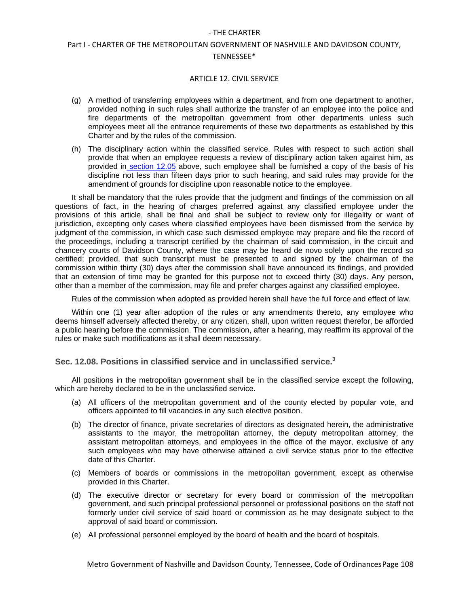# Part I ‐ CHARTER OF THE METROPOLITAN GOVERNMENT OF NASHVILLE AND DAVIDSON COUNTY, TENNESSEE\*

#### ARTICLE 12. CIVIL SERVICE

- (g) A method of transferring employees within a department, and from one department to another, provided nothing in such rules shall authorize the transfer of an employee into the police and fire departments of the metropolitan government from other departments unless such employees meet all the entrance requirements of these two departments as established by this Charter and by the rules of the commission.
- (h) The disciplinary action within the classified service. Rules with respect to such action shall provide that when an employee requests a review of disciplinary action taken against him, as provided in section 12.05 above, such employee shall be furnished a copy of the basis of his discipline not less than fifteen days prior to such hearing, and said rules may provide for the amendment of grounds for discipline upon reasonable notice to the employee.

It shall be mandatory that the rules provide that the judgment and findings of the commission on all questions of fact, in the hearing of charges preferred against any classified employee under the provisions of this article, shall be final and shall be subject to review only for illegality or want of jurisdiction, excepting only cases where classified employees have been dismissed from the service by judgment of the commission, in which case such dismissed employee may prepare and file the record of the proceedings, including a transcript certified by the chairman of said commission, in the circuit and chancery courts of Davidson County, where the case may be heard de novo solely upon the record so certified; provided, that such transcript must be presented to and signed by the chairman of the commission within thirty (30) days after the commission shall have announced its findings, and provided that an extension of time may be granted for this purpose not to exceed thirty (30) days. Any person, other than a member of the commission, may file and prefer charges against any classified employee.

Rules of the commission when adopted as provided herein shall have the full force and effect of law.

Within one (1) year after adoption of the rules or any amendments thereto, any employee who deems himself adversely affected thereby, or any citizen, shall, upon written request therefor, be afforded a public hearing before the commission. The commission, after a hearing, may reaffirm its approval of the rules or make such modifications as it shall deem necessary.

**Sec. 12.08. Positions in classified service and in unclassified service.3** 

All positions in the metropolitan government shall be in the classified service except the following, which are hereby declared to be in the unclassified service.

- (a) All officers of the metropolitan government and of the county elected by popular vote, and officers appointed to fill vacancies in any such elective position.
- (b) The director of finance, private secretaries of directors as designated herein, the administrative assistants to the mayor, the metropolitan attorney, the deputy metropolitan attorney, the assistant metropolitan attorneys, and employees in the office of the mayor, exclusive of any such employees who may have otherwise attained a civil service status prior to the effective date of this Charter.
- (c) Members of boards or commissions in the metropolitan government, except as otherwise provided in this Charter.
- (d) The executive director or secretary for every board or commission of the metropolitan government, and such principal professional personnel or professional positions on the staff not formerly under civil service of said board or commission as he may designate subject to the approval of said board or commission.
- (e) All professional personnel employed by the board of health and the board of hospitals.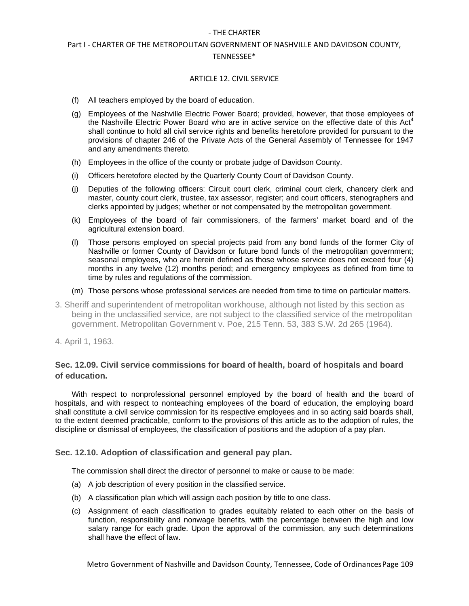# Part I ‐ CHARTER OF THE METROPOLITAN GOVERNMENT OF NASHVILLE AND DAVIDSON COUNTY, TENNESSEE\*

#### ARTICLE 12. CIVIL SERVICE

- (f) All teachers employed by the board of education.
- (g) Employees of the Nashville Electric Power Board; provided, however, that those employees of the Nashville Electric Power Board who are in active service on the effective date of this Act<sup>4</sup> shall continue to hold all civil service rights and benefits heretofore provided for pursuant to the provisions of chapter 246 of the Private Acts of the General Assembly of Tennessee for 1947 and any amendments thereto.
- (h) Employees in the office of the county or probate judge of Davidson County.
- (i) Officers heretofore elected by the Quarterly County Court of Davidson County.
- (j) Deputies of the following officers: Circuit court clerk, criminal court clerk, chancery clerk and master, county court clerk, trustee, tax assessor, register; and court officers, stenographers and clerks appointed by judges; whether or not compensated by the metropolitan government.
- (k) Employees of the board of fair commissioners, of the farmers' market board and of the agricultural extension board.
- (l) Those persons employed on special projects paid from any bond funds of the former City of Nashville or former County of Davidson or future bond funds of the metropolitan government; seasonal employees, who are herein defined as those whose service does not exceed four (4) months in any twelve (12) months period; and emergency employees as defined from time to time by rules and regulations of the commission.

#### (m) Those persons whose professional services are needed from time to time on particular matters.

- 3. Sheriff and superintendent of metropolitan workhouse, although not listed by this section as being in the unclassified service, are not subject to the classified service of the metropolitan government. Metropolitan Government v. Poe, 215 Tenn. 53, 383 S.W. 2d 265 (1964).
- 4. April 1, 1963.

# **Sec. 12.09. Civil service commissions for board of health, board of hospitals and board of education.**

With respect to nonprofessional personnel employed by the board of health and the board of hospitals, and with respect to nonteaching employees of the board of education, the employing board shall constitute a civil service commission for its respective employees and in so acting said boards shall, to the extent deemed practicable, conform to the provisions of this article as to the adoption of rules, the discipline or dismissal of employees, the classification of positions and the adoption of a pay plan.

#### **Sec. 12.10. Adoption of classification and general pay plan.**

The commission shall direct the director of personnel to make or cause to be made:

- (a) A job description of every position in the classified service.
- (b) A classification plan which will assign each position by title to one class.
- (c) Assignment of each classification to grades equitably related to each other on the basis of function, responsibility and nonwage benefits, with the percentage between the high and low salary range for each grade. Upon the approval of the commission, any such determinations shall have the effect of law.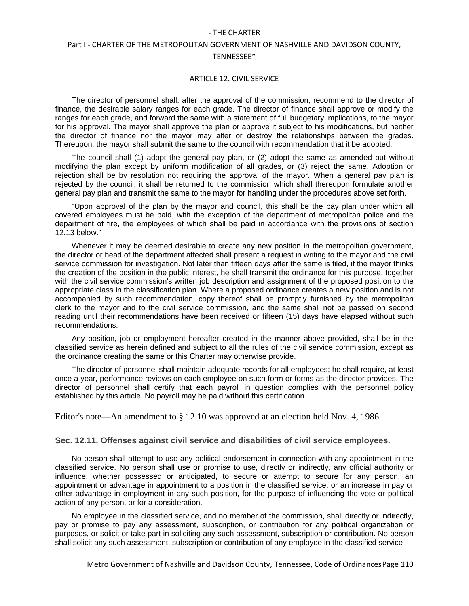# Part I - CHARTER OF THE METROPOLITAN GOVERNMENT OF NASHVILLE AND DAVIDSON COUNTY. TENNESSEE\*

#### ARTICLE 12. CIVIL SERVICE

The director of personnel shall, after the approval of the commission, recommend to the director of finance, the desirable salary ranges for each grade. The director of finance shall approve or modify the ranges for each grade, and forward the same with a statement of full budgetary implications, to the mayor for his approval. The mayor shall approve the plan or approve it subject to his modifications, but neither the director of finance nor the mayor may alter or destroy the relationships between the grades. Thereupon, the mayor shall submit the same to the council with recommendation that it be adopted.

The council shall (1) adopt the general pay plan, or (2) adopt the same as amended but without modifying the plan except by uniform modification of all grades, or (3) reject the same. Adoption or rejection shall be by resolution not requiring the approval of the mayor. When a general pay plan is rejected by the council, it shall be returned to the commission which shall thereupon formulate another general pay plan and transmit the same to the mayor for handling under the procedures above set forth.

"Upon approval of the plan by the mayor and council, this shall be the pay plan under which all covered employees must be paid, with the exception of the department of metropolitan police and the department of fire, the employees of which shall be paid in accordance with the provisions of section 12.13 below."

Whenever it may be deemed desirable to create any new position in the metropolitan government, the director or head of the department affected shall present a request in writing to the mayor and the civil service commission for investigation. Not later than fifteen days after the same is filed, if the mayor thinks the creation of the position in the public interest, he shall transmit the ordinance for this purpose, together with the civil service commission's written job description and assignment of the proposed position to the appropriate class in the classification plan. Where a proposed ordinance creates a new position and is not accompanied by such recommendation, copy thereof shall be promptly furnished by the metropolitan clerk to the mayor and to the civil service commission, and the same shall not be passed on second reading until their recommendations have been received or fifteen (15) days have elapsed without such recommendations.

Any position, job or employment hereafter created in the manner above provided, shall be in the classified service as herein defined and subject to all the rules of the civil service commission, except as the ordinance creating the same or this Charter may otherwise provide.

The director of personnel shall maintain adequate records for all employees; he shall require, at least once a year, performance reviews on each employee on such form or forms as the director provides. The director of personnel shall certify that each payroll in question complies with the personnel policy established by this article. No payroll may be paid without this certification.

Editor's note—An amendment to § 12.10 was approved at an election held Nov. 4, 1986.

**Sec. 12.11. Offenses against civil service and disabilities of civil service employees.** 

No person shall attempt to use any political endorsement in connection with any appointment in the classified service. No person shall use or promise to use, directly or indirectly, any official authority or influence, whether possessed or anticipated, to secure or attempt to secure for any person, an appointment or advantage in appointment to a position in the classified service, or an increase in pay or other advantage in employment in any such position, for the purpose of influencing the vote or political action of any person, or for a consideration.

No employee in the classified service, and no member of the commission, shall directly or indirectly, pay or promise to pay any assessment, subscription, or contribution for any political organization or purposes, or solicit or take part in soliciting any such assessment, subscription or contribution. No person shall solicit any such assessment, subscription or contribution of any employee in the classified service.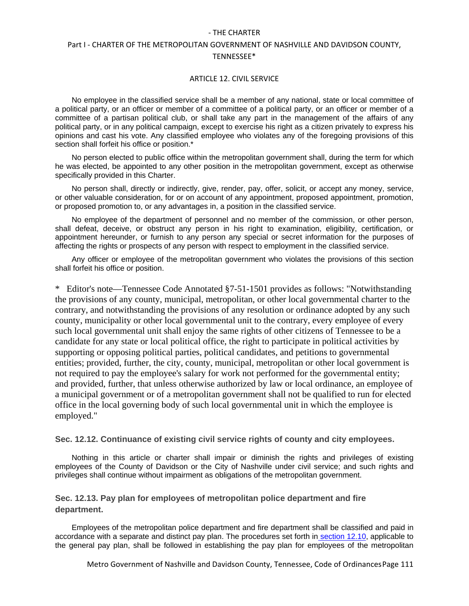# Part I - CHARTER OF THE METROPOLITAN GOVERNMENT OF NASHVILLE AND DAVIDSON COUNTY. TENNESSEE\*

#### ARTICLE 12. CIVIL SERVICE

No employee in the classified service shall be a member of any national, state or local committee of a political party, or an officer or member of a committee of a political party, or an officer or member of a committee of a partisan political club, or shall take any part in the management of the affairs of any political party, or in any political campaign, except to exercise his right as a citizen privately to express his opinions and cast his vote. Any classified employee who violates any of the foregoing provisions of this section shall forfeit his office or position.\*

No person elected to public office within the metropolitan government shall, during the term for which he was elected, be appointed to any other position in the metropolitan government, except as otherwise specifically provided in this Charter.

No person shall, directly or indirectly, give, render, pay, offer, solicit, or accept any money, service, or other valuable consideration, for or on account of any appointment, proposed appointment, promotion, or proposed promotion to, or any advantages in, a position in the classified service.

No employee of the department of personnel and no member of the commission, or other person, shall defeat, deceive, or obstruct any person in his right to examination, eligibility, certification, or appointment hereunder, or furnish to any person any special or secret information for the purposes of affecting the rights or prospects of any person with respect to employment in the classified service.

Any officer or employee of the metropolitan government who violates the provisions of this section shall forfeit his office or position.

\* Editor's note—Tennessee Code Annotated §7-51-1501 provides as follows: "Notwithstanding the provisions of any county, municipal, metropolitan, or other local governmental charter to the contrary, and notwithstanding the provisions of any resolution or ordinance adopted by any such county, municipality or other local governmental unit to the contrary, every employee of every such local governmental unit shall enjoy the same rights of other citizens of Tennessee to be a candidate for any state or local political office, the right to participate in political activities by supporting or opposing political parties, political candidates, and petitions to governmental entities; provided, further, the city, county, municipal, metropolitan or other local government is not required to pay the employee's salary for work not performed for the governmental entity; and provided, further, that unless otherwise authorized by law or local ordinance, an employee of a municipal government or of a metropolitan government shall not be qualified to run for elected office in the local governing body of such local governmental unit in which the employee is employed."

### **Sec. 12.12. Continuance of existing civil service rights of county and city employees.**

Nothing in this article or charter shall impair or diminish the rights and privileges of existing employees of the County of Davidson or the City of Nashville under civil service; and such rights and privileges shall continue without impairment as obligations of the metropolitan government.

# **Sec. 12.13. Pay plan for employees of metropolitan police department and fire department.**

Employees of the metropolitan police department and fire department shall be classified and paid in accordance with a separate and distinct pay plan. The procedures set forth in section 12.10, applicable to the general pay plan, shall be followed in establishing the pay plan for employees of the metropolitan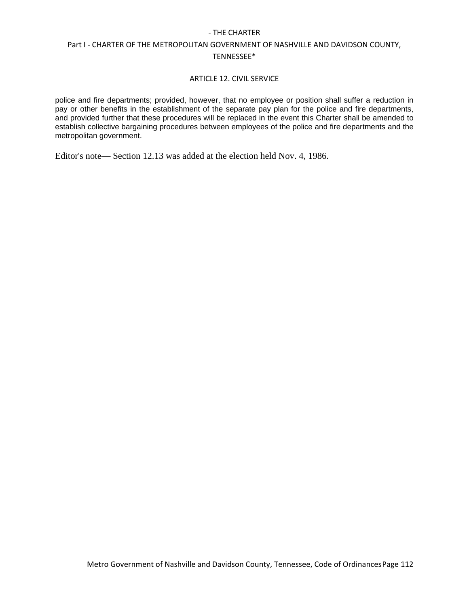# Part I - CHARTER OF THE METROPOLITAN GOVERNMENT OF NASHVILLE AND DAVIDSON COUNTY, TENNESSEE\*

#### ARTICLE 12. CIVIL SERVICE

police and fire departments; provided, however, that no employee or position shall suffer a reduction in pay or other benefits in the establishment of the separate pay plan for the police and fire departments, and provided further that these procedures will be replaced in the event this Charter shall be amended to establish collective bargaining procedures between employees of the police and fire departments and the metropolitan government.

Editor's note— Section 12.13 was added at the election held Nov. 4, 1986.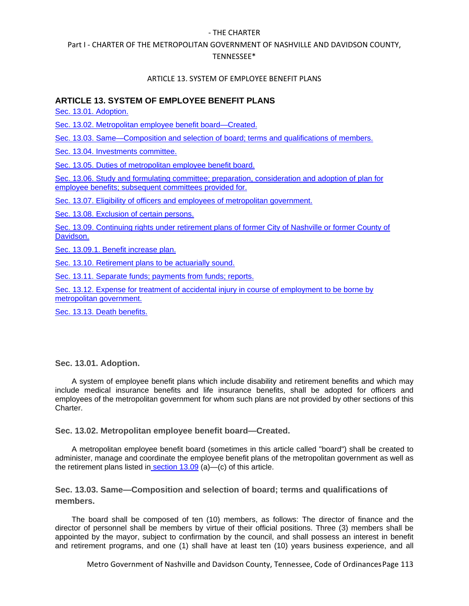# Part I ‐ CHARTER OF THE METROPOLITAN GOVERNMENT OF NASHVILLE AND DAVIDSON COUNTY, TENNESSEE\*

### ARTICLE 13. SYSTEM OF EMPLOYEE BENEFIT PLANS

# **ARTICLE 13. SYSTEM OF EMPLOYEE BENEFIT PLANS**

Sec. 13.01. Adoption.

Sec. 13.02. Metropolitan employee benefit board—Created.

Sec. 13.03. Same—Composition and selection of board; terms and qualifications of members.

Sec. 13.04. Investments committee.

Sec. 13.05. Duties of metropolitan employee benefit board.

Sec. 13.06. Study and formulating committee; preparation, consideration and adoption of plan for employee benefits; subsequent committees provided for.

Sec. 13.07. Eligibility of officers and employees of metropolitan government.

Sec. 13.08. Exclusion of certain persons.

Sec. 13.09. Continuing rights under retirement plans of former City of Nashville or former County of Davidson.

Sec. 13.09.1. Benefit increase plan.

Sec. 13.10. Retirement plans to be actuarially sound.

Sec. 13.11. Separate funds; payments from funds; reports.

Sec. 13.12. Expense for treatment of accidental injury in course of employment to be borne by metropolitan government.

Sec. 13.13. Death benefits.

#### **Sec. 13.01. Adoption.**

A system of employee benefit plans which include disability and retirement benefits and which may include medical insurance benefits and life insurance benefits, shall be adopted for officers and employees of the metropolitan government for whom such plans are not provided by other sections of this Charter.

**Sec. 13.02. Metropolitan employee benefit board—Created.** 

A metropolitan employee benefit board (sometimes in this article called "board") shall be created to administer, manage and coordinate the employee benefit plans of the metropolitan government as well as the retirement plans listed in section 13.09 (a)—(c) of this article.

**Sec. 13.03. Same—Composition and selection of board; terms and qualifications of members.** 

The board shall be composed of ten (10) members, as follows: The director of finance and the director of personnel shall be members by virtue of their official positions. Three (3) members shall be appointed by the mayor, subject to confirmation by the council, and shall possess an interest in benefit and retirement programs, and one (1) shall have at least ten (10) years business experience, and all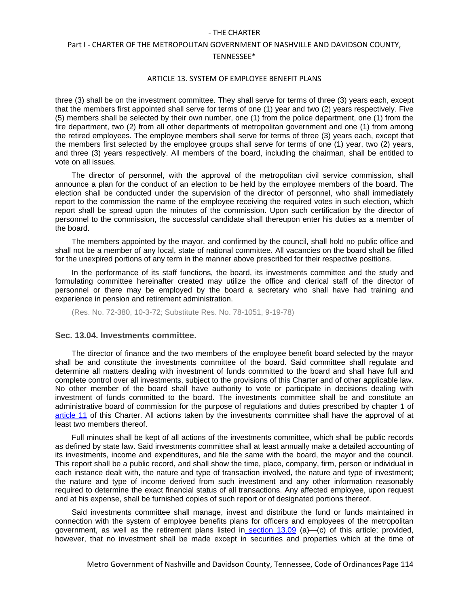# Part I - CHARTER OF THE METROPOLITAN GOVERNMENT OF NASHVILLE AND DAVIDSON COUNTY. TENNESSEE\*

#### ARTICLE 13. SYSTEM OF EMPLOYEE BENEFIT PLANS

three (3) shall be on the investment committee. They shall serve for terms of three (3) years each, except that the members first appointed shall serve for terms of one (1) year and two (2) years respectively. Five (5) members shall be selected by their own number, one (1) from the police department, one (1) from the fire department, two (2) from all other departments of metropolitan government and one (1) from among the retired employees. The employee members shall serve for terms of three (3) years each, except that the members first selected by the employee groups shall serve for terms of one (1) year, two (2) years, and three (3) years respectively. All members of the board, including the chairman, shall be entitled to vote on all issues.

The director of personnel, with the approval of the metropolitan civil service commission, shall announce a plan for the conduct of an election to be held by the employee members of the board. The election shall be conducted under the supervision of the director of personnel, who shall immediately report to the commission the name of the employee receiving the required votes in such election, which report shall be spread upon the minutes of the commission. Upon such certification by the director of personnel to the commission, the successful candidate shall thereupon enter his duties as a member of the board.

The members appointed by the mayor, and confirmed by the council, shall hold no public office and shall not be a member of any local, state of national committee. All vacancies on the board shall be filled for the unexpired portions of any term in the manner above prescribed for their respective positions.

In the performance of its staff functions, the board, its investments committee and the study and formulating committee hereinafter created may utilize the office and clerical staff of the director of personnel or there may be employed by the board a secretary who shall have had training and experience in pension and retirement administration.

(Res. No. 72-380, 10-3-72; Substitute Res. No. 78-1051, 9-19-78)

#### **Sec. 13.04. Investments committee.**

The director of finance and the two members of the employee benefit board selected by the mayor shall be and constitute the investments committee of the board. Said committee shall regulate and determine all matters dealing with investment of funds committed to the board and shall have full and complete control over all investments, subject to the provisions of this Charter and of other applicable law. No other member of the board shall have authority to vote or participate in decisions dealing with investment of funds committed to the board. The investments committee shall be and constitute an administrative board of commission for the purpose of regulations and duties prescribed by chapter 1 of article 11 of this Charter. All actions taken by the investments committee shall have the approval of at least two members thereof.

Full minutes shall be kept of all actions of the investments committee, which shall be public records as defined by state law. Said investments committee shall at least annually make a detailed accounting of its investments, income and expenditures, and file the same with the board, the mayor and the council. This report shall be a public record, and shall show the time, place, company, firm, person or individual in each instance dealt with, the nature and type of transaction involved, the nature and type of investment; the nature and type of income derived from such investment and any other information reasonably required to determine the exact financial status of all transactions. Any affected employee, upon request and at his expense, shall be furnished copies of such report or of designated portions thereof.

Said investments committee shall manage, invest and distribute the fund or funds maintained in connection with the system of employee benefits plans for officers and employees of the metropolitan government, as well as the retirement plans listed in section  $13.09$  (a)-(c) of this article; provided, however, that no investment shall be made except in securities and properties which at the time of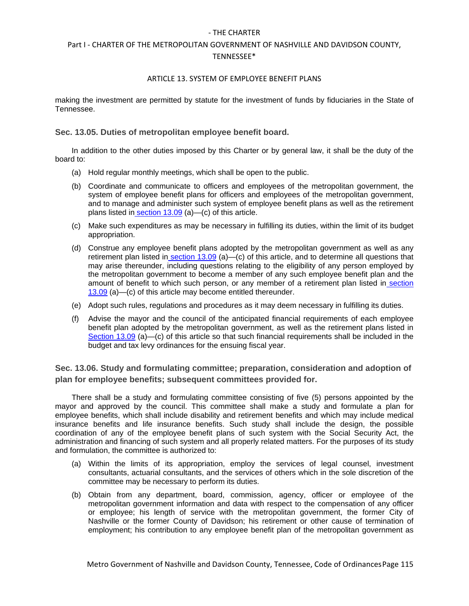# Part I ‐ CHARTER OF THE METROPOLITAN GOVERNMENT OF NASHVILLE AND DAVIDSON COUNTY, TENNESSEE\*

#### ARTICLE 13. SYSTEM OF EMPLOYEE BENEFIT PLANS

making the investment are permitted by statute for the investment of funds by fiduciaries in the State of Tennessee.

### **Sec. 13.05. Duties of metropolitan employee benefit board.**

In addition to the other duties imposed by this Charter or by general law, it shall be the duty of the board to:

- (a) Hold regular monthly meetings, which shall be open to the public.
- (b) Coordinate and communicate to officers and employees of the metropolitan government, the system of employee benefit plans for officers and employees of the metropolitan government, and to manage and administer such system of employee benefit plans as well as the retirement plans listed in section 13.09 (a)—(c) of this article.
- (c) Make such expenditures as may be necessary in fulfilling its duties, within the limit of its budget appropriation.
- (d) Construe any employee benefit plans adopted by the metropolitan government as well as any retirement plan listed in section 13.09 (a)—(c) of this article, and to determine all questions that may arise thereunder, including questions relating to the eligibility of any person employed by the metropolitan government to become a member of any such employee benefit plan and the amount of benefit to which such person, or any member of a retirement plan listed in section 13.09 (a)—(c) of this article may become entitled thereunder.
- (e) Adopt such rules, regulations and procedures as it may deem necessary in fulfilling its duties.
- (f) Advise the mayor and the council of the anticipated financial requirements of each employee benefit plan adopted by the metropolitan government, as well as the retirement plans listed in Section 13.09 (a)—(c) of this article so that such financial requirements shall be included in the budget and tax levy ordinances for the ensuing fiscal year.

**Sec. 13.06. Study and formulating committee; preparation, consideration and adoption of plan for employee benefits; subsequent committees provided for.** 

There shall be a study and formulating committee consisting of five (5) persons appointed by the mayor and approved by the council. This committee shall make a study and formulate a plan for employee benefits, which shall include disability and retirement benefits and which may include medical insurance benefits and life insurance benefits. Such study shall include the design, the possible coordination of any of the employee benefit plans of such system with the Social Security Act, the administration and financing of such system and all properly related matters. For the purposes of its study and formulation, the committee is authorized to:

- (a) Within the limits of its appropriation, employ the services of legal counsel, investment consultants, actuarial consultants, and the services of others which in the sole discretion of the committee may be necessary to perform its duties.
- (b) Obtain from any department, board, commission, agency, officer or employee of the metropolitan government information and data with respect to the compensation of any officer or employee; his length of service with the metropolitan government, the former City of Nashville or the former County of Davidson; his retirement or other cause of termination of employment; his contribution to any employee benefit plan of the metropolitan government as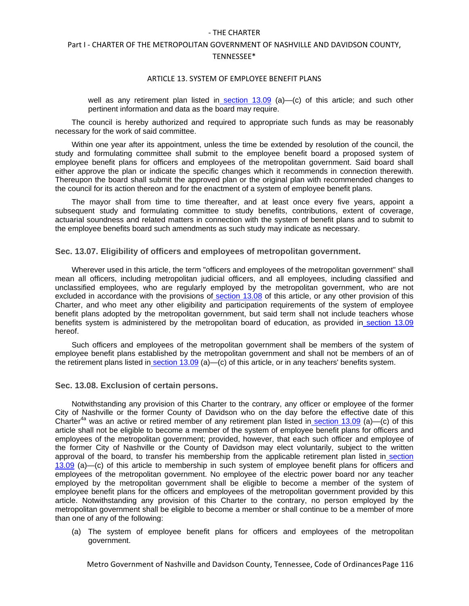# Part I - CHARTER OF THE METROPOLITAN GOVERNMENT OF NASHVILLE AND DAVIDSON COUNTY. TENNESSEE\*

#### ARTICLE 13. SYSTEM OF EMPLOYEE BENEFIT PLANS

well as any retirement plan listed in section 13.09 (a)—(c) of this article; and such other pertinent information and data as the board may require.

The council is hereby authorized and required to appropriate such funds as may be reasonably necessary for the work of said committee.

Within one year after its appointment, unless the time be extended by resolution of the council, the study and formulating committee shall submit to the employee benefit board a proposed system of employee benefit plans for officers and employees of the metropolitan government. Said board shall either approve the plan or indicate the specific changes which it recommends in connection therewith. Thereupon the board shall submit the approved plan or the original plan with recommended changes to the council for its action thereon and for the enactment of a system of employee benefit plans.

The mayor shall from time to time thereafter, and at least once every five years, appoint a subsequent study and formulating committee to study benefits, contributions, extent of coverage, actuarial soundness and related matters in connection with the system of benefit plans and to submit to the employee benefits board such amendments as such study may indicate as necessary.

### **Sec. 13.07. Eligibility of officers and employees of metropolitan government.**

Wherever used in this article, the term "officers and employees of the metropolitan government" shall mean all officers, including metropolitan judicial officers, and all employees, including classified and unclassified employees, who are regularly employed by the metropolitan government, who are not excluded in accordance with the provisions of section 13.08 of this article, or any other provision of this Charter, and who meet any other eligibility and participation requirements of the system of employee benefit plans adopted by the metropolitan government, but said term shall not include teachers whose benefits system is administered by the metropolitan board of education, as provided in section 13.09 hereof.

Such officers and employees of the metropolitan government shall be members of the system of employee benefit plans established by the metropolitan government and shall not be members of an of the retirement plans listed in section  $13.09$  (a)-(c) of this article, or in any teachers' benefits system.

#### **Sec. 13.08. Exclusion of certain persons.**

Notwithstanding any provision of this Charter to the contrary, any officer or employee of the former City of Nashville or the former County of Davidson who on the day before the effective date of this Charter<sup>4a</sup> was an active or retired member of any retirement plan listed in section 13.09 (a)—(c) of this article shall not be eligible to become a member of the system of employee benefit plans for officers and employees of the metropolitan government; provided, however, that each such officer and employee of the former City of Nashville or the County of Davidson may elect voluntarily, subject to the written approval of the board, to transfer his membership from the applicable retirement plan listed in section 13.09 (a)—(c) of this article to membership in such system of employee benefit plans for officers and employees of the metropolitan government. No employee of the electric power board nor any teacher employed by the metropolitan government shall be eligible to become a member of the system of employee benefit plans for the officers and employees of the metropolitan government provided by this article. Notwithstanding any provision of this Charter to the contrary, no person employed by the metropolitan government shall be eligible to become a member or shall continue to be a member of more than one of any of the following:

(a) The system of employee benefit plans for officers and employees of the metropolitan government.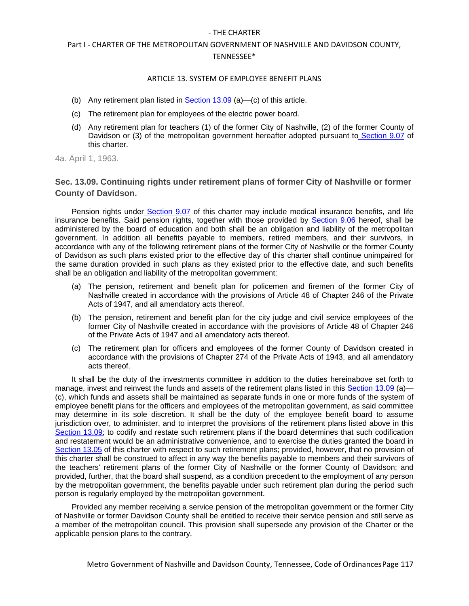# Part I ‐ CHARTER OF THE METROPOLITAN GOVERNMENT OF NASHVILLE AND DAVIDSON COUNTY, TENNESSEE\*

#### ARTICLE 13. SYSTEM OF EMPLOYEE BENEFIT PLANS

- (b) Any retirement plan listed in Section 13.09 (a)—(c) of this article.
- (c) The retirement plan for employees of the electric power board.
- (d) Any retirement plan for teachers (1) of the former City of Nashville, (2) of the former County of Davidson or (3) of the metropolitan government hereafter adopted pursuant to Section 9.07 of this charter.

4a. April 1, 1963.

# **Sec. 13.09. Continuing rights under retirement plans of former City of Nashville or former County of Davidson.**

Pension rights under Section 9.07 of this charter may include medical insurance benefits, and life insurance benefits. Said pension rights, together with those provided by Section 9.06 hereof, shall be administered by the board of education and both shall be an obligation and liability of the metropolitan government. In addition all benefits payable to members, retired members, and their survivors, in accordance with any of the following retirement plans of the former City of Nashville or the former County of Davidson as such plans existed prior to the effective day of this charter shall continue unimpaired for the same duration provided in such plans as they existed prior to the effective date, and such benefits shall be an obligation and liability of the metropolitan government:

- (a) The pension, retirement and benefit plan for policemen and firemen of the former City of Nashville created in accordance with the provisions of Article 48 of Chapter 246 of the Private Acts of 1947, and all amendatory acts thereof.
- (b) The pension, retirement and benefit plan for the city judge and civil service employees of the former City of Nashville created in accordance with the provisions of Article 48 of Chapter 246 of the Private Acts of 1947 and all amendatory acts thereof.
- (c) The retirement plan for officers and employees of the former County of Davidson created in accordance with the provisions of Chapter 274 of the Private Acts of 1943, and all amendatory acts thereof.

It shall be the duty of the investments committee in addition to the duties hereinabove set forth to manage, invest and reinvest the funds and assets of the retirement plans listed in this Section 13.09 (a)— (c), which funds and assets shall be maintained as separate funds in one or more funds of the system of employee benefit plans for the officers and employees of the metropolitan government, as said committee may determine in its sole discretion. It shall be the duty of the employee benefit board to assume jurisdiction over, to administer, and to interpret the provisions of the retirement plans listed above in this Section 13.09; to codify and restate such retirement plans if the board determines that such codification and restatement would be an administrative convenience, and to exercise the duties granted the board in Section 13.05 of this charter with respect to such retirement plans; provided, however, that no provision of this charter shall be construed to affect in any way the benefits payable to members and their survivors of the teachers' retirement plans of the former City of Nashville or the former County of Davidson; and provided, further, that the board shall suspend, as a condition precedent to the employment of any person by the metropolitan government, the benefits payable under such retirement plan during the period such person is regularly employed by the metropolitan government.

Provided any member receiving a service pension of the metropolitan government or the former City of Nashville or former Davidson County shall be entitled to receive their service pension and still serve as a member of the metropolitan council. This provision shall supersede any provision of the Charter or the applicable pension plans to the contrary.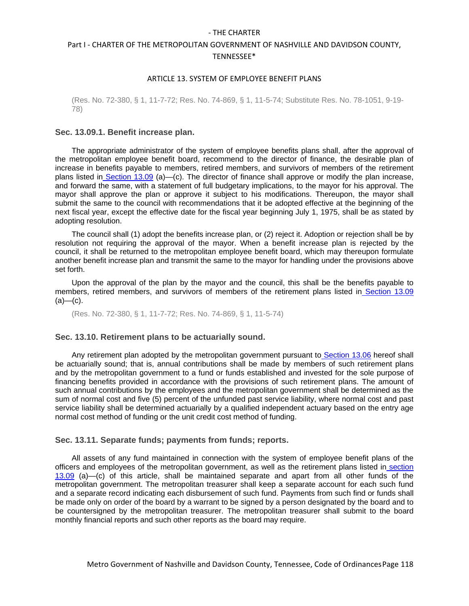# Part I - CHARTER OF THE METROPOLITAN GOVERNMENT OF NASHVILLE AND DAVIDSON COUNTY. TENNESSEE\*

#### ARTICLE 13. SYSTEM OF EMPLOYEE BENEFIT PLANS

(Res. No. 72-380, § 1, 11-7-72; Res. No. 74-869, § 1, 11-5-74; Substitute Res. No. 78-1051, 9-19- 78)

#### **Sec. 13.09.1. Benefit increase plan.**

The appropriate administrator of the system of employee benefits plans shall, after the approval of the metropolitan employee benefit board, recommend to the director of finance, the desirable plan of increase in benefits payable to members, retired members, and survivors of members of the retirement plans listed in Section 13.09 (a)—(c). The director of finance shall approve or modify the plan increase, and forward the same, with a statement of full budgetary implications, to the mayor for his approval. The mayor shall approve the plan or approve it subject to his modifications. Thereupon, the mayor shall submit the same to the council with recommendations that it be adopted effective at the beginning of the next fiscal year, except the effective date for the fiscal year beginning July 1, 1975, shall be as stated by adopting resolution.

The council shall (1) adopt the benefits increase plan, or (2) reject it. Adoption or rejection shall be by resolution not requiring the approval of the mayor. When a benefit increase plan is rejected by the council, it shall be returned to the metropolitan employee benefit board, which may thereupon formulate another benefit increase plan and transmit the same to the mayor for handling under the provisions above set forth.

Upon the approval of the plan by the mayor and the council, this shall be the benefits payable to members, retired members, and survivors of members of the retirement plans listed in Section 13.09  $(a)$ — $(c)$ .

(Res. No. 72-380, § 1, 11-7-72; Res. No. 74-869, § 1, 11-5-74)

#### **Sec. 13.10. Retirement plans to be actuarially sound.**

Any retirement plan adopted by the metropolitan government pursuant to Section 13.06 hereof shall be actuarially sound; that is, annual contributions shall be made by members of such retirement plans and by the metropolitan government to a fund or funds established and invested for the sole purpose of financing benefits provided in accordance with the provisions of such retirement plans. The amount of such annual contributions by the employees and the metropolitan government shall be determined as the sum of normal cost and five (5) percent of the unfunded past service liability, where normal cost and past service liability shall be determined actuarially by a qualified independent actuary based on the entry age normal cost method of funding or the unit credit cost method of funding.

#### **Sec. 13.11. Separate funds; payments from funds; reports.**

All assets of any fund maintained in connection with the system of employee benefit plans of the officers and employees of the metropolitan government, as well as the retirement plans listed in section 13.09 (a)—(c) of this article, shall be maintained separate and apart from all other funds of the metropolitan government. The metropolitan treasurer shall keep a separate account for each such fund and a separate record indicating each disbursement of such fund. Payments from such find or funds shall be made only on order of the board by a warrant to be signed by a person designated by the board and to be countersigned by the metropolitan treasurer. The metropolitan treasurer shall submit to the board monthly financial reports and such other reports as the board may require.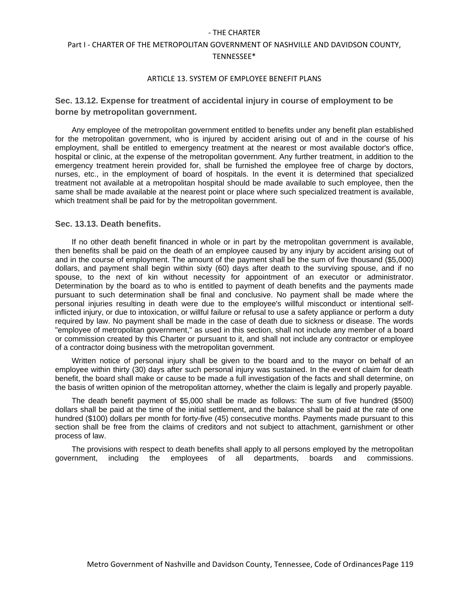# Part I - CHARTER OF THE METROPOLITAN GOVERNMENT OF NASHVILLE AND DAVIDSON COUNTY. TENNESSEE\*

#### ARTICLE 13. SYSTEM OF EMPLOYEE BENEFIT PLANS

# **Sec. 13.12. Expense for treatment of accidental injury in course of employment to be borne by metropolitan government.**

Any employee of the metropolitan government entitled to benefits under any benefit plan established for the metropolitan government, who is injured by accident arising out of and in the course of his employment, shall be entitled to emergency treatment at the nearest or most available doctor's office, hospital or clinic, at the expense of the metropolitan government. Any further treatment, in addition to the emergency treatment herein provided for, shall be furnished the employee free of charge by doctors, nurses, etc., in the employment of board of hospitals. In the event it is determined that specialized treatment not available at a metropolitan hospital should be made available to such employee, then the same shall be made available at the nearest point or place where such specialized treatment is available, which treatment shall be paid for by the metropolitan government.

#### **Sec. 13.13. Death benefits.**

If no other death benefit financed in whole or in part by the metropolitan government is available, then benefits shall be paid on the death of an employee caused by any injury by accident arising out of and in the course of employment. The amount of the payment shall be the sum of five thousand (\$5,000) dollars, and payment shall begin within sixty (60) days after death to the surviving spouse, and if no spouse, to the next of kin without necessity for appointment of an executor or administrator. Determination by the board as to who is entitled to payment of death benefits and the payments made pursuant to such determination shall be final and conclusive. No payment shall be made where the personal injuries resulting in death were due to the employee's willful misconduct or intentional selfinflicted injury, or due to intoxication, or willful failure or refusal to use a safety appliance or perform a duty required by law. No payment shall be made in the case of death due to sickness or disease. The words "employee of metropolitan government," as used in this section, shall not include any member of a board or commission created by this Charter or pursuant to it, and shall not include any contractor or employee of a contractor doing business with the metropolitan government.

Written notice of personal injury shall be given to the board and to the mayor on behalf of an employee within thirty (30) days after such personal injury was sustained. In the event of claim for death benefit, the board shall make or cause to be made a full investigation of the facts and shall determine, on the basis of written opinion of the metropolitan attorney, whether the claim is legally and properly payable.

The death benefit payment of \$5,000 shall be made as follows: The sum of five hundred (\$500) dollars shall be paid at the time of the initial settlement, and the balance shall be paid at the rate of one hundred (\$100) dollars per month for forty-five (45) consecutive months. Payments made pursuant to this section shall be free from the claims of creditors and not subject to attachment, garnishment or other process of law.

The provisions with respect to death benefits shall apply to all persons employed by the metropolitan government, including the employees of all departments, boards and commissions.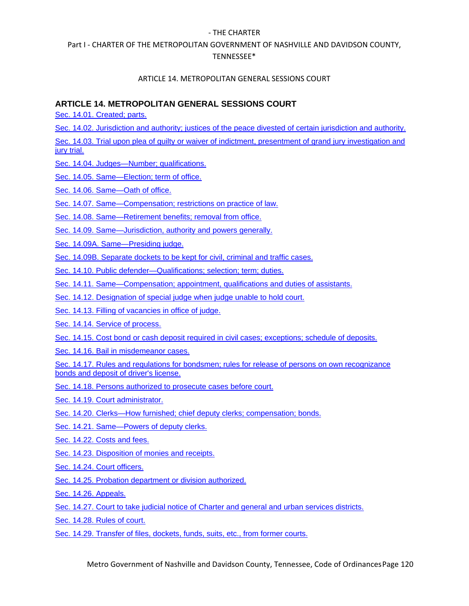# Part I ‐ CHARTER OF THE METROPOLITAN GOVERNMENT OF NASHVILLE AND DAVIDSON COUNTY, TENNESSEE\*

### ARTICLE 14. METROPOLITAN GENERAL SESSIONS COURT

# **ARTICLE 14. METROPOLITAN GENERAL SESSIONS COURT**

Sec. 14.01. Created; parts.

Sec. 14.02. Jurisdiction and authority; justices of the peace divested of certain jurisdiction and authority.

Sec. 14.03. Trial upon plea of guilty or waiver of indictment, presentment of grand jury investigation and jury trial.

Sec. 14.04. Judges—Number; qualifications.

Sec. 14.05. Same—Election; term of office.

Sec. 14.06. Same-Oath of office.

Sec. 14.07. Same—Compensation; restrictions on practice of law.

Sec. 14.08. Same—Retirement benefits; removal from office.

Sec. 14.09. Same-Jurisdiction, authority and powers generally.

Sec. 14.09A. Same—Presiding judge.

Sec. 14.09B. Separate dockets to be kept for civil, criminal and traffic cases.

Sec. 14.10. Public defender—Qualifications; selection; term; duties.

Sec. 14.11. Same—Compensation; appointment, qualifications and duties of assistants.

Sec. 14.12. Designation of special judge when judge unable to hold court.

Sec. 14.13. Filling of vacancies in office of judge.

Sec. 14.14. Service of process.

Sec. 14.15. Cost bond or cash deposit required in civil cases; exceptions; schedule of deposits.

Sec. 14.16. Bail in misdemeanor cases.

Sec. 14.17. Rules and regulations for bondsmen; rules for release of persons on own recognizance bonds and deposit of driver's license.

Sec. 14.18. Persons authorized to prosecute cases before court.

Sec. 14.19. Court administrator.

Sec. 14.20. Clerks—How furnished; chief deputy clerks; compensation; bonds.

Sec. 14.21. Same—Powers of deputy clerks.

Sec. 14.22. Costs and fees.

Sec. 14.23. Disposition of monies and receipts.

Sec. 14.24. Court officers.

Sec. 14.25. Probation department or division authorized.

Sec. 14.26. Appeals.

Sec. 14.27. Court to take judicial notice of Charter and general and urban services districts.

Sec. 14.28. Rules of court.

Sec. 14.29. Transfer of files, dockets, funds, suits, etc., from former courts.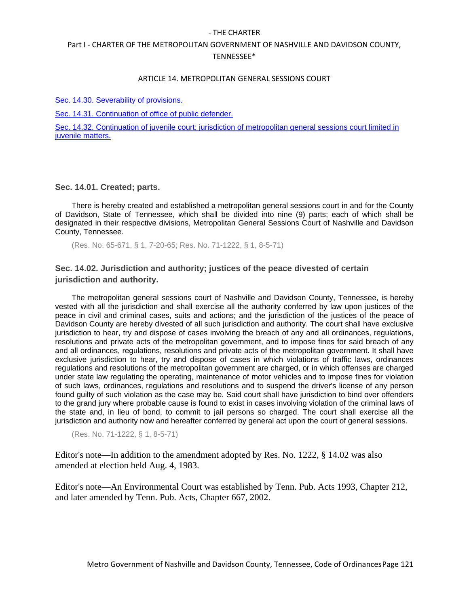# Part I ‐ CHARTER OF THE METROPOLITAN GOVERNMENT OF NASHVILLE AND DAVIDSON COUNTY, TENNESSEE\*

#### ARTICLE 14. METROPOLITAN GENERAL SESSIONS COURT

Sec. 14.30. Severability of provisions.

Sec. 14.31. Continuation of office of public defender.

Sec. 14.32. Continuation of juvenile court; jurisdiction of metropolitan general sessions court limited in juvenile matters.

#### **Sec. 14.01. Created; parts.**

There is hereby created and established a metropolitan general sessions court in and for the County of Davidson, State of Tennessee, which shall be divided into nine (9) parts; each of which shall be designated in their respective divisions, Metropolitan General Sessions Court of Nashville and Davidson County, Tennessee.

(Res. No. 65-671, § 1, 7-20-65; Res. No. 71-1222, § 1, 8-5-71)

# **Sec. 14.02. Jurisdiction and authority; justices of the peace divested of certain jurisdiction and authority.**

The metropolitan general sessions court of Nashville and Davidson County, Tennessee, is hereby vested with all the jurisdiction and shall exercise all the authority conferred by law upon justices of the peace in civil and criminal cases, suits and actions; and the jurisdiction of the justices of the peace of Davidson County are hereby divested of all such jurisdiction and authority. The court shall have exclusive jurisdiction to hear, try and dispose of cases involving the breach of any and all ordinances, regulations, resolutions and private acts of the metropolitan government, and to impose fines for said breach of any and all ordinances, regulations, resolutions and private acts of the metropolitan government. It shall have exclusive jurisdiction to hear, try and dispose of cases in which violations of traffic laws, ordinances regulations and resolutions of the metropolitan government are charged, or in which offenses are charged under state law regulating the operating, maintenance of motor vehicles and to impose fines for violation of such laws, ordinances, regulations and resolutions and to suspend the driver's license of any person found guilty of such violation as the case may be. Said court shall have jurisdiction to bind over offenders to the grand jury where probable cause is found to exist in cases involving violation of the criminal laws of the state and, in lieu of bond, to commit to jail persons so charged. The court shall exercise all the jurisdiction and authority now and hereafter conferred by general act upon the court of general sessions.

(Res. No. 71-1222, § 1, 8-5-71)

Editor's note—In addition to the amendment adopted by Res. No. 1222, § 14.02 was also amended at election held Aug. 4, 1983.

Editor's note—An Environmental Court was established by Tenn. Pub. Acts 1993, Chapter 212, and later amended by Tenn. Pub. Acts, Chapter 667, 2002.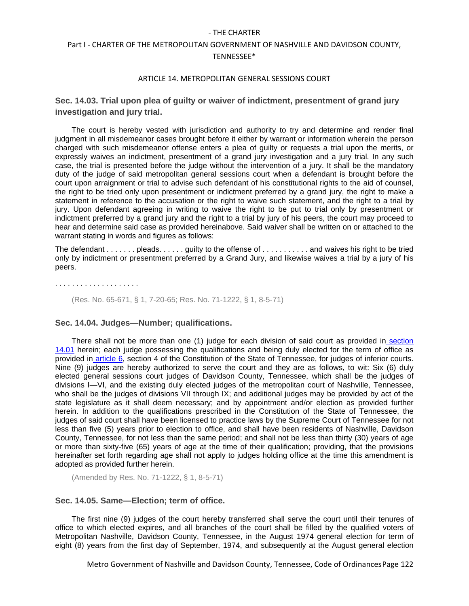### Part I - CHARTER OF THE METROPOLITAN GOVERNMENT OF NASHVILLE AND DAVIDSON COUNTY. TENNESSEE\*

#### ARTICLE 14. METROPOLITAN GENERAL SESSIONS COURT

# **Sec. 14.03. Trial upon plea of guilty or waiver of indictment, presentment of grand jury investigation and jury trial.**

The court is hereby vested with jurisdiction and authority to try and determine and render final judgment in all misdemeanor cases brought before it either by warrant or information wherein the person charged with such misdemeanor offense enters a plea of guilty or requests a trial upon the merits, or expressly waives an indictment, presentment of a grand jury investigation and a jury trial. In any such case, the trial is presented before the judge without the intervention of a jury. It shall be the mandatory duty of the judge of said metropolitan general sessions court when a defendant is brought before the court upon arraignment or trial to advise such defendant of his constitutional rights to the aid of counsel, the right to be tried only upon presentment or indictment preferred by a grand jury, the right to make a statement in reference to the accusation or the right to waive such statement, and the right to a trial by jury. Upon defendant agreeing in writing to waive the right to be put to trial only by presentment or indictment preferred by a grand jury and the right to a trial by jury of his peers, the court may proceed to hear and determine said case as provided hereinabove. Said waiver shall be written on or attached to the warrant stating in words and figures as follows:

The defendant . . . . . . . pleads. . . . . . guilty to the offense of . . . . . . . . . . . and waives his right to be tried only by indictment or presentment preferred by a Grand Jury, and likewise waives a trial by a jury of his peers.

. . . . . . . . . . . . . . . . . . . . (Res. No. 65-671, § 1, 7-20-65; Res. No. 71-1222, § 1, 8-5-71)

#### **Sec. 14.04. Judges—Number; qualifications.**

There shall not be more than one (1) judge for each division of said court as provided in section 14.01 herein; each judge possessing the qualifications and being duly elected for the term of office as provided in article 6, section 4 of the Constitution of the State of Tennessee, for judges of inferior courts. Nine (9) judges are hereby authorized to serve the court and they are as follows, to wit: Six (6) duly elected general sessions court judges of Davidson County, Tennessee, which shall be the judges of divisions I—VI, and the existing duly elected judges of the metropolitan court of Nashville, Tennessee, who shall be the judges of divisions VII through IX; and additional judges may be provided by act of the state legislature as it shall deem necessary; and by appointment and/or election as provided further herein. In addition to the qualifications prescribed in the Constitution of the State of Tennessee, the judges of said court shall have been licensed to practice laws by the Supreme Court of Tennessee for not less than five (5) years prior to election to office, and shall have been residents of Nashville, Davidson County, Tennessee, for not less than the same period; and shall not be less than thirty (30) years of age or more than sixty-five (65) years of age at the time of their qualification; providing, that the provisions hereinafter set forth regarding age shall not apply to judges holding office at the time this amendment is adopted as provided further herein.

(Amended by Res. No. 71-1222, § 1, 8-5-71)

#### **Sec. 14.05. Same—Election; term of office.**

The first nine (9) judges of the court hereby transferred shall serve the court until their tenures of office to which elected expires, and all branches of the court shall be filled by the qualified voters of Metropolitan Nashville, Davidson County, Tennessee, in the August 1974 general election for term of eight (8) years from the first day of September, 1974, and subsequently at the August general election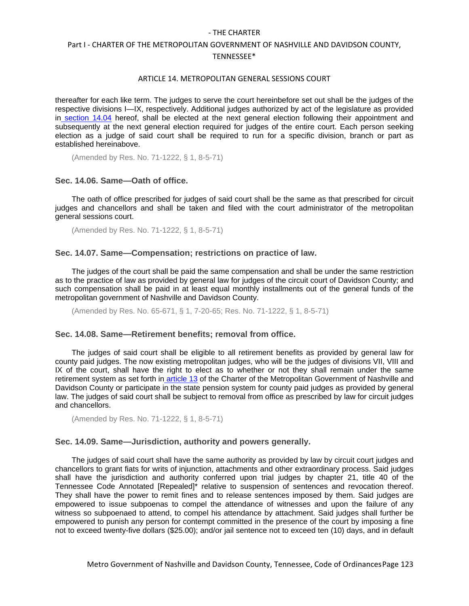### Part I ‐ CHARTER OF THE METROPOLITAN GOVERNMENT OF NASHVILLE AND DAVIDSON COUNTY, TENNESSEE\*

#### ARTICLE 14. METROPOLITAN GENERAL SESSIONS COURT

thereafter for each like term. The judges to serve the court hereinbefore set out shall be the judges of the respective divisions I—IX, respectively. Additional judges authorized by act of the legislature as provided in section 14.04 hereof, shall be elected at the next general election following their appointment and subsequently at the next general election required for judges of the entire court. Each person seeking election as a judge of said court shall be required to run for a specific division, branch or part as established hereinabove.

(Amended by Res. No. 71-1222, § 1, 8-5-71)

#### **Sec. 14.06. Same—Oath of office.**

The oath of office prescribed for judges of said court shall be the same as that prescribed for circuit judges and chancellors and shall be taken and filed with the court administrator of the metropolitan general sessions court.

(Amended by Res. No. 71-1222, § 1, 8-5-71)

### **Sec. 14.07. Same—Compensation; restrictions on practice of law.**

The judges of the court shall be paid the same compensation and shall be under the same restriction as to the practice of law as provided by general law for judges of the circuit court of Davidson County; and such compensation shall be paid in at least equal monthly installments out of the general funds of the metropolitan government of Nashville and Davidson County.

(Amended by Res. No. 65-671, § 1, 7-20-65; Res. No. 71-1222, § 1, 8-5-71)

#### **Sec. 14.08. Same—Retirement benefits; removal from office.**

The judges of said court shall be eligible to all retirement benefits as provided by general law for county paid judges. The now existing metropolitan judges, who will be the judges of divisions VII, VIII and IX of the court, shall have the right to elect as to whether or not they shall remain under the same retirement system as set forth in article 13 of the Charter of the Metropolitan Government of Nashville and Davidson County or participate in the state pension system for county paid judges as provided by general law. The judges of said court shall be subject to removal from office as prescribed by law for circuit judges and chancellors.

(Amended by Res. No. 71-1222, § 1, 8-5-71)

### **Sec. 14.09. Same—Jurisdiction, authority and powers generally.**

The judges of said court shall have the same authority as provided by law by circuit court judges and chancellors to grant fiats for writs of injunction, attachments and other extraordinary process. Said judges shall have the jurisdiction and authority conferred upon trial judges by chapter 21, title 40 of the Tennessee Code Annotated [Repealed]\* relative to suspension of sentences and revocation thereof. They shall have the power to remit fines and to release sentences imposed by them. Said judges are empowered to issue subpoenas to compel the attendance of witnesses and upon the failure of any witness so subpoenaed to attend, to compel his attendance by attachment. Said judges shall further be empowered to punish any person for contempt committed in the presence of the court by imposing a fine not to exceed twenty-five dollars (\$25.00); and/or jail sentence not to exceed ten (10) days, and in default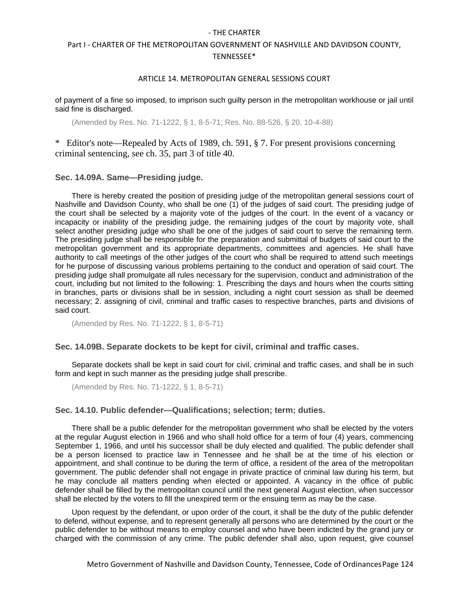# Part I ‐ CHARTER OF THE METROPOLITAN GOVERNMENT OF NASHVILLE AND DAVIDSON COUNTY, TENNESSEE\*

#### ARTICLE 14. METROPOLITAN GENERAL SESSIONS COURT

of payment of a fine so imposed, to imprison such guilty person in the metropolitan workhouse or jail until said fine is discharged.

(Amended by Res. No. 71-1222, § 1, 8-5-71; Res. No. 88-526, § 20, 10-4-88)

\* Editor's note—Repealed by Acts of 1989, ch. 591, § 7. For present provisions concerning criminal sentencing, see ch. 35, part 3 of title 40.

### **Sec. 14.09A. Same—Presiding judge.**

There is hereby created the position of presiding judge of the metropolitan general sessions court of Nashville and Davidson County, who shall be one (1) of the judges of said court. The presiding judge of the court shall be selected by a majority vote of the judges of the court. In the event of a vacancy or incapacity or inability of the presiding judge, the remaining judges of the court by majority vote, shall select another presiding judge who shall be one of the judges of said court to serve the remaining term. The presiding judge shall be responsible for the preparation and submittal of budgets of said court to the metropolitan government and its appropriate departments, committees and agencies. He shall have authority to call meetings of the other judges of the court who shall be required to attend such meetings for he purpose of discussing various problems pertaining to the conduct and operation of said court. The presiding judge shall promulgate all rules necessary for the supervision, conduct and administration of the court, including but not limited to the following: 1. Prescribing the days and hours when the courts sitting in branches, parts or divisions shall be in session, including a night court session as shall be deemed necessary; 2. assigning of civil, criminal and traffic cases to respective branches, parts and divisions of said court.

(Amended by Res. No. 71-1222, § 1, 8-5-71)

#### **Sec. 14.09B. Separate dockets to be kept for civil, criminal and traffic cases.**

Separate dockets shall be kept in said court for civil, criminal and traffic cases, and shall be in such form and kept in such manner as the presiding judge shall prescribe.

(Amended by Res. No. 71-1222, § 1, 8-5-71)

#### **Sec. 14.10. Public defender—Qualifications; selection; term; duties.**

There shall be a public defender for the metropolitan government who shall be elected by the voters at the regular August election in 1966 and who shall hold office for a term of four (4) years, commencing September 1, 1966, and until his successor shall be duly elected and qualified. The public defender shall be a person licensed to practice law in Tennessee and he shall be at the time of his election or appointment, and shall continue to be during the term of office, a resident of the area of the metropolitan government. The public defender shall not engage in private practice of criminal law during his term, but he may conclude all matters pending when elected or appointed. A vacancy in the office of public defender shall be filled by the metropolitan council until the next general August election, when successor shall be elected by the voters to fill the unexpired term or the ensuing term as may be the case.

Upon request by the defendant, or upon order of the court, it shall be the duty of the public defender to defend, without expense, and to represent generally all persons who are determined by the court or the public defender to be without means to employ counsel and who have been indicted by the grand jury or charged with the commission of any crime. The public defender shall also, upon request, give counsel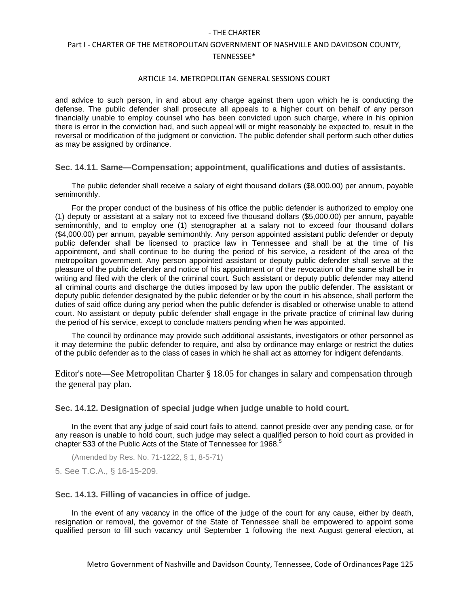# Part I ‐ CHARTER OF THE METROPOLITAN GOVERNMENT OF NASHVILLE AND DAVIDSON COUNTY, TENNESSEE\*

#### ARTICLE 14. METROPOLITAN GENERAL SESSIONS COURT

and advice to such person, in and about any charge against them upon which he is conducting the defense. The public defender shall prosecute all appeals to a higher court on behalf of any person financially unable to employ counsel who has been convicted upon such charge, where in his opinion there is error in the conviction had, and such appeal will or might reasonably be expected to, result in the reversal or modification of the judgment or conviction. The public defender shall perform such other duties as may be assigned by ordinance.

**Sec. 14.11. Same—Compensation; appointment, qualifications and duties of assistants.** 

The public defender shall receive a salary of eight thousand dollars (\$8,000.00) per annum, payable semimonthly.

For the proper conduct of the business of his office the public defender is authorized to employ one (1) deputy or assistant at a salary not to exceed five thousand dollars (\$5,000.00) per annum, payable semimonthly, and to employ one (1) stenographer at a salary not to exceed four thousand dollars (\$4,000.00) per annum, payable semimonthly. Any person appointed assistant public defender or deputy public defender shall be licensed to practice law in Tennessee and shall be at the time of his appointment, and shall continue to be during the period of his service, a resident of the area of the metropolitan government. Any person appointed assistant or deputy public defender shall serve at the pleasure of the public defender and notice of his appointment or of the revocation of the same shall be in writing and filed with the clerk of the criminal court. Such assistant or deputy public defender may attend all criminal courts and discharge the duties imposed by law upon the public defender. The assistant or deputy public defender designated by the public defender or by the court in his absence, shall perform the duties of said office during any period when the public defender is disabled or otherwise unable to attend court. No assistant or deputy public defender shall engage in the private practice of criminal law during the period of his service, except to conclude matters pending when he was appointed.

The council by ordinance may provide such additional assistants, investigators or other personnel as it may determine the public defender to require, and also by ordinance may enlarge or restrict the duties of the public defender as to the class of cases in which he shall act as attorney for indigent defendants.

Editor's note—See Metropolitan Charter § 18.05 for changes in salary and compensation through the general pay plan.

**Sec. 14.12. Designation of special judge when judge unable to hold court.** 

In the event that any judge of said court fails to attend, cannot preside over any pending case, or for any reason is unable to hold court, such judge may select a qualified person to hold court as provided in chapter 533 of the Public Acts of the State of Tennessee for 1968.<sup>5</sup>

(Amended by Res. No. 71-1222, § 1, 8-5-71)

5. See T.C.A., § 16-15-209.

#### **Sec. 14.13. Filling of vacancies in office of judge.**

In the event of any vacancy in the office of the judge of the court for any cause, either by death, resignation or removal, the governor of the State of Tennessee shall be empowered to appoint some qualified person to fill such vacancy until September 1 following the next August general election, at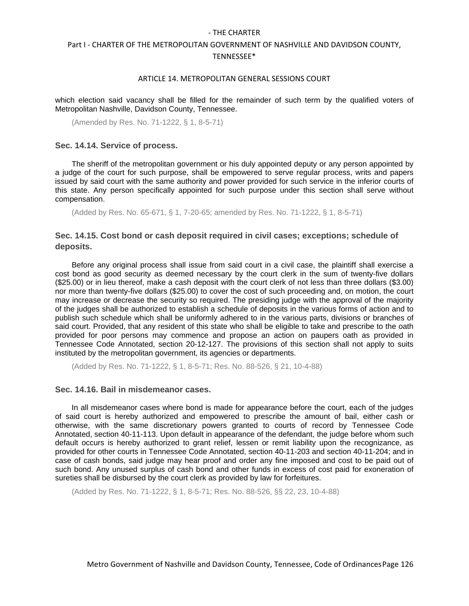# Part I - CHARTER OF THE METROPOLITAN GOVERNMENT OF NASHVILLE AND DAVIDSON COUNTY.

#### TENNESSEE\*

#### ARTICLE 14. METROPOLITAN GENERAL SESSIONS COURT

which election said vacancy shall be filled for the remainder of such term by the qualified voters of Metropolitan Nashville, Davidson County, Tennessee.

(Amended by Res. No. 71-1222, § 1, 8-5-71)

#### **Sec. 14.14. Service of process.**

The sheriff of the metropolitan government or his duly appointed deputy or any person appointed by a judge of the court for such purpose, shall be empowered to serve regular process, writs and papers issued by said court with the same authority and power provided for such service in the inferior courts of this state. Any person specifically appointed for such purpose under this section shall serve without compensation.

(Added by Res. No. 65-671, § 1, 7-20-65; amended by Res. No. 71-1222, § 1, 8-5-71)

# **Sec. 14.15. Cost bond or cash deposit required in civil cases; exceptions; schedule of deposits.**

Before any original process shall issue from said court in a civil case, the plaintiff shall exercise a cost bond as good security as deemed necessary by the court clerk in the sum of twenty-five dollars (\$25.00) or in lieu thereof, make a cash deposit with the court clerk of not less than three dollars (\$3.00) nor more than twenty-five dollars (\$25.00) to cover the cost of such proceeding and, on motion, the court may increase or decrease the security so required. The presiding judge with the approval of the majority of the judges shall be authorized to establish a schedule of deposits in the various forms of action and to publish such schedule which shall be uniformly adhered to in the various parts, divisions or branches of said court. Provided, that any resident of this state who shall be eligible to take and prescribe to the oath provided for poor persons may commence and propose an action on paupers oath as provided in Tennessee Code Annotated, section 20-12-127. The provisions of this section shall not apply to suits instituted by the metropolitan government, its agencies or departments.

(Added by Res. No. 71-1222, § 1, 8-5-71; Res. No. 88-526, § 21, 10-4-88)

### **Sec. 14.16. Bail in misdemeanor cases.**

In all misdemeanor cases where bond is made for appearance before the court, each of the judges of said court is hereby authorized and empowered to prescribe the amount of bail, either cash or otherwise, with the same discretionary powers granted to courts of record by Tennessee Code Annotated, section 40-11-113. Upon default in appearance of the defendant, the judge before whom such default occurs is hereby authorized to grant relief, lessen or remit liability upon the recognizance, as provided for other courts in Tennessee Code Annotated, section 40-11-203 and section 40-11-204; and in case of cash bonds, said judge may hear proof and order any fine imposed and cost to be paid out of such bond. Any unused surplus of cash bond and other funds in excess of cost paid for exoneration of sureties shall be disbursed by the court clerk as provided by law for forfeitures.

(Added by Res. No. 71-1222, § 1, 8-5-71; Res. No. 88-526, §§ 22, 23, 10-4-88)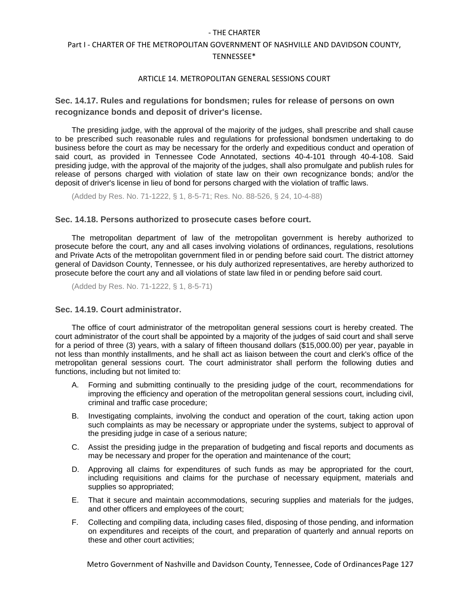# Part I - CHARTER OF THE METROPOLITAN GOVERNMENT OF NASHVILLE AND DAVIDSON COUNTY. TENNESSEE\*

#### ARTICLE 14. METROPOLITAN GENERAL SESSIONS COURT

# **Sec. 14.17. Rules and regulations for bondsmen; rules for release of persons on own recognizance bonds and deposit of driver's license.**

The presiding judge, with the approval of the majority of the judges, shall prescribe and shall cause to be prescribed such reasonable rules and regulations for professional bondsmen undertaking to do business before the court as may be necessary for the orderly and expeditious conduct and operation of said court, as provided in Tennessee Code Annotated, sections 40-4-101 through 40-4-108. Said presiding judge, with the approval of the majority of the judges, shall also promulgate and publish rules for release of persons charged with violation of state law on their own recognizance bonds; and/or the deposit of driver's license in lieu of bond for persons charged with the violation of traffic laws.

(Added by Res. No. 71-1222, § 1, 8-5-71; Res. No. 88-526, § 24, 10-4-88)

#### **Sec. 14.18. Persons authorized to prosecute cases before court.**

The metropolitan department of law of the metropolitan government is hereby authorized to prosecute before the court, any and all cases involving violations of ordinances, regulations, resolutions and Private Acts of the metropolitan government filed in or pending before said court. The district attorney general of Davidson County, Tennessee, or his duly authorized representatives, are hereby authorized to prosecute before the court any and all violations of state law filed in or pending before said court.

(Added by Res. No. 71-1222, § 1, 8-5-71)

#### **Sec. 14.19. Court administrator.**

The office of court administrator of the metropolitan general sessions court is hereby created. The court administrator of the court shall be appointed by a majority of the judges of said court and shall serve for a period of three (3) years, with a salary of fifteen thousand dollars (\$15,000.00) per year, payable in not less than monthly installments, and he shall act as liaison between the court and clerk's office of the metropolitan general sessions court. The court administrator shall perform the following duties and functions, including but not limited to:

- A. Forming and submitting continually to the presiding judge of the court, recommendations for improving the efficiency and operation of the metropolitan general sessions court, including civil, criminal and traffic case procedure;
- B. Investigating complaints, involving the conduct and operation of the court, taking action upon such complaints as may be necessary or appropriate under the systems, subject to approval of the presiding judge in case of a serious nature;
- C. Assist the presiding judge in the preparation of budgeting and fiscal reports and documents as may be necessary and proper for the operation and maintenance of the court;
- D. Approving all claims for expenditures of such funds as may be appropriated for the court, including requisitions and claims for the purchase of necessary equipment, materials and supplies so appropriated;
- E. That it secure and maintain accommodations, securing supplies and materials for the judges, and other officers and employees of the court;
- F. Collecting and compiling data, including cases filed, disposing of those pending, and information on expenditures and receipts of the court, and preparation of quarterly and annual reports on these and other court activities;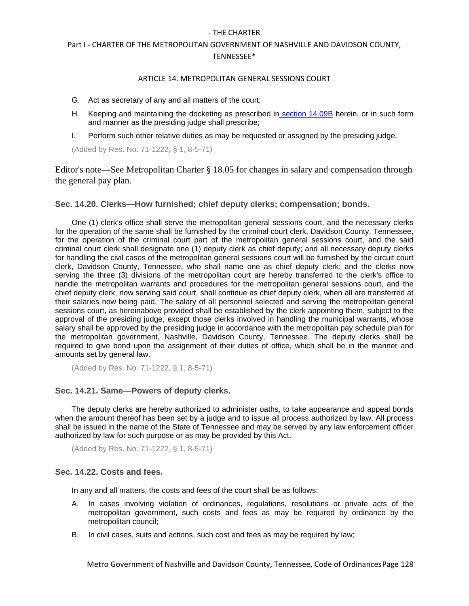# Part I - CHARTER OF THE METROPOLITAN GOVERNMENT OF NASHVILLE AND DAVIDSON COUNTY. TENNESSEE\*

#### ARTICLE 14. METROPOLITAN GENERAL SESSIONS COURT

- G. Act as secretary of any and all matters of the court;
- H. Keeping and maintaining the docketing as prescribed in section 14.09B herein, or in such form and manner as the presiding judge shall prescribe;
- I. Perform such other relative duties as may be requested or assigned by the presiding judge.

(Added by Res. No. 71-1222, § 1, 8-5-71)

Editor's note—See Metropolitan Charter § 18.05 for changes in salary and compensation through the general pay plan.

**Sec. 14.20. Clerks—How furnished; chief deputy clerks; compensation; bonds.** 

One (1) clerk's office shall serve the metropolitan general sessions court, and the necessary clerks for the operation of the same shall be furnished by the criminal court clerk, Davidson County, Tennessee, for the operation of the criminal court part of the metropolitan general sessions court, and the said criminal court clerk shall designate one (1) deputy clerk as chief deputy; and all necessary deputy clerks for handling the civil cases of the metropolitan general sessions court will be furnished by the circuit court clerk, Davidson County, Tennessee, who shall name one as chief deputy clerk; and the clerks now serving the three (3) divisions of the metropolitan court are hereby transferred to the clerk's office to handle the metropolitan warrants and procedures for the metropolitan general sessions court, and the chief deputy clerk, now serving said court, shall continue as chief deputy clerk, when all are transferred at their salaries now being paid. The salary of all personnel selected and serving the metropolitan general sessions court, as hereinabove provided shall be established by the clerk appointing them, subject to the approval of the presiding judge, except those clerks involved in handling the municipal warrants, whose salary shall be approved by the presiding judge in accordance with the metropolitan pay schedule plan for the metropolitan government, Nashville, Davidson County, Tennessee. The deputy clerks shall be required to give bond upon the assignment of their duties of office, which shall be in the manner and amounts set by general law.

(Added by Res. No. 71-1222, § 1, 8-5-71)

### **Sec. 14.21. Same—Powers of deputy clerks.**

The deputy clerks are hereby authorized to administer oaths, to take appearance and appeal bonds when the amount thereof has been set by a judge and to issue all process authorized by law. All process shall be issued in the name of the State of Tennessee and may be served by any law enforcement officer authorized by law for such purpose or as may be provided by this Act.

(Added by Res. No. 71-1222, § 1, 8-5-71)

### **Sec. 14.22. Costs and fees.**

In any and all matters, the costs and fees of the court shall be as follows:

- A. In cases involving violation of ordinances, regulations, resolutions or private acts of the metropolitan government, such costs and fees as may be required by ordinance by the metropolitan council;
- B. In civil cases, suits and actions, such cost and fees as may be required by law;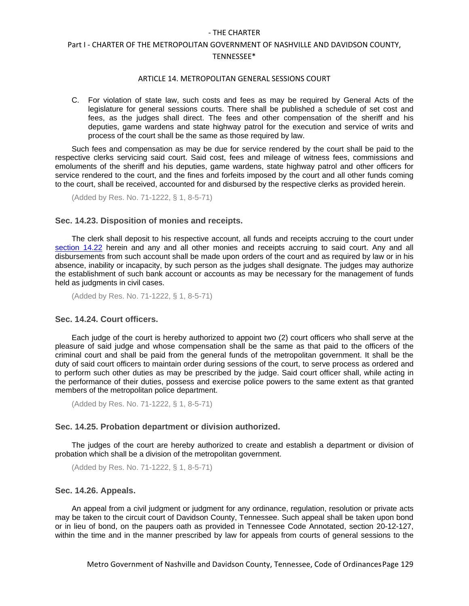### Part I ‐ CHARTER OF THE METROPOLITAN GOVERNMENT OF NASHVILLE AND DAVIDSON COUNTY, TENNESSEE\*

#### ARTICLE 14. METROPOLITAN GENERAL SESSIONS COURT

C. For violation of state law, such costs and fees as may be required by General Acts of the legislature for general sessions courts. There shall be published a schedule of set cost and fees, as the judges shall direct. The fees and other compensation of the sheriff and his deputies, game wardens and state highway patrol for the execution and service of writs and process of the court shall be the same as those required by law.

Such fees and compensation as may be due for service rendered by the court shall be paid to the respective clerks servicing said court. Said cost, fees and mileage of witness fees, commissions and emoluments of the sheriff and his deputies, game wardens, state highway patrol and other officers for service rendered to the court, and the fines and forfeits imposed by the court and all other funds coming to the court, shall be received, accounted for and disbursed by the respective clerks as provided herein.

(Added by Res. No. 71-1222, § 1, 8-5-71)

#### **Sec. 14.23. Disposition of monies and receipts.**

The clerk shall deposit to his respective account, all funds and receipts accruing to the court under section 14.22 herein and any and all other monies and receipts accruing to said court. Any and all disbursements from such account shall be made upon orders of the court and as required by law or in his absence, inability or incapacity, by such person as the judges shall designate. The judges may authorize the establishment of such bank account or accounts as may be necessary for the management of funds held as judgments in civil cases.

(Added by Res. No. 71-1222, § 1, 8-5-71)

#### **Sec. 14.24. Court officers.**

Each judge of the court is hereby authorized to appoint two (2) court officers who shall serve at the pleasure of said judge and whose compensation shall be the same as that paid to the officers of the criminal court and shall be paid from the general funds of the metropolitan government. It shall be the duty of said court officers to maintain order during sessions of the court, to serve process as ordered and to perform such other duties as may be prescribed by the judge. Said court officer shall, while acting in the performance of their duties, possess and exercise police powers to the same extent as that granted members of the metropolitan police department.

(Added by Res. No. 71-1222, § 1, 8-5-71)

#### **Sec. 14.25. Probation department or division authorized.**

The judges of the court are hereby authorized to create and establish a department or division of probation which shall be a division of the metropolitan government.

(Added by Res. No. 71-1222, § 1, 8-5-71)

#### **Sec. 14.26. Appeals.**

An appeal from a civil judgment or judgment for any ordinance, regulation, resolution or private acts may be taken to the circuit court of Davidson County, Tennessee. Such appeal shall be taken upon bond or in lieu of bond, on the paupers oath as provided in Tennessee Code Annotated, section 20-12-127, within the time and in the manner prescribed by law for appeals from courts of general sessions to the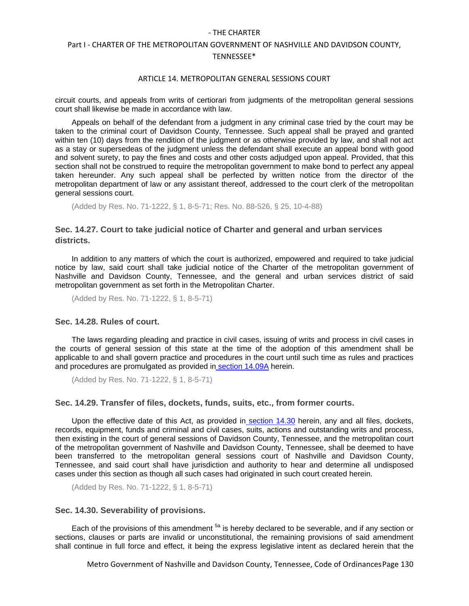# Part I - CHARTER OF THE METROPOLITAN GOVERNMENT OF NASHVILLE AND DAVIDSON COUNTY. TENNESSEE\*

#### ARTICLE 14. METROPOLITAN GENERAL SESSIONS COURT

circuit courts, and appeals from writs of certiorari from judgments of the metropolitan general sessions court shall likewise be made in accordance with law.

Appeals on behalf of the defendant from a judgment in any criminal case tried by the court may be taken to the criminal court of Davidson County, Tennessee. Such appeal shall be prayed and granted within ten (10) days from the rendition of the judgment or as otherwise provided by law, and shall not act as a stay or supersedeas of the judgment unless the defendant shall execute an appeal bond with good and solvent surety, to pay the fines and costs and other costs adjudged upon appeal. Provided, that this section shall not be construed to require the metropolitan government to make bond to perfect any appeal taken hereunder. Any such appeal shall be perfected by written notice from the director of the metropolitan department of law or any assistant thereof, addressed to the court clerk of the metropolitan general sessions court.

(Added by Res. No. 71-1222, § 1, 8-5-71; Res. No. 88-526, § 25, 10-4-88)

# **Sec. 14.27. Court to take judicial notice of Charter and general and urban services districts.**

In addition to any matters of which the court is authorized, empowered and required to take judicial notice by law, said court shall take judicial notice of the Charter of the metropolitan government of Nashville and Davidson County, Tennessee, and the general and urban services district of said metropolitan government as set forth in the Metropolitan Charter.

(Added by Res. No. 71-1222, § 1, 8-5-71)

#### **Sec. 14.28. Rules of court.**

The laws regarding pleading and practice in civil cases, issuing of writs and process in civil cases in the courts of general session of this state at the time of the adoption of this amendment shall be applicable to and shall govern practice and procedures in the court until such time as rules and practices and procedures are promulgated as provided in section 14.09A herein.

(Added by Res. No. 71-1222, § 1, 8-5-71)

#### **Sec. 14.29. Transfer of files, dockets, funds, suits, etc., from former courts.**

Upon the effective date of this Act, as provided in section 14.30 herein, any and all files, dockets, records, equipment, funds and criminal and civil cases, suits, actions and outstanding writs and process, then existing in the court of general sessions of Davidson County, Tennessee, and the metropolitan court of the metropolitan government of Nashville and Davidson County, Tennessee, shall be deemed to have been transferred to the metropolitan general sessions court of Nashville and Davidson County, Tennessee, and said court shall have jurisdiction and authority to hear and determine all undisposed cases under this section as though all such cases had originated in such court created herein.

(Added by Res. No. 71-1222, § 1, 8-5-71)

### **Sec. 14.30. Severability of provisions.**

Each of the provisions of this amendment <sup>5a</sup> is hereby declared to be severable, and if any section or sections, clauses or parts are invalid or unconstitutional, the remaining provisions of said amendment shall continue in full force and effect, it being the express legislative intent as declared herein that the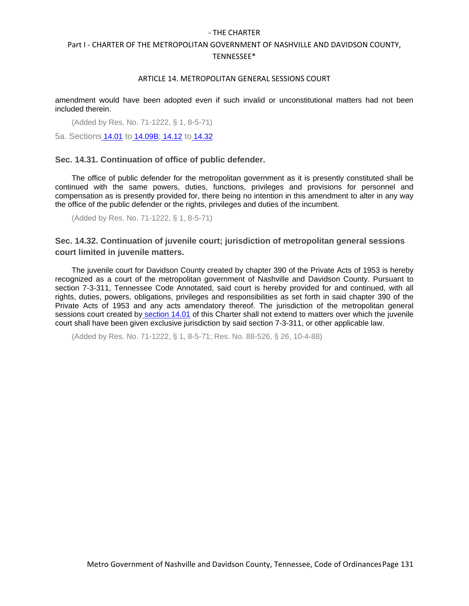# Part I - CHARTER OF THE METROPOLITAN GOVERNMENT OF NASHVILLE AND DAVIDSON COUNTY,

#### TENNESSEE\*

#### ARTICLE 14. METROPOLITAN GENERAL SESSIONS COURT

amendment would have been adopted even if such invalid or unconstitutional matters had not been included therein.

(Added by Res. No. 71-1222, § 1, 8-5-71)

5a. Sections 14.01 to 14.09B; 14.12 to 14.32

#### **Sec. 14.31. Continuation of office of public defender.**

The office of public defender for the metropolitan government as it is presently constituted shall be continued with the same powers, duties, functions, privileges and provisions for personnel and compensation as is presently provided for, there being no intention in this amendment to alter in any way the office of the public defender or the rights, privileges and duties of the incumbent.

(Added by Res. No. 71-1222, § 1, 8-5-71)

# **Sec. 14.32. Continuation of juvenile court; jurisdiction of metropolitan general sessions court limited in juvenile matters.**

The juvenile court for Davidson County created by chapter 390 of the Private Acts of 1953 is hereby recognized as a court of the metropolitan government of Nashville and Davidson County. Pursuant to section 7-3-311, Tennessee Code Annotated, said court is hereby provided for and continued, with all rights, duties, powers, obligations, privileges and responsibilities as set forth in said chapter 390 of the Private Acts of 1953 and any acts amendatory thereof. The jurisdiction of the metropolitan general sessions court created by section 14.01 of this Charter shall not extend to matters over which the juvenile court shall have been given exclusive jurisdiction by said section 7-3-311, or other applicable law.

(Added by Res. No. 71-1222, § 1, 8-5-71; Res. No. 88-526, § 26, 10-4-88)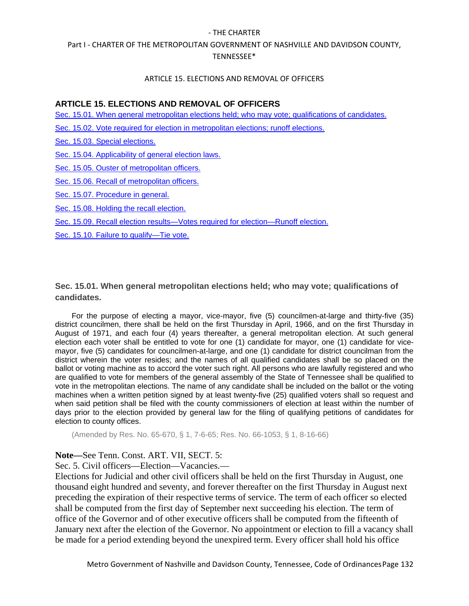# Part I ‐ CHARTER OF THE METROPOLITAN GOVERNMENT OF NASHVILLE AND DAVIDSON COUNTY, TENNESSEE\*

### ARTICLE 15. ELECTIONS AND REMOVAL OF OFFICERS

# **ARTICLE 15. ELECTIONS AND REMOVAL OF OFFICERS**

Sec. 15.01. When general metropolitan elections held; who may vote; qualifications of candidates.

- Sec. 15.02. Vote required for election in metropolitan elections; runoff elections.
- Sec. 15.03. Special elections.
- Sec. 15.04. Applicability of general election laws.
- Sec. 15.05. Ouster of metropolitan officers.
- Sec. 15.06. Recall of metropolitan officers.
- Sec. 15.07. Procedure in general.
- Sec. 15.08. Holding the recall election.
- Sec. 15.09. Recall election results—Votes required for election—Runoff election.

Sec. 15.10. Failure to qualify-Tie vote.

**Sec. 15.01. When general metropolitan elections held; who may vote; qualifications of candidates.** 

For the purpose of electing a mayor, vice-mayor, five (5) councilmen-at-large and thirty-five (35) district councilmen, there shall be held on the first Thursday in April, 1966, and on the first Thursday in August of 1971, and each four (4) years thereafter, a general metropolitan election. At such general election each voter shall be entitled to vote for one (1) candidate for mayor, one (1) candidate for vicemayor, five (5) candidates for councilmen-at-large, and one (1) candidate for district councilman from the district wherein the voter resides; and the names of all qualified candidates shall be so placed on the ballot or voting machine as to accord the voter such right. All persons who are lawfully registered and who are qualified to vote for members of the general assembly of the State of Tennessee shall be qualified to vote in the metropolitan elections. The name of any candidate shall be included on the ballot or the voting machines when a written petition signed by at least twenty-five (25) qualified voters shall so request and when said petition shall be filed with the county commissioners of election at least within the number of days prior to the election provided by general law for the filing of qualifying petitions of candidates for election to county offices.

(Amended by Res. No. 65-670, § 1, 7-6-65; Res. No. 66-1053, § 1, 8-16-66)

# **Note—**See Tenn. Const. ART. VII, SECT. 5:

Sec. 5. Civil officers—Election—Vacancies.—

Elections for Judicial and other civil officers shall be held on the first Thursday in August, one thousand eight hundred and seventy, and forever thereafter on the first Thursday in August next preceding the expiration of their respective terms of service. The term of each officer so elected shall be computed from the first day of September next succeeding his election. The term of office of the Governor and of other executive officers shall be computed from the fifteenth of January next after the election of the Governor. No appointment or election to fill a vacancy shall be made for a period extending beyond the unexpired term. Every officer shall hold his office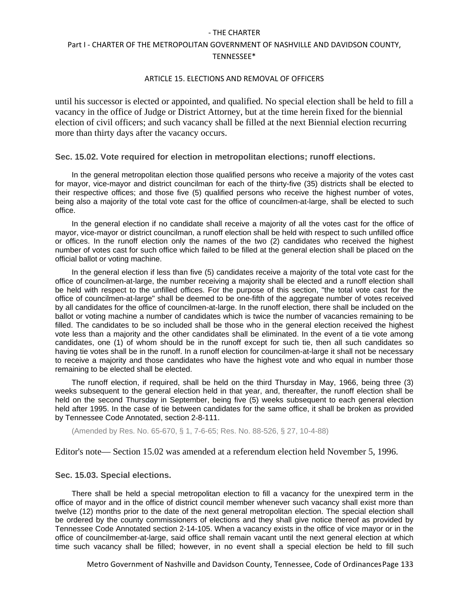# Part I - CHARTER OF THE METROPOLITAN GOVERNMENT OF NASHVILLE AND DAVIDSON COUNTY. TENNESSEE\*

#### ARTICLE 15. ELECTIONS AND REMOVAL OF OFFICERS

until his successor is elected or appointed, and qualified. No special election shall be held to fill a vacancy in the office of Judge or District Attorney, but at the time herein fixed for the biennial election of civil officers; and such vacancy shall be filled at the next Biennial election recurring more than thirty days after the vacancy occurs.

#### **Sec. 15.02. Vote required for election in metropolitan elections; runoff elections.**

In the general metropolitan election those qualified persons who receive a majority of the votes cast for mayor, vice-mayor and district councilman for each of the thirty-five (35) districts shall be elected to their respective offices; and those five (5) qualified persons who receive the highest number of votes, being also a majority of the total vote cast for the office of councilmen-at-large, shall be elected to such office.

In the general election if no candidate shall receive a majority of all the votes cast for the office of mayor, vice-mayor or district councilman, a runoff election shall be held with respect to such unfilled office or offices. In the runoff election only the names of the two (2) candidates who received the highest number of votes cast for such office which failed to be filled at the general election shall be placed on the official ballot or voting machine.

In the general election if less than five (5) candidates receive a majority of the total vote cast for the office of councilmen-at-large, the number receiving a majority shall be elected and a runoff election shall be held with respect to the unfilled offices. For the purpose of this section, "the total vote cast for the office of councilmen-at-large" shall be deemed to be one-fifth of the aggregate number of votes received by all candidates for the office of councilmen-at-large. In the runoff election, there shall be included on the ballot or voting machine a number of candidates which is twice the number of vacancies remaining to be filled. The candidates to be so included shall be those who in the general election received the highest vote less than a majority and the other candidates shall be eliminated. In the event of a tie vote among candidates, one (1) of whom should be in the runoff except for such tie, then all such candidates so having tie votes shall be in the runoff. In a runoff election for councilmen-at-large it shall not be necessary to receive a majority and those candidates who have the highest vote and who equal in number those remaining to be elected shall be elected.

The runoff election, if required, shall be held on the third Thursday in May, 1966, being three (3) weeks subsequent to the general election held in that year, and, thereafter, the runoff election shall be held on the second Thursday in September, being five (5) weeks subsequent to each general election held after 1995. In the case of tie between candidates for the same office, it shall be broken as provided by Tennessee Code Annotated, section 2-8-111.

(Amended by Res. No. 65-670, § 1, 7-6-65; Res. No. 88-526, § 27, 10-4-88)

Editor's note— Section 15.02 was amended at a referendum election held November 5, 1996.

#### **Sec. 15.03. Special elections.**

There shall be held a special metropolitan election to fill a vacancy for the unexpired term in the office of mayor and in the office of district council member whenever such vacancy shall exist more than twelve (12) months prior to the date of the next general metropolitan election. The special election shall be ordered by the county commissioners of elections and they shall give notice thereof as provided by Tennessee Code Annotated section 2-14-105. When a vacancy exists in the office of vice mayor or in the office of councilmember-at-large, said office shall remain vacant until the next general election at which time such vacancy shall be filled; however, in no event shall a special election be held to fill such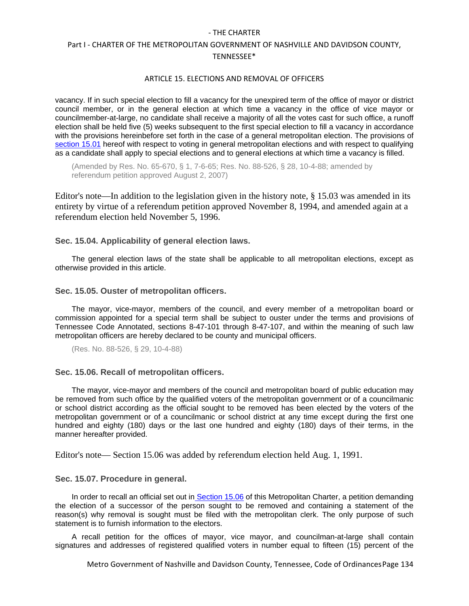# Part I - CHARTER OF THE METROPOLITAN GOVERNMENT OF NASHVILLE AND DAVIDSON COUNTY. TENNESSEE\*

#### ARTICLE 15. ELECTIONS AND REMOVAL OF OFFICERS

vacancy. If in such special election to fill a vacancy for the unexpired term of the office of mayor or district council member, or in the general election at which time a vacancy in the office of vice mayor or councilmember-at-large, no candidate shall receive a majority of all the votes cast for such office, a runoff election shall be held five (5) weeks subsequent to the first special election to fill a vacancy in accordance with the provisions hereinbefore set forth in the case of a general metropolitan election. The provisions of section 15.01 hereof with respect to voting in general metropolitan elections and with respect to qualifying as a candidate shall apply to special elections and to general elections at which time a vacancy is filled.

(Amended by Res. No. 65-670, § 1, 7-6-65; Res. No. 88-526, § 28, 10-4-88; amended by referendum petition approved August 2, 2007)

Editor's note—In addition to the legislation given in the history note, § 15.03 was amended in its entirety by virtue of a referendum petition approved November 8, 1994, and amended again at a referendum election held November 5, 1996.

**Sec. 15.04. Applicability of general election laws.** 

The general election laws of the state shall be applicable to all metropolitan elections, except as otherwise provided in this article.

**Sec. 15.05. Ouster of metropolitan officers.** 

The mayor, vice-mayor, members of the council, and every member of a metropolitan board or commission appointed for a special term shall be subject to ouster under the terms and provisions of Tennessee Code Annotated, sections 8-47-101 through 8-47-107, and within the meaning of such law metropolitan officers are hereby declared to be county and municipal officers.

(Res. No. 88-526, § 29, 10-4-88)

#### **Sec. 15.06. Recall of metropolitan officers.**

The mayor, vice-mayor and members of the council and metropolitan board of public education may be removed from such office by the qualified voters of the metropolitan government or of a councilmanic or school district according as the official sought to be removed has been elected by the voters of the metropolitan government or of a councilmanic or school district at any time except during the first one hundred and eighty (180) days or the last one hundred and eighty (180) days of their terms, in the manner hereafter provided.

Editor's note— Section 15.06 was added by referendum election held Aug. 1, 1991.

#### **Sec. 15.07. Procedure in general.**

In order to recall an official set out in Section 15.06 of this Metropolitan Charter, a petition demanding the election of a successor of the person sought to be removed and containing a statement of the reason(s) why removal is sought must be filed with the metropolitan clerk. The only purpose of such statement is to furnish information to the electors.

A recall petition for the offices of mayor, vice mayor, and councilman-at-large shall contain signatures and addresses of registered qualified voters in number equal to fifteen (15) percent of the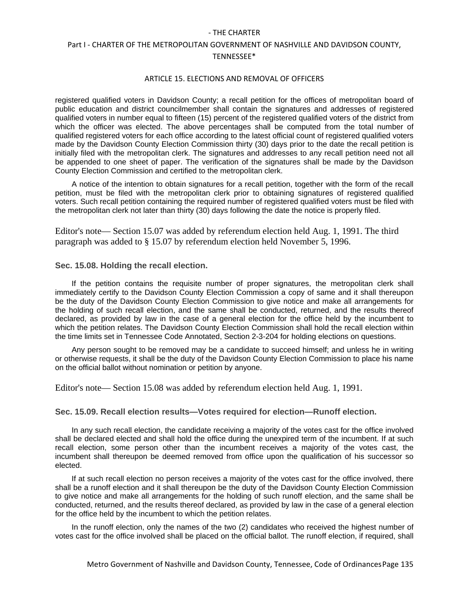# Part I - CHARTER OF THE METROPOLITAN GOVERNMENT OF NASHVILLE AND DAVIDSON COUNTY. TENNESSEE\*

#### ARTICLE 15. ELECTIONS AND REMOVAL OF OFFICERS

registered qualified voters in Davidson County; a recall petition for the offices of metropolitan board of public education and district councilmember shall contain the signatures and addresses of registered qualified voters in number equal to fifteen (15) percent of the registered qualified voters of the district from which the officer was elected. The above percentages shall be computed from the total number of qualified registered voters for each office according to the latest official count of registered qualified voters made by the Davidson County Election Commission thirty (30) days prior to the date the recall petition is initially filed with the metropolitan clerk. The signatures and addresses to any recall petition need not all be appended to one sheet of paper. The verification of the signatures shall be made by the Davidson County Election Commission and certified to the metropolitan clerk.

A notice of the intention to obtain signatures for a recall petition, together with the form of the recall petition, must be filed with the metropolitan clerk prior to obtaining signatures of registered qualified voters. Such recall petition containing the required number of registered qualified voters must be filed with the metropolitan clerk not later than thirty (30) days following the date the notice is properly filed.

Editor's note— Section 15.07 was added by referendum election held Aug. 1, 1991. The third paragraph was added to § 15.07 by referendum election held November 5, 1996.

#### **Sec. 15.08. Holding the recall election.**

If the petition contains the requisite number of proper signatures, the metropolitan clerk shall immediately certify to the Davidson County Election Commission a copy of same and it shall thereupon be the duty of the Davidson County Election Commission to give notice and make all arrangements for the holding of such recall election, and the same shall be conducted, returned, and the results thereof declared, as provided by law in the case of a general election for the office held by the incumbent to which the petition relates. The Davidson County Election Commission shall hold the recall election within the time limits set in Tennessee Code Annotated, Section 2-3-204 for holding elections on questions.

Any person sought to be removed may be a candidate to succeed himself; and unless he in writing or otherwise requests, it shall be the duty of the Davidson County Election Commission to place his name on the official ballot without nomination or petition by anyone.

Editor's note— Section 15.08 was added by referendum election held Aug. 1, 1991.

#### **Sec. 15.09. Recall election results—Votes required for election—Runoff election.**

In any such recall election, the candidate receiving a majority of the votes cast for the office involved shall be declared elected and shall hold the office during the unexpired term of the incumbent. If at such recall election, some person other than the incumbent receives a majority of the votes cast, the incumbent shall thereupon be deemed removed from office upon the qualification of his successor so elected.

If at such recall election no person receives a majority of the votes cast for the office involved, there shall be a runoff election and it shall thereupon be the duty of the Davidson County Election Commission to give notice and make all arrangements for the holding of such runoff election, and the same shall be conducted, returned, and the results thereof declared, as provided by law in the case of a general election for the office held by the incumbent to which the petition relates.

In the runoff election, only the names of the two (2) candidates who received the highest number of votes cast for the office involved shall be placed on the official ballot. The runoff election, if required, shall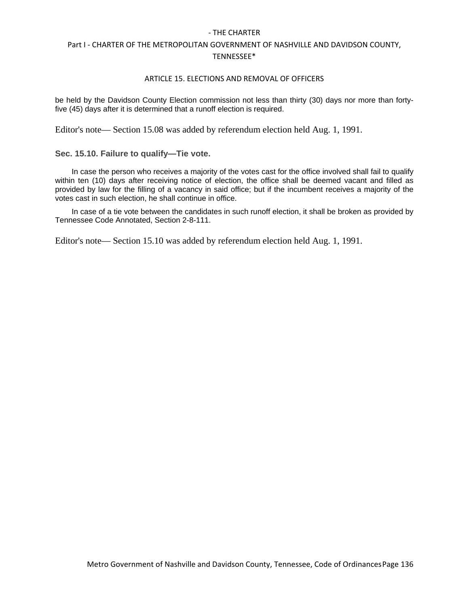# Part I - CHARTER OF THE METROPOLITAN GOVERNMENT OF NASHVILLE AND DAVIDSON COUNTY, TENNESSEE\*

#### ARTICLE 15. ELECTIONS AND REMOVAL OF OFFICERS

be held by the Davidson County Election commission not less than thirty (30) days nor more than fortyfive (45) days after it is determined that a runoff election is required.

Editor's note— Section 15.08 was added by referendum election held Aug. 1, 1991.

**Sec. 15.10. Failure to qualify—Tie vote.** 

In case the person who receives a majority of the votes cast for the office involved shall fail to qualify within ten (10) days after receiving notice of election, the office shall be deemed vacant and filled as provided by law for the filling of a vacancy in said office; but if the incumbent receives a majority of the votes cast in such election, he shall continue in office.

In case of a tie vote between the candidates in such runoff election, it shall be broken as provided by Tennessee Code Annotated, Section 2-8-111.

Editor's note— Section 15.10 was added by referendum election held Aug. 1, 1991.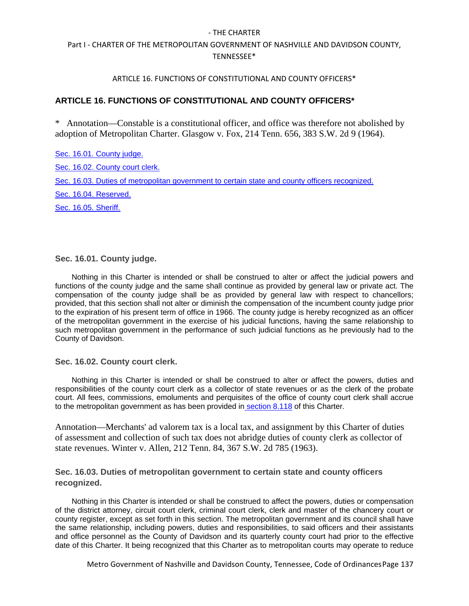# Part I - CHARTER OF THE METROPOLITAN GOVERNMENT OF NASHVILLE AND DAVIDSON COUNTY. TENNESSEE\*

### ARTICLE 16. FUNCTIONS OF CONSTITUTIONAL AND COUNTY OFFICERS\*

# **ARTICLE 16. FUNCTIONS OF CONSTITUTIONAL AND COUNTY OFFICERS\***

\* Annotation—Constable is a constitutional officer, and office was therefore not abolished by adoption of Metropolitan Charter. Glasgow v. Fox, 214 Tenn. 656, 383 S.W. 2d 9 (1964).

Sec. 16.01. County judge. Sec. 16.02. County court clerk. Sec. 16.03. Duties of metropolitan government to certain state and county officers recognized. Sec. 16.04. Reserved. Sec. 16.05. Sheriff.

### **Sec. 16.01. County judge.**

Nothing in this Charter is intended or shall be construed to alter or affect the judicial powers and functions of the county judge and the same shall continue as provided by general law or private act. The compensation of the county judge shall be as provided by general law with respect to chancellors; provided, that this section shall not alter or diminish the compensation of the incumbent county judge prior to the expiration of his present term of office in 1966. The county judge is hereby recognized as an officer of the metropolitan government in the exercise of his judicial functions, having the same relationship to such metropolitan government in the performance of such judicial functions as he previously had to the County of Davidson.

**Sec. 16.02. County court clerk.** 

Nothing in this Charter is intended or shall be construed to alter or affect the powers, duties and responsibilities of the county court clerk as a collector of state revenues or as the clerk of the probate court. All fees, commissions, emoluments and perquisites of the office of county court clerk shall accrue to the metropolitan government as has been provided in section 8.118 of this Charter.

Annotation—Merchants' ad valorem tax is a local tax, and assignment by this Charter of duties of assessment and collection of such tax does not abridge duties of county clerk as collector of state revenues. Winter v. Allen, 212 Tenn. 84, 367 S.W. 2d 785 (1963).

# **Sec. 16.03. Duties of metropolitan government to certain state and county officers recognized.**

Nothing in this Charter is intended or shall be construed to affect the powers, duties or compensation of the district attorney, circuit court clerk, criminal court clerk, clerk and master of the chancery court or county register, except as set forth in this section. The metropolitan government and its council shall have the same relationship, including powers, duties and responsibilities, to said officers and their assistants and office personnel as the County of Davidson and its quarterly county court had prior to the effective date of this Charter. It being recognized that this Charter as to metropolitan courts may operate to reduce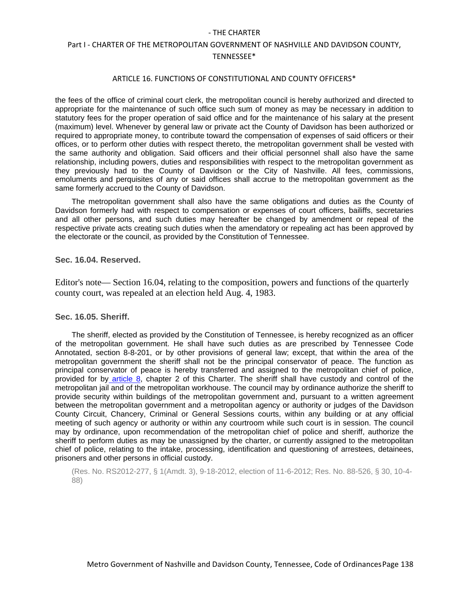# Part I - CHARTER OF THE METROPOLITAN GOVERNMENT OF NASHVILLE AND DAVIDSON COUNTY. TENNESSEE\*

#### ARTICLE 16. FUNCTIONS OF CONSTITUTIONAL AND COUNTY OFFICERS\*

the fees of the office of criminal court clerk, the metropolitan council is hereby authorized and directed to appropriate for the maintenance of such office such sum of money as may be necessary in addition to statutory fees for the proper operation of said office and for the maintenance of his salary at the present (maximum) level. Whenever by general law or private act the County of Davidson has been authorized or required to appropriate money, to contribute toward the compensation of expenses of said officers or their offices, or to perform other duties with respect thereto, the metropolitan government shall be vested with the same authority and obligation. Said officers and their official personnel shall also have the same relationship, including powers, duties and responsibilities with respect to the metropolitan government as they previously had to the County of Davidson or the City of Nashville. All fees, commissions, emoluments and perquisites of any or said offices shall accrue to the metropolitan government as the same formerly accrued to the County of Davidson.

The metropolitan government shall also have the same obligations and duties as the County of Davidson formerly had with respect to compensation or expenses of court officers, bailiffs, secretaries and all other persons, and such duties may hereafter be changed by amendment or repeal of the respective private acts creating such duties when the amendatory or repealing act has been approved by the electorate or the council, as provided by the Constitution of Tennessee.

#### **Sec. 16.04. Reserved.**

Editor's note— Section 16.04, relating to the composition, powers and functions of the quarterly county court, was repealed at an election held Aug. 4, 1983.

#### **Sec. 16.05. Sheriff.**

The sheriff, elected as provided by the Constitution of Tennessee, is hereby recognized as an officer of the metropolitan government. He shall have such duties as are prescribed by Tennessee Code Annotated, section 8-8-201, or by other provisions of general law; except, that within the area of the metropolitan government the sheriff shall not be the principal conservator of peace. The function as principal conservator of peace is hereby transferred and assigned to the metropolitan chief of police, provided for by article 8, chapter 2 of this Charter. The sheriff shall have custody and control of the metropolitan jail and of the metropolitan workhouse. The council may by ordinance authorize the sheriff to provide security within buildings of the metropolitan government and, pursuant to a written agreement between the metropolitan government and a metropolitan agency or authority or judges of the Davidson County Circuit, Chancery, Criminal or General Sessions courts, within any building or at any official meeting of such agency or authority or within any courtroom while such court is in session. The council may by ordinance, upon recommendation of the metropolitan chief of police and sheriff, authorize the sheriff to perform duties as may be unassigned by the charter, or currently assigned to the metropolitan chief of police, relating to the intake, processing, identification and questioning of arrestees, detainees, prisoners and other persons in official custody.

(Res. No. RS2012-277, § 1(Amdt. 3), 9-18-2012, election of 11-6-2012; Res. No. 88-526, § 30, 10-4- 88)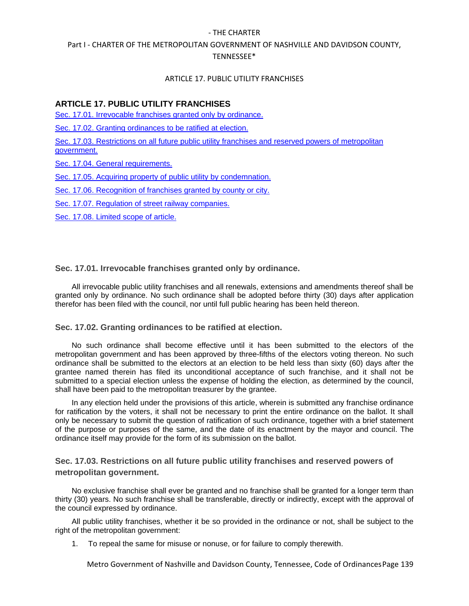# Part I - CHARTER OF THE METROPOLITAN GOVERNMENT OF NASHVILLE AND DAVIDSON COUNTY. TENNESSEE\*

### ARTICLE 17. PUBLIC UTILITY FRANCHISES

# **ARTICLE 17. PUBLIC UTILITY FRANCHISES**

Sec. 17.01. Irrevocable franchises granted only by ordinance.

Sec. 17.02. Granting ordinances to be ratified at election.

Sec. 17.03. Restrictions on all future public utility franchises and reserved powers of metropolitan government.

Sec. 17.04. General requirements.

Sec. 17.05. Acquiring property of public utility by condemnation.

Sec. 17.06. Recognition of franchises granted by county or city.

Sec. 17.07. Regulation of street railway companies.

Sec. 17.08. Limited scope of article.

# **Sec. 17.01. Irrevocable franchises granted only by ordinance.**

All irrevocable public utility franchises and all renewals, extensions and amendments thereof shall be granted only by ordinance. No such ordinance shall be adopted before thirty (30) days after application therefor has been filed with the council, nor until full public hearing has been held thereon.

# **Sec. 17.02. Granting ordinances to be ratified at election.**

No such ordinance shall become effective until it has been submitted to the electors of the metropolitan government and has been approved by three-fifths of the electors voting thereon. No such ordinance shall be submitted to the electors at an election to be held less than sixty (60) days after the grantee named therein has filed its unconditional acceptance of such franchise, and it shall not be submitted to a special election unless the expense of holding the election, as determined by the council, shall have been paid to the metropolitan treasurer by the grantee.

In any election held under the provisions of this article, wherein is submitted any franchise ordinance for ratification by the voters, it shall not be necessary to print the entire ordinance on the ballot. It shall only be necessary to submit the question of ratification of such ordinance, together with a brief statement of the purpose or purposes of the same, and the date of its enactment by the mayor and council. The ordinance itself may provide for the form of its submission on the ballot.

# **Sec. 17.03. Restrictions on all future public utility franchises and reserved powers of metropolitan government.**

No exclusive franchise shall ever be granted and no franchise shall be granted for a longer term than thirty (30) years. No such franchise shall be transferable, directly or indirectly, except with the approval of the council expressed by ordinance.

All public utility franchises, whether it be so provided in the ordinance or not, shall be subject to the right of the metropolitan government:

1. To repeal the same for misuse or nonuse, or for failure to comply therewith.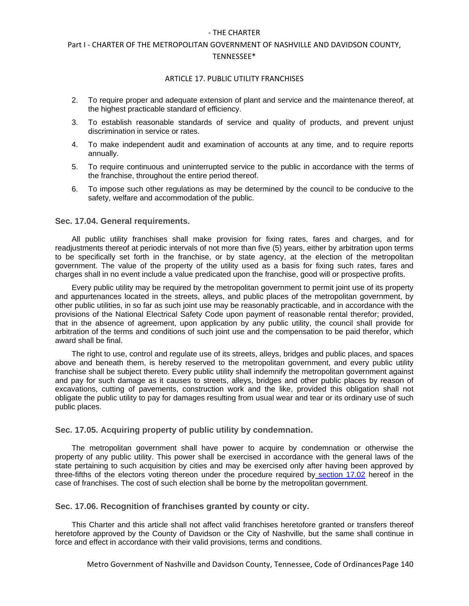# Part I ‐ CHARTER OF THE METROPOLITAN GOVERNMENT OF NASHVILLE AND DAVIDSON COUNTY, TENNESSEE\*

#### ARTICLE 17. PUBLIC UTILITY FRANCHISES

- 2. To require proper and adequate extension of plant and service and the maintenance thereof, at the highest practicable standard of efficiency.
- 3. To establish reasonable standards of service and quality of products, and prevent unjust discrimination in service or rates.
- 4. To make independent audit and examination of accounts at any time, and to require reports annually.
- 5. To require continuous and uninterrupted service to the public in accordance with the terms of the franchise, throughout the entire period thereof.
- 6. To impose such other regulations as may be determined by the council to be conducive to the safety, welfare and accommodation of the public.

#### **Sec. 17.04. General requirements.**

All public utility franchises shall make provision for fixing rates, fares and charges, and for readjustments thereof at periodic intervals of not more than five (5) years, either by arbitration upon terms to be specifically set forth in the franchise, or by state agency, at the election of the metropolitan government. The value of the property of the utility used as a basis for fixing such rates, fares and charges shall in no event include a value predicated upon the franchise, good will or prospective profits.

Every public utility may be required by the metropolitan government to permit joint use of its property and appurtenances located in the streets, alleys, and public places of the metropolitan government, by other public utilities, in so far as such joint use may be reasonably practicable, and in accordance with the provisions of the National Electrical Safety Code upon payment of reasonable rental therefor; provided, that in the absence of agreement, upon application by any public utility, the council shall provide for arbitration of the terms and conditions of such joint use and the compensation to be paid therefor, which award shall be final.

The right to use, control and regulate use of its streets, alleys, bridges and public places, and spaces above and beneath them, is hereby reserved to the metropolitan government, and every public utility franchise shall be subject thereto. Every public utility shall indemnify the metropolitan government against and pay for such damage as it causes to streets, alleys, bridges and other public places by reason of excavations, cutting of pavements, construction work and the like, provided this obligation shall not obligate the public utility to pay for damages resulting from usual wear and tear or its ordinary use of such public places.

#### **Sec. 17.05. Acquiring property of public utility by condemnation.**

The metropolitan government shall have power to acquire by condemnation or otherwise the property of any public utility. This power shall be exercised in accordance with the general laws of the state pertaining to such acquisition by cities and may be exercised only after having been approved by three-fifths of the electors voting thereon under the procedure required by section 17.02 hereof in the case of franchises. The cost of such election shall be borne by the metropolitan government.

# **Sec. 17.06. Recognition of franchises granted by county or city.**

This Charter and this article shall not affect valid franchises heretofore granted or transfers thereof heretofore approved by the County of Davidson or the City of Nashville, but the same shall continue in force and effect in accordance with their valid provisions, terms and conditions.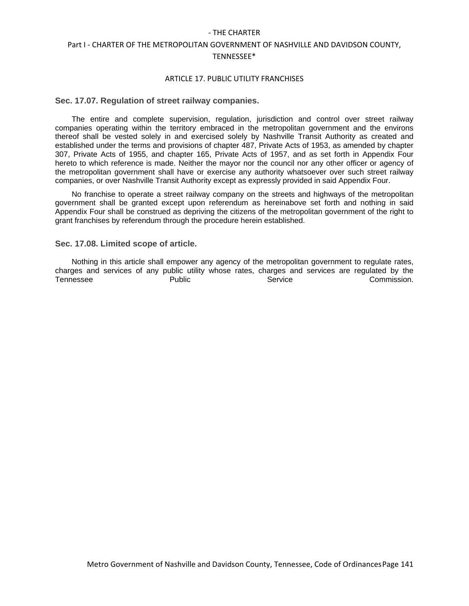# Part I - CHARTER OF THE METROPOLITAN GOVERNMENT OF NASHVILLE AND DAVIDSON COUNTY, TENNESSEE\*

#### ARTICLE 17. PUBLIC UTILITY FRANCHISES

#### **Sec. 17.07. Regulation of street railway companies.**

The entire and complete supervision, regulation, jurisdiction and control over street railway companies operating within the territory embraced in the metropolitan government and the environs thereof shall be vested solely in and exercised solely by Nashville Transit Authority as created and established under the terms and provisions of chapter 487, Private Acts of 1953, as amended by chapter 307, Private Acts of 1955, and chapter 165, Private Acts of 1957, and as set forth in Appendix Four hereto to which reference is made. Neither the mayor nor the council nor any other officer or agency of the metropolitan government shall have or exercise any authority whatsoever over such street railway companies, or over Nashville Transit Authority except as expressly provided in said Appendix Four.

No franchise to operate a street railway company on the streets and highways of the metropolitan government shall be granted except upon referendum as hereinabove set forth and nothing in said Appendix Four shall be construed as depriving the citizens of the metropolitan government of the right to grant franchises by referendum through the procedure herein established.

#### **Sec. 17.08. Limited scope of article.**

Nothing in this article shall empower any agency of the metropolitan government to regulate rates, charges and services of any public utility whose rates, charges and services are regulated by the Tennessee Public Service Commission.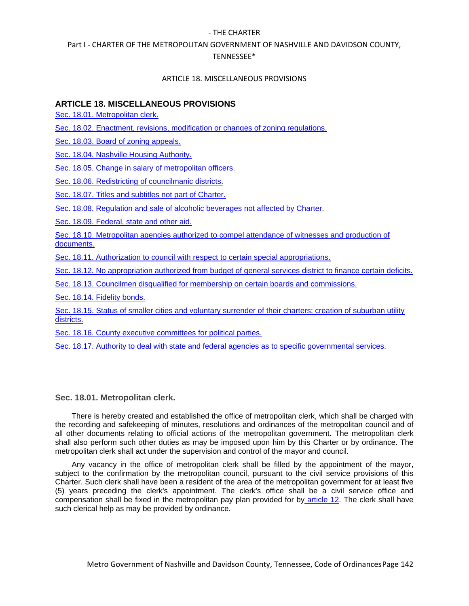# Part I ‐ CHARTER OF THE METROPOLITAN GOVERNMENT OF NASHVILLE AND DAVIDSON COUNTY,

### TENNESSEE\*

#### ARTICLE 18. MISCELLANEOUS PROVISIONS

### **ARTICLE 18. MISCELLANEOUS PROVISIONS**

Sec. 18.01. Metropolitan clerk.

Sec. 18.02. Enactment, revisions, modification or changes of zoning regulations.

Sec. 18.03. Board of zoning appeals.

Sec. 18.04. Nashville Housing Authority.

Sec. 18.05. Change in salary of metropolitan officers.

Sec. 18.06. Redistricting of councilmanic districts.

Sec. 18.07. Titles and subtitles not part of Charter.

Sec. 18.08. Regulation and sale of alcoholic beverages not affected by Charter.

Sec. 18.09. Federal, state and other aid.

Sec. 18.10. Metropolitan agencies authorized to compel attendance of witnesses and production of documents.

Sec. 18.11. Authorization to council with respect to certain special appropriations.

Sec. 18.12. No appropriation authorized from budget of general services district to finance certain deficits.

Sec. 18.13. Councilmen disqualified for membership on certain boards and commissions.

Sec. 18.14. Fidelity bonds.

Sec. 18.15. Status of smaller cities and voluntary surrender of their charters; creation of suburban utility districts.

Sec. 18.16. County executive committees for political parties.

Sec. 18.17. Authority to deal with state and federal agencies as to specific governmental services.

# **Sec. 18.01. Metropolitan clerk.**

There is hereby created and established the office of metropolitan clerk, which shall be charged with the recording and safekeeping of minutes, resolutions and ordinances of the metropolitan council and of all other documents relating to official actions of the metropolitan government. The metropolitan clerk shall also perform such other duties as may be imposed upon him by this Charter or by ordinance. The metropolitan clerk shall act under the supervision and control of the mayor and council.

Any vacancy in the office of metropolitan clerk shall be filled by the appointment of the mayor, subject to the confirmation by the metropolitan council, pursuant to the civil service provisions of this Charter. Such clerk shall have been a resident of the area of the metropolitan government for at least five (5) years preceding the clerk's appointment. The clerk's office shall be a civil service office and compensation shall be fixed in the metropolitan pay plan provided for by article 12. The clerk shall have such clerical help as may be provided by ordinance.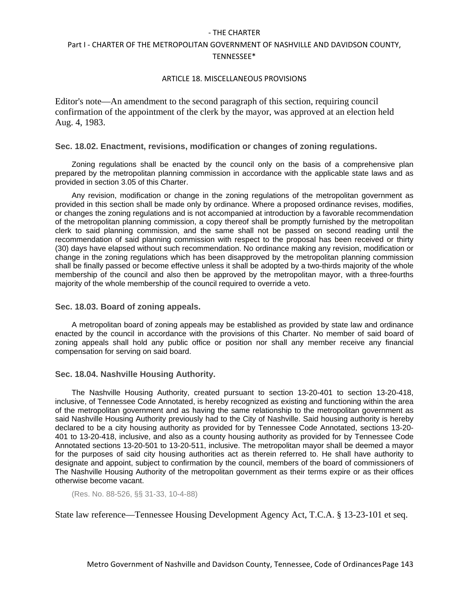# Part I - CHARTER OF THE METROPOLITAN GOVERNMENT OF NASHVILLE AND DAVIDSON COUNTY. TENNESSEE\*

#### ARTICLE 18. MISCELLANEOUS PROVISIONS

Editor's note—An amendment to the second paragraph of this section, requiring council confirmation of the appointment of the clerk by the mayor, was approved at an election held Aug. 4, 1983.

#### **Sec. 18.02. Enactment, revisions, modification or changes of zoning regulations.**

Zoning regulations shall be enacted by the council only on the basis of a comprehensive plan prepared by the metropolitan planning commission in accordance with the applicable state laws and as provided in section 3.05 of this Charter.

Any revision, modification or change in the zoning regulations of the metropolitan government as provided in this section shall be made only by ordinance. Where a proposed ordinance revises, modifies, or changes the zoning regulations and is not accompanied at introduction by a favorable recommendation of the metropolitan planning commission, a copy thereof shall be promptly furnished by the metropolitan clerk to said planning commission, and the same shall not be passed on second reading until the recommendation of said planning commission with respect to the proposal has been received or thirty (30) days have elapsed without such recommendation. No ordinance making any revision, modification or change in the zoning regulations which has been disapproved by the metropolitan planning commission shall be finally passed or become effective unless it shall be adopted by a two-thirds majority of the whole membership of the council and also then be approved by the metropolitan mayor, with a three-fourths majority of the whole membership of the council required to override a veto.

#### **Sec. 18.03. Board of zoning appeals.**

A metropolitan board of zoning appeals may be established as provided by state law and ordinance enacted by the council in accordance with the provisions of this Charter. No member of said board of zoning appeals shall hold any public office or position nor shall any member receive any financial compensation for serving on said board.

#### **Sec. 18.04. Nashville Housing Authority.**

The Nashville Housing Authority, created pursuant to section 13-20-401 to section 13-20-418, inclusive, of Tennessee Code Annotated, is hereby recognized as existing and functioning within the area of the metropolitan government and as having the same relationship to the metropolitan government as said Nashville Housing Authority previously had to the City of Nashville. Said housing authority is hereby declared to be a city housing authority as provided for by Tennessee Code Annotated, sections 13-20- 401 to 13-20-418, inclusive, and also as a county housing authority as provided for by Tennessee Code Annotated sections 13-20-501 to 13-20-511, inclusive. The metropolitan mayor shall be deemed a mayor for the purposes of said city housing authorities act as therein referred to. He shall have authority to designate and appoint, subject to confirmation by the council, members of the board of commissioners of The Nashville Housing Authority of the metropolitan government as their terms expire or as their offices otherwise become vacant.

(Res. No. 88-526, §§ 31-33, 10-4-88)

State law reference—Tennessee Housing Development Agency Act, T.C.A. § 13-23-101 et seq.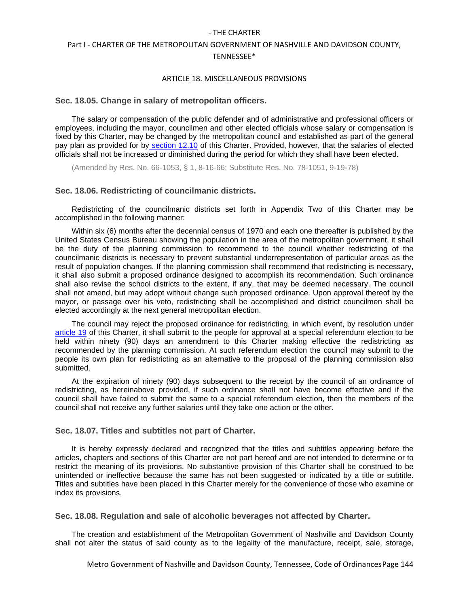# Part I ‐ CHARTER OF THE METROPOLITAN GOVERNMENT OF NASHVILLE AND DAVIDSON COUNTY, TENNESSEE\*

#### ARTICLE 18. MISCELLANEOUS PROVISIONS

#### **Sec. 18.05. Change in salary of metropolitan officers.**

The salary or compensation of the public defender and of administrative and professional officers or employees, including the mayor, councilmen and other elected officials whose salary or compensation is fixed by this Charter, may be changed by the metropolitan council and established as part of the general pay plan as provided for by section 12.10 of this Charter. Provided, however, that the salaries of elected officials shall not be increased or diminished during the period for which they shall have been elected.

(Amended by Res. No. 66-1053, § 1, 8-16-66; Substitute Res. No. 78-1051, 9-19-78)

### **Sec. 18.06. Redistricting of councilmanic districts.**

Redistricting of the councilmanic districts set forth in Appendix Two of this Charter may be accomplished in the following manner:

Within six (6) months after the decennial census of 1970 and each one thereafter is published by the United States Census Bureau showing the population in the area of the metropolitan government, it shall be the duty of the planning commission to recommend to the council whether redistricting of the councilmanic districts is necessary to prevent substantial underrepresentation of particular areas as the result of population changes. If the planning commission shall recommend that redistricting is necessary, it shall also submit a proposed ordinance designed to accomplish its recommendation. Such ordinance shall also revise the school districts to the extent, if any, that may be deemed necessary. The council shall not amend, but may adopt without change such proposed ordinance. Upon approval thereof by the mayor, or passage over his veto, redistricting shall be accomplished and district councilmen shall be elected accordingly at the next general metropolitan election.

The council may reject the proposed ordinance for redistricting, in which event, by resolution under article 19 of this Charter, it shall submit to the people for approval at a special referendum election to be held within ninety (90) days an amendment to this Charter making effective the redistricting as recommended by the planning commission. At such referendum election the council may submit to the people its own plan for redistricting as an alternative to the proposal of the planning commission also submitted.

At the expiration of ninety (90) days subsequent to the receipt by the council of an ordinance of redistricting, as hereinabove provided, if such ordinance shall not have become effective and if the council shall have failed to submit the same to a special referendum election, then the members of the council shall not receive any further salaries until they take one action or the other.

#### **Sec. 18.07. Titles and subtitles not part of Charter.**

It is hereby expressly declared and recognized that the titles and subtitles appearing before the articles, chapters and sections of this Charter are not part hereof and are not intended to determine or to restrict the meaning of its provisions. No substantive provision of this Charter shall be construed to be unintended or ineffective because the same has not been suggested or indicated by a title or subtitle. Titles and subtitles have been placed in this Charter merely for the convenience of those who examine or index its provisions.

**Sec. 18.08. Regulation and sale of alcoholic beverages not affected by Charter.** 

The creation and establishment of the Metropolitan Government of Nashville and Davidson County shall not alter the status of said county as to the legality of the manufacture, receipt, sale, storage,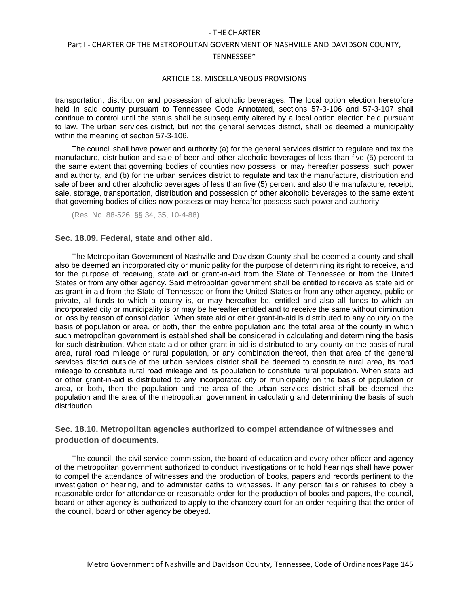## Part I - CHARTER OF THE METROPOLITAN GOVERNMENT OF NASHVILLE AND DAVIDSON COUNTY. TENNESSEE\*

#### ARTICLE 18. MISCELLANEOUS PROVISIONS

transportation, distribution and possession of alcoholic beverages. The local option election heretofore held in said county pursuant to Tennessee Code Annotated, sections 57-3-106 and 57-3-107 shall continue to control until the status shall be subsequently altered by a local option election held pursuant to law. The urban services district, but not the general services district, shall be deemed a municipality within the meaning of section 57-3-106.

The council shall have power and authority (a) for the general services district to regulate and tax the manufacture, distribution and sale of beer and other alcoholic beverages of less than five (5) percent to the same extent that governing bodies of counties now possess, or may hereafter possess, such power and authority, and (b) for the urban services district to regulate and tax the manufacture, distribution and sale of beer and other alcoholic beverages of less than five (5) percent and also the manufacture, receipt, sale, storage, transportation, distribution and possession of other alcoholic beverages to the same extent that governing bodies of cities now possess or may hereafter possess such power and authority.

(Res. No. 88-526, §§ 34, 35, 10-4-88)

## **Sec. 18.09. Federal, state and other aid.**

The Metropolitan Government of Nashville and Davidson County shall be deemed a county and shall also be deemed an incorporated city or municipality for the purpose of determining its right to receive, and for the purpose of receiving, state aid or grant-in-aid from the State of Tennessee or from the United States or from any other agency. Said metropolitan government shall be entitled to receive as state aid or as grant-in-aid from the State of Tennessee or from the United States or from any other agency, public or private, all funds to which a county is, or may hereafter be, entitled and also all funds to which an incorporated city or municipality is or may be hereafter entitled and to receive the same without diminution or loss by reason of consolidation. When state aid or other grant-in-aid is distributed to any county on the basis of population or area, or both, then the entire population and the total area of the county in which such metropolitan government is established shall be considered in calculating and determining the basis for such distribution. When state aid or other grant-in-aid is distributed to any county on the basis of rural area, rural road mileage or rural population, or any combination thereof, then that area of the general services district outside of the urban services district shall be deemed to constitute rural area, its road mileage to constitute rural road mileage and its population to constitute rural population. When state aid or other grant-in-aid is distributed to any incorporated city or municipality on the basis of population or area, or both, then the population and the area of the urban services district shall be deemed the population and the area of the metropolitan government in calculating and determining the basis of such distribution.

## **Sec. 18.10. Metropolitan agencies authorized to compel attendance of witnesses and production of documents.**

The council, the civil service commission, the board of education and every other officer and agency of the metropolitan government authorized to conduct investigations or to hold hearings shall have power to compel the attendance of witnesses and the production of books, papers and records pertinent to the investigation or hearing, and to administer oaths to witnesses. If any person fails or refuses to obey a reasonable order for attendance or reasonable order for the production of books and papers, the council, board or other agency is authorized to apply to the chancery court for an order requiring that the order of the council, board or other agency be obeyed.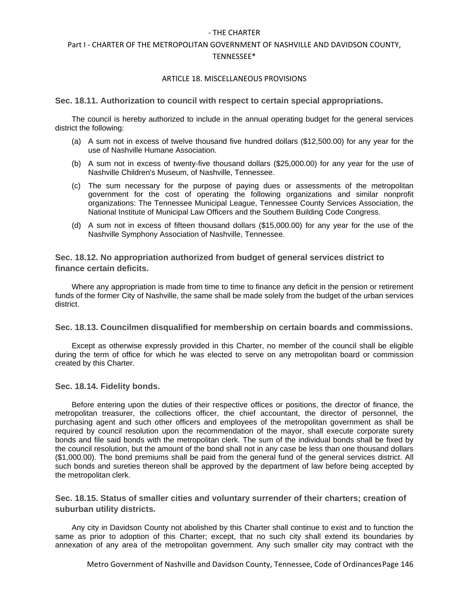## Part I - CHARTER OF THE METROPOLITAN GOVERNMENT OF NASHVILLE AND DAVIDSON COUNTY. TENNESSEE\*

## ARTICLE 18. MISCELLANEOUS PROVISIONS

## **Sec. 18.11. Authorization to council with respect to certain special appropriations.**

The council is hereby authorized to include in the annual operating budget for the general services district the following:

- (a) A sum not in excess of twelve thousand five hundred dollars (\$12,500.00) for any year for the use of Nashville Humane Association.
- (b) A sum not in excess of twenty-five thousand dollars (\$25,000.00) for any year for the use of Nashville Children's Museum, of Nashville, Tennessee.
- (c) The sum necessary for the purpose of paying dues or assessments of the metropolitan government for the cost of operating the following organizations and similar nonprofit organizations: The Tennessee Municipal League, Tennessee County Services Association, the National Institute of Municipal Law Officers and the Southern Building Code Congress.
- (d) A sum not in excess of fifteen thousand dollars (\$15,000.00) for any year for the use of the Nashville Symphony Association of Nashville, Tennessee.

## **Sec. 18.12. No appropriation authorized from budget of general services district to finance certain deficits.**

Where any appropriation is made from time to time to finance any deficit in the pension or retirement funds of the former City of Nashville, the same shall be made solely from the budget of the urban services district.

## **Sec. 18.13. Councilmen disqualified for membership on certain boards and commissions.**

Except as otherwise expressly provided in this Charter, no member of the council shall be eligible during the term of office for which he was elected to serve on any metropolitan board or commission created by this Charter.

## **Sec. 18.14. Fidelity bonds.**

Before entering upon the duties of their respective offices or positions, the director of finance, the metropolitan treasurer, the collections officer, the chief accountant, the director of personnel, the purchasing agent and such other officers and employees of the metropolitan government as shall be required by council resolution upon the recommendation of the mayor, shall execute corporate surety bonds and file said bonds with the metropolitan clerk. The sum of the individual bonds shall be fixed by the council resolution, but the amount of the bond shall not in any case be less than one thousand dollars (\$1,000.00). The bond premiums shall be paid from the general fund of the general services district. All such bonds and sureties thereon shall be approved by the department of law before being accepted by the metropolitan clerk.

**Sec. 18.15. Status of smaller cities and voluntary surrender of their charters; creation of suburban utility districts.** 

Any city in Davidson County not abolished by this Charter shall continue to exist and to function the same as prior to adoption of this Charter; except, that no such city shall extend its boundaries by annexation of any area of the metropolitan government. Any such smaller city may contract with the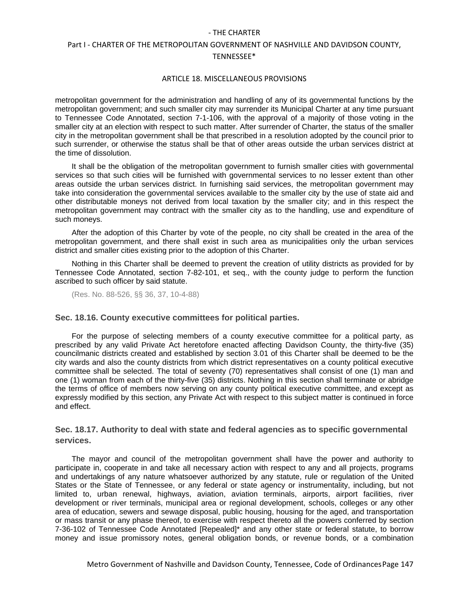## Part I - CHARTER OF THE METROPOLITAN GOVERNMENT OF NASHVILLE AND DAVIDSON COUNTY. TENNESSEE\*

#### ARTICLE 18. MISCELLANEOUS PROVISIONS

metropolitan government for the administration and handling of any of its governmental functions by the metropolitan government; and such smaller city may surrender its Municipal Charter at any time pursuant to Tennessee Code Annotated, section 7-1-106, with the approval of a majority of those voting in the smaller city at an election with respect to such matter. After surrender of Charter, the status of the smaller city in the metropolitan government shall be that prescribed in a resolution adopted by the council prior to such surrender, or otherwise the status shall be that of other areas outside the urban services district at the time of dissolution.

It shall be the obligation of the metropolitan government to furnish smaller cities with governmental services so that such cities will be furnished with governmental services to no lesser extent than other areas outside the urban services district. In furnishing said services, the metropolitan government may take into consideration the governmental services available to the smaller city by the use of state aid and other distributable moneys not derived from local taxation by the smaller city; and in this respect the metropolitan government may contract with the smaller city as to the handling, use and expenditure of such moneys.

After the adoption of this Charter by vote of the people, no city shall be created in the area of the metropolitan government, and there shall exist in such area as municipalities only the urban services district and smaller cities existing prior to the adoption of this Charter.

Nothing in this Charter shall be deemed to prevent the creation of utility districts as provided for by Tennessee Code Annotated, section 7-82-101, et seq., with the county judge to perform the function ascribed to such officer by said statute.

(Res. No. 88-526, §§ 36, 37, 10-4-88)

**Sec. 18.16. County executive committees for political parties.** 

For the purpose of selecting members of a county executive committee for a political party, as prescribed by any valid Private Act heretofore enacted affecting Davidson County, the thirty-five (35) councilmanic districts created and established by section 3.01 of this Charter shall be deemed to be the city wards and also the county districts from which district representatives on a county political executive committee shall be selected. The total of seventy (70) representatives shall consist of one (1) man and one (1) woman from each of the thirty-five (35) districts. Nothing in this section shall terminate or abridge the terms of office of members now serving on any county political executive committee, and except as expressly modified by this section, any Private Act with respect to this subject matter is continued in force and effect.

**Sec. 18.17. Authority to deal with state and federal agencies as to specific governmental services.** 

The mayor and council of the metropolitan government shall have the power and authority to participate in, cooperate in and take all necessary action with respect to any and all projects, programs and undertakings of any nature whatsoever authorized by any statute, rule or regulation of the United States or the State of Tennessee, or any federal or state agency or instrumentality, including, but not limited to, urban renewal, highways, aviation, aviation terminals, airports, airport facilities, river development or river terminals, municipal area or regional development, schools, colleges or any other area of education, sewers and sewage disposal, public housing, housing for the aged, and transportation or mass transit or any phase thereof, to exercise with respect thereto all the powers conferred by section 7-36-102 of Tennessee Code Annotated [Repealed]\* and any other state or federal statute, to borrow money and issue promissory notes, general obligation bonds, or revenue bonds, or a combination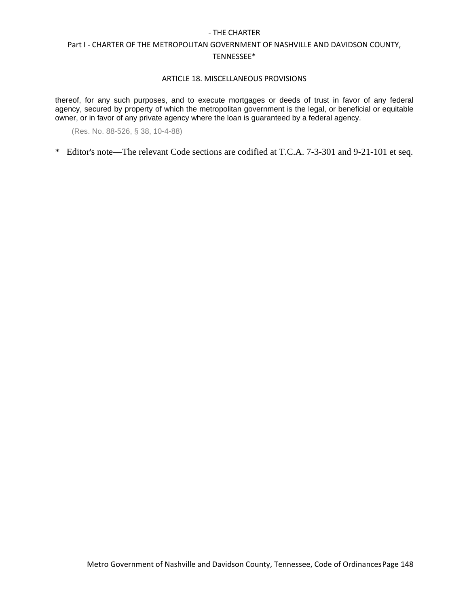# Part I - CHARTER OF THE METROPOLITAN GOVERNMENT OF NASHVILLE AND DAVIDSON COUNTY, TENNESSEE\*

## ARTICLE 18. MISCELLANEOUS PROVISIONS

thereof, for any such purposes, and to execute mortgages or deeds of trust in favor of any federal agency, secured by property of which the metropolitan government is the legal, or beneficial or equitable owner, or in favor of any private agency where the loan is guaranteed by a federal agency.

(Res. No. 88-526, § 38, 10-4-88)

\* Editor's note—The relevant Code sections are codified at T.C.A. 7-3-301 and 9-21-101 et seq.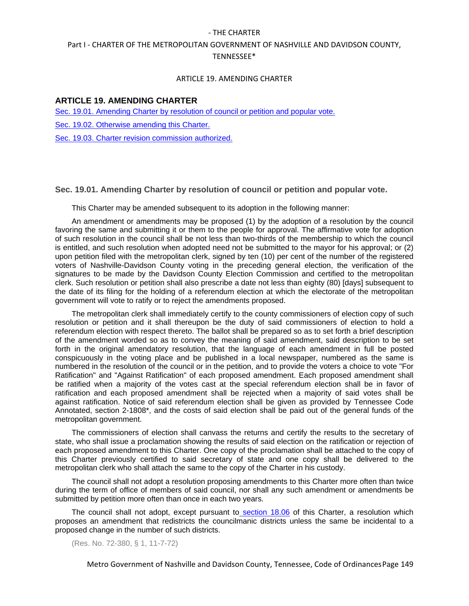# Part I ‐ CHARTER OF THE METROPOLITAN GOVERNMENT OF NASHVILLE AND DAVIDSON COUNTY, TENNESSEE\*

## ARTICLE 19. AMENDING CHARTER

## **ARTICLE 19. AMENDING CHARTER**

Sec. 19.01. Amending Charter by resolution of council or petition and popular vote.

Sec. 19.02. Otherwise amending this Charter.

Sec. 19.03. Charter revision commission authorized.

**Sec. 19.01. Amending Charter by resolution of council or petition and popular vote.** 

This Charter may be amended subsequent to its adoption in the following manner:

An amendment or amendments may be proposed (1) by the adoption of a resolution by the council favoring the same and submitting it or them to the people for approval. The affirmative vote for adoption of such resolution in the council shall be not less than two-thirds of the membership to which the council is entitled, and such resolution when adopted need not be submitted to the mayor for his approval; or (2) upon petition filed with the metropolitan clerk, signed by ten (10) per cent of the number of the registered voters of Nashville-Davidson County voting in the preceding general election, the verification of the signatures to be made by the Davidson County Election Commission and certified to the metropolitan clerk. Such resolution or petition shall also prescribe a date not less than eighty (80) [days] subsequent to the date of its filing for the holding of a referendum election at which the electorate of the metropolitan government will vote to ratify or to reject the amendments proposed.

The metropolitan clerk shall immediately certify to the county commissioners of election copy of such resolution or petition and it shall thereupon be the duty of said commissioners of election to hold a referendum election with respect thereto. The ballot shall be prepared so as to set forth a brief description of the amendment worded so as to convey the meaning of said amendment, said description to be set forth in the original amendatory resolution, that the language of each amendment in full be posted conspicuously in the voting place and be published in a local newspaper, numbered as the same is numbered in the resolution of the council or in the petition, and to provide the voters a choice to vote "For Ratification" and "Against Ratification" of each proposed amendment. Each proposed amendment shall be ratified when a majority of the votes cast at the special referendum election shall be in favor of ratification and each proposed amendment shall be rejected when a majority of said votes shall be against ratification. Notice of said referendum election shall be given as provided by Tennessee Code Annotated, section 2-1808\*, and the costs of said election shall be paid out of the general funds of the metropolitan government.

The commissioners of election shall canvass the returns and certify the results to the secretary of state, who shall issue a proclamation showing the results of said election on the ratification or rejection of each proposed amendment to this Charter. One copy of the proclamation shall be attached to the copy of this Charter previously certified to said secretary of state and one copy shall be delivered to the metropolitan clerk who shall attach the same to the copy of the Charter in his custody.

The council shall not adopt a resolution proposing amendments to this Charter more often than twice during the term of office of members of said council, nor shall any such amendment or amendments be submitted by petition more often than once in each two years.

The council shall not adopt, except pursuant to section 18.06 of this Charter, a resolution which proposes an amendment that redistricts the councilmanic districts unless the same be incidental to a proposed change in the number of such districts.

(Res. No. 72-380, § 1, 11-7-72)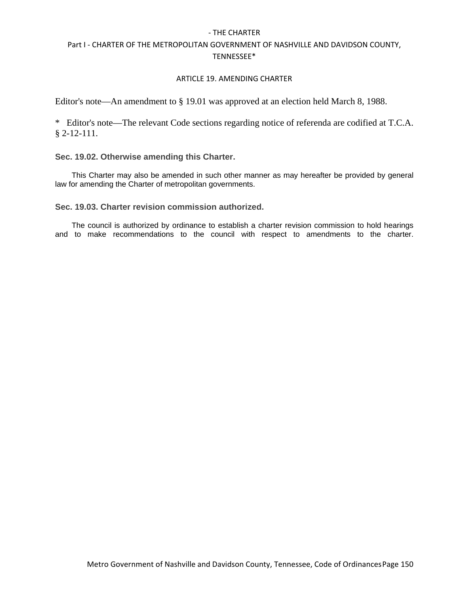# Part I - CHARTER OF THE METROPOLITAN GOVERNMENT OF NASHVILLE AND DAVIDSON COUNTY, TENNESSEE\*

## ARTICLE 19. AMENDING CHARTER

Editor's note—An amendment to § 19.01 was approved at an election held March 8, 1988.

\* Editor's note—The relevant Code sections regarding notice of referenda are codified at T.C.A. § 2-12-111.

**Sec. 19.02. Otherwise amending this Charter.** 

This Charter may also be amended in such other manner as may hereafter be provided by general law for amending the Charter of metropolitan governments.

**Sec. 19.03. Charter revision commission authorized.** 

The council is authorized by ordinance to establish a charter revision commission to hold hearings and to make recommendations to the council with respect to amendments to the charter.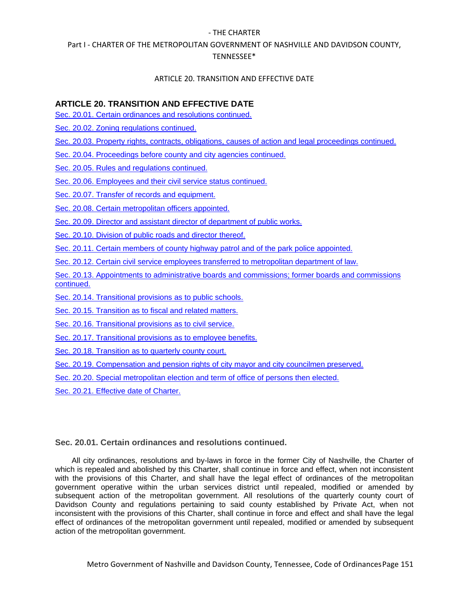## Part I ‐ CHARTER OF THE METROPOLITAN GOVERNMENT OF NASHVILLE AND DAVIDSON COUNTY, TENNESSEE\*

## ARTICLE 20. TRANSITION AND EFFECTIVE DATE

## **ARTICLE 20. TRANSITION AND EFFECTIVE DATE**

- Sec. 20.01. Certain ordinances and resolutions continued.
- Sec. 20.02. Zoning regulations continued.
- Sec. 20.03. Property rights, contracts, obligations, causes of action and legal proceedings continued.
- Sec. 20.04. Proceedings before county and city agencies continued.
- Sec. 20.05. Rules and regulations continued.
- Sec. 20.06. Employees and their civil service status continued.
- Sec. 20.07. Transfer of records and equipment.
- Sec. 20.08. Certain metropolitan officers appointed.
- Sec. 20.09. Director and assistant director of department of public works.
- Sec. 20.10. Division of public roads and director thereof.
- Sec. 20.11. Certain members of county highway patrol and of the park police appointed.
- Sec. 20.12. Certain civil service employees transferred to metropolitan department of law.
- Sec. 20.13. Appointments to administrative boards and commissions; former boards and commissions continued.
- Sec. 20.14. Transitional provisions as to public schools.
- Sec. 20.15. Transition as to fiscal and related matters.
- Sec. 20.16. Transitional provisions as to civil service.
- Sec. 20.17. Transitional provisions as to employee benefits.
- Sec. 20.18. Transition as to quarterly county court.
- Sec. 20.19. Compensation and pension rights of city mayor and city councilmen preserved.
- Sec. 20.20. Special metropolitan election and term of office of persons then elected.
- Sec. 20.21. Effective date of Charter.

## **Sec. 20.01. Certain ordinances and resolutions continued.**

All city ordinances, resolutions and by-laws in force in the former City of Nashville, the Charter of which is repealed and abolished by this Charter, shall continue in force and effect, when not inconsistent with the provisions of this Charter, and shall have the legal effect of ordinances of the metropolitan government operative within the urban services district until repealed, modified or amended by subsequent action of the metropolitan government. All resolutions of the quarterly county court of Davidson County and regulations pertaining to said county established by Private Act, when not inconsistent with the provisions of this Charter, shall continue in force and effect and shall have the legal effect of ordinances of the metropolitan government until repealed, modified or amended by subsequent action of the metropolitan government.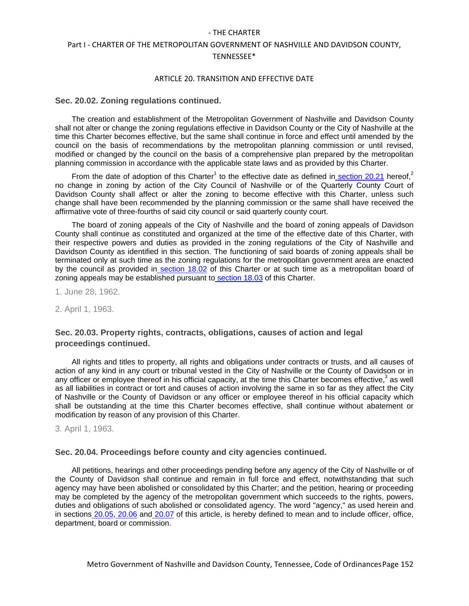## Part I - CHARTER OF THE METROPOLITAN GOVERNMENT OF NASHVILLE AND DAVIDSON COUNTY, TENNESSEE\*

#### ARTICLE 20. TRANSITION AND EFFECTIVE DATE

## **Sec. 20.02. Zoning regulations continued.**

The creation and establishment of the Metropolitan Government of Nashville and Davidson County shall not alter or change the zoning regulations effective in Davidson County or the City of Nashville at the time this Charter becomes effective, but the same shall continue in force and effect until amended by the council on the basis of recommendations by the metropolitan planning commission or until revised, modified or changed by the council on the basis of a comprehensive plan prepared by the metropolitan planning commission in accordance with the applicable state laws and as provided by this Charter.

From the date of adoption of this Charter<sup>1</sup> to the effective date as defined in section 20.21 hereof,<sup>2</sup> no change in zoning by action of the City Council of Nashville or of the Quarterly County Court of Davidson County shall affect or alter the zoning to become effective with this Charter, unless such change shall have been recommended by the planning commission or the same shall have received the affirmative vote of three-fourths of said city council or said quarterly county court.

The board of zoning appeals of the City of Nashville and the board of zoning appeals of Davidson County shall continue as constituted and organized at the time of the effective date of this Charter, with their respective powers and duties as provided in the zoning regulations of the City of Nashville and Davidson County as identified in this section. The functioning of said boards of zoning appeals shall be terminated only at such time as the zoning regulations for the metropolitan government area are enacted by the council as provided in section 18.02 of this Charter or at such time as a metropolitan board of zoning appeals may be established pursuant to section 18.03 of this Charter.

1. June 28, 1962.

2. April 1, 1963.

## **Sec. 20.03. Property rights, contracts, obligations, causes of action and legal proceedings continued.**

All rights and titles to property, all rights and obligations under contracts or trusts, and all causes of action of any kind in any court or tribunal vested in the City of Nashville or the County of Davidson or in any officer or employee thereof in his official capacity, at the time this Charter becomes effective,<sup>3</sup> as well as all liabilities in contract or tort and causes of action involving the same in so far as they affect the City of Nashville or the County of Davidson or any officer or employee thereof in his official capacity which shall be outstanding at the time this Charter becomes effective, shall continue without abatement or modification by reason of any provision of this Charter.

3. April 1, 1963.

## **Sec. 20.04. Proceedings before county and city agencies continued.**

All petitions, hearings and other proceedings pending before any agency of the City of Nashville or of the County of Davidson shall continue and remain in full force and effect, notwithstanding that such agency may have been abolished or consolidated by this Charter; and the petition, hearing or proceeding may be completed by the agency of the metropolitan government which succeeds to the rights, powers, duties and obligations of such abolished or consolidated agency. The word "agency," as used herein and in sections 20.05, 20.06 and 20.07 of this article, is hereby defined to mean and to include officer, office, department, board or commission.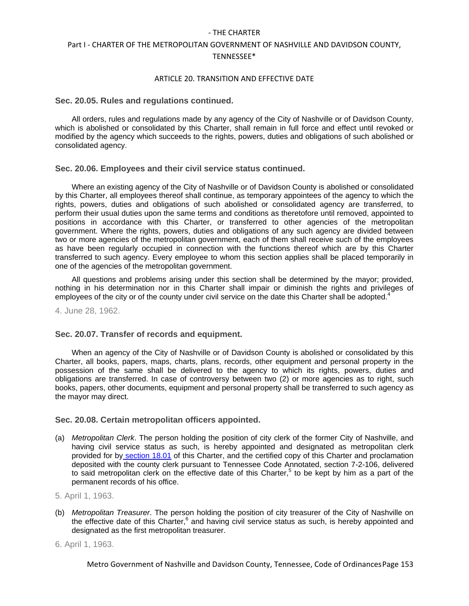# Part I ‐ CHARTER OF THE METROPOLITAN GOVERNMENT OF NASHVILLE AND DAVIDSON COUNTY, TENNESSEE\*

## ARTICLE 20. TRANSITION AND EFFECTIVE DATE

## **Sec. 20.05. Rules and regulations continued.**

All orders, rules and regulations made by any agency of the City of Nashville or of Davidson County, which is abolished or consolidated by this Charter, shall remain in full force and effect until revoked or modified by the agency which succeeds to the rights, powers, duties and obligations of such abolished or consolidated agency.

**Sec. 20.06. Employees and their civil service status continued.** 

Where an existing agency of the City of Nashville or of Davidson County is abolished or consolidated by this Charter, all employees thereof shall continue, as temporary appointees of the agency to which the rights, powers, duties and obligations of such abolished or consolidated agency are transferred, to perform their usual duties upon the same terms and conditions as theretofore until removed, appointed to positions in accordance with this Charter, or transferred to other agencies of the metropolitan government. Where the rights, powers, duties and obligations of any such agency are divided between two or more agencies of the metropolitan government, each of them shall receive such of the employees as have been regularly occupied in connection with the functions thereof which are by this Charter transferred to such agency. Every employee to whom this section applies shall be placed temporarily in one of the agencies of the metropolitan government.

All questions and problems arising under this section shall be determined by the mayor; provided, nothing in his determination nor in this Charter shall impair or diminish the rights and privileges of employees of the city or of the county under civil service on the date this Charter shall be adopted.<sup>4</sup>

4. June 28, 1962.

## **Sec. 20.07. Transfer of records and equipment.**

When an agency of the City of Nashville or of Davidson County is abolished or consolidated by this Charter, all books, papers, maps, charts, plans, records, other equipment and personal property in the possession of the same shall be delivered to the agency to which its rights, powers, duties and obligations are transferred. In case of controversy between two (2) or more agencies as to right, such books, papers, other documents, equipment and personal property shall be transferred to such agency as the mayor may direct.

## **Sec. 20.08. Certain metropolitan officers appointed.**

- (a) *Metropolitan Clerk*. The person holding the position of city clerk of the former City of Nashville, and having civil service status as such, is hereby appointed and designated as metropolitan clerk provided for by section 18.01 of this Charter, and the certified copy of this Charter and proclamation deposited with the county clerk pursuant to Tennessee Code Annotated, section 7-2-106, delivered to said metropolitan clerk on the effective date of this Charter,<sup>5</sup> to be kept by him as a part of the permanent records of his office.
- 5. April 1, 1963.
- (b) *Metropolitan Treasurer*. The person holding the position of city treasurer of the City of Nashville on the effective date of this Charter,<sup>6</sup> and having civil service status as such, is hereby appointed and designated as the first metropolitan treasurer.
- 6. April 1, 1963.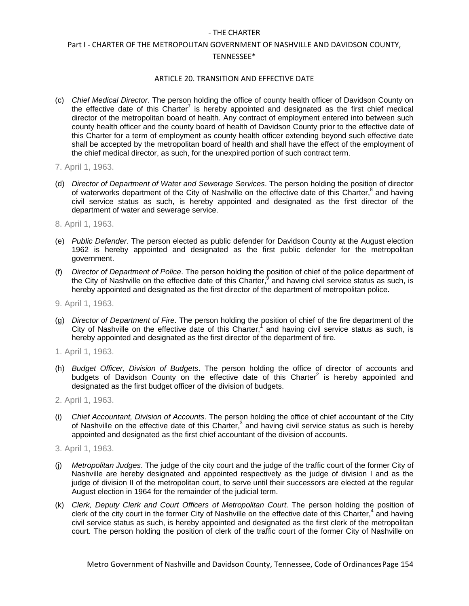## Part I ‐ CHARTER OF THE METROPOLITAN GOVERNMENT OF NASHVILLE AND DAVIDSON COUNTY, TENNESSEE\*

## ARTICLE 20. TRANSITION AND EFFECTIVE DATE

- (c) *Chief Medical Director*. The person holding the office of county health officer of Davidson County on the effective date of this Charter<sup>7</sup> is hereby appointed and designated as the first chief medical director of the metropolitan board of health. Any contract of employment entered into between such county health officer and the county board of health of Davidson County prior to the effective date of this Charter for a term of employment as county health officer extending beyond such effective date shall be accepted by the metropolitan board of health and shall have the effect of the employment of the chief medical director, as such, for the unexpired portion of such contract term.
- 7. April 1, 1963.
- (d) *Director of Department of Water and Sewerage Services*. The person holding the position of director of waterworks department of the City of Nashville on the effective date of this Charter,<sup>8</sup> and having civil service status as such, is hereby appointed and designated as the first director of the department of water and sewerage service.

## 8. April 1, 1963.

- (e) *Public Defender*. The person elected as public defender for Davidson County at the August election 1962 is hereby appointed and designated as the first public defender for the metropolitan government.
- (f) *Director of Department of Police*. The person holding the position of chief of the police department of the City of Nashville on the effective date of this Charter, and having civil service status as such, is hereby appointed and designated as the first director of the department of metropolitan police.
- 9. April 1, 1963.
- (g) *Director of Department of Fire*. The person holding the position of chief of the fire department of the City of Nashville on the effective date of this Charter,<sup>1</sup> and having civil service status as such, is hereby appointed and designated as the first director of the department of fire.
- 1. April 1, 1963.
- (h) *Budget Officer, Division of Budgets*. The person holding the office of director of accounts and budgets of Davidson County on the effective date of this Charter<sup>2</sup> is hereby appointed and designated as the first budget officer of the division of budgets.

2. April 1, 1963.

(i) *Chief Accountant, Division of Accounts*. The person holding the office of chief accountant of the City of Nashville on the effective date of this Charter,<sup>3</sup> and having civil service status as such is hereby appointed and designated as the first chief accountant of the division of accounts.

3. April 1, 1963.

- (j) *Metropolitan Judges*. The judge of the city court and the judge of the traffic court of the former City of Nashville are hereby designated and appointed respectively as the judge of division I and as the judge of division II of the metropolitan court, to serve until their successors are elected at the regular August election in 1964 for the remainder of the judicial term.
- (k) *Clerk, Deputy Clerk and Court Officers of Metropolitan Court*. The person holding the position of clerk of the city court in the former City of Nashville on the effective date of this Charter,<sup>4</sup> and having civil service status as such, is hereby appointed and designated as the first clerk of the metropolitan court. The person holding the position of clerk of the traffic court of the former City of Nashville on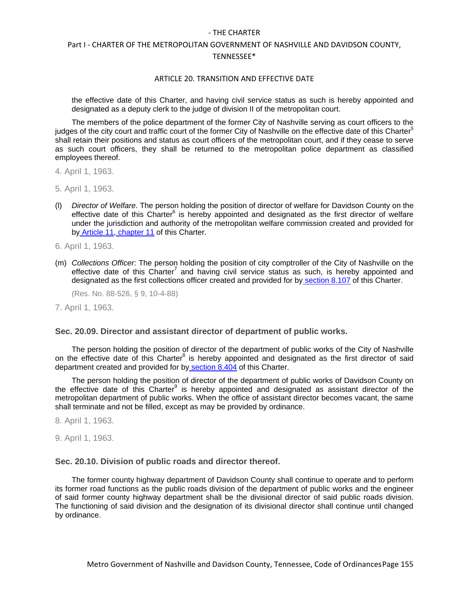## Part I ‐ CHARTER OF THE METROPOLITAN GOVERNMENT OF NASHVILLE AND DAVIDSON COUNTY, TENNESSEE\*

#### ARTICLE 20. TRANSITION AND EFFECTIVE DATE

the effective date of this Charter, and having civil service status as such is hereby appointed and designated as a deputy clerk to the judge of division II of the metropolitan court.

The members of the police department of the former City of Nashville serving as court officers to the judges of the city court and traffic court of the former City of Nashville on the effective date of this Charter<sup>5</sup> shall retain their positions and status as court officers of the metropolitan court, and if they cease to serve as such court officers, they shall be returned to the metropolitan police department as classified employees thereof.

4. April 1, 1963.

5. April 1, 1963.

(l) *Director of Welfare*. The person holding the position of director of welfare for Davidson County on the effective date of this Charter<sup>6</sup> is hereby appointed and designated as the first director of welfare under the jurisdiction and authority of the metropolitan welfare commission created and provided for by Article 11, chapter 11 of this Charter.

## 6. April 1, 1963.

(m) *Collections Officer*: The person holding the position of city comptroller of the City of Nashville on the effective date of this Charter<sup>7</sup> and having civil service status as such, is hereby appointed and designated as the first collections officer created and provided for by section 8.107 of this Charter.

(Res. No. 88-526, § 9, 10-4-88)

7. April 1, 1963.

#### **Sec. 20.09. Director and assistant director of department of public works.**

The person holding the position of director of the department of public works of the City of Nashville on the effective date of this Charter<sup>8</sup> is hereby appointed and designated as the first director of said department created and provided for by section 8.404 of this Charter.

The person holding the position of director of the department of public works of Davidson County on the effective date of this Charter $9$  is hereby appointed and designated as assistant director of the metropolitan department of public works. When the office of assistant director becomes vacant, the same shall terminate and not be filled, except as may be provided by ordinance.

8. April 1, 1963.

9. April 1, 1963.

## **Sec. 20.10. Division of public roads and director thereof.**

The former county highway department of Davidson County shall continue to operate and to perform its former road functions as the public roads division of the department of public works and the engineer of said former county highway department shall be the divisional director of said public roads division. The functioning of said division and the designation of its divisional director shall continue until changed by ordinance.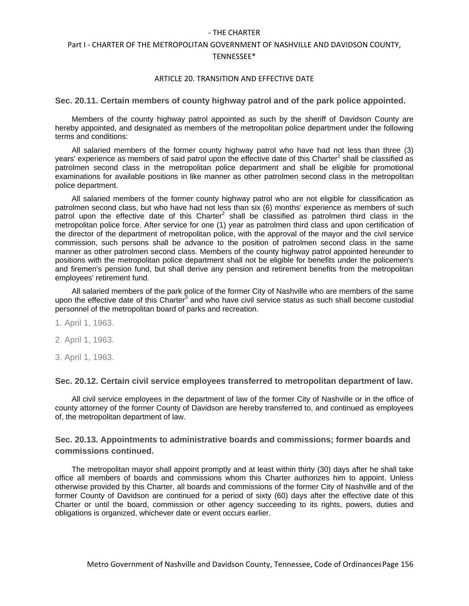## Part I - CHARTER OF THE METROPOLITAN GOVERNMENT OF NASHVILLE AND DAVIDSON COUNTY. TENNESSEE\*

#### ARTICLE 20. TRANSITION AND EFFECTIVE DATE

## **Sec. 20.11. Certain members of county highway patrol and of the park police appointed.**

Members of the county highway patrol appointed as such by the sheriff of Davidson County are hereby appointed, and designated as members of the metropolitan police department under the following terms and conditions:

All salaried members of the former county highway patrol who have had not less than three (3) years' experience as members of said patrol upon the effective date of this Charter<sup>1</sup> shall be classified as patrolmen second class in the metropolitan police department and shall be eligible for promotional examinations for available positions in like manner as other patrolmen second class in the metropolitan police department.

All salaried members of the former county highway patrol who are not eligible for classification as patrolmen second class, but who have had not less than six (6) months' experience as members of such patrol upon the effective date of this Charter<sup>2</sup> shall be classified as patrolmen third class in the metropolitan police force. After service for one (1) year as patrolmen third class and upon certification of the director of the department of metropolitan police, with the approval of the mayor and the civil service commission, such persons shall be advance to the position of patrolmen second class in the same manner as other patrolmen second class. Members of the county highway patrol appointed hereunder to positions with the metropolitan police department shall not be eligible for benefits under the policemen's and firemen's pension fund, but shall derive any pension and retirement benefits from the metropolitan employees' retirement fund.

All salaried members of the park police of the former City of Nashville who are members of the same upon the effective date of this Charter<sup>3</sup> and who have civil service status as such shall become custodial personnel of the metropolitan board of parks and recreation.

1. April 1, 1963.

- 2. April 1, 1963.
- 3. April 1, 1963.

**Sec. 20.12. Certain civil service employees transferred to metropolitan department of law.** 

All civil service employees in the department of law of the former City of Nashville or in the office of county attorney of the former County of Davidson are hereby transferred to, and continued as employees of, the metropolitan department of law.

## **Sec. 20.13. Appointments to administrative boards and commissions; former boards and commissions continued.**

The metropolitan mayor shall appoint promptly and at least within thirty (30) days after he shall take office all members of boards and commissions whom this Charter authorizes him to appoint. Unless otherwise provided by this Charter, all boards and commissions of the former City of Nashville and of the former County of Davidson are continued for a period of sixty (60) days after the effective date of this Charter or until the board, commission or other agency succeeding to its rights, powers, duties and obligations is organized, whichever date or event occurs earlier.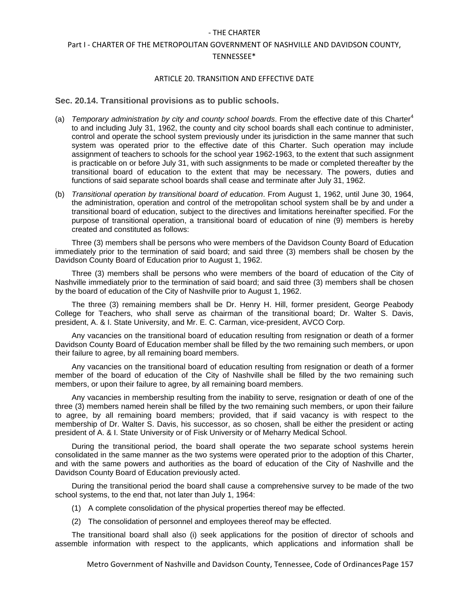## Part I ‐ CHARTER OF THE METROPOLITAN GOVERNMENT OF NASHVILLE AND DAVIDSON COUNTY, TENNESSEE\*

## ARTICLE 20. TRANSITION AND EFFECTIVE DATE

## **Sec. 20.14. Transitional provisions as to public schools.**

- (a) *Temporary administration by city and county school boards*. From the effective date of this Charter<sup>4</sup> to and including July 31, 1962, the county and city school boards shall each continue to administer, control and operate the school system previously under its jurisdiction in the same manner that such system was operated prior to the effective date of this Charter. Such operation may include assignment of teachers to schools for the school year 1962-1963, to the extent that such assignment is practicable on or before July 31, with such assignments to be made or completed thereafter by the transitional board of education to the extent that may be necessary. The powers, duties and functions of said separate school boards shall cease and terminate after July 31, 1962.
- (b) *Transitional operation by transitional board of education*. From August 1, 1962, until June 30, 1964, the administration, operation and control of the metropolitan school system shall be by and under a transitional board of education, subject to the directives and limitations hereinafter specified. For the purpose of transitional operation, a transitional board of education of nine (9) members is hereby created and constituted as follows:

Three (3) members shall be persons who were members of the Davidson County Board of Education immediately prior to the termination of said board; and said three (3) members shall be chosen by the Davidson County Board of Education prior to August 1, 1962.

Three (3) members shall be persons who were members of the board of education of the City of Nashville immediately prior to the termination of said board; and said three (3) members shall be chosen by the board of education of the City of Nashville prior to August 1, 1962.

The three (3) remaining members shall be Dr. Henry H. Hill, former president, George Peabody College for Teachers, who shall serve as chairman of the transitional board; Dr. Walter S. Davis, president, A. & I. State University, and Mr. E. C. Carman, vice-president, AVCO Corp.

Any vacancies on the transitional board of education resulting from resignation or death of a former Davidson County Board of Education member shall be filled by the two remaining such members, or upon their failure to agree, by all remaining board members.

Any vacancies on the transitional board of education resulting from resignation or death of a former member of the board of education of the City of Nashville shall be filled by the two remaining such members, or upon their failure to agree, by all remaining board members.

Any vacancies in membership resulting from the inability to serve, resignation or death of one of the three (3) members named herein shall be filled by the two remaining such members, or upon their failure to agree, by all remaining board members; provided, that if said vacancy is with respect to the membership of Dr. Walter S. Davis, his successor, as so chosen, shall be either the president or acting president of A. & I. State University or of Fisk University or of Meharry Medical School.

During the transitional period, the board shall operate the two separate school systems herein consolidated in the same manner as the two systems were operated prior to the adoption of this Charter, and with the same powers and authorities as the board of education of the City of Nashville and the Davidson County Board of Education previously acted.

During the transitional period the board shall cause a comprehensive survey to be made of the two school systems, to the end that, not later than July 1, 1964:

- (1) A complete consolidation of the physical properties thereof may be effected.
- (2) The consolidation of personnel and employees thereof may be effected.

The transitional board shall also (i) seek applications for the position of director of schools and assemble information with respect to the applicants, which applications and information shall be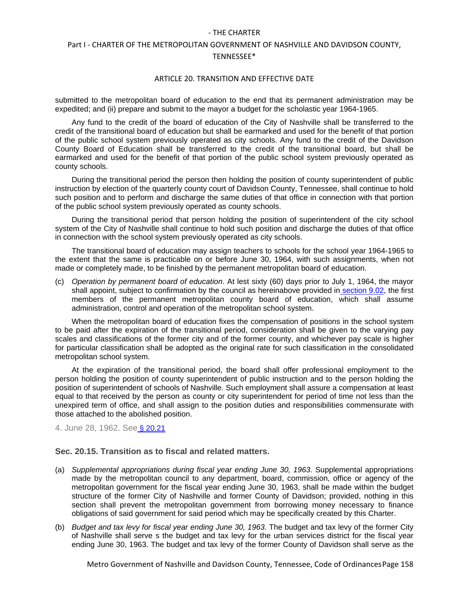## Part I - CHARTER OF THE METROPOLITAN GOVERNMENT OF NASHVILLE AND DAVIDSON COUNTY. TENNESSEE\*

#### ARTICLE 20. TRANSITION AND EFFECTIVE DATE

submitted to the metropolitan board of education to the end that its permanent administration may be expedited; and (ii) prepare and submit to the mayor a budget for the scholastic year 1964-1965.

Any fund to the credit of the board of education of the City of Nashville shall be transferred to the credit of the transitional board of education but shall be earmarked and used for the benefit of that portion of the public school system previously operated as city schools. Any fund to the credit of the Davidson County Board of Education shall be transferred to the credit of the transitional board, but shall be earmarked and used for the benefit of that portion of the public school system previously operated as county schools.

During the transitional period the person then holding the position of county superintendent of public instruction by election of the quarterly county court of Davidson County, Tennessee, shall continue to hold such position and to perform and discharge the same duties of that office in connection with that portion of the public school system previously operated as county schools.

During the transitional period that person holding the position of superintendent of the city school system of the City of Nashville shall continue to hold such position and discharge the duties of that office in connection with the school system previously operated as city schools.

The transitional board of education may assign teachers to schools for the school year 1964-1965 to the extent that the same is practicable on or before June 30, 1964, with such assignments, when not made or completely made, to be finished by the permanent metropolitan board of education.

(c) *Operation by permanent board of education*. At lest sixty (60) days prior to July 1, 1964, the mayor shall appoint, subject to confirmation by the council as hereinabove provided in section 9.02, the first members of the permanent metropolitan county board of education, which shall assume administration, control and operation of the metropolitan school system.

When the metropolitan board of education fixes the compensation of positions in the school system to be paid after the expiration of the transitional period, consideration shall be given to the varying pay scales and classifications of the former city and of the former county, and whichever pay scale is higher for particular classification shall be adopted as the original rate for such classification in the consolidated metropolitan school system.

At the expiration of the transitional period, the board shall offer professional employment to the person holding the position of county superintendent of public instruction and to the person holding the position of superintendent of schools of Nashville. Such employment shall assure a compensation at least equal to that received by the person as county or city superintendent for period of time not less than the unexpired term of office, and shall assign to the position duties and responsibilities commensurate with those attached to the abolished position.

4. June 28, 1962. See § 20.21

## **Sec. 20.15. Transition as to fiscal and related matters.**

- (a) *Supplemental appropriations during fiscal year ending June 30, 1963*. Supplemental appropriations made by the metropolitan council to any department, board, commission, office or agency of the metropolitan government for the fiscal year ending June 30, 1963, shall be made within the budget structure of the former City of Nashville and former County of Davidson; provided, nothing in this section shall prevent the metropolitan government from borrowing money necessary to finance obligations of said government for said period which may be specifically created by this Charter.
- (b) *Budget and tax levy for fiscal year ending June 30, 1963*. The budget and tax levy of the former City of Nashville shall serve s the budget and tax levy for the urban services district for the fiscal year ending June 30, 1963. The budget and tax levy of the former County of Davidson shall serve as the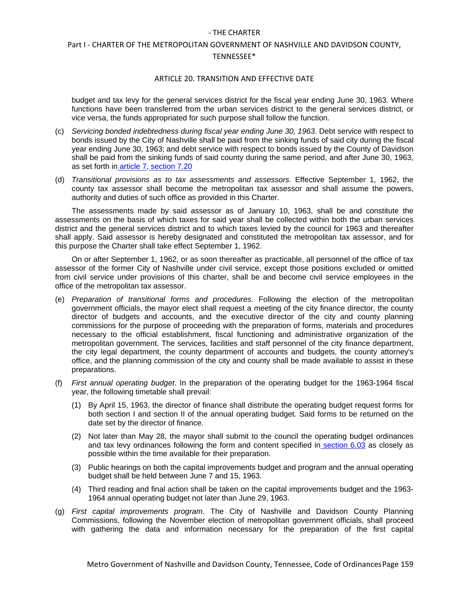## Part I ‐ CHARTER OF THE METROPOLITAN GOVERNMENT OF NASHVILLE AND DAVIDSON COUNTY, TENNESSEE\*

## ARTICLE 20. TRANSITION AND EFFECTIVE DATE

budget and tax levy for the general services district for the fiscal year ending June 30, 1963. Where functions have been transferred from the urban services district to the general services district, or vice versa, the funds appropriated for such purpose shall follow the function.

- (c) *Servicing bonded indebtedness during fiscal year ending June 30, 1963*. Debt service with respect to bonds issued by the City of Nashville shall be paid from the sinking funds of said city during the fiscal year ending June 30, 1963; and debt service with respect to bonds issued by the County of Davidson shall be paid from the sinking funds of said county during the same period, and after June 30, 1963, as set forth in article 7, section 7.20
- (d) *Transitional provisions as to tax assessments and assessors*. Effective September 1, 1962, the county tax assessor shall become the metropolitan tax assessor and shall assume the powers, authority and duties of such office as provided in this Charter.

The assessments made by said assessor as of January 10, 1963, shall be and constitute the assessments on the basis of which taxes for said year shall be collected within both the urban services district and the general services district and to which taxes levied by the council for 1963 and thereafter shall apply. Said assessor is hereby designated and constituted the metropolitan tax assessor, and for this purpose the Charter shall take effect September 1, 1962.

On or after September 1, 1962, or as soon thereafter as practicable, all personnel of the office of tax assessor of the former City of Nashville under civil service, except those positions excluded or omitted from civil service under provisions of this charter, shall be and become civil service employees in the office of the metropolitan tax assessor.

- (e) *Preparation of transitional forms and procedures*. Following the election of the metropolitan government officials, the mayor elect shall request a meeting of the city finance director, the county director of budgets and accounts, and the executive director of the city and county planning commissions for the purpose of proceeding with the preparation of forms, materials and procedures necessary to the official establishment, fiscal functioning and administrative organization of the metropolitan government. The services, facilities and staff personnel of the city finance department, the city legal department, the county department of accounts and budgets, the county attorney's office, and the planning commission of the city and county shall be made available to assist in these preparations.
- (f) *First annual operating budget*. In the preparation of the operating budget for the 1963-1964 fiscal year, the following timetable shall prevail:
	- (1) By April 15, 1963, the director of finance shall distribute the operating budget request forms for both section I and section II of the annual operating budget. Said forms to be returned on the date set by the director of finance.
	- (2) Not later than May 28, the mayor shall submit to the council the operating budget ordinances and tax levy ordinances following the form and content specified in section 6.03 as closely as possible within the time available for their preparation.
	- (3) Public hearings on both the capital improvements budget and program and the annual operating budget shall be held between June 7 and 15, 1963.
	- (4) Third reading and final action shall be taken on the capital improvements budget and the 1963- 1964 annual operating budget not later than June 29, 1963.
- (g) *First capital improvements program*. The City of Nashville and Davidson County Planning Commissions, following the November election of metropolitan government officials, shall proceed with gathering the data and information necessary for the preparation of the first capital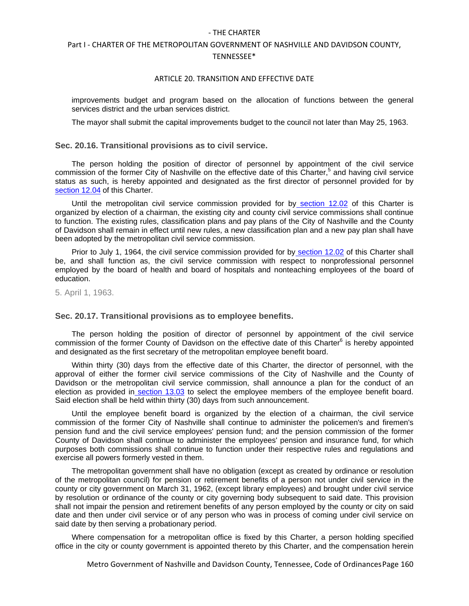## Part I - CHARTER OF THE METROPOLITAN GOVERNMENT OF NASHVILLE AND DAVIDSON COUNTY. TENNESSEE\*

#### ARTICLE 20. TRANSITION AND EFFECTIVE DATE

improvements budget and program based on the allocation of functions between the general services district and the urban services district.

The mayor shall submit the capital improvements budget to the council not later than May 25, 1963.

#### **Sec. 20.16. Transitional provisions as to civil service.**

The person holding the position of director of personnel by appointment of the civil service commission of the former City of Nashville on the effective date of this Charter,<sup>5</sup> and having civil service status as such, is hereby appointed and designated as the first director of personnel provided for by section 12.04 of this Charter.

Until the metropolitan civil service commission provided for by section 12.02 of this Charter is organized by election of a chairman, the existing city and county civil service commissions shall continue to function. The existing rules, classification plans and pay plans of the City of Nashville and the County of Davidson shall remain in effect until new rules, a new classification plan and a new pay plan shall have been adopted by the metropolitan civil service commission.

Prior to July 1, 1964, the civil service commission provided for by section 12.02 of this Charter shall be, and shall function as, the civil service commission with respect to nonprofessional personnel employed by the board of health and board of hospitals and nonteaching employees of the board of education.

5. April 1, 1963.

**Sec. 20.17. Transitional provisions as to employee benefits.** 

The person holding the position of director of personnel by appointment of the civil service commission of the former County of Davidson on the effective date of this Charter<sup>6</sup> is hereby appointed and designated as the first secretary of the metropolitan employee benefit board.

Within thirty (30) days from the effective date of this Charter, the director of personnel, with the approval of either the former civil service commissions of the City of Nashville and the County of Davidson or the metropolitan civil service commission, shall announce a plan for the conduct of an election as provided in section 13.03 to select the employee members of the employee benefit board. Said election shall be held within thirty (30) days from such announcement.

Until the employee benefit board is organized by the election of a chairman, the civil service commission of the former City of Nashville shall continue to administer the policemen's and firemen's pension fund and the civil service employees' pension fund; and the pension commission of the former County of Davidson shall continue to administer the employees' pension and insurance fund, for which purposes both commissions shall continue to function under their respective rules and regulations and exercise all powers formerly vested in them.

The metropolitan government shall have no obligation (except as created by ordinance or resolution of the metropolitan council) for pension or retirement benefits of a person not under civil service in the county or city government on March 31, 1962, (except library employees) and brought under civil service by resolution or ordinance of the county or city governing body subsequent to said date. This provision shall not impair the pension and retirement benefits of any person employed by the county or city on said date and then under civil service or of any person who was in process of coming under civil service on said date by then serving a probationary period.

Where compensation for a metropolitan office is fixed by this Charter, a person holding specified office in the city or county government is appointed thereto by this Charter, and the compensation herein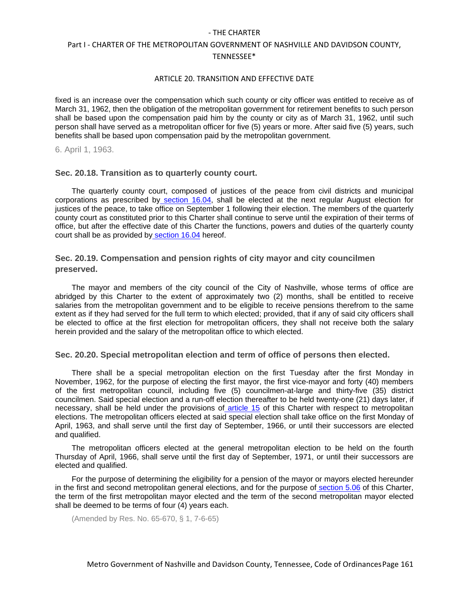## Part I ‐ CHARTER OF THE METROPOLITAN GOVERNMENT OF NASHVILLE AND DAVIDSON COUNTY, TENNESSEE\*

#### ARTICLE 20. TRANSITION AND EFFECTIVE DATE

fixed is an increase over the compensation which such county or city officer was entitled to receive as of March 31, 1962, then the obligation of the metropolitan government for retirement benefits to such person shall be based upon the compensation paid him by the county or city as of March 31, 1962, until such person shall have served as a metropolitan officer for five (5) years or more. After said five (5) years, such benefits shall be based upon compensation paid by the metropolitan government.

6. April 1, 1963.

## **Sec. 20.18. Transition as to quarterly county court.**

The quarterly county court, composed of justices of the peace from civil districts and municipal corporations as prescribed by section 16.04, shall be elected at the next regular August election for justices of the peace, to take office on September 1 following their election. The members of the quarterly county court as constituted prior to this Charter shall continue to serve until the expiration of their terms of office, but after the effective date of this Charter the functions, powers and duties of the quarterly county court shall be as provided by section 16.04 hereof.

## **Sec. 20.19. Compensation and pension rights of city mayor and city councilmen preserved.**

The mayor and members of the city council of the City of Nashville, whose terms of office are abridged by this Charter to the extent of approximately two (2) months, shall be entitled to receive salaries from the metropolitan government and to be eligible to receive pensions therefrom to the same extent as if they had served for the full term to which elected; provided, that if any of said city officers shall be elected to office at the first election for metropolitan officers, they shall not receive both the salary herein provided and the salary of the metropolitan office to which elected.

**Sec. 20.20. Special metropolitan election and term of office of persons then elected.** 

There shall be a special metropolitan election on the first Tuesday after the first Monday in November, 1962, for the purpose of electing the first mayor, the first vice-mayor and forty (40) members of the first metropolitan council, including five (5) councilmen-at-large and thirty-five (35) district councilmen. Said special election and a run-off election thereafter to be held twenty-one (21) days later, if necessary, shall be held under the provisions of article 15 of this Charter with respect to metropolitan elections. The metropolitan officers elected at said special election shall take office on the first Monday of April, 1963, and shall serve until the first day of September, 1966, or until their successors are elected and qualified.

The metropolitan officers elected at the general metropolitan election to be held on the fourth Thursday of April, 1966, shall serve until the first day of September, 1971, or until their successors are elected and qualified.

For the purpose of determining the eligibility for a pension of the mayor or mayors elected hereunder in the first and second metropolitan general elections, and for the purpose of section 5.06 of this Charter, the term of the first metropolitan mayor elected and the term of the second metropolitan mayor elected shall be deemed to be terms of four (4) years each.

(Amended by Res. No. 65-670, § 1, 7-6-65)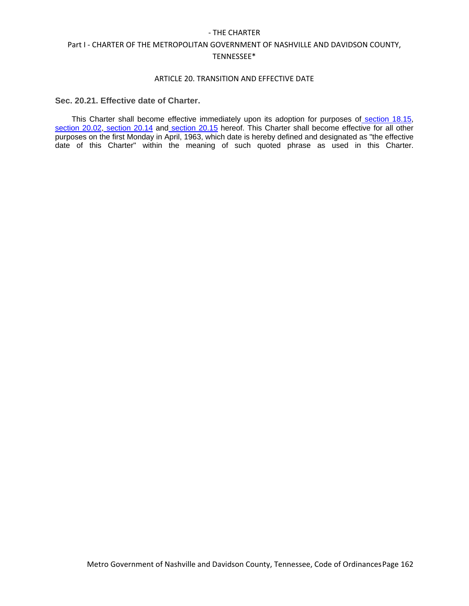# Part I - CHARTER OF THE METROPOLITAN GOVERNMENT OF NASHVILLE AND DAVIDSON COUNTY, TENNESSEE\*

#### ARTICLE 20. TRANSITION AND EFFECTIVE DATE

## **Sec. 20.21. Effective date of Charter.**

This Charter shall become effective immediately upon its adoption for purposes of section 18.15, section 20.02, section 20.14 and section 20.15 hereof. This Charter shall become effective for all other purposes on the first Monday in April, 1963, which date is hereby defined and designated as "the effective date of this Charter" within the meaning of such quoted phrase as used in this Charter.